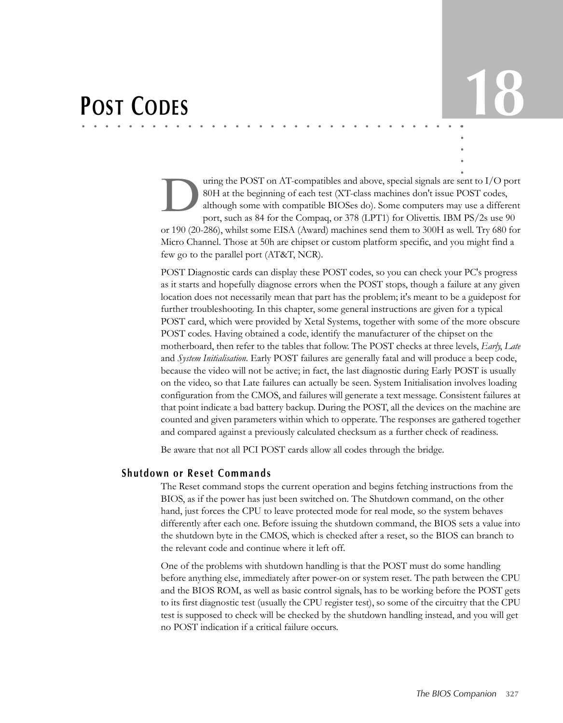**POST CODES** 

uring the POST on AT-compatibles and above, special signals are sent to I/O port 80H at the beginning of each test (XT-class machines don't issue POST codes, although some with compatible BIOSes do). Some computers may use a different port, such as 84 for the Compaq, or 378 (LPT1) for Olivettis. IBM PS/2s use 90 or 190 (20-286), whilst some EISA (Award) machines send them to 300H as well. Try 680 for Micro Channel. Those at 50h are chipset or custom platform specific, and you might find a few go to the parallel port (AT&T, NCR). D

**The BIOS Companion**<br> **The BIOS Companion System State BIOS Computers may use a different<br>
<b>The BIOS Company** and a swell. Try 680 for<br> **The BIOS Company** and System State State State State State State State State State St POST Diagnostic cards can display these POST codes, so you can check your PC's progress as it starts and hopefully diagnose errors when the POST stops, though a failure at any given location does not necessarily mean that part has the problem; it's meant to be a guidepost for further troubleshooting. In this chapter, some general instructions are given for a typical POST card, which were provided by Xetal Systems, together with some of the more obscure POST codes. Having obtained a code, identify the manufacturer of the chipset on the motherboard, then refer to the tables that follow. The POST checks at three levels, *Early*, *Late* and *System Initialisation*. Early POST failures are generally fatal and will produce a beep code, because the video will not be active; in fact, the last diagnostic during Early POST is usually on the video, so that Late failures can actually be seen. System Initialisation involves loading configuration from the CMOS, and failures will generate a text message. Consistent failures at that point indicate a bad battery backup. During the POST, all the devices on the machine are counted and given parameters within which to opperate. The responses are gathered together and compared against a previously calculated checksum as a further check of readiness.

Be aware that not all PCI POST cards allow all codes through the bridge.

#### **Shutdown or Reset Commands**

The Reset command stops the current operation and begins fetching instructions from the BIOS, as if the power has just been switched on. The Shutdown command, on the other hand, just forces the CPU to leave protected mode for real mode, so the system behaves differently after each one. Before issuing the shutdown command, the BIOS sets a value into the shutdown byte in the CMOS, which is checked after a reset, so the BIOS can branch to the relevant code and continue where it left off.

One of the problems with shutdown handling is that the POST must do some handling before anything else, immediately after power-on or system reset. The path between the CPU and the BIOS ROM, as well as basic control signals, has to be working before the POST gets to its first diagnostic test (usually the CPU register test), so some of the circuitry that the CPU test is supposed to check will be checked by the shutdown handling instead, and you will get no POST indication if a critical failure occurs.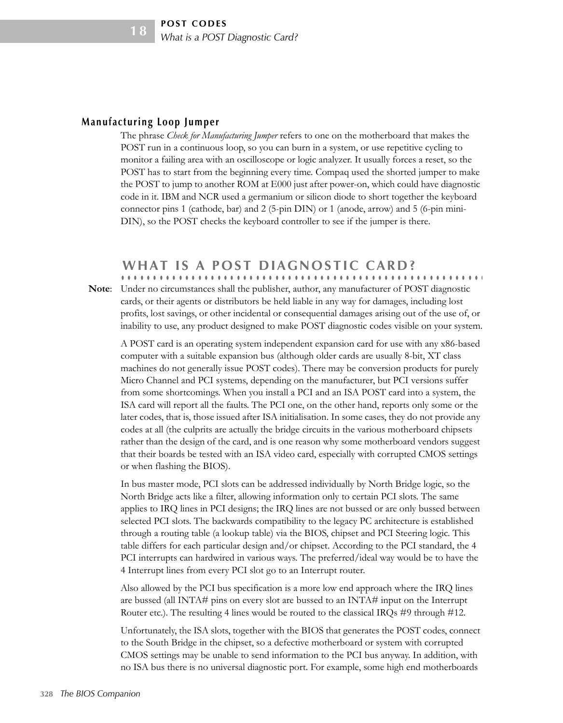#### **Manufacturing Loop Jumper**

The phrase *Check for Manufacturing Jumper* refers to one on the motherboard that makes the POST run in a continuous loop, so you can burn in a system, or use repetitive cycling to monitor a failing area with an oscilloscope or logic analyzer. It usually forces a reset, so the POST has to start from the beginning every time. Compaq used the shorted jumper to make the POST to jump to another ROM at E000 just after power-on, which could have diagnostic code in it. IBM and NCR used a germanium or silicon diode to short together the keyboard connector pins 1 (cathode, bar) and 2 (5-pin DIN) or 1 (anode, arrow) and 5 (6-pin mini-DIN), so the POST checks the keyboard controller to see if the jumper is there.

# **. . . . . . . . . . . . . . . . . . . . . . . . . . . . . . . . . . . . . . . . . . . . . . . . . . . . . . . . . WHAT IS A POST DIAGNOSTIC CARD?**

**Note**: Under no circumstances shall the publisher, author, any manufacturer of POST diagnostic cards, or their agents or distributors be held liable in any way for damages, including lost profits, lost savings, or other incidental or consequential damages arising out of the use of, or inability to use, any product designed to make POST diagnostic codes visible on your system.

A POST card is an operating system independent expansion card for use with any x86-based computer with a suitable expansion bus (although older cards are usually 8-bit, XT class machines do not generally issue POST codes). There may be conversion products for purely Micro Channel and PCI systems, depending on the manufacturer, but PCI versions suffer from some shortcomings. When you install a PCI and an ISA POST card into a system, the ISA card will report all the faults. The PCI one, on the other hand, reports only some or the later codes, that is, those issued after ISA initialisation. In some cases, they do not provide any codes at all (the culprits are actually the bridge circuits in the various motherboard chipsets rather than the design of the card, and is one reason why some motherboard vendors suggest that their boards be tested with an ISA video card, especially with corrupted CMOS settings or when flashing the BIOS).

In bus master mode, PCI slots can be addressed individually by North Bridge logic, so the North Bridge acts like a filter, allowing information only to certain PCI slots. The same applies to IRQ lines in PCI designs; the IRQ lines are not bussed or are only bussed between selected PCI slots. The backwards compatibility to the legacy PC architecture is established through a routing table (a lookup table) via the BIOS, chipset and PCI Steering logic. This table differs for each particular design and/or chipset. According to the PCI standard, the 4 PCI interrupts can hardwired in various ways. The preferred/ideal way would be to have the 4 Interrupt lines from every PCI slot go to an Interrupt router.

Also allowed by the PCI bus specification is a more low end approach where the IRQ lines are bussed (all INTA# pins on every slot are bussed to an INTA# input on the Interrupt Router etc.). The resulting 4 lines would be routed to the classical IRQs #9 through #12.

Unfortunately, the ISA slots, together with the BIOS that generates the POST codes, connect to the South Bridge in the chipset, so a defective motherboard or system with corrupted CMOS settings may be unable to send information to the PCI bus anyway. In addition, with no ISA bus there is no universal diagnostic port. For example, some high end motherboards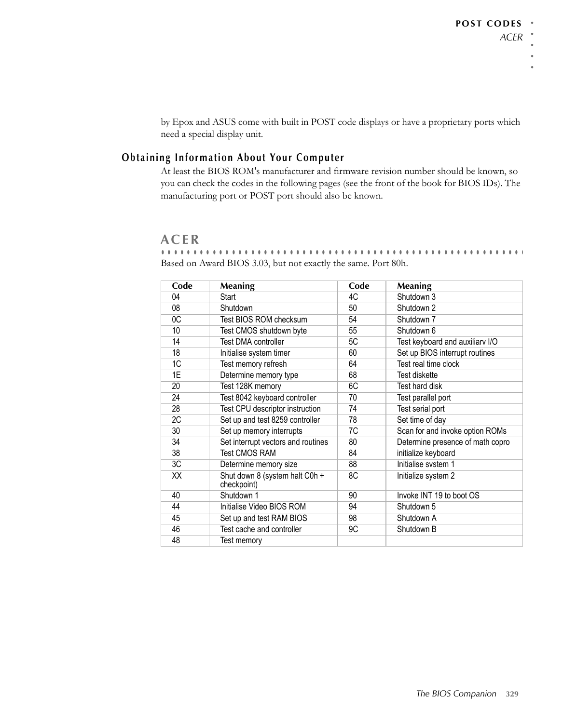. . . . .

by Epox and ASUS come with built in POST code displays or have a proprietary ports which need a special display unit.

### **Obtaining Information About Your Computer**

At least the BIOS ROM's manufacturer and firmware revision number should be known, so you can check the codes in the following pages (see the front of the book for BIOS IDs). The manufacturing port or POST port should also be known.

**. . . . . . . . . . . . . . . . . . . . . . . . . . . . . . . . . . . . . . . . . . . . . . . . . . . . . . . . . ACER** Based on Award BIOS 3.03, but not exactly the same. Port 80h.

| Code | Meaning                                       | Code | Meaning                          |
|------|-----------------------------------------------|------|----------------------------------|
| 04   | Start                                         | 4C   | Shutdown 3                       |
| 08   | Shutdown                                      | 50   | Shutdown 2                       |
| 0C   | Test BIOS ROM checksum                        | 54   | Shutdown 7                       |
| 10   | Test CMOS shutdown byte                       | 55   | Shutdown 6                       |
| 14   | <b>Test DMA controller</b>                    | 5C   | Test keyboard and auxiliarv I/O  |
| 18   | Initialise system timer                       | 60   | Set up BIOS interrupt routines   |
| 1C   | Test memory refresh                           | 64   | Test real time clock             |
| 1E   | Determine memory type                         | 68   | Test diskette                    |
| 20   | Test 128K memory                              | 6C   | Test hard disk                   |
| 24   | Test 8042 keyboard controller                 | 70   | Test parallel port               |
| 28   | Test CPU descriptor instruction               | 74   | Test serial port                 |
| 2C   | Set up and test 8259 controller               | 78   | Set time of day                  |
| 30   | Set up memory interrupts                      | 7C   | Scan for and invoke option ROMs  |
| 34   | Set interrupt vectors and routines            | 80   | Determine presence of math copro |
| 38   | <b>Test CMOS RAM</b>                          | 84   | initialize keyboard              |
| 3C   | Determine memory size                         | 88   | Initialise system 1              |
| XX   | Shut down 8 (system halt C0h +<br>checkpoint) | 8C   | Initialize system 2              |
| 40   | Shutdown 1                                    | 90   | Invoke INT 19 to boot OS         |
| 44   | Initialise Video BIOS ROM                     | 94   | Shutdown 5                       |
| 45   | Set up and test RAM BIOS                      | 98   | Shutdown A                       |
| 46   | Test cache and controller                     | 9C   | Shutdown B                       |
| 48   | <b>Test memory</b>                            |      |                                  |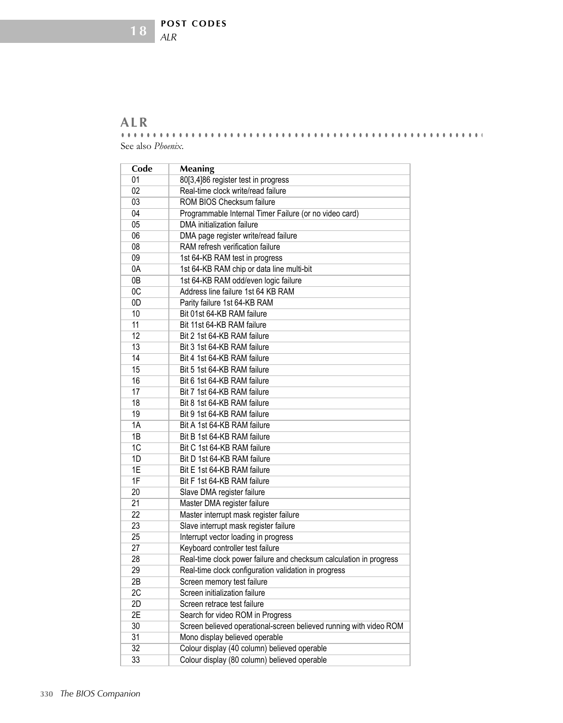**1 8**

**. . . . . . . . . . . . . . . . . . . . . . . . . . . . . . . . . . . . . . . . . . . . . . . . . . . . . . . . . ALR**

See also *Phoenix*.

| Code            | Meaning                                                            |
|-----------------|--------------------------------------------------------------------|
| 01              | 80[3,4]86 register test in progress                                |
| $\overline{02}$ | Real-time clock write/read failure                                 |
| 03              | <b>ROM BIOS Checksum failure</b>                                   |
| 04              | Programmable Internal Timer Failure (or no video card)             |
| 0 <sub>5</sub>  | DMA initialization failure                                         |
| 06              | DMA page register write/read failure                               |
| 08              | RAM refresh verification failure                                   |
| 09              | 1st 64-KB RAM test in progress                                     |
| 0A              | 1st 64-KB RAM chip or data line multi-bit                          |
| 0B              | 1st 64-KB RAM odd/even logic failure                               |
| 0 <sup>C</sup>  | Address line failure 1st 64 KB RAM                                 |
| 0D              | Parity failure 1st 64-KB RAM                                       |
| 10              | Bit 01st 64-KB RAM failure                                         |
| 11              | Bit 11st 64-KB RAM failure                                         |
| 12              | Bit 2 1st 64-KB RAM failure                                        |
| $\overline{13}$ | Bit 3 1st 64-KB RAM failure                                        |
| 14              | Bit 4 1st 64-KB RAM failure                                        |
| 15              | Bit 5 1st 64-KB RAM failure                                        |
| 16              | Bit 6 1st 64-KB RAM failure                                        |
| 17              | Bit 7 1st 64-KB RAM failure                                        |
| 18              | Bit 8 1st 64-KB RAM failure                                        |
| 19              | Bit 9 1st 64-KB RAM failure                                        |
| 1A              | Bit A 1st 64-KB RAM failure                                        |
| 1B              | Bit B 1st 64-KB RAM failure                                        |
| 1C              | Bit C 1st 64-KB RAM failure                                        |
| 1D              | Bit D 1st 64-KB RAM failure                                        |
| 1E              | Bit E 1st 64-KB RAM failure                                        |
| 1F              | Bit F 1st 64-KB RAM failure                                        |
| 20              | Slave DMA register failure                                         |
| 21              | Master DMA register failure                                        |
| $\overline{22}$ | Master interrupt mask register failure                             |
| 23              | Slave interrupt mask register failure                              |
| 25              | Interrupt vector loading in progress                               |
| $\overline{27}$ | Keyboard controller test failure                                   |
| 28              | Real-time clock power failure and checksum calculation in progress |
| 29              | Real-time clock configuration validation in progress               |
| 2B              | Screen memory test failure                                         |
| 2C              | Screen initialization failure                                      |
| 2D              | Screen retrace test failure                                        |
| 2E              | Search for video ROM in Progress                                   |
| 30              | Screen believed operational-screen believed running with video ROM |
| 31              | Mono display believed operable                                     |
| 32              | Colour display (40 column) believed operable                       |
| 33              | Colour display (80 column) believed operable                       |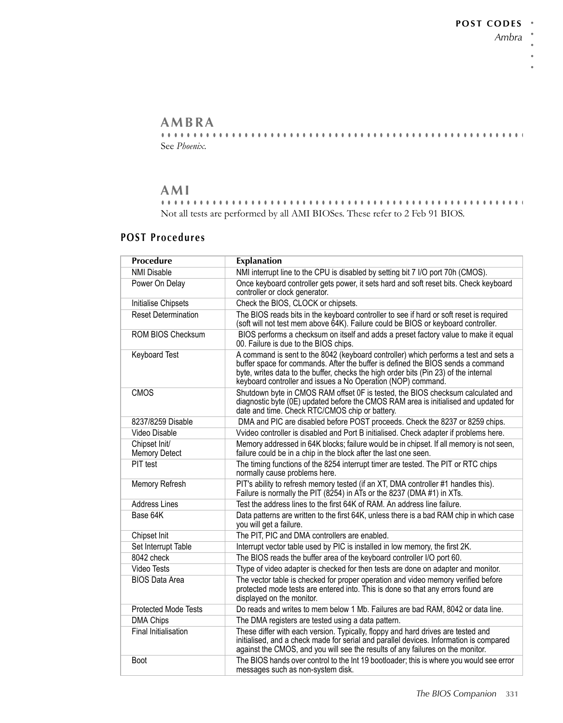. . . . .  $\bullet$ 

| AMBRA        |  |  |
|--------------|--|--|
|              |  |  |
| See Phoenix. |  |  |

```
. . . . . . . . . . . . . . . . . . . . . . . . . . . . . . . . . . . . . . . . . . . . . . . . . . . . . . . . . AMI
Not all tests are performed by all AMI BIOSes. These refer to 2 Feb 91 BIOS.
```
## **POST Procedures**

| <b>Procedure</b>                      | <b>Explanation</b>                                                                                                                                                                                                                                                                                                              |
|---------------------------------------|---------------------------------------------------------------------------------------------------------------------------------------------------------------------------------------------------------------------------------------------------------------------------------------------------------------------------------|
| <b>NMI Disable</b>                    | NMI interrupt line to the CPU is disabled by setting bit 7 I/O port 70h (CMOS).                                                                                                                                                                                                                                                 |
| Power On Delav                        | Once keyboard controller gets power, it sets hard and soft reset bits. Check keyboard<br>controller or clock generator.                                                                                                                                                                                                         |
| Initialise Chipsets                   | Check the BIOS, CLOCK or chipsets.                                                                                                                                                                                                                                                                                              |
| <b>Reset Determination</b>            | The BIOS reads bits in the keyboard controller to see if hard or soft reset is required<br>(soft will not test mem above 64K). Failure could be BIOS or keyboard controller.                                                                                                                                                    |
| <b>ROM BIOS Checksum</b>              | BIOS performs a checksum on itself and adds a preset factory value to make it equal<br>00. Failure is due to the BIOS chips.                                                                                                                                                                                                    |
| <b>Keyboard Test</b>                  | A command is sent to the 8042 (keyboard controller) which performs a test and sets a<br>buffer space for commands. After the buffer is defined the BIOS sends a command<br>byte, writes data to the buffer, checks the high order bits (Pin 23) of the internal<br>keyboard controller and issues a No Operation (NOP) command. |
| <b>CMOS</b>                           | Shutdown byte in CMOS RAM offset 0F is tested, the BIOS checksum calculated and<br>diagnostic byte (0E) updated before the CMOS RAM area is initialised and updated for<br>date and time. Check RTC/CMOS chip or battery.                                                                                                       |
| 8237/8259 Disable                     | DMA and PIC are disabled before POST proceeds. Check the 8237 or 8259 chips.                                                                                                                                                                                                                                                    |
| Video Disable                         | Vvideo controller is disabled and Port B initialised. Check adapter if problems here.                                                                                                                                                                                                                                           |
| Chipset Init/<br><b>Memory Detect</b> | Memory addressed in 64K blocks; failure would be in chipset. If all memory is not seen,<br>failure could be in a chip in the block after the last one seen.                                                                                                                                                                     |
| PIT test                              | The timing functions of the 8254 interrupt timer are tested. The PIT or RTC chips<br>normally cause problems here.                                                                                                                                                                                                              |
| Memory Refresh                        | PIT's ability to refresh memory tested (if an XT, DMA controller #1 handles this).<br>Failure is normally the PIT (8254) in ATs or the 8237 (DMA #1) in XTs.                                                                                                                                                                    |
| Address Lines                         | Test the address lines to the first 64K of RAM. An address line failure.                                                                                                                                                                                                                                                        |
| Base 64K                              | Data patterns are written to the first 64K, unless there is a bad RAM chip in which case<br>you will get a failure.                                                                                                                                                                                                             |
| Chipset Init                          | The PIT. PIC and DMA controllers are enabled.                                                                                                                                                                                                                                                                                   |
| Set Interrupt Table                   | Interrupt vector table used by PIC is installed in low memory, the first 2K.                                                                                                                                                                                                                                                    |
| 8042 check                            | The BIOS reads the buffer area of the keyboard controller I/O port 60.                                                                                                                                                                                                                                                          |
| Video Tests                           | Ttype of video adapter is checked for then tests are done on adapter and monitor.                                                                                                                                                                                                                                               |
| <b>BIOS Data Area</b>                 | The vector table is checked for proper operation and video memory verified before<br>protected mode tests are entered into. This is done so that any errors found are<br>displayed on the monitor.                                                                                                                              |
| <b>Protected Mode Tests</b>           | Do reads and writes to mem below 1 Mb. Failures are bad RAM, 8042 or data line.                                                                                                                                                                                                                                                 |
| <b>DMA Chips</b>                      | The DMA registers are tested using a data pattern.                                                                                                                                                                                                                                                                              |
| <b>Final Initialisation</b>           | These differ with each version. Typically, floppy and hard drives are tested and<br>initialised, and a check made for serial and parallel devices. Information is compared<br>against the CMOS, and you will see the results of any failures on the monitor.                                                                    |
| Boot                                  | The BIOS hands over control to the Int 19 bootloader; this is where you would see error<br>messages such as non-system disk.                                                                                                                                                                                                    |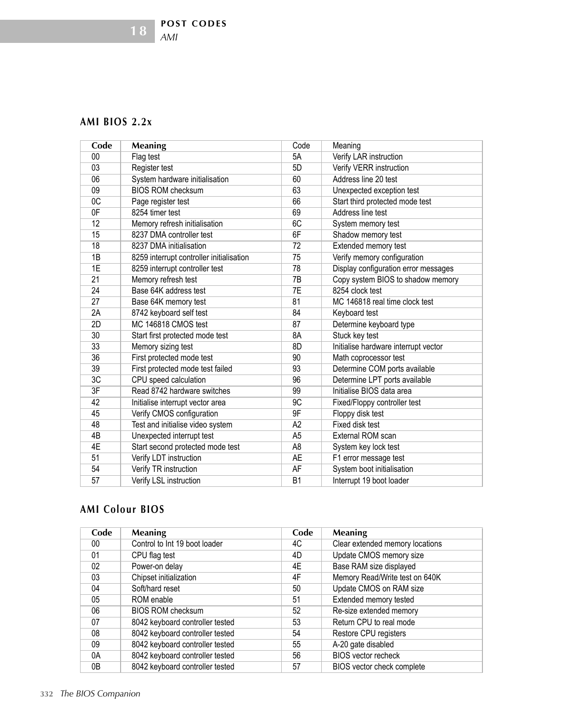# **AMI BIOS 2.2x**

| Code | Meaning                                  | Code           | Meaning                              |
|------|------------------------------------------|----------------|--------------------------------------|
| 00   | Flag test                                | <b>5A</b>      | Verify LAR instruction               |
| 03   | Register test                            | 5D             | Verify VERR instruction              |
| 06   | System hardware initialisation           | 60             | Address line 20 test                 |
| 09   | <b>BIOS ROM checksum</b>                 | 63             | Unexpected exception test            |
| 0C   | Page register test                       | 66             | Start third protected mode test      |
| 0F   | 8254 timer test                          | 69             | Address line test                    |
| 12   | Memory refresh initialisation            | 6C             | System memory test                   |
| 15   | 8237 DMA controller test                 | 6F             | Shadow memory test                   |
| 18   | 8237 DMA initialisation                  | 72             | Extended memory test                 |
| 1B   | 8259 interrupt controller initialisation | 75             | Verify memory configuration          |
| 1E   | 8259 interrupt controller test           | 78             | Display configuration error messages |
| 21   | Memory refresh test                      | 7B             | Copy system BIOS to shadow memory    |
| 24   | Base 64K address test                    | 7E             | 8254 clock test                      |
| 27   | Base 64K memory test                     | 81             | MC 146818 real time clock test       |
| 2A   | 8742 keyboard self test                  | 84             | Keyboard test                        |
| 2D   | MC 146818 CMOS test                      | 87             | Determine keyboard type              |
| 30   | Start first protected mode test          | 8A             | Stuck key test                       |
| 33   | Memory sizing test                       | 8D             | Initialise hardware interrupt vector |
| 36   | First protected mode test                | 90             | Math coprocessor test                |
| 39   | First protected mode test failed         | 93             | Determine COM ports available        |
| 3C   | CPU speed calculation                    | 96             | Determine LPT ports available        |
| 3F   | Read 8742 hardware switches              | 99             | Initialise BIOS data area            |
| 42   | Initialise interrupt vector area         | 9C             | Fixed/Floppy controller test         |
| 45   | Verify CMOS configuration                | 9F             | Floppy disk test                     |
| 48   | Test and initialise video system         | A2             | Fixed disk test                      |
| 4B   | Unexpected interrupt test                | A <sub>5</sub> | External ROM scan                    |
| 4E   | Start second protected mode test         | A8             | System key lock test                 |
| 51   | Verify LDT instruction                   | <b>AE</b>      | F1 error message test                |
| 54   | Verify TR instruction                    | AF             | System boot initialisation           |
| 57   | Verify LSL instruction                   | B <sub>1</sub> | Interrupt 19 boot loader             |

# **AMI Colour BIOS**

| Code | <b>Meaning</b>                  | Code | <b>Meaning</b>                  |
|------|---------------------------------|------|---------------------------------|
| 00   | Control to Int 19 boot loader   | 4C   | Clear extended memory locations |
| 01   | CPU flag test                   | 4D   | Update CMOS memory size         |
| 02   | Power-on delay                  | 4E   | Base RAM size displayed         |
| 03   | Chipset initialization          | 4F   | Memory Read/Write test on 640K  |
| 04   | Soft/hard reset                 | 50   | Update CMOS on RAM size         |
| 05   | ROM enable                      | 51   | Extended memory tested          |
| 06   | <b>BIOS ROM checksum</b>        | 52   | Re-size extended memory         |
| 07   | 8042 keyboard controller tested | 53   | Return CPU to real mode         |
| 08   | 8042 keyboard controller tested | 54   | Restore CPU registers           |
| 09   | 8042 keyboard controller tested | 55   | A-20 gate disabled              |
| 0A   | 8042 keyboard controller tested | 56   | <b>BIOS</b> vector recheck      |
| 0B   | 8042 keyboard controller tested | 57   | BIOS vector check complete      |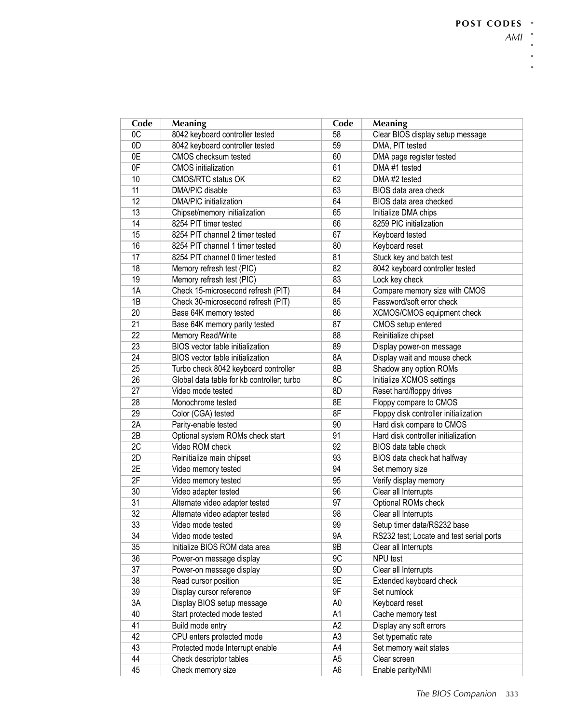. . . . .  $\ddot{\phantom{0}}$  $\bullet$  $\bullet$ 

| Code            |                                            | Code           |                                          |
|-----------------|--------------------------------------------|----------------|------------------------------------------|
|                 | Meaning                                    |                | Meaning                                  |
| 0C              | 8042 keyboard controller tested            | 58             | Clear BIOS display setup message         |
| 0D<br>0E        | 8042 keyboard controller tested            | 59<br>60       | DMA, PIT tested                          |
|                 | CMOS checksum tested                       |                | DMA page register tested                 |
| 0F              | <b>CMOS</b> initialization                 | 61             | DMA#1 tested                             |
| 10              | CMOS/RTC status OK                         | 62             | DMA#2 tested                             |
| 11              | DMA/PIC disable                            | 63             | BIOS data area check                     |
| 12              | DMA/PIC initialization                     | 64             | BIOS data area checked                   |
| 13              | Chipset/memory initialization              | 65             | Initialize DMA chips                     |
| 14              | 8254 PIT timer tested                      | 66             | 8259 PIC initialization                  |
| 15              | 8254 PIT channel 2 timer tested            | 67             | Keyboard tested                          |
| 16              | 8254 PIT channel 1 timer tested            | 80             | Keyboard reset                           |
| 17              | 8254 PIT channel 0 timer tested            | 81             | Stuck key and batch test                 |
| 18              | Memory refresh test (PIC)                  | 82             | 8042 keyboard controller tested          |
| 19              | Memory refresh test (PIC)                  | 83             | Lock key check                           |
| 1A              | Check 15-microsecond refresh (PIT)         | 84             | Compare memory size with CMOS            |
| 1B              | Check 30-microsecond refresh (PIT)         | 85             | Password/soft error check                |
| 20              | Base 64K memory tested                     | 86             | XCMOS/CMOS equipment check               |
| $\overline{21}$ | Base 64K memory parity tested              | 87             | CMOS setup entered                       |
| $\overline{22}$ | Memory Read/Write                          | 88             | Reinitialize chipset                     |
| 23              | BIOS vector table initialization           | 89             | Display power-on message                 |
| $\overline{24}$ | BIOS vector table initialization           | 8A             | Display wait and mouse check             |
| 25              | Turbo check 8042 keyboard controller       | 8B             | Shadow any option ROMs                   |
| 26              | Global data table for kb controller; turbo | 8C             | Initialize XCMOS settings                |
| 27              | Video mode tested                          | 8D             | Reset hard/floppy drives                 |
| 28              | Monochrome tested                          | 8E             | Floppy compare to CMOS                   |
| 29              | Color (CGA) tested                         | 8F             | Floppy disk controller initialization    |
| 2A              | Parity-enable tested                       | 90             | Hard disk compare to CMOS                |
| 2B              | Optional system ROMs check start           | 91             | Hard disk controller initialization      |
| 2C              | Video ROM check                            | 92             | BIOS data table check                    |
| 2D              | Reinitialize main chipset                  | 93             | BIOS data check hat halfway              |
| 2E              | Video memory tested                        | 94             | Set memory size                          |
| 2F              | Video memory tested                        | 95             | Verify display memory                    |
| 30              | Video adapter tested                       | 96             | Clear all Interrupts                     |
| 31              | Alternate video adapter tested             | 97             | Optional ROMs check                      |
| 32              | Alternate video adapter tested             | 98             | Clear all Interrupts                     |
| $\overline{33}$ | Video mode tested                          | 99             | Setup timer data/RS232 base              |
| 34              | Video mode tested                          | 9A             | RS232 test; Locate and test serial ports |
| 35              | Initialize BIOS ROM data area              | 9B             | Clear all Interrupts                     |
| 36              | Power-on message display                   | 9C             | <b>NPU</b> test                          |
| 37              | Power-on message display                   | 9D             | Clear all Interrupts                     |
| 38              | Read cursor position                       | 9E             | Extended keyboard check                  |
| 39              | Display cursor reference                   | 9F             | Set numlock                              |
| 3A              | Display BIOS setup message                 | A <sub>0</sub> | Keyboard reset                           |
| 40              | Start protected mode tested                | A <sub>1</sub> | Cache memory test                        |
| 41              | Build mode entry                           | A <sub>2</sub> | Display any soft errors                  |
| 42              | CPU enters protected mode                  | A <sub>3</sub> | Set typematic rate                       |
| 43              | Protected mode Interrupt enable            | A4             | Set memory wait states                   |
| 44              | Check descriptor tables                    | A <sub>5</sub> | Clear screen                             |
| 45              | Check memory size                          | A <sub>6</sub> | Enable parity/NMI                        |
|                 |                                            |                |                                          |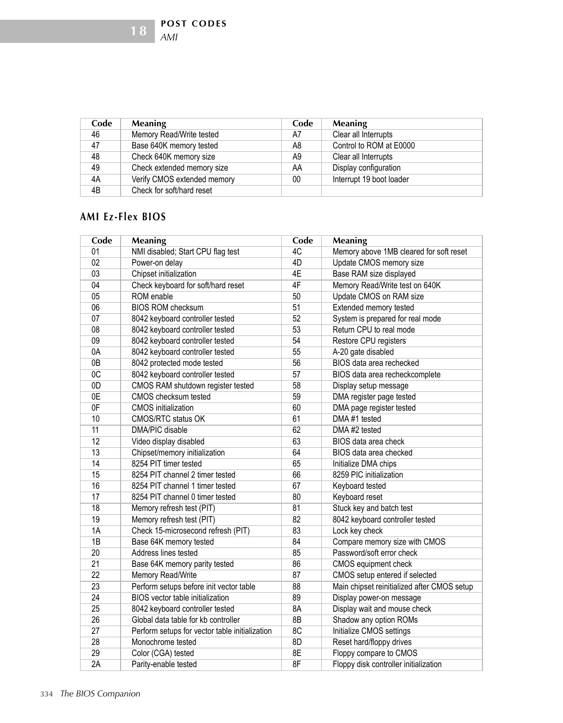*AMI* **1 8**

| Code | <b>Meaning</b>              | Code | <b>Meaning</b>           |
|------|-----------------------------|------|--------------------------|
| 46   | Memory Read/Write tested    | A7   | Clear all Interrupts     |
| 47   | Base 640K memory tested     | A8   | Control to ROM at E0000  |
| 48   | Check 640K memory size      | A9   | Clear all Interrupts     |
| 49   | Check extended memory size  | AA   | Display configuration    |
| 4A   | Verify CMOS extended memory | 00   | Interrupt 19 boot loader |
| 4B   | Check for soft/hard reset   |      |                          |

# **AMI Ez-Flex BIOS**

| Code            | <b>Meaning</b>                                 | Code           | Meaning                                     |
|-----------------|------------------------------------------------|----------------|---------------------------------------------|
| 01              | NMI disabled; Start CPU flag test              | 4C             | Memory above 1MB cleared for soft reset     |
| 02              | Power-on delay                                 | 4D             | Update CMOS memory size                     |
| 03              | Chipset initialization                         | 4E             | Base RAM size displayed                     |
| 04              | Check keyboard for soft/hard reset             | 4F             | Memory Read/Write test on 640K              |
| 05              | ROM enable                                     | 50             | Update CMOS on RAM size                     |
| 06              | <b>BIOS ROM checksum</b>                       | 51             | Extended memory tested                      |
| 07              | 8042 keyboard controller tested                | 52             | System is prepared for real mode            |
| 08              | 8042 keyboard controller tested                | 53             | Return CPU to real mode                     |
| 09              | 8042 keyboard controller tested                | 54             | Restore CPU registers                       |
| 0A              | 8042 keyboard controller tested                | 55             | A-20 gate disabled                          |
| 0B              | 8042 protected mode tested                     | 56             | BIOS data area rechecked                    |
| $\overline{0C}$ | 8042 keyboard controller tested                | 57             | BIOS data area recheckcomplete              |
| 0D              | CMOS RAM shutdown register tested              | 58             | Display setup message                       |
| 0E              | CMOS checksum tested                           | 59             | DMA register page tested                    |
| 0F              | <b>CMOS</b> initialization                     | 60             | DMA page register tested                    |
| 10              | CMOS/RTC status OK                             | 61             | DMA#1 tested                                |
| 11              | <b>DMA/PIC</b> disable                         | 62             | DMA#2 tested                                |
| 12              | Video display disabled                         | 63             | BIOS data area check                        |
| 13              | Chipset/memory initialization                  | 64             | BIOS data area checked                      |
| 14              | 8254 PIT timer tested                          | 65             | Initialize DMA chips                        |
| 15              | 8254 PIT channel 2 timer tested                | 66             | 8259 PIC initialization                     |
| 16              | 8254 PIT channel 1 timer tested                | 67             | Keyboard tested                             |
| 17              | 8254 PIT channel 0 timer tested                | 80             | Keyboard reset                              |
| 18              | Memory refresh test (PIT)                      | 81             | Stuck key and batch test                    |
| 19              | Memory refresh test (PIT)                      | 82             | 8042 keyboard controller tested             |
| 1A              | Check 15-microsecond refresh (PIT)             | 83             | Lock key check                              |
| 1B              | Base 64K memory tested                         | 84             | Compare memory size with CMOS               |
| 20              | Address lines tested                           | 85             | Password/soft error check                   |
| 21              | Base 64K memory parity tested                  | 86             | CMOS equipment check                        |
| $\overline{22}$ | Memory Read/Write                              | 87             | CMOS setup entered if selected              |
| $\overline{23}$ | Perform setups before init vector table        | 88             | Main chipset reinitialized after CMOS setup |
| $\overline{24}$ | BIOS vector table initialization               | 89             | Display power-on message                    |
| $\overline{25}$ | 8042 keyboard controller tested                | 8A             | Display wait and mouse check                |
| 26              | Global data table for kb controller            | 8B             | Shadow any option ROMs                      |
| 27              | Perform setups for vector table initialization | 8C             | Initialize CMOS settings                    |
| 28              | Monochrome tested                              | 8 <sub>D</sub> | Reset hard/floppy drives                    |
| 29              | Color (CGA) tested                             | 8E             | Floppy compare to CMOS                      |
| $\overline{2A}$ | Parity-enable tested                           | 8F             | Floppy disk controller initialization       |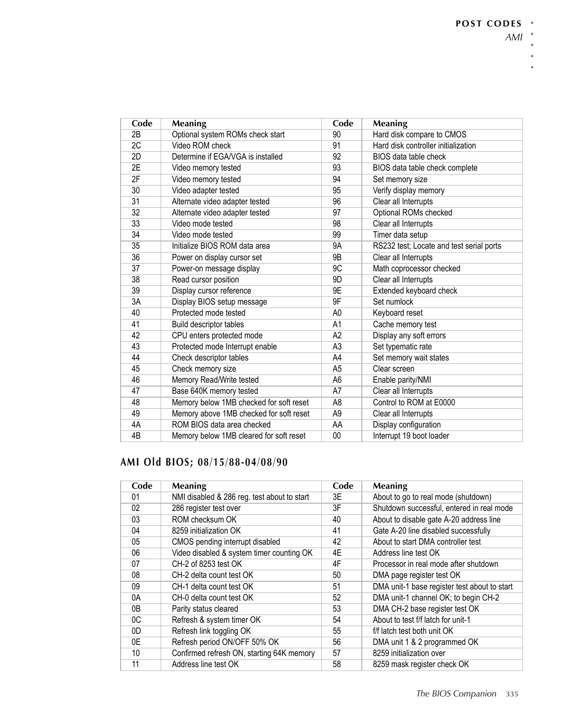. . . . . ä  $\bullet$ 

| Code | Meaning                                 | Code           | Meaning                                  |
|------|-----------------------------------------|----------------|------------------------------------------|
| 2B   | Optional system ROMs check start        | 90             | Hard disk compare to CMOS                |
| 2C   | Video ROM check                         | 91             | Hard disk controller initialization      |
| 2D   | Determine if EGA/VGA is installed       | 92             | BIOS data table check                    |
| 2E   | Video memory tested                     | 93             | BIOS data table check complete           |
| 2F   | Video memory tested                     | 94             | Set memory size                          |
| 30   | Video adapter tested                    | 95             | Verify display memory                    |
| 31   | Alternate video adapter tested          | 96             | Clear all Interrupts                     |
| 32   | Alternate video adapter tested          | 97             | Optional ROMs checked                    |
| 33   | Video mode tested                       | 98             | Clear all Interrupts                     |
| 34   | Video mode tested                       | 99             | Timer data setup                         |
| 35   | Initialize BIOS ROM data area           | 9A             | RS232 test; Locate and test serial ports |
| 36   | Power on display cursor set             | 9B             | Clear all Interrupts                     |
| 37   | Power-on message display                | 9C             | Math coprocessor checked                 |
| 38   | Read cursor position                    | 9 <sub>D</sub> | Clear all Interrupts                     |
| 39   | Display cursor reference                | 9E             | Extended keyboard check                  |
| 3A   | Display BIOS setup message              | 9F             | Set numlock                              |
| 40   | Protected mode tested                   | A <sub>0</sub> | Keyboard reset                           |
| 41   | Build descriptor tables                 | A1             | Cache memory test                        |
| 42   | CPU enters protected mode               | A2             | Display any soft errors                  |
| 43   | Protected mode Interrupt enable         | A3             | Set typematic rate                       |
| 44   | Check descriptor tables                 | A4             | Set memory wait states                   |
| 45   | Check memory size                       | A <sub>5</sub> | Clear screen                             |
| 46   | Memory Read/Write tested                | A <sub>6</sub> | Enable parity/NMI                        |
| 47   | Base 640K memory tested                 | A7             | Clear all Interrupts                     |
| 48   | Memory below 1MB checked for soft reset | A <sub>8</sub> | Control to ROM at E0000                  |
| 49   | Memory above 1MB checked for soft reset | A <sub>9</sub> | Clear all Interrupts                     |
| 4A   | ROM BIOS data area checked              | AA             | Display configuration                    |
| 4B   | Memory below 1MB cleared for soft reset | $00\,$         | Interrupt 19 boot loader                 |

# **AMI Old BIOS; 08/15/88-04/08/90**

| Code | Meaning                                     | Code | Meaning                                      |
|------|---------------------------------------------|------|----------------------------------------------|
| 01   | NMI disabled & 286 reg. test about to start | 3E   | About to go to real mode (shutdown)          |
| 02   | 286 register test over                      | 3F   | Shutdown successful, entered in real mode    |
| 03   | ROM checksum OK                             | 40   | About to disable gate A-20 address line      |
| 04   | 8259 initialization OK                      | 41   | Gate A-20 line disabled successfully         |
| 05   | CMOS pending interrupt disabled             | 42   | About to start DMA controller test           |
| 06   | Video disabled & system timer counting OK   | 4E   | Address line test OK                         |
| 07   | CH-2 of 8253 test OK                        | 4F   | Processor in real mode after shutdown        |
| 08   | CH-2 delta count test OK                    | 50   | DMA page register test OK                    |
| 09   | CH-1 delta count test OK                    | 51   | DMA unit-1 base register test about to start |
| 0A   | CH-0 delta count test OK                    | 52   | DMA unit-1 channel OK; to begin CH-2         |
| 0B   | Parity status cleared                       | 53   | DMA CH-2 base register test OK               |
| 0C   | Refresh & system timer OK                   | 54   | About to test f/f latch for unit-1           |
| 0D   | Refresh link toggling OK                    | 55   | f/f latch test both unit OK                  |
| 0E   | Refresh period ON/OFF 50% OK                | 56   | DMA unit 1 & 2 programmed OK                 |
| 10   | Confirmed refresh ON, starting 64K memory   | 57   | 8259 initialization over                     |
| 11   | Address line test OK                        | 58   | 8259 mask register check OK                  |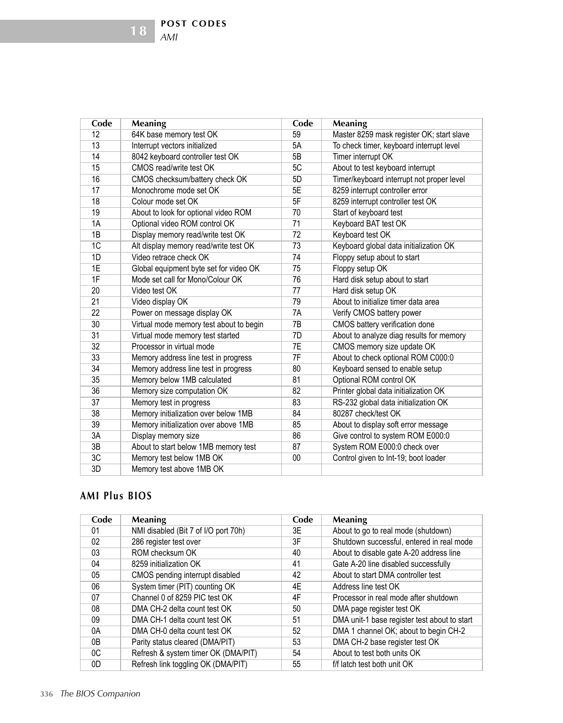| Code            | Meaning                                 | Code | Meaning                                   |
|-----------------|-----------------------------------------|------|-------------------------------------------|
| 12              | 64K base memory test OK                 | 59   | Master 8259 mask register OK; start slave |
| 13              | Interrupt vectors initialized           | 5A   | To check timer, keyboard interrupt level  |
| 14              | 8042 keyboard controller test OK        | 5B   | Timer interrupt OK                        |
| 15              | CMOS read/write test OK                 | 5C   | About to test keyboard interrupt          |
| 16              | CMOS checksum/battery check OK          | 5D   | Timer/keyboard interrupt not proper level |
| 17              | Monochrome mode set OK                  | 5E   | 8259 interrupt controller error           |
| 18              | Colour mode set OK                      | 5F   | 8259 interrupt controller test OK         |
| 19              | About to look for optional video ROM    | 70   | Start of keyboard test                    |
| 1A              | Optional video ROM control OK           | 71   | Keyboard BAT test OK                      |
| 1B              | Display memory read/write test OK       | 72   | Keyboard test OK                          |
| 1C              | Alt display memory read/write test OK   | 73   | Keyboard global data initialization OK    |
| 1D              | Video retrace check OK                  | 74   | Floppy setup about to start               |
| 1E              | Global equipment byte set for video OK  | 75   | Floppy setup OK                           |
| 1F              | Mode set call for Mono/Colour OK        | 76   | Hard disk setup about to start            |
| $\overline{20}$ | Video test OK                           | 77   | Hard disk setup OK                        |
| 21              | Video display OK                        | 79   | About to initialize timer data area       |
| 22              | Power on message display OK             | 7A   | Verify CMOS battery power                 |
| 30              | Virtual mode memory test about to begin | 7B   | CMOS battery verification done            |
| 31              | Virtual mode memory test started        | 7D   | About to analyze diag results for memory  |
| 32              | Processor in virtual mode               | 7E   | CMOS memory size update OK                |
| 33              | Memory address line test in progress    | 7F   | About to check optional ROM C000:0        |
| 34              | Memory address line test in progress    | 80   | Keyboard sensed to enable setup           |
| 35              | Memory below 1MB calculated             | 81   | Optional ROM control OK                   |
| 36              | Memory size computation OK              | 82   | Printer global data initialization OK     |
| 37              | Memory test in progress                 | 83   | RS-232 global data initialization OK      |
| 38              | Memory initialization over below 1MB    | 84   | 80287 check/test OK                       |
| 39              | Memory initialization over above 1MB    | 85   | About to display soft error message       |
| 3A              | Display memory size                     | 86   | Give control to system ROM E000:0         |
| 3B              | About to start below 1MB memory test    | 87   | System ROM E000:0 check over              |
| 3C              | Memory test below 1MB OK                | 00   | Control given to Int-19; boot loader      |
| 3D              | Memory test above 1MB OK                |      |                                           |

# **AMI Plus BIOS**

| Code | <b>Meaning</b>                       | Code | <b>Meaning</b>                               |
|------|--------------------------------------|------|----------------------------------------------|
| 01   | NMI disabled (Bit 7 of I/O port 70h) | 3E   | About to go to real mode (shutdown)          |
| 02   | 286 register test over               | 3F   | Shutdown successful, entered in real mode    |
| 03   | ROM checksum OK                      | 40   | About to disable gate A-20 address line      |
| 04   | 8259 initialization OK               | 41   | Gate A-20 line disabled successfully         |
| 05   | CMOS pending interrupt disabled      | 42   | About to start DMA controller test           |
| 06   | System timer (PIT) counting OK       | 4E   | Address line test OK                         |
| 07   | Channel 0 of 8259 PIC test OK        | 4F   | Processor in real mode after shutdown        |
| 08   | DMA CH-2 delta count test OK         | 50   | DMA page register test OK                    |
| 09   | DMA CH-1 delta count test OK         | 51   | DMA unit-1 base register test about to start |
| 0A   | DMA CH-0 delta count test OK         | 52   | DMA 1 channel OK; about to begin CH-2        |
| 0B   | Parity status cleared (DMA/PIT)      | 53   | DMA CH-2 base register test OK               |
| 0C   | Refresh & system timer OK (DMA/PIT)  | 54   | About to test both units OK                  |
| 0D   | Refresh link toggling OK (DMA/PIT)   | 55   | f/f latch test both unit OK                  |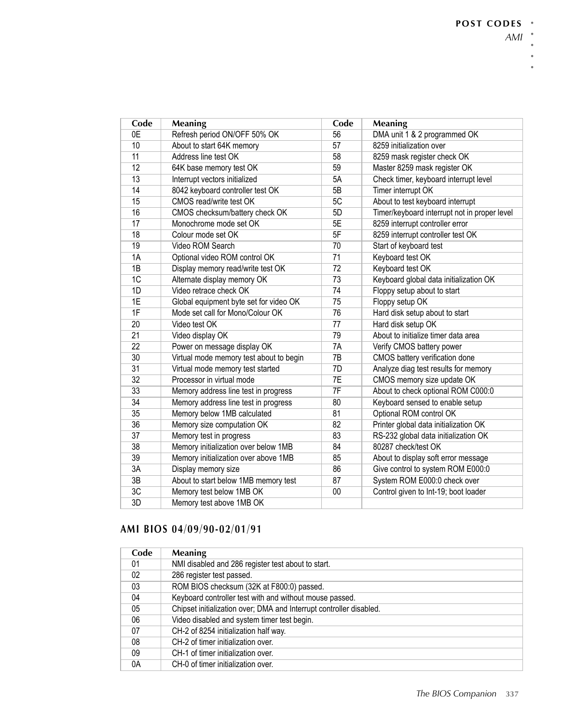. . . . .  $\ddot{\phantom{0}}$  $\bullet$ 

| Code | Meaning                                 | Code | Meaning                                      |
|------|-----------------------------------------|------|----------------------------------------------|
| 0E   | Refresh period ON/OFF 50% OK            | 56   | DMA unit 1 & 2 programmed OK                 |
| 10   | About to start 64K memory               | 57   | 8259 initialization over                     |
| 11   | Address line test OK                    | 58   | 8259 mask register check OK                  |
| 12   | 64K base memory test OK                 | 59   | Master 8259 mask register OK                 |
| 13   | Interrupt vectors initialized           | 5A   | Check timer, keyboard interrupt level        |
| 14   | 8042 keyboard controller test OK        | 5B   | Timer interrupt OK                           |
| 15   | CMOS read/write test OK                 | 5C   | About to test keyboard interrupt             |
| 16   | CMOS checksum/battery check OK          | 5D   | Timer/keyboard interrupt not in proper level |
| 17   | Monochrome mode set OK                  | 5E   | 8259 interrupt controller error              |
| 18   | Colour mode set OK                      | 5F   | 8259 interrupt controller test OK            |
| 19   | Video ROM Search                        | 70   | Start of keyboard test                       |
| 1A   | Optional video ROM control OK           | 71   | Keyboard test OK                             |
| 1B   | Display memory read/write test OK       | 72   | Keyboard test OK                             |
| 1C   | Alternate display memory OK             | 73   | Keyboard global data initialization OK       |
| 1D   | Video retrace check OK                  | 74   | Floppy setup about to start                  |
| 1E   | Global equipment byte set for video OK  | 75   | Floppy setup OK                              |
| 1F   | Mode set call for Mono/Colour OK        | 76   | Hard disk setup about to start               |
| 20   | Video test OK                           | 77   | Hard disk setup OK                           |
| 21   | Video display OK                        | 79   | About to initialize timer data area          |
| 22   | Power on message display OK             | 7A   | Verify CMOS battery power                    |
| 30   | Virtual mode memory test about to begin | 7B   | CMOS battery verification done               |
| 31   | Virtual mode memory test started        | 7D   | Analyze diag test results for memory         |
| 32   | Processor in virtual mode               | 7E   | CMOS memory size update OK                   |
| 33   | Memory address line test in progress    | 7F   | About to check optional ROM C000:0           |
| 34   | Memory address line test in progress    | 80   | Keyboard sensed to enable setup              |
| 35   | Memory below 1MB calculated             | 81   | Optional ROM control OK                      |
| 36   | Memory size computation OK              | 82   | Printer global data initialization OK        |
| 37   | Memory test in progress                 | 83   | RS-232 global data initialization OK         |
| 38   | Memory initialization over below 1MB    | 84   | 80287 check/test OK                          |
| 39   | Memory initialization over above 1MB    | 85   | About to display soft error message          |
| 3A   | Display memory size                     | 86   | Give control to system ROM E000:0            |
| 3B   | About to start below 1MB memory test    | 87   | System ROM E000:0 check over                 |
| 3C   | Memory test below 1MB OK                | 00   | Control given to Int-19; boot loader         |
| 3D   | Memory test above 1MB OK                |      |                                              |

# **AMI BIOS 04/09/90-02/01/91**

| Code | Meaning                                                             |
|------|---------------------------------------------------------------------|
| 01   | NMI disabled and 286 register test about to start.                  |
| 02   | 286 register test passed.                                           |
| 03   | ROM BIOS checksum (32K at F800:0) passed.                           |
| 04   | Keyboard controller test with and without mouse passed.             |
| 05   | Chipset initialization over; DMA and Interrupt controller disabled. |
| 06   | Video disabled and system timer test begin.                         |
| 07   | CH-2 of 8254 initialization half way.                               |
| 08   | CH-2 of timer initialization over.                                  |
| 09   | CH-1 of timer initialization over.                                  |
| 0A   | CH-0 of timer initialization over.                                  |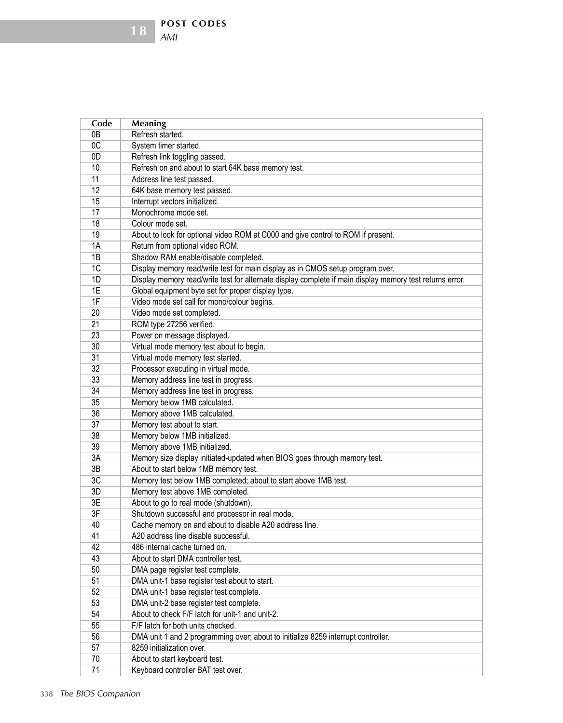| Code            | Meaning                                                                                                  |
|-----------------|----------------------------------------------------------------------------------------------------------|
| 0B              | Refresh started.                                                                                         |
| 0 <sub>C</sub>  | System timer started.                                                                                    |
| 0D              | Refresh link toggling passed.                                                                            |
| 10              | Refresh on and about to start 64K base memory test.                                                      |
| 11              | Address line test passed.                                                                                |
| $\overline{12}$ | 64K base memory test passed.                                                                             |
| 15              | Interrupt vectors initialized.                                                                           |
| 17              | Monochrome mode set.                                                                                     |
| 18              | Colour mode set.                                                                                         |
| 19              | About to look for optional video ROM at C000 and give control to ROM if present.                         |
| 1A              | Return from optional video ROM.                                                                          |
| 1B              | Shadow RAM enable/disable completed.                                                                     |
| 1C              | Display memory read/write test for main display as in CMOS setup program over.                           |
| 1D              | Display memory read/write test for alternate display complete if main display memory test returns error. |
| 1E              | Global equipment byte set for proper display type.                                                       |
| 1F              | Video mode set call for mono/colour begins.                                                              |
| $\overline{20}$ | Video mode set completed.                                                                                |
| 21              | ROM type 27256 verified.                                                                                 |
| 23              | Power on message displayed.                                                                              |
| 30              | Virtual mode memory test about to begin.                                                                 |
| 31              | Virtual mode memory test started.                                                                        |
| 32              | Processor executing in virtual mode.                                                                     |
| 33              | Memory address line test in progress.                                                                    |
| 34              | Memory address line test in progress.                                                                    |
| 35              | Memory below 1MB calculated.                                                                             |
| 36              | Memory above 1MB calculated.                                                                             |
| 37              | Memory test about to start.                                                                              |
| 38              | Memory below 1MB initialized.                                                                            |
| 39              | Memory above 1MB initialized.                                                                            |
| 3A              | Memory size display initiated-updated when BIOS goes through memory test.                                |
| 3B              | About to start below 1MB memory test.                                                                    |
| 3C              | Memory test below 1MB completed; about to start above 1MB test.                                          |
| 3D              | Memory test above 1MB completed.                                                                         |
| 3E              | About to go to real mode (shutdown).                                                                     |
| 3F              | Shutdown successful and processor in real mode.                                                          |
| 40              | Cache memory on and about to disable A20 address line.                                                   |
| 41              | A20 address line disable successful.                                                                     |
| 42              | 486 internal cache turned on.                                                                            |
| 43              | About to start DMA controller test.                                                                      |
| 50              | DMA page register test complete.                                                                         |
| 51              | DMA unit-1 base register test about to start.                                                            |
| 52              | DMA unit-1 base register test complete.                                                                  |
| 53<br>54        | DMA unit-2 base register test complete.                                                                  |
|                 | About to check F/F latch for unit-1 and unit-2.                                                          |
| 55              | F/F latch for both units checked.                                                                        |
| 56<br>57        | DMA unit 1 and 2 programming over; about to initialize 8259 interrupt controller.                        |
| 70              | 8259 initialization over.                                                                                |
| $\overline{71}$ | About to start keyboard test.                                                                            |
|                 | Keyboard controller BAT test over.                                                                       |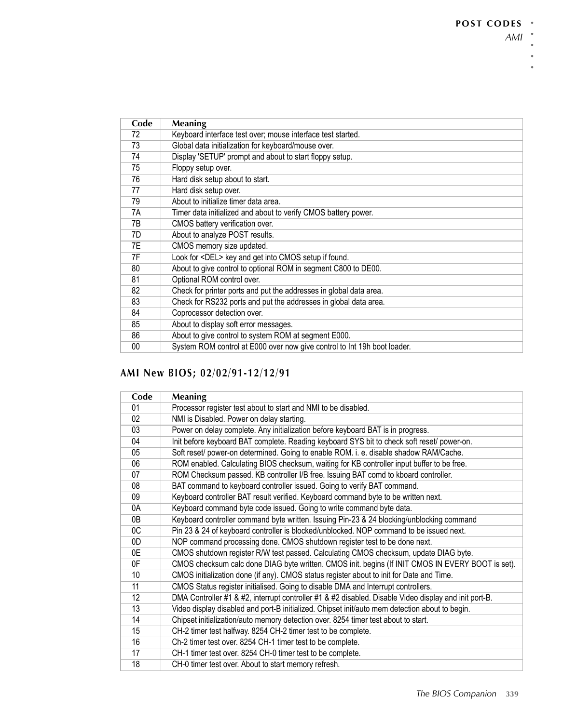| w |  |
|---|--|
|   |  |

. . . . .  $\ddot{\phantom{a}}$  $\bullet$ 

| Code | Meaning                                                                  |
|------|--------------------------------------------------------------------------|
| 72   | Keyboard interface test over; mouse interface test started.              |
| 73   | Global data initialization for keyboard/mouse over.                      |
| 74   | Display 'SETUP' prompt and about to start floppy setup.                  |
| 75   | Floppy setup over.                                                       |
| 76   | Hard disk setup about to start.                                          |
| 77   | Hard disk setup over.                                                    |
| 79   | About to initialize timer data area.                                     |
| 7A   | Timer data initialized and about to verify CMOS battery power.           |
| 7B   | CMOS battery verification over.                                          |
| 7D   | About to analyze POST results.                                           |
| 7E   | CMOS memory size updated.                                                |
| 7F   | Look for <del> key and get into CMOS setup if found.</del>               |
| 80   | About to give control to optional ROM in segment C800 to DE00.           |
| 81   | Optional ROM control over.                                               |
| 82   | Check for printer ports and put the addresses in global data area.       |
| 83   | Check for RS232 ports and put the addresses in global data area.         |
| 84   | Coprocessor detection over.                                              |
| 85   | About to display soft error messages.                                    |
| 86   | About to give control to system ROM at segment E000.                     |
| 00   | System ROM control at E000 over now give control to Int 19h boot loader. |

# **AMI New BIOS; 02/02/91-12/12/91**

| Code | <b>Meaning</b>                                                                                        |
|------|-------------------------------------------------------------------------------------------------------|
| 01   | Processor register test about to start and NMI to be disabled.                                        |
| 02   | NMI is Disabled. Power on delay starting.                                                             |
| 03   | Power on delay complete. Any initialization before keyboard BAT is in progress.                       |
| 04   | Init before keyboard BAT complete. Reading keyboard SYS bit to check soft reset/ power-on.            |
| 05   | Soft reset/ power-on determined. Going to enable ROM. i. e. disable shadow RAM/Cache.                 |
| 06   | ROM enabled. Calculating BIOS checksum, waiting for KB controller input buffer to be free.            |
| 07   | ROM Checksum passed. KB controller I/B free. Issuing BAT comd to kboard controller.                   |
| 08   | BAT command to keyboard controller issued. Going to verify BAT command.                               |
| 09   | Keyboard controller BAT result verified. Keyboard command byte to be written next.                    |
| 0A   | Keyboard command byte code issued. Going to write command byte data.                                  |
| 0B   | Keyboard controller command byte written. Issuing Pin-23 & 24 blocking/unblocking command             |
| 0C   | Pin 23 & 24 of keyboard controller is blocked/unblocked. NOP command to be issued next.               |
| 0D   | NOP command processing done. CMOS shutdown register test to be done next.                             |
| 0E   | CMOS shutdown register R/W test passed. Calculating CMOS checksum, update DIAG byte.                  |
| 0F   | CMOS checksum calc done DIAG byte written. CMOS init. begins (If INIT CMOS IN EVERY BOOT is set).     |
| 10   | CMOS initialization done (if any). CMOS status register about to init for Date and Time.              |
| 11   | CMOS Status register initialised. Going to disable DMA and Interrupt controllers.                     |
| 12   | DMA Controller #1 & #2, interrupt controller #1 & #2 disabled. Disable Video display and init port-B. |
| 13   | Video display disabled and port-B initialized. Chipset init/auto mem detection about to begin.        |
| 14   | Chipset initialization/auto memory detection over. 8254 timer test about to start.                    |
| 15   | CH-2 timer test halfway. 8254 CH-2 timer test to be complete.                                         |
| 16   | Ch-2 timer test over. 8254 CH-1 timer test to be complete.                                            |
| 17   | CH-1 timer test over. 8254 CH-0 timer test to be complete.                                            |
| 18   | CH-0 timer test over. About to start memory refresh.                                                  |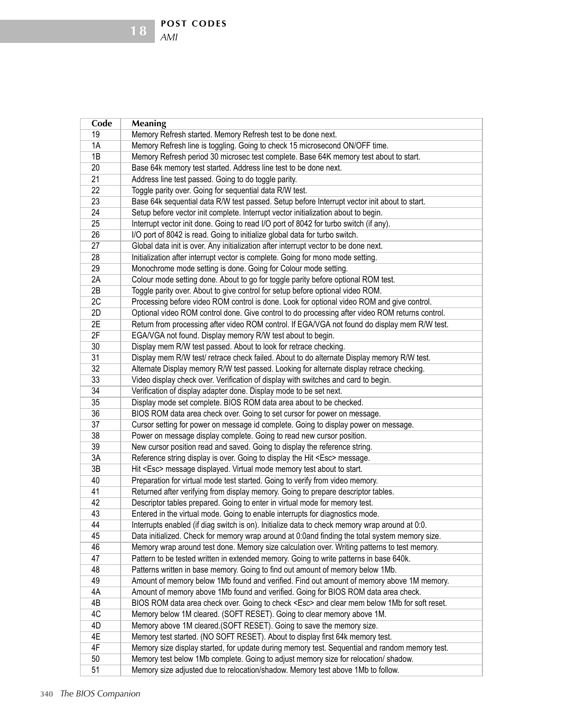*AMI* **1 8**

| <b>Code</b>     | Meaning                                                                                           |
|-----------------|---------------------------------------------------------------------------------------------------|
| 19              | Memory Refresh started. Memory Refresh test to be done next.                                      |
| 1A              | Memory Refresh line is toggling. Going to check 15 microsecond ON/OFF time.                       |
| 1B              | Memory Refresh period 30 microsec test complete. Base 64K memory test about to start.             |
| 20              | Base 64k memory test started. Address line test to be done next.                                  |
| 21              | Address line test passed. Going to do toggle parity.                                              |
| $\overline{22}$ | Toggle parity over. Going for sequential data R/W test.                                           |
| 23              | Base 64k sequential data R/W test passed. Setup before Interrupt vector init about to start.      |
| 24              | Setup before vector init complete. Interrupt vector initialization about to begin.                |
| 25              | Interrupt vector init done. Going to read I/O port of 8042 for turbo switch (if any).             |
| 26              | I/O port of 8042 is read. Going to initialize global data for turbo switch.                       |
| 27              | Global data init is over. Any initialization after interrupt vector to be done next.              |
| 28              | Initialization after interrupt vector is complete. Going for mono mode setting.                   |
| 29              | Monochrome mode setting is done. Going for Colour mode setting.                                   |
| 2A              | Colour mode setting done. About to go for toggle parity before optional ROM test.                 |
| 2B              | Toggle parity over. About to give control for setup before optional video ROM.                    |
| 2C              | Processing before video ROM control is done. Look for optional video ROM and give control.        |
| 2D              | Optional video ROM control done. Give control to do processing after video ROM returns control.   |
| 2E              | Return from processing after video ROM control. If EGA/VGA not found do display mem R/W test.     |
| 2F              | EGA/VGA not found. Display memory R/W test about to begin.                                        |
| 30              | Display mem R/W test passed. About to look for retrace checking.                                  |
| 31              | Display mem R/W test/ retrace check failed. About to do alternate Display memory R/W test.        |
| 32              | Alternate Display memory R/W test passed. Looking for alternate display retrace checking.         |
| 33              | Video display check over. Verification of display with switches and card to begin.                |
| 34              | Verification of display adapter done. Display mode to be set next.                                |
| 35              | Display mode set complete. BIOS ROM data area about to be checked.                                |
| 36              | BIOS ROM data area check over. Going to set cursor for power on message.                          |
| 37              | Cursor setting for power on message id complete. Going to display power on message.               |
| 38              | Power on message display complete. Going to read new cursor position.                             |
| 39              | New cursor position read and saved. Going to display the reference string.                        |
| 3A              | Reference string display is over. Going to display the Hit <esc> message.</esc>                   |
| 3B              | Hit <esc> message displayed. Virtual mode memory test about to start.</esc>                       |
| 40              | Preparation for virtual mode test started. Going to verify from video memory.                     |
| 41              | Returned after verifying from display memory. Going to prepare descriptor tables.                 |
| 42              | Descriptor tables prepared. Going to enter in virtual mode for memory test.                       |
| 43              | Entered in the virtual mode. Going to enable interrupts for diagnostics mode.                     |
| 44              | Interrupts enabled (if diag switch is on). Initialize data to check memory wrap around at 0:0.    |
| 45              | Data initialized. Check for memory wrap around at 0:0and finding the total system memory size.    |
| 46              | Memory wrap around test done. Memory size calculation over. Writing patterns to test memory.      |
| 47              | Pattern to be tested written in extended memory. Going to write patterns in base 640k.            |
| 48              | Patterns written in base memory. Going to find out amount of memory below 1Mb.                    |
| 49              | Amount of memory below 1Mb found and verified. Find out amount of memory above 1M memory.         |
| 4A              | Amount of memory above 1Mb found and verified. Going for BIOS ROM data area check.                |
| 4B              | BIOS ROM data area check over. Going to check <esc> and clear mem below 1Mb for soft reset.</esc> |
| 4C              | Memory below 1M cleared. (SOFT RESET). Going to clear memory above 1M.                            |
| 4D              | Memory above 1M cleared. (SOFT RESET). Going to save the memory size.                             |
| 4E              | Memory test started. (NO SOFT RESET). About to display first 64k memory test.                     |
| 4F              | Memory size display started, for update during memory test. Sequential and random memory test.    |
| 50              | Memory test below 1Mb complete. Going to adjust memory size for relocation/shadow.                |
| 51              | Memory size adjusted due to relocation/shadow. Memory test above 1Mb to follow.                   |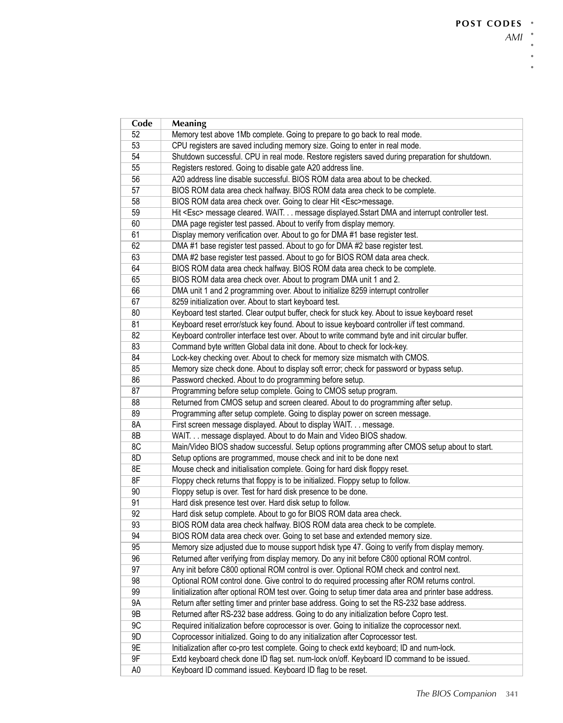. . . . .  $\bullet$ 

| Code | Meaning                                                                                                                                                                                      |  |
|------|----------------------------------------------------------------------------------------------------------------------------------------------------------------------------------------------|--|
| 52   | Memory test above 1Mb complete. Going to prepare to go back to real mode.                                                                                                                    |  |
| 53   | CPU registers are saved including memory size. Going to enter in real mode.                                                                                                                  |  |
| 54   | Shutdown successful. CPU in real mode. Restore registers saved during preparation for shutdown.                                                                                              |  |
| 55   | Registers restored. Going to disable gate A20 address line.                                                                                                                                  |  |
| 56   | A20 address line disable successful. BIOS ROM data area about to be checked.                                                                                                                 |  |
| 57   | BIOS ROM data area check halfway. BIOS ROM data area check to be complete.                                                                                                                   |  |
| 58   | BIOS ROM data area check over. Going to clear Hit <esc>message.</esc>                                                                                                                        |  |
| 59   | Hit <esc> message cleared. WAIT. message displayed.Sstart DMA and interrupt controller test.</esc>                                                                                           |  |
| 60   | DMA page register test passed. About to verify from display memory.                                                                                                                          |  |
| 61   | Display memory verification over. About to go for DMA #1 base register test.                                                                                                                 |  |
| 62   | DMA#1 base register test passed. About to go for DMA#2 base register test.                                                                                                                   |  |
| 63   | DMA #2 base register test passed. About to go for BIOS ROM data area check.                                                                                                                  |  |
| 64   | BIOS ROM data area check halfway. BIOS ROM data area check to be complete.                                                                                                                   |  |
| 65   | BIOS ROM data area check over. About to program DMA unit 1 and 2.                                                                                                                            |  |
| 66   | DMA unit 1 and 2 programming over. About to initialize 8259 interrupt controller                                                                                                             |  |
| 67   | 8259 initialization over. About to start keyboard test.                                                                                                                                      |  |
| 80   | Keyboard test started. Clear output buffer, check for stuck key. About to issue keyboard reset                                                                                               |  |
| 81   | Keyboard reset error/stuck key found. About to issue keyboard controller i/f test command.                                                                                                   |  |
| 82   | Keyboard controller interface test over. About to write command byte and init circular buffer.                                                                                               |  |
| 83   | Command byte written Global data init done. About to check for lock-key.                                                                                                                     |  |
| 84   | Lock-key checking over. About to check for memory size mismatch with CMOS.                                                                                                                   |  |
| 85   | Memory size check done. About to display soft error; check for password or bypass setup.                                                                                                     |  |
| 86   | Password checked. About to do programming before setup.                                                                                                                                      |  |
| 87   | Programming before setup complete. Going to CMOS setup program.                                                                                                                              |  |
| 88   | Returned from CMOS setup and screen cleared. About to do programming after setup.                                                                                                            |  |
| 89   | Programming after setup complete. Going to display power on screen message.                                                                                                                  |  |
| 8A   | First screen message displayed. About to display WAIT. message.                                                                                                                              |  |
| 8B   | WAIT. message displayed. About to do Main and Video BIOS shadow.                                                                                                                             |  |
| 8C   | Main/Video BIOS shadow successful. Setup options programming after CMOS setup about to start.                                                                                                |  |
| 8D   | Setup options are programmed, mouse check and init to be done next                                                                                                                           |  |
| 8E   | Mouse check and initialisation complete. Going for hard disk floppy reset.                                                                                                                   |  |
| 8F   | Floppy check returns that floppy is to be initialized. Floppy setup to follow.                                                                                                               |  |
| 90   | Floppy setup is over. Test for hard disk presence to be done.                                                                                                                                |  |
| 91   | Hard disk presence test over. Hard disk setup to follow.                                                                                                                                     |  |
| 92   | Hard disk setup complete. About to go for BIOS ROM data area check.                                                                                                                          |  |
| 93   | BIOS ROM data area check halfway. BIOS ROM data area check to be complete.                                                                                                                   |  |
| 94   | BIOS ROM data area check over. Going to set base and extended memory size.                                                                                                                   |  |
| 95   |                                                                                                                                                                                              |  |
| 96   | Memory size adjusted due to mouse support hdisk type 47. Going to verify from display memory.<br>Returned after verifying from display memory. Do any init before C800 optional ROM control. |  |
| 97   |                                                                                                                                                                                              |  |
|      | Any init before C800 optional ROM control is over. Optional ROM check and control next.                                                                                                      |  |
| 98   | Optional ROM control done. Give control to do required processing after ROM returns control.                                                                                                 |  |
| 99   | linitialization after optional ROM test over. Going to setup timer data area and printer base address.                                                                                       |  |
| 9A   | Return after setting timer and printer base address. Going to set the RS-232 base address.                                                                                                   |  |
| 9B   | Returned after RS-232 base address. Going to do any initialization before Copro test.                                                                                                        |  |
| 9C   | Required initialization before coprocessor is over. Going to initialize the coprocessor next.                                                                                                |  |
| 9D   | Coprocessor initialized. Going to do any initialization after Coprocessor test.                                                                                                              |  |
| 9E   | Initialization after co-pro test complete. Going to check extd keyboard; ID and num-lock.                                                                                                    |  |
| 9F   | Extd keyboard check done ID flag set. num-lock on/off. Keyboard ID command to be issued.                                                                                                     |  |
| A0   | Keyboard ID command issued. Keyboard ID flag to be reset.                                                                                                                                    |  |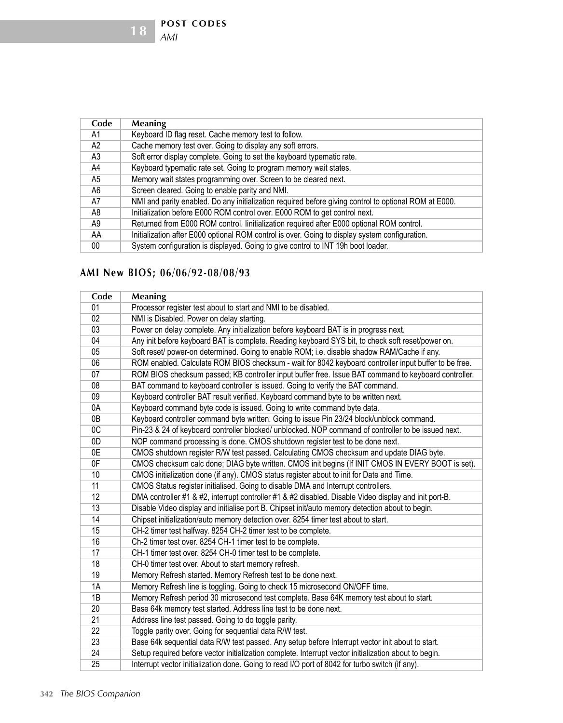| Code           | <b>Meaning</b>                                                                                        |
|----------------|-------------------------------------------------------------------------------------------------------|
| A1             | Keyboard ID flag reset. Cache memory test to follow.                                                  |
| A2             | Cache memory test over. Going to display any soft errors.                                             |
| A <sub>3</sub> | Soft error display complete. Going to set the keyboard typematic rate.                                |
| A4             | Keyboard typematic rate set. Going to program memory wait states.                                     |
| A <sub>5</sub> | Memory wait states programming over. Screen to be cleared next.                                       |
| A6             | Screen cleared. Going to enable parity and NMI.                                                       |
| A7             | NMI and parity enabled. Do any initialization required before giving control to optional ROM at E000. |
| A8             | Initialization before E000 ROM control over. E000 ROM to get control next.                            |
| A9             | Returned from E000 ROM control. linitialization required after E000 optional ROM control.             |
| AA             | Initialization after E000 optional ROM control is over. Going to display system configuration.        |
| 00             | System configuration is displayed. Going to give control to INT 19h boot loader.                      |

# **AMI New BIOS; 06/06/92-08/08/93**

| Code            | Meaning                                                                                               |
|-----------------|-------------------------------------------------------------------------------------------------------|
| 01              | Processor register test about to start and NMI to be disabled.                                        |
| 02              | NMI is Disabled. Power on delay starting.                                                             |
| 03              | Power on delay complete. Any initialization before keyboard BAT is in progress next.                  |
| 04              | Any init before keyboard BAT is complete. Reading keyboard SYS bit, to check soft reset/power on.     |
| 05              | Soft reset/ power-on determined. Going to enable ROM; i.e. disable shadow RAM/Cache if any.           |
| 06              | ROM enabled. Calculate ROM BIOS checksum - wait for 8042 keyboard controller input buffer to be free. |
| 07              | ROM BIOS checksum passed; KB controller input buffer free. Issue BAT command to keyboard controller.  |
| 08              | BAT command to keyboard controller is issued. Going to verify the BAT command.                        |
| 09              | Keyboard controller BAT result verified. Keyboard command byte to be written next.                    |
| 0A              | Keyboard command byte code is issued. Going to write command byte data.                               |
| 0 <sub>B</sub>  | Keyboard controller command byte written. Going to issue Pin 23/24 block/unblock command.             |
| 0 <sup>C</sup>  | Pin-23 & 24 of keyboard controller blocked/ unblocked. NOP command of controller to be issued next.   |
| 0D              | NOP command processing is done. CMOS shutdown register test to be done next.                          |
| 0E              | CMOS shutdown register R/W test passed. Calculating CMOS checksum and update DIAG byte.               |
| 0F              | CMOS checksum calc done; DIAG byte written. CMOS init begins (If INIT CMOS IN EVERY BOOT is set).     |
| 10              | CMOS initialization done (if any). CMOS status register about to init for Date and Time.              |
| 11              | CMOS Status register initialised. Going to disable DMA and Interrupt controllers.                     |
| 12              | DMA controller #1 & #2, interrupt controller #1 & #2 disabled. Disable Video display and init port-B. |
| 13              | Disable Video display and initialise port B. Chipset init/auto memory detection about to begin.       |
| 14              | Chipset initialization/auto memory detection over. 8254 timer test about to start.                    |
| 15              | CH-2 timer test halfway. 8254 CH-2 timer test to be complete.                                         |
| 16              | Ch-2 timer test over. 8254 CH-1 timer test to be complete.                                            |
| 17              | CH-1 timer test over. 8254 CH-0 timer test to be complete.                                            |
| 18              | CH-0 timer test over. About to start memory refresh.                                                  |
| 19              | Memory Refresh started. Memory Refresh test to be done next.                                          |
| 1A              | Memory Refresh line is toggling. Going to check 15 microsecond ON/OFF time.                           |
| 1B              | Memory Refresh period 30 microsecond test complete. Base 64K memory test about to start.              |
| 20              | Base 64k memory test started. Address line test to be done next.                                      |
| 21              | Address line test passed. Going to do toggle parity.                                                  |
| $\overline{22}$ | Toggle parity over. Going for sequential data R/W test.                                               |
| 23              | Base 64k sequential data R/W test passed. Any setup before Interrupt vector init about to start.      |
| 24              | Setup required before vector initialization complete. Interrupt vector initialization about to begin. |
| 25              | Interrupt vector initialization done. Going to read I/O port of 8042 for turbo switch (if any).       |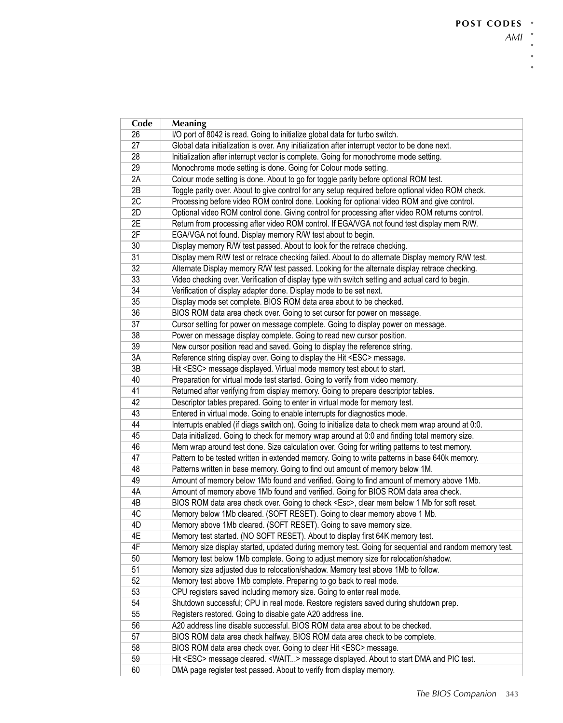. . . . .  $\bullet$  $\ddot{\phantom{1}}$  $\bullet$ 

| Code | Meaning                                                                                               |  |
|------|-------------------------------------------------------------------------------------------------------|--|
| 26   | I/O port of 8042 is read. Going to initialize global data for turbo switch.                           |  |
| 27   | Global data initialization is over. Any initialization after interrupt vector to be done next.        |  |
| 28   | Initialization after interrupt vector is complete. Going for monochrome mode setting.                 |  |
| 29   | Monochrome mode setting is done. Going for Colour mode setting.                                       |  |
| 2A   | Colour mode setting is done. About to go for toggle parity before optional ROM test.                  |  |
| 2B   | Toggle parity over. About to give control for any setup required before optional video ROM check.     |  |
| 2C   | Processing before video ROM control done. Looking for optional video ROM and give control.            |  |
| 2D   | Optional video ROM control done. Giving control for processing after video ROM returns control.       |  |
| 2E   | Return from processing after video ROM control. If EGA/VGA not found test display mem R/W.            |  |
| 2F   | EGA/VGA not found. Display memory R/W test about to begin.                                            |  |
| 30   | Display memory R/W test passed. About to look for the retrace checking.                               |  |
| 31   | Display mem R/W test or retrace checking failed. About to do alternate Display memory R/W test.       |  |
| 32   | Alternate Display memory R/W test passed. Looking for the alternate display retrace checking.         |  |
| 33   | Video checking over. Verification of display type with switch setting and actual card to begin.       |  |
| 34   | Verification of display adapter done. Display mode to be set next.                                    |  |
| 35   | Display mode set complete. BIOS ROM data area about to be checked.                                    |  |
| 36   | BIOS ROM data area check over. Going to set cursor for power on message.                              |  |
| 37   |                                                                                                       |  |
|      | Cursor setting for power on message complete. Going to display power on message.                      |  |
| 38   | Power on message display complete. Going to read new cursor position.                                 |  |
| 39   | New cursor position read and saved. Going to display the reference string.                            |  |
| 3A   | Reference string display over. Going to display the Hit <esc> message.</esc>                          |  |
| 3B   | Hit <esc> message displayed. Virtual mode memory test about to start.</esc>                           |  |
| 40   | Preparation for virtual mode test started. Going to verify from video memory.                         |  |
| 41   | Returned after verifying from display memory. Going to prepare descriptor tables.                     |  |
| 42   | Descriptor tables prepared. Going to enter in virtual mode for memory test.                           |  |
| 43   | Entered in virtual mode. Going to enable interrupts for diagnostics mode.                             |  |
| 44   | Interrupts enabled (if diags switch on). Going to initialize data to check mem wrap around at 0:0.    |  |
| 45   | Data initialized. Going to check for memory wrap around at 0:0 and finding total memory size.         |  |
| 46   | Mem wrap around test done. Size calculation over. Going for writing patterns to test memory.          |  |
| 47   | Pattern to be tested written in extended memory. Going to write patterns in base 640k memory.         |  |
| 48   | Patterns written in base memory. Going to find out amount of memory below 1M.                         |  |
| 49   | Amount of memory below 1Mb found and verified. Going to find amount of memory above 1Mb.              |  |
| 4A   | Amount of memory above 1Mb found and verified. Going for BIOS ROM data area check.                    |  |
| 4B   | BIOS ROM data area check over. Going to check <esc>, clear mem below 1 Mb for soft reset.</esc>       |  |
| 4C   | Memory below 1Mb cleared. (SOFT RESET). Going to clear memory above 1 Mb.                             |  |
| 4D   | Memory above 1Mb cleared. (SOFT RESET). Going to save memory size.                                    |  |
| 4E   | Memory test started. (NO SOFT RESET). About to display first 64K memory test.                         |  |
| 4F   | Memory size display started, updated during memory test. Going for sequential and random memory test. |  |
| 50   | Memory test below 1Mb complete. Going to adjust memory size for relocation/shadow.                    |  |
| 51   | Memory size adjusted due to relocation/shadow. Memory test above 1Mb to follow.                       |  |
| 52   | Memory test above 1Mb complete. Preparing to go back to real mode.                                    |  |
| 53   | CPU registers saved including memory size. Going to enter real mode.                                  |  |
| 54   | Shutdown successful; CPU in real mode. Restore registers saved during shutdown prep.                  |  |
| 55   | Registers restored. Going to disable gate A20 address line.                                           |  |
| 56   | A20 address line disable successful. BIOS ROM data area about to be checked.                          |  |
| 57   | BIOS ROM data area check halfway. BIOS ROM data area check to be complete.                            |  |
| 58   |                                                                                                       |  |
|      | BIOS ROM data area check over. Going to clear Hit <esc> message.</esc>                                |  |
| 59   | Hit <esc> message cleared. <wait> message displayed. About to start DMA and PIC test.</wait></esc>    |  |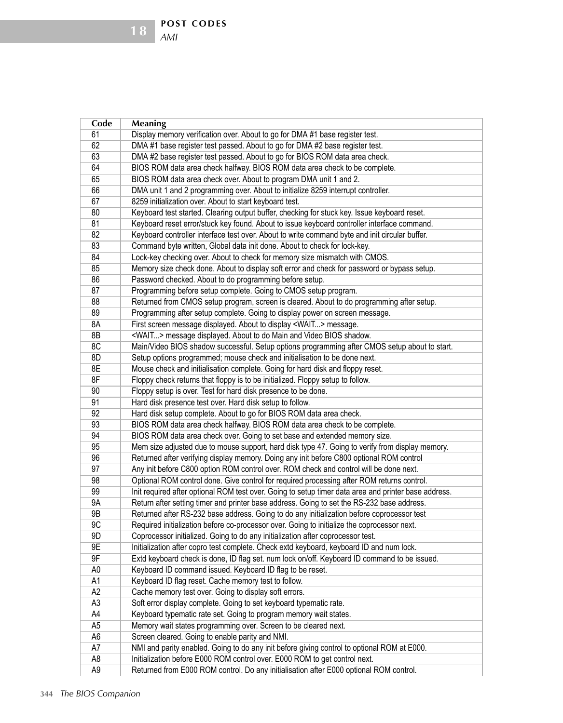*AMI* **1 8**

| Code           | Meaning                                                                                              |  |
|----------------|------------------------------------------------------------------------------------------------------|--|
| 61             | Display memory verification over. About to go for DMA #1 base register test.                         |  |
| 62             | DMA#1 base register test passed. About to go for DMA#2 base register test.                           |  |
| 63             | DMA #2 base register test passed. About to go for BIOS ROM data area check.                          |  |
| 64             | BIOS ROM data area check halfway. BIOS ROM data area check to be complete.                           |  |
| 65             | BIOS ROM data area check over. About to program DMA unit 1 and 2.                                    |  |
| 66             | DMA unit 1 and 2 programming over. About to initialize 8259 interrupt controller.                    |  |
| 67             | 8259 initialization over. About to start keyboard test.                                              |  |
| 80             | Keyboard test started. Clearing output buffer, checking for stuck key. Issue keyboard reset.         |  |
| 81             | Keyboard reset error/stuck key found. About to issue keyboard controller interface command.          |  |
| 82             | Keyboard controller interface test over. About to write command byte and init circular buffer.       |  |
| 83             | Command byte written, Global data init done. About to check for lock-key.                            |  |
| 84             | Lock-key checking over. About to check for memory size mismatch with CMOS.                           |  |
| 85             | Memory size check done. About to display soft error and check for password or bypass setup.          |  |
| 86             | Password checked. About to do programming before setup.                                              |  |
| 87             | Programming before setup complete. Going to CMOS setup program.                                      |  |
| 88             | Returned from CMOS setup program, screen is cleared. About to do programming after setup.            |  |
| 89             | Programming after setup complete. Going to display power on screen message.                          |  |
| 8A             | First screen message displayed. About to display <wait> message.</wait>                              |  |
| 8B             | <wait> message displayed. About to do Main and Video BIOS shadow.</wait>                             |  |
| 8C             | Main/Video BIOS shadow successful. Setup options programming after CMOS setup about to start.        |  |
| 8D             | Setup options programmed; mouse check and initialisation to be done next.                            |  |
| 8E             | Mouse check and initialisation complete. Going for hard disk and floppy reset.                       |  |
| 8F             | Floppy check returns that floppy is to be initialized. Floppy setup to follow.                       |  |
| 90             | Floppy setup is over. Test for hard disk presence to be done.                                        |  |
| 91             | Hard disk presence test over. Hard disk setup to follow.                                             |  |
| 92             | Hard disk setup complete. About to go for BIOS ROM data area check.                                  |  |
| 93             | BIOS ROM data area check halfway. BIOS ROM data area check to be complete.                           |  |
| 94             | BIOS ROM data area check over. Going to set base and extended memory size.                           |  |
| 95             | Mem size adjusted due to mouse support, hard disk type 47. Going to verify from display memory.      |  |
| 96             | Returned after verifying display memory. Doing any init before C800 optional ROM control             |  |
| 97             | Any init before C800 option ROM control over. ROM check and control will be done next.               |  |
| 98             | Optional ROM control done. Give control for required processing after ROM returns control.           |  |
| 99             | Init required after optional ROM test over. Going to setup timer data area and printer base address. |  |
| <b>9A</b>      | Return after setting timer and printer base address. Going to set the RS-232 base address.           |  |
| 9B             | Returned after RS-232 base address. Going to do any initialization before coprocessor test           |  |
| 9C             | Required initialization before co-processor over. Going to initialize the coprocessor next.          |  |
| 9D             | Coprocessor initialized. Going to do any initialization after coprocessor test.                      |  |
| 9E             | Initialization after copro test complete. Check extd keyboard, keyboard ID and num lock.             |  |
| 9F             | Extd keyboard check is done, ID flag set. num lock on/off. Keyboard ID command to be issued.         |  |
| A <sub>0</sub> | Keyboard ID command issued. Keyboard ID flag to be reset.                                            |  |
| A1             | Keyboard ID flag reset. Cache memory test to follow.                                                 |  |
| A2             | Cache memory test over. Going to display soft errors.                                                |  |
| A <sub>3</sub> | Soft error display complete. Going to set keyboard typematic rate.                                   |  |
| A4             | Keyboard typematic rate set. Going to program memory wait states.                                    |  |
| A <sub>5</sub> | Memory wait states programming over. Screen to be cleared next.                                      |  |
| A <sub>6</sub> | Screen cleared. Going to enable parity and NMI.                                                      |  |
| A7             | NMI and parity enabled. Going to do any init before giving control to optional ROM at E000.          |  |
| A <sub>8</sub> | Initialization before E000 ROM control over. E000 ROM to get control next.                           |  |
| A <sub>9</sub> | Returned from E000 ROM control. Do any initialisation after E000 optional ROM control.               |  |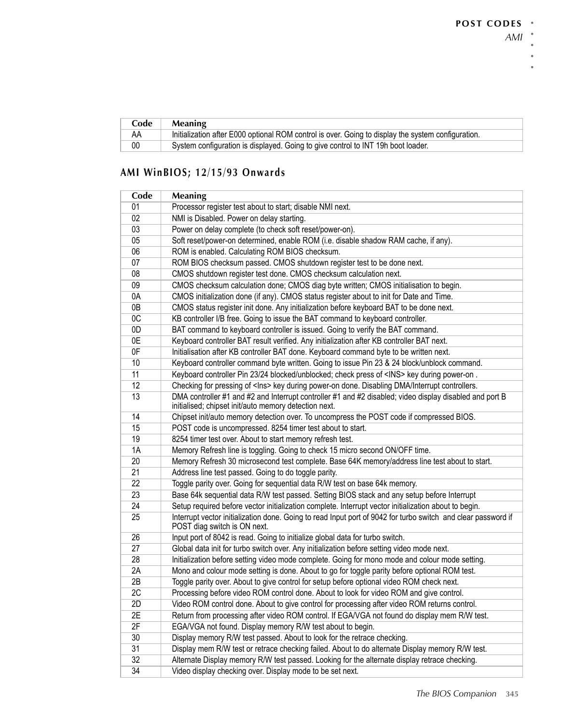. . . . .  $\ddot{\phantom{0}}$  $\bullet$ 

| Code | <b>Meaning</b>                                                                                     |  |
|------|----------------------------------------------------------------------------------------------------|--|
| AA   | Initialization after E000 optional ROM control is over. Going to display the system configuration. |  |
| 00   | System configuration is displayed. Going to give control to INT 19h boot loader.                   |  |

# **AMI WinBIOS; 12/15/93 Onwards**

| Code            | Meaning                                                                                                                                                          |  |  |
|-----------------|------------------------------------------------------------------------------------------------------------------------------------------------------------------|--|--|
| 01              | Processor register test about to start; disable NMI next.                                                                                                        |  |  |
| 02              | NMI is Disabled. Power on delay starting.                                                                                                                        |  |  |
| 03              | Power on delay complete (to check soft reset/power-on).                                                                                                          |  |  |
| 05              | Soft reset/power-on determined, enable ROM (i.e. disable shadow RAM cache, if any).                                                                              |  |  |
| 06              | ROM is enabled. Calculating ROM BIOS checksum.                                                                                                                   |  |  |
| 07              | ROM BIOS checksum passed. CMOS shutdown register test to be done next.                                                                                           |  |  |
| 08              | CMOS shutdown register test done. CMOS checksum calculation next.                                                                                                |  |  |
| 09              | CMOS checksum calculation done; CMOS diag byte written; CMOS initialisation to begin.                                                                            |  |  |
| 0A              | CMOS initialization done (if any). CMOS status register about to init for Date and Time.                                                                         |  |  |
| 0B              | CMOS status register init done. Any initialization before keyboard BAT to be done next.                                                                          |  |  |
| 0 <sup>C</sup>  | KB controller I/B free. Going to issue the BAT command to keyboard controller.                                                                                   |  |  |
| 0D              | BAT command to keyboard controller is issued. Going to verify the BAT command.                                                                                   |  |  |
| 0E              | Keyboard controller BAT result verified. Any initialization after KB controller BAT next.                                                                        |  |  |
| 0F              | Initialisation after KB controller BAT done. Keyboard command byte to be written next.                                                                           |  |  |
| 10              | Keyboard controller command byte written. Going to issue Pin 23 & 24 block/unblock command.                                                                      |  |  |
| 11              | Keyboard controller Pin 23/24 blocked/unblocked; check press of <ins> key during power-on.</ins>                                                                 |  |  |
| 12              | Checking for pressing of <lns> key during power-on done. Disabling DMA/Interrupt controllers.</lns>                                                              |  |  |
| 13              | DMA controller #1 and #2 and Interrupt controller #1 and #2 disabled; video display disabled and port B<br>initialised; chipset init/auto memory detection next. |  |  |
| 14              | Chipset init/auto memory detection over. To uncompress the POST code if compressed BIOS.                                                                         |  |  |
| 15              | POST code is uncompressed. 8254 timer test about to start.                                                                                                       |  |  |
| 19              | 8254 timer test over. About to start memory refresh test.                                                                                                        |  |  |
| 1A              | Memory Refresh line is toggling. Going to check 15 micro second ON/OFF time.                                                                                     |  |  |
| $\overline{20}$ | Memory Refresh 30 microsecond test complete. Base 64K memory/address line test about to start.                                                                   |  |  |
| 21              | Address line test passed. Going to do toggle parity.                                                                                                             |  |  |
| 22              | Toggle parity over. Going for sequential data R/W test on base 64k memory.                                                                                       |  |  |
| 23              | Base 64k sequential data R/W test passed. Setting BIOS stack and any setup before Interrupt                                                                      |  |  |
| 24              | Setup required before vector initialization complete. Interrupt vector initialization about to begin.                                                            |  |  |
| 25              | Interrupt vector initialization done. Going to read Input port of 9042 for turbo switch and clear password if<br>POST diag switch is ON next.                    |  |  |
| 26              | Input port of 8042 is read. Going to initialize global data for turbo switch.                                                                                    |  |  |
| 27              | Global data init for turbo switch over. Any initialization before setting video mode next.                                                                       |  |  |
| 28              | Initialization before setting video mode complete. Going for mono mode and colour mode setting.                                                                  |  |  |
| 2A              | Mono and colour mode setting is done. About to go for toggle parity before optional ROM test.                                                                    |  |  |
| 2B              | Toggle parity over. About to give control for setup before optional video ROM check next.                                                                        |  |  |
| 2C              | Processing before video ROM control done. About to look for video ROM and give control.                                                                          |  |  |
| 2D              | Video ROM control done. About to give control for processing after video ROM returns control.                                                                    |  |  |
| 2E              | Return from processing after video ROM control. If EGA/VGA not found do display mem R/W test.                                                                    |  |  |
| 2F              | EGA/VGA not found. Display memory R/W test about to begin.                                                                                                       |  |  |
| 30              | Display memory R/W test passed. About to look for the retrace checking.                                                                                          |  |  |
| 31              | Display mem R/W test or retrace checking failed. About to do alternate Display memory R/W test.                                                                  |  |  |
| 32              | Alternate Display memory R/W test passed. Looking for the alternate display retrace checking.                                                                    |  |  |
| 34              | Video display checking over. Display mode to be set next.                                                                                                        |  |  |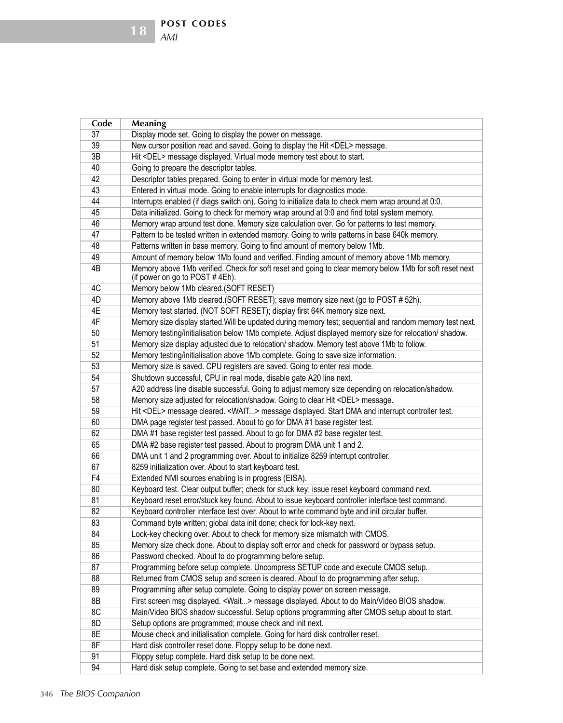**POST CODES**

*AMI* **1 8**

| Code | Meaning                                                                                                                                   |  |
|------|-------------------------------------------------------------------------------------------------------------------------------------------|--|
| 37   | Display mode set. Going to display the power on message.                                                                                  |  |
| 39   | New cursor position read and saved. Going to display the Hit <del> message.</del>                                                         |  |
| 3B   | Hit <del> message displayed. Virtual mode memory test about to start.</del>                                                               |  |
| 40   | Going to prepare the descriptor tables.                                                                                                   |  |
| 42   | Descriptor tables prepared. Going to enter in virtual mode for memory test.                                                               |  |
| 43   | Entered in virtual mode. Going to enable interrupts for diagnostics mode.                                                                 |  |
| 44   | Interrupts enabled (if diags switch on). Going to initialize data to check mem wrap around at 0:0.                                        |  |
| 45   | Data initialized. Going to check for memory wrap around at 0:0 and find total system memory.                                              |  |
| 46   | Memory wrap around test done. Memory size calculation over. Go for patterns to test memory.                                               |  |
| 47   | Pattern to be tested written in extended memory. Going to write patterns in base 640k memory.                                             |  |
| 48   | Patterns written in base memory. Going to find amount of memory below 1Mb.                                                                |  |
| 49   | Amount of memory below 1Mb found and verified. Finding amount of memory above 1Mb memory.                                                 |  |
| 4B   | Memory above 1Mb verified. Check for soft reset and going to clear memory below 1Mb for soft reset next<br>(if power on go to POST #4Eh). |  |
| 4C   | Memory below 1Mb cleared.(SOFT RESET)                                                                                                     |  |
| 4D   | Memory above 1Mb cleared.(SOFT RESET); save memory size next (go to POST # 52h).                                                          |  |
| 4E   | Memory test started. (NOT SOFT RESET); display first 64K memory size next.                                                                |  |
| 4F   | Memory size display started. Will be updated during memory test; sequential and random memory test next.                                  |  |
| 50   | Memory testing/initialisation below 1Mb complete. Adjust displayed memory size for relocation/ shadow.                                    |  |
| 51   | Memory size display adjusted due to relocation/ shadow. Memory test above 1Mb to follow.                                                  |  |
| 52   | Memory testing/initialisation above 1Mb complete. Going to save size information.                                                         |  |
| 53   | Memory size is saved. CPU registers are saved. Going to enter real mode.                                                                  |  |
| 54   | Shutdown successful, CPU in real mode, disable gate A20 line next.                                                                        |  |
| 57   | A20 address line disable successful. Going to adjust memory size depending on relocation/shadow.                                          |  |
| 58   | Memory size adjusted for relocation/shadow. Going to clear Hit <del> message.</del>                                                       |  |
| 59   | Hit <del> message cleared. <wait> message displayed. Start DMA and interrupt controller test.</wait></del>                                |  |
| 60   | DMA page register test passed. About to go for DMA #1 base register test.                                                                 |  |
| 62   | DMA#1 base register test passed. About to go for DMA#2 base register test.                                                                |  |
| 65   | DMA #2 base register test passed. About to program DMA unit 1 and 2.                                                                      |  |
| 66   | DMA unit 1 and 2 programming over. About to initialize 8259 interrupt controller.                                                         |  |
| 67   | 8259 initialization over. About to start keyboard test.                                                                                   |  |
| F4   | Extended NMI sources enabling is in progress (EISA).                                                                                      |  |
| 80   | Keyboard test. Clear output buffer; check for stuck key; issue reset keyboard command next.                                               |  |
| 81   | Keyboard reset error/stuck key found. About to issue keyboard controller interface test command.                                          |  |
| 82   | Keyboard controller interface test over. About to write command byte and init circular buffer.                                            |  |
| 83   | Command byte written; global data init done; check for lock-key next.                                                                     |  |
| 84   | Lock-key checking over. About to check for memory size mismatch with CMOS.                                                                |  |
| 85   | Memory size check done. About to display soft error and check for password or bypass setup.                                               |  |
| 86   | Password checked. About to do programming before setup.                                                                                   |  |
| 87   | Programming before setup complete. Uncompress SETUP code and execute CMOS setup.                                                          |  |
| 88   | Returned from CMOS setup and screen is cleared. About to do programming after setup.                                                      |  |
| 89   | Programming after setup complete. Going to display power on screen message.                                                               |  |
| 8B   | First screen msg displayed. <wait> message displayed. About to do Main/Video BIOS shadow.</wait>                                          |  |
| 8C   | Main/Video BIOS shadow successful. Setup options programming after CMOS setup about to start.                                             |  |
| 8D   | Setup options are programmed; mouse check and init next.                                                                                  |  |
| 8E   | Mouse check and initialisation complete. Going for hard disk controller reset.                                                            |  |
| 8F   | Hard disk controller reset done. Floppy setup to be done next.                                                                            |  |
| 91   | Floppy setup complete. Hard disk setup to be done next.                                                                                   |  |
| 94   | Hard disk setup complete. Going to set base and extended memory size.                                                                     |  |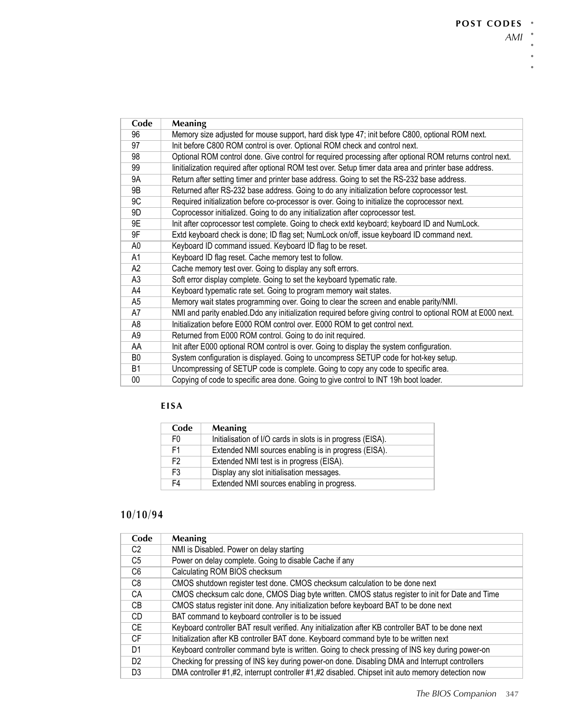| ٠         |
|-----------|
| ٠         |
| $\bullet$ |
| ٠         |
| ٠         |

| Code           | <b>Meaning</b>                                                                                              |
|----------------|-------------------------------------------------------------------------------------------------------------|
| 96             | Memory size adjusted for mouse support, hard disk type 47; init before C800, optional ROM next.             |
| 97             | Init before C800 ROM control is over. Optional ROM check and control next.                                  |
| 98             | Optional ROM control done. Give control for required processing after optional ROM returns control next.    |
| 99             | linitialization required after optional ROM test over. Setup timer data area and printer base address.      |
| 9A             | Return after setting timer and printer base address. Going to set the RS-232 base address.                  |
| 9B             | Returned after RS-232 base address. Going to do any initialization before coprocessor test.                 |
| 9C             | Required initialization before co-processor is over. Going to initialize the coprocessor next.              |
| 9D             | Coprocessor initialized. Going to do any initialization after coprocessor test.                             |
| 9E             | Init after coprocessor test complete. Going to check extd keyboard; keyboard ID and NumLock.                |
| 9F             | Extd keyboard check is done; ID flag set; NumLock on/off, issue keyboard ID command next.                   |
| A <sub>0</sub> | Keyboard ID command issued. Keyboard ID flag to be reset.                                                   |
| A1             | Keyboard ID flag reset. Cache memory test to follow.                                                        |
| A2             | Cache memory test over. Going to display any soft errors.                                                   |
| A <sub>3</sub> | Soft error display complete. Going to set the keyboard typematic rate.                                      |
| A4             | Keyboard typematic rate set. Going to program memory wait states.                                           |
| A <sub>5</sub> | Memory wait states programming over. Going to clear the screen and enable parity/NMI.                       |
| A7             | NMI and parity enabled. Ddo any initialization required before giving control to optional ROM at E000 next. |
| A <sub>8</sub> | Initialization before E000 ROM control over. E000 ROM to get control next.                                  |
| A <sub>9</sub> | Returned from E000 ROM control. Going to do init required.                                                  |
| AA             | Init after E000 optional ROM control is over. Going to display the system configuration.                    |
| B <sub>0</sub> | System configuration is displayed. Going to uncompress SETUP code for hot-key setup.                        |
| <b>B1</b>      | Uncompressing of SETUP code is complete. Going to copy any code to specific area.                           |
| $00\,$         | Copying of code to specific area done. Going to give control to INT 19h boot loader.                        |

### **EISA**

| Code           | <b>Meaning</b>                                              |  |
|----------------|-------------------------------------------------------------|--|
| F <sub>0</sub> | Initialisation of I/O cards in slots is in progress (EISA). |  |
| F <sub>1</sub> | Extended NMI sources enabling is in progress (EISA).        |  |
| F <sub>2</sub> | Extended NMI test is in progress (EISA).                    |  |
| F <sub>3</sub> | Display any slot initialisation messages.                   |  |
| F4             | Extended NMI sources enabling in progress.                  |  |

# **10/10/94**

| Code           | <b>Meaning</b>                                                                                      |
|----------------|-----------------------------------------------------------------------------------------------------|
| C <sub>2</sub> | NMI is Disabled. Power on delay starting                                                            |
| C <sub>5</sub> | Power on delay complete. Going to disable Cache if any                                              |
| C <sub>6</sub> | Calculating ROM BIOS checksum                                                                       |
| C <sub>8</sub> | CMOS shutdown register test done. CMOS checksum calculation to be done next                         |
| CA             | CMOS checksum calc done, CMOS Diag byte written. CMOS status register to init for Date and Time     |
| CВ             | CMOS status register init done. Any initialization before keyboard BAT to be done next              |
| <b>CD</b>      | BAT command to keyboard controller is to be issued                                                  |
| <b>CE</b>      | Keyboard controller BAT result verified. Any initialization after KB controller BAT to be done next |
| <b>CF</b>      | Initialization after KB controller BAT done. Keyboard command byte to be written next               |
| D <sub>1</sub> | Keyboard controller command byte is written. Going to check pressing of INS key during power-on     |
| D <sub>2</sub> | Checking for pressing of INS key during power-on done. Disabling DMA and Interrupt controllers      |
| D <sub>3</sub> | DMA controller #1.#2, interrupt controller #1.#2 disabled. Chipset init auto memory detection now   |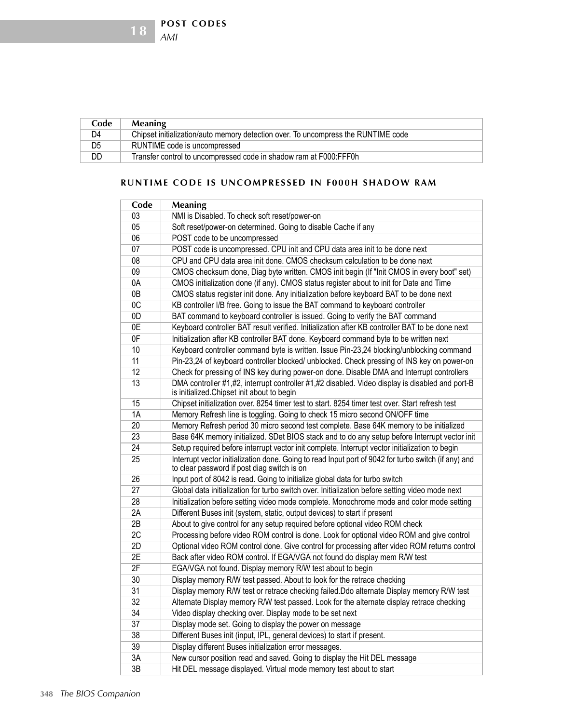| Code           | <b>Meaning</b>                                                                    |  |
|----------------|-----------------------------------------------------------------------------------|--|
| D <sub>4</sub> | Chipset initialization/auto memory detection over. To uncompress the RUNTIME code |  |
| D <sub>5</sub> | RUNTIME code is uncompressed                                                      |  |
| DD             | Transfer control to uncompressed code in shadow ram at F000:FFF0h                 |  |

### **RUNTIME CODE IS UNCOMPRESSED IN F000H SHADOW RAM**

| Code            | Meaning                                                                                                                                             |  |
|-----------------|-----------------------------------------------------------------------------------------------------------------------------------------------------|--|
| 03              | NMI is Disabled. To check soft reset/power-on                                                                                                       |  |
| 05              | Soft reset/power-on determined. Going to disable Cache if any                                                                                       |  |
| 06              | POST code to be uncompressed                                                                                                                        |  |
| 07              | POST code is uncompressed. CPU init and CPU data area init to be done next                                                                          |  |
| 08              | CPU and CPU data area init done. CMOS checksum calculation to be done next                                                                          |  |
| 09              | CMOS checksum done, Diag byte written. CMOS init begin (If "Init CMOS in every boot" set)                                                           |  |
| 0A              | CMOS initialization done (if any). CMOS status register about to init for Date and Time                                                             |  |
| 0B              | CMOS status register init done. Any initialization before keyboard BAT to be done next                                                              |  |
| 0C              | KB controller I/B free. Going to issue the BAT command to keyboard controller                                                                       |  |
| 0D              | BAT command to keyboard controller is issued. Going to verify the BAT command                                                                       |  |
| 0E              | Keyboard controller BAT result verified. Initialization after KB controller BAT to be done next                                                     |  |
| 0F              | Initialization after KB controller BAT done. Keyboard command byte to be written next                                                               |  |
| 10              | Keyboard controller command byte is written. Issue Pin-23.24 blocking/unblocking command                                                            |  |
| 11              | Pin-23,24 of keyboard controller blocked/ unblocked. Check pressing of INS key on power-on                                                          |  |
| 12              | Check for pressing of INS key during power-on done. Disable DMA and Interrupt controllers                                                           |  |
| 13              | DMA controller #1,#2, interrupt controller #1,#2 disabled. Video display is disabled and port-B<br>is initialized. Chipset init about to begin      |  |
| 15              | Chipset initialization over. 8254 timer test to start. 8254 timer test over. Start refresh test                                                     |  |
| 1A              | Memory Refresh line is toggling. Going to check 15 micro second ON/OFF time                                                                         |  |
| 20              | Memory Refresh period 30 micro second test complete. Base 64K memory to be initialized                                                              |  |
| 23              | Base 64K memory initialized. SDet BIOS stack and to do any setup before Interrupt vector init                                                       |  |
| 24              | Setup required before interrupt vector init complete. Interrupt vector initialization to begin                                                      |  |
| 25              | Interrupt vector initialization done. Going to read Input port of 9042 for turbo switch (if any) and<br>to clear password if post diag switch is on |  |
| 26              | Input port of 8042 is read. Going to initialize global data for turbo switch                                                                        |  |
| 27              | Global data initialization for turbo switch over. Initialization before setting video mode next                                                     |  |
| 28              | Initialization before setting video mode complete. Monochrome mode and color mode setting                                                           |  |
| 2A              | Different Buses init (system, static, output devices) to start if present                                                                           |  |
| 2B              | About to give control for any setup required before optional video ROM check                                                                        |  |
| 2C              | Processing before video ROM control is done. Look for optional video ROM and give control                                                           |  |
| 2D              | Optional video ROM control done. Give control for processing after video ROM returns control                                                        |  |
| 2E              | Back after video ROM control. If EGA/VGA not found do display mem R/W test                                                                          |  |
| 2F              | EGA/VGA not found. Display memory R/W test about to begin                                                                                           |  |
| 30              | Display memory R/W test passed. About to look for the retrace checking                                                                              |  |
| 31              | Display memory R/W test or retrace checking failed.Ddo alternate Display memory R/W test                                                            |  |
| 32              | Alternate Display memory R/W test passed. Look for the alternate display retrace checking                                                           |  |
| 34              | Video display checking over. Display mode to be set next                                                                                            |  |
| $\overline{37}$ | Display mode set. Going to display the power on message                                                                                             |  |
| 38              | Different Buses init (input, IPL, general devices) to start if present.                                                                             |  |
| 39              | Display different Buses initialization error messages.                                                                                              |  |
| 3A              | New cursor position read and saved. Going to display the Hit DEL message                                                                            |  |
| 3B              | Hit DEL message displayed. Virtual mode memory test about to start                                                                                  |  |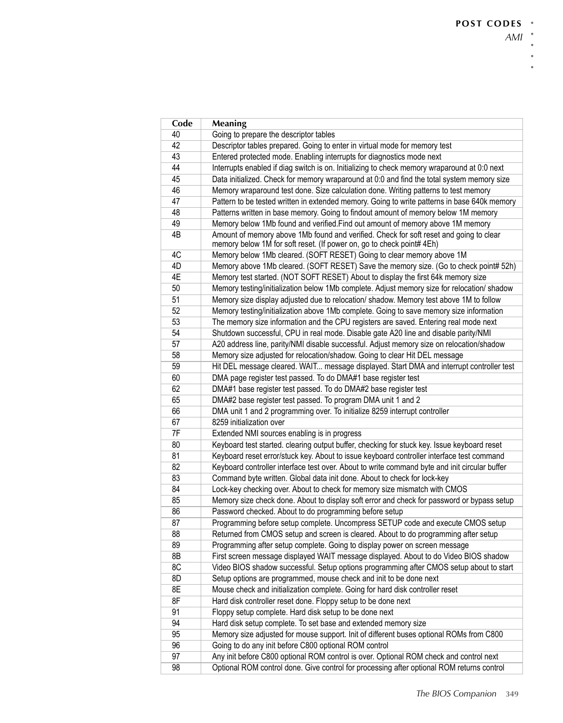*AMI*

| à.<br>ł |
|---------|
| ٠       |
| ۰<br>÷  |
| ٠       |

| Code | Meaning                                                                                                                                                        |  |  |
|------|----------------------------------------------------------------------------------------------------------------------------------------------------------------|--|--|
| 40   | Going to prepare the descriptor tables                                                                                                                         |  |  |
| 42   | Descriptor tables prepared. Going to enter in virtual mode for memory test                                                                                     |  |  |
| 43   | Entered protected mode. Enabling interrupts for diagnostics mode next                                                                                          |  |  |
| 44   | Interrupts enabled if diag switch is on. Initializing to check memory wraparound at 0:0 next                                                                   |  |  |
| 45   | Data initialized. Check for memory wraparound at 0:0 and find the total system memory size                                                                     |  |  |
| 46   | Memory wraparound test done. Size calculation done. Writing patterns to test memory                                                                            |  |  |
| 47   | Pattern to be tested written in extended memory. Going to write patterns in base 640k memory                                                                   |  |  |
| 48   | Patterns written in base memory. Going to findout amount of memory below 1M memory                                                                             |  |  |
| 49   | Memory below 1Mb found and verified. Find out amount of memory above 1M memory                                                                                 |  |  |
| 4B   | Amount of memory above 1Mb found and verified. Check for soft reset and going to clear<br>memory below 1M for soft reset. (If power on, go to check point#4Eh) |  |  |
| 4C   | Memory below 1Mb cleared. (SOFT RESET) Going to clear memory above 1M                                                                                          |  |  |
| 4D   | Memory above 1Mb cleared. (SOFT RESET) Save the memory size. (Go to check point# 52h)                                                                          |  |  |
| 4E   | Memory test started. (NOT SOFT RESET) About to display the first 64k memory size                                                                               |  |  |
| 50   | Memory testing/initialization below 1Mb complete. Adjust memory size for relocation/ shadow                                                                    |  |  |
| 51   | Memory size display adjusted due to relocation/ shadow. Memory test above 1M to follow                                                                         |  |  |
| 52   | Memory testing/initialization above 1Mb complete. Going to save memory size information                                                                        |  |  |
| 53   | The memory size information and the CPU registers are saved. Entering real mode next                                                                           |  |  |
| 54   | Shutdown successful, CPU in real mode. Disable gate A20 line and disable parity/NMI                                                                            |  |  |
| 57   | A20 address line, parity/NMI disable successful. Adjust memory size on relocation/shadow                                                                       |  |  |
| 58   | Memory size adjusted for relocation/shadow. Going to clear Hit DEL message                                                                                     |  |  |
| 59   | Hit DEL message cleared. WAIT message displayed. Start DMA and interrupt controller test                                                                       |  |  |
| 60   | DMA page register test passed. To do DMA#1 base register test                                                                                                  |  |  |
| 62   | DMA#1 base register test passed. To do DMA#2 base register test                                                                                                |  |  |
| 65   | DMA#2 base register test passed. To program DMA unit 1 and 2                                                                                                   |  |  |
| 66   | DMA unit 1 and 2 programming over. To initialize 8259 interrupt controller                                                                                     |  |  |
| 67   | 8259 initialization over                                                                                                                                       |  |  |
| 7F   | Extended NMI sources enabling is in progress                                                                                                                   |  |  |
| 80   | Keyboard test started, clearing output buffer, checking for stuck key. Issue keyboard reset                                                                    |  |  |
| 81   | Keyboard reset error/stuck key. About to issue keyboard controller interface test command                                                                      |  |  |
| 82   | Keyboard controller interface test over. About to write command byte and init circular buffer                                                                  |  |  |
| 83   | Command byte written. Global data init done. About to check for lock-key                                                                                       |  |  |
| 84   | Lock-key checking over. About to check for memory size mismatch with CMOS                                                                                      |  |  |
| 85   | Memory size check done. About to display soft error and check for password or bypass setup                                                                     |  |  |
| 86   | Password checked. About to do programming before setup                                                                                                         |  |  |
| 87   | Programming before setup complete. Uncompress SETUP code and execute CMOS setup                                                                                |  |  |
| 88   | Returned from CMOS setup and screen is cleared. About to do programming after setup                                                                            |  |  |
| 89   | Programming after setup complete. Going to display power on screen message                                                                                     |  |  |
| 8B   | First screen message displayed WAIT message displayed. About to do Video BIOS shadow                                                                           |  |  |
| 8C   | Video BIOS shadow successful. Setup options programming after CMOS setup about to start                                                                        |  |  |
| 8D   | Setup options are programmed, mouse check and init to be done next                                                                                             |  |  |
| 8E   | Mouse check and initialization complete. Going for hard disk controller reset                                                                                  |  |  |
| 8F   | Hard disk controller reset done. Floppy setup to be done next                                                                                                  |  |  |
| 91   | Floppy setup complete. Hard disk setup to be done next                                                                                                         |  |  |
| 94   | Hard disk setup complete. To set base and extended memory size                                                                                                 |  |  |
| 95   | Memory size adjusted for mouse support. Init of different buses optional ROMs from C800                                                                        |  |  |
| 96   | Going to do any init before C800 optional ROM control                                                                                                          |  |  |
| 97   | Any init before C800 optional ROM control is over. Optional ROM check and control next                                                                         |  |  |
| 98   | Optional ROM control done. Give control for processing after optional ROM returns control                                                                      |  |  |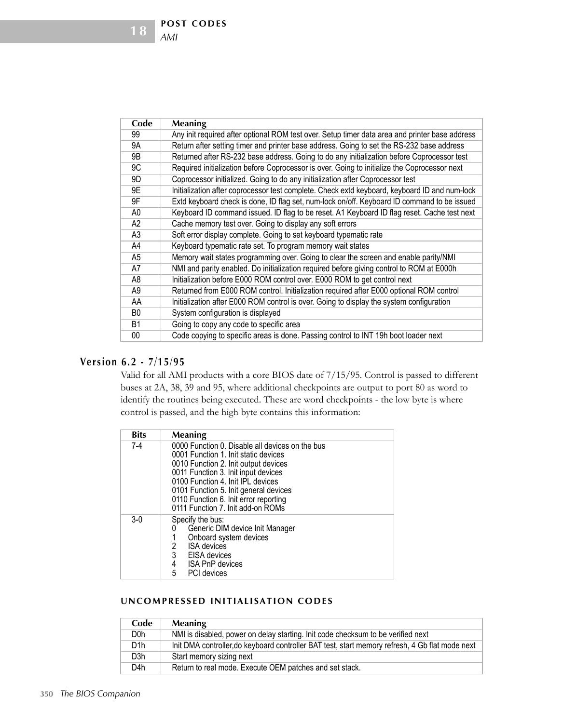| Code           | Meaning                                                                                        |
|----------------|------------------------------------------------------------------------------------------------|
| 99             | Any init required after optional ROM test over. Setup timer data area and printer base address |
| 9A             | Return after setting timer and printer base address. Going to set the RS-232 base address      |
| 9B             | Returned after RS-232 base address. Going to do any initialization before Coprocessor test     |
| 9C             | Required initialization before Coprocessor is over. Going to initialize the Coprocessor next   |
| 9D             | Coprocessor initialized. Going to do any initialization after Coprocessor test                 |
| 9E             | Initialization after coprocessor test complete. Check extd keyboard, keyboard ID and num-lock  |
| 9F             | Extd keyboard check is done, ID flag set, num-lock on/off. Keyboard ID command to be issued    |
| A <sub>0</sub> | Keyboard ID command issued. ID flag to be reset. A1 Keyboard ID flag reset. Cache test next    |
| A2             | Cache memory test over. Going to display any soft errors                                       |
| A <sub>3</sub> | Soft error display complete. Going to set keyboard typematic rate                              |
| A4             | Keyboard typematic rate set. To program memory wait states                                     |
| A <sub>5</sub> | Memory wait states programming over. Going to clear the screen and enable parity/NMI           |
| A7             | NMI and parity enabled. Do initialization required before giving control to ROM at E000h       |
| A8             | Initialization before E000 ROM control over. E000 ROM to get control next                      |
| A <sub>9</sub> | Returned from E000 ROM control. Initialization required after E000 optional ROM control        |
| AA             | Initialization after E000 ROM control is over. Going to display the system configuration       |
| B <sub>0</sub> | System configuration is displayed                                                              |
| <b>B1</b>      | Going to copy any code to specific area                                                        |
| $00\,$         | Code copying to specific areas is done. Passing control to INT 19h boot loader next            |

### **Version 6.2 - 7/15/95**

Valid for all AMI products with a core BIOS date of 7/15/95. Control is passed to different buses at 2A, 38, 39 and 95, where additional checkpoints are output to port 80 as word to identify the routines being executed. These are word checkpoints - the low byte is where control is passed, and the high byte contains this information:

| <b>Bits</b> | Meaning                                                                                                                                                                                                                                                                                                                            |
|-------------|------------------------------------------------------------------------------------------------------------------------------------------------------------------------------------------------------------------------------------------------------------------------------------------------------------------------------------|
| $7-4$       | 0000 Function 0. Disable all devices on the bus<br>0001 Function 1. Init static devices<br>0010 Function 2. Init output devices<br>0011 Function 3. Init input devices<br>0100 Function 4. Init IPL devices<br>0101 Function 5. Init general devices<br>0110 Function 6. Init error reporting<br>0111 Function 7. Init add-on ROMs |
| $3-0$       | Specify the bus:<br>Generic DIM device Init Manager<br>0<br>Onboard system devices<br>$\frac{2}{3}$<br><b>ISA</b> devices<br>EISA devices<br>4<br><b>ISA PnP</b> devices<br>5<br>PCI devices                                                                                                                                       |

#### **UNCOMPRESSED INITIALISATION CODES**

| Code             | Meaning                                                                                        |
|------------------|------------------------------------------------------------------------------------------------|
| D0h              | NMI is disabled, power on delay starting. Init code checksum to be verified next               |
| D <sub>1</sub> h | Init DMA controller do keyboard controller BAT test, start memory refresh, 4 Gb flat mode next |
| D3h              | Start memory sizing next                                                                       |
| D4h              | Return to real mode. Execute OEM patches and set stack.                                        |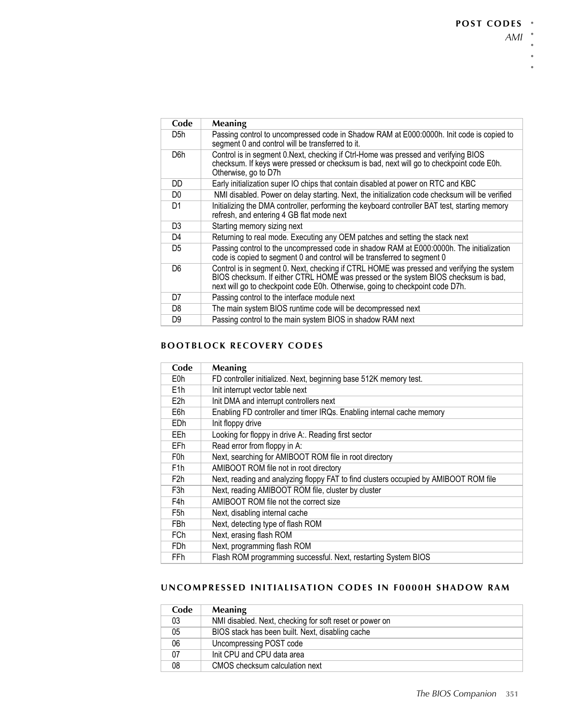. . . . .  $\ddot{\phantom{0}}$  $\bullet$ 

| Code           | Meaning                                                                                                                                                                                                                                                          |
|----------------|------------------------------------------------------------------------------------------------------------------------------------------------------------------------------------------------------------------------------------------------------------------|
| D5h            | Passing control to uncompressed code in Shadow RAM at E000:0000h. Init code is copied to<br>segment 0 and control will be transferred to it.                                                                                                                     |
| D6h            | Control is in segment 0. Next, checking if Ctrl-Home was pressed and verifying BIOS<br>checksum. If keys were pressed or checksum is bad, next will go to checkpoint code E0h.<br>Otherwise, go to D7h                                                           |
| DD             | Early initialization super IO chips that contain disabled at power on RTC and KBC                                                                                                                                                                                |
| D <sub>0</sub> | NMI disabled. Power on delay starting. Next, the initialization code checksum will be verified                                                                                                                                                                   |
| D <sub>1</sub> | Initializing the DMA controller, performing the keyboard controller BAT test, starting memory<br>refresh, and entering 4 GB flat mode next                                                                                                                       |
| D3             | Starting memory sizing next                                                                                                                                                                                                                                      |
| D <sub>4</sub> | Returning to real mode. Executing any OEM patches and setting the stack next                                                                                                                                                                                     |
| D5             | Passing control to the uncompressed code in shadow RAM at E000:0000h. The initialization<br>code is copied to segment 0 and control will be transferred to segment 0                                                                                             |
| D <sub>6</sub> | Control is in segment 0. Next, checking if CTRL HOME was pressed and verifying the system<br>BIOS checksum. If either CTRL HOME was pressed or the system BIOS checksum is bad,<br>next will go to checkpoint code E0h. Otherwise, going to checkpoint code D7h. |
| D7             | Passing control to the interface module next                                                                                                                                                                                                                     |
| D <sub>8</sub> | The main system BIOS runtime code will be decompressed next                                                                                                                                                                                                      |
| D <sub>9</sub> | Passing control to the main system BIOS in shadow RAM next                                                                                                                                                                                                       |

### **BOOTBLOCK RECOVERY CODES**

| Code             | Meaning                                                                              |
|------------------|--------------------------------------------------------------------------------------|
| E0h              | FD controller initialized. Next, beginning base 512K memory test.                    |
| E <sub>1</sub> h | Init interrupt vector table next                                                     |
| E <sub>2</sub> h | Init DMA and interrupt controllers next                                              |
| E6h              | Enabling FD controller and timer IRQs. Enabling internal cache memory                |
| <b>EDh</b>       | Init floppy drive                                                                    |
| EEh.             | Looking for floppy in drive A:. Reading first sector                                 |
| EFh.             | Read error from floppy in A:                                                         |
| F <sub>0</sub> h | Next, searching for AMIBOOT ROM file in root directory                               |
| F <sub>1</sub> h | AMIBOOT ROM file not in root directory                                               |
| F <sub>2</sub> h | Next, reading and analyzing floppy FAT to find clusters occupied by AMIBOOT ROM file |
| F3h              | Next, reading AMIBOOT ROM file, cluster by cluster                                   |
| F4h              | AMIBOOT ROM file not the correct size                                                |
| F <sub>5</sub> h | Next, disabling internal cache                                                       |
| FB <sub>h</sub>  | Next, detecting type of flash ROM                                                    |
| FC <sub>h</sub>  | Next, erasing flash ROM                                                              |
| F <sub>D</sub> h | Next, programming flash ROM                                                          |
| FFh              | Flash ROM programming successful. Next, restarting System BIOS                       |

#### **UNCOMPRESSED INITIALISATION CODES IN F0000H SHADOW RAM**

| Code | <b>Meaning</b>                                          |
|------|---------------------------------------------------------|
| 03   | NMI disabled. Next, checking for soft reset or power on |
| 05   | BIOS stack has been built. Next, disabling cache        |
| 06   | Uncompressing POST code                                 |
| 07   | Init CPU and CPU data area                              |
| 08   | CMOS checksum calculation next                          |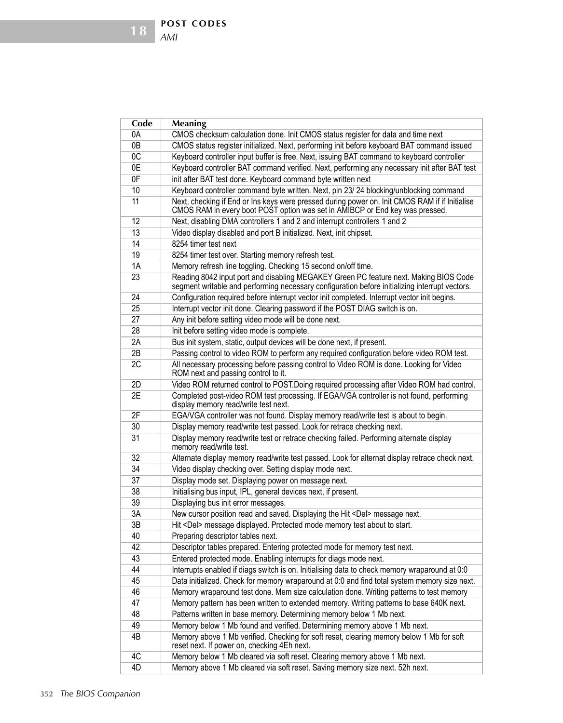*AMI* **1 8**

| Code | Meaning                                                                                                                                                                                 |
|------|-----------------------------------------------------------------------------------------------------------------------------------------------------------------------------------------|
| 0A   | CMOS checksum calculation done. Init CMOS status register for data and time next                                                                                                        |
| 0B   | CMOS status register initialized. Next, performing init before keyboard BAT command issued                                                                                              |
| 0C   | Keyboard controller input buffer is free. Next, issuing BAT command to keyboard controller                                                                                              |
| 0Ε   | Keyboard controller BAT command verified. Next, performing any necessary init after BAT test                                                                                            |
| 0F   | init after BAT test done. Keyboard command byte written next                                                                                                                            |
| 10   | Keyboard controller command byte written. Next, pin 23/24 blocking/unblocking command                                                                                                   |
| 11   | Next, checking if End or Ins keys were pressed during power on. Init CMOS RAM if if Initialise<br>CMOS RAM in every boot POST option was set in AMIBCP or End key was pressed.          |
| 12   | Next, disabling DMA controllers 1 and 2 and interrupt controllers 1 and 2                                                                                                               |
| 13   | Video display disabled and port B initialized. Next, init chipset.                                                                                                                      |
| 14   | 8254 timer test next                                                                                                                                                                    |
| 19   | 8254 timer test over. Starting memory refresh test.                                                                                                                                     |
| 1A   | Memory refresh line toggling. Checking 15 second on/off time.                                                                                                                           |
| 23   | Reading 8042 input port and disabling MEGAKEY Green PC feature next. Making BIOS Code<br>segment writable and performing necessary configuration before initializing interrupt vectors. |
| 24   | Configuration required before interrupt vector init completed. Interrupt vector init begins.                                                                                            |
| 25   | Interrupt vector init done. Clearing password if the POST DIAG switch is on.                                                                                                            |
| 27   | Any init before setting video mode will be done next.                                                                                                                                   |
| 28   | Init before setting video mode is complete.                                                                                                                                             |
| 2A   | Bus init system, static, output devices will be done next, if present.                                                                                                                  |
| 2B   | Passing control to video ROM to perform any required configuration before video ROM test.                                                                                               |
| 2C   | All necessary processing before passing control to Video ROM is done. Looking for Video<br>ROM next and passing control to it.                                                          |
| 2D   | Video ROM returned control to POST. Doing required processing after Video ROM had control.                                                                                              |
| 2Ε   | Completed post-video ROM test processing. If EGA/VGA controller is not found, performing<br>display memory read/write test next.                                                        |
| 2F   | EGA/VGA controller was not found. Display memory read/write test is about to begin.                                                                                                     |
| 30   | Display memory read/write test passed. Look for retrace checking next.                                                                                                                  |
| 31   | Display memory read/write test or retrace checking failed. Performing alternate display<br>memory read/write test.                                                                      |
| 32   | Alternate display memory read/write test passed. Look for alternat display retrace check next.                                                                                          |
| 34   | Video display checking over. Setting display mode next.                                                                                                                                 |
| 37   | Display mode set. Displaying power on message next.                                                                                                                                     |
| 38   | Initialising bus input, IPL, general devices next, if present.                                                                                                                          |
| 39   | Displaying bus init error messages.                                                                                                                                                     |
| ЗA   | New cursor position read and saved. Displaying the Hit <del> message next.</del>                                                                                                        |
| 3B   | Hit <del> message displayed. Protected mode memory test about to start.</del>                                                                                                           |
| 40   | Preparing descriptor tables next.                                                                                                                                                       |
| 42   | Descriptor tables prepared. Entering protected mode for memory test next.                                                                                                               |
| 43   | Entered protected mode. Enabling interrupts for diags mode next.                                                                                                                        |
| 44   | Interrupts enabled if diags switch is on. Initialising data to check memory wraparound at 0:0                                                                                           |
| 45   | Data initialized. Check for memory wraparound at 0:0 and find total system memory size next.                                                                                            |
| 46   | Memory wraparound test done. Mem size calculation done. Writing patterns to test memory                                                                                                 |
| 47   | Memory pattern has been written to extended memory. Writing patterns to base 640K next.                                                                                                 |
| 48   | Patterns written in base memory. Determining memory below 1 Mb next.                                                                                                                    |
| 49   | Memory below 1 Mb found and verified. Determining memory above 1 Mb next.                                                                                                               |
| 4B   | Memory above 1 Mb verified. Checking for soft reset, clearing memory below 1 Mb for soft<br>reset next. If power on, checking 4Eh next.                                                 |
| 4C   | Memory below 1 Mb cleared via soft reset. Clearing memory above 1 Mb next.                                                                                                              |
| 4D   | Memory above 1 Mb cleared via soft reset. Saving memory size next. 52h next.                                                                                                            |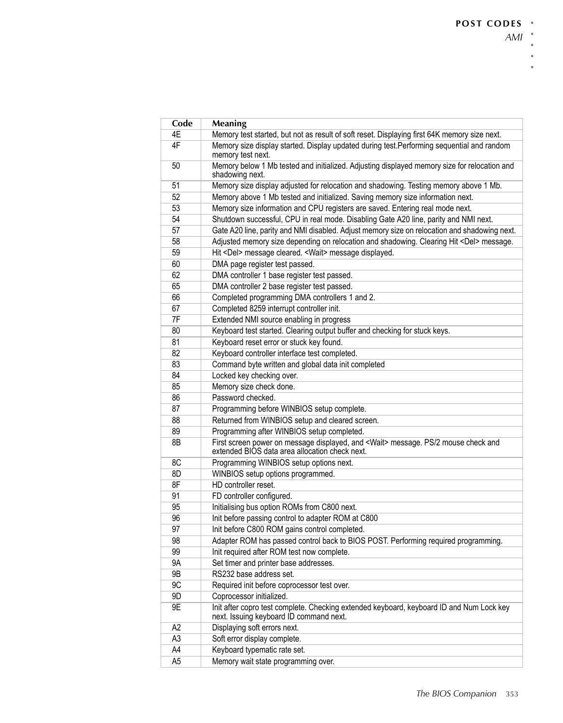. . . . .  $\ddot{\phantom{a}}$  $\bullet$ 

| Code           | Meaning                                                                                                                                     |
|----------------|---------------------------------------------------------------------------------------------------------------------------------------------|
| 4F             | Memory test started, but not as result of soft reset. Displaying first 64K memory size next.                                                |
| 4F             | Memory size display started. Display updated during test. Performing sequential and random<br>memory test next.                             |
| 50             | Memory below 1 Mb tested and initialized. Adjusting displayed memory size for relocation and<br>shadowing next.                             |
| 51             | Memory size display adjusted for relocation and shadowing. Testing memory above 1 Mb.                                                       |
| 52             | Memory above 1 Mb tested and initialized. Saving memory size information next.                                                              |
| 53             | Memory size information and CPU registers are saved. Entering real mode next.                                                               |
| 54             | Shutdown successful, CPU in real mode. Disabling Gate A20 line, parity and NMI next.                                                        |
| 57             | Gate A20 line, parity and NMI disabled. Adjust memory size on relocation and shadowing next.                                                |
| 58             | Adjusted memory size depending on relocation and shadowing. Clearing Hit <del> message.</del>                                               |
| 59             | Hit <del> message cleared. <wait> message displayed.</wait></del>                                                                           |
| 60             | DMA page register test passed.                                                                                                              |
| 62             | DMA controller 1 base register test passed.                                                                                                 |
| 65             | DMA controller 2 base register test passed.                                                                                                 |
| 66             | Completed programming DMA controllers 1 and 2.                                                                                              |
| 67             | Completed 8259 interrupt controller init.                                                                                                   |
| 7F             | Extended NMI source enabling in progress                                                                                                    |
| 80             | Keyboard test started. Clearing output buffer and checking for stuck keys.                                                                  |
| 81             | Keyboard reset error or stuck key found.                                                                                                    |
| 82             | Keyboard controller interface test completed.                                                                                               |
| 83             | Command byte written and global data init completed                                                                                         |
| 84             | Locked key checking over.                                                                                                                   |
| 85             | Memory size check done.                                                                                                                     |
| 86             | Password checked.                                                                                                                           |
| 87             | Programming before WINBIOS setup complete.                                                                                                  |
| 88             | Returned from WINBIOS setup and cleared screen.                                                                                             |
| 89             | Programming after WINBIOS setup completed.                                                                                                  |
| 8B             | First screen power on message displayed, and <wait> message. PS/2 mouse check and<br/>extended BIOS data area allocation check next.</wait> |
| 8C             | Programming WINBIOS setup options next.                                                                                                     |
| 8D             | WINBIOS setup options programmed.                                                                                                           |
| 8F             | HD controller reset.                                                                                                                        |
| 91             | FD controller configured.                                                                                                                   |
| 95             | Initialising bus option ROMs from C800 next.                                                                                                |
| 96             | Init before passing control to adapter ROM at C800                                                                                          |
| 97             | Init before C800 ROM gains control completed.                                                                                               |
| 98             | Adapter ROM has passed control back to BIOS POST. Performing required programming.                                                          |
| 99             | Init required after ROM test now complete.                                                                                                  |
| <b>9A</b>      | Set timer and printer base addresses.                                                                                                       |
| 9B             | RS232 base address set.                                                                                                                     |
| 9C             | Required init before coprocessor test over.                                                                                                 |
| 9D             | Coprocessor initialized.                                                                                                                    |
| 9E             | Init after copro test complete. Checking extended keyboard, keyboard ID and Num Lock key<br>next. Issuing keyboard ID command next.         |
| A <sub>2</sub> | Displaying soft errors next.                                                                                                                |
| A <sub>3</sub> | Soft error display complete.                                                                                                                |
| A4             | Keyboard typematic rate set.                                                                                                                |
| A <sub>5</sub> | Memory wait state programming over.                                                                                                         |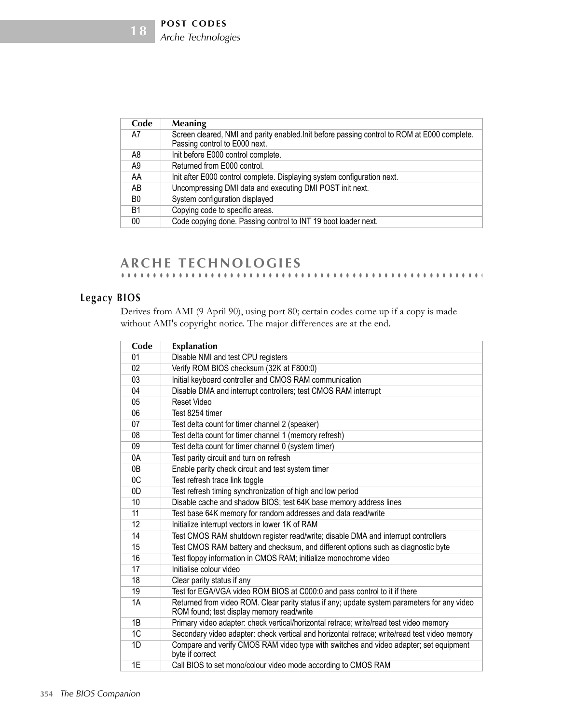**1 8**

| Code           | <b>Meaning</b>                                                                                                                |
|----------------|-------------------------------------------------------------------------------------------------------------------------------|
| A7             | Screen cleared, NMI and parity enabled. Init before passing control to ROM at E000 complete.<br>Passing control to E000 next. |
| A8             | Init before E000 control complete.                                                                                            |
| A <sub>9</sub> | Returned from E000 control.                                                                                                   |
| AA             | Init after E000 control complete. Displaying system configuration next.                                                       |
| AB             | Uncompressing DMI data and executing DMI POST init next.                                                                      |
| B <sub>0</sub> | System configuration displayed                                                                                                |
| <b>B1</b>      | Copying code to specific areas.                                                                                               |
| 00             | Code copying done. Passing control to INT 19 boot loader next.                                                                |

# **. . . . . . . . . . . . . . . . . . . . . . . . . . . . . . . . . . . . . . . . . . . . . . . . . . . . . . . . . ARCHE TECHNOLOGIES**

### **Legacy BIOS**

Derives from AMI (9 April 90), using port 80; certain codes come up if a copy is made without AMI's copyright notice. The major differences are at the end.

| Code           | <b>Explanation</b>                                                                                                                       |
|----------------|------------------------------------------------------------------------------------------------------------------------------------------|
| 01             | Disable NMI and test CPU registers                                                                                                       |
| 02             | Verify ROM BIOS checksum (32K at F800:0)                                                                                                 |
| 03             | Initial keyboard controller and CMOS RAM communication                                                                                   |
| 04             | Disable DMA and interrupt controllers; test CMOS RAM interrupt                                                                           |
| 05             | Reset Video                                                                                                                              |
| 06             | Test 8254 timer                                                                                                                          |
| 07             | Test delta count for timer channel 2 (speaker)                                                                                           |
| 08             | Test delta count for timer channel 1 (memory refresh)                                                                                    |
| 09             | Test delta count for timer channel 0 (system timer)                                                                                      |
| 0A             | Test parity circuit and turn on refresh                                                                                                  |
| 0 <sub>B</sub> | Enable parity check circuit and test system timer                                                                                        |
| 0C             | Test refresh trace link toggle                                                                                                           |
| 0 <sub>D</sub> | Test refresh timing synchronization of high and low period                                                                               |
| 10             | Disable cache and shadow BIOS; test 64K base memory address lines                                                                        |
| 11             | Test base 64K memory for random addresses and data read/write                                                                            |
| 12             | Initialize interrupt vectors in lower 1K of RAM                                                                                          |
| 14             | Test CMOS RAM shutdown register read/write; disable DMA and interrupt controllers                                                        |
| 15             | Test CMOS RAM battery and checksum, and different options such as diagnostic byte                                                        |
| 16             | Test floppy information in CMOS RAM; initialize monochrome video                                                                         |
| 17             | Initialise colour video                                                                                                                  |
| 18             | Clear parity status if any                                                                                                               |
| 19             | Test for EGA/VGA video ROM BIOS at C000:0 and pass control to it if there                                                                |
| 1A             | Returned from video ROM. Clear parity status if any; update system parameters for any video<br>ROM found; test display memory read/write |
| 1B             | Primary video adapter: check vertical/horizontal retrace; write/read test video memory                                                   |
| 1C             | Secondary video adapter: check vertical and horizontal retrace; write/read test video memory                                             |
| 1D             | Compare and verify CMOS RAM video type with switches and video adapter; set equipment<br>byte if correct                                 |
| 1E             | Call BIOS to set mono/colour video mode according to CMOS RAM                                                                            |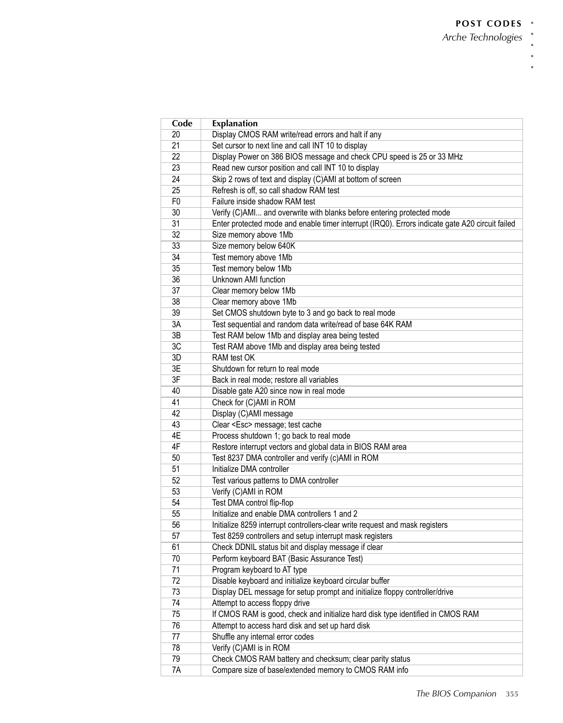. . . . .  $\ddot{\phantom{a}}$  $\bullet$ 

| Code            | <b>Explanation</b>                                                                              |
|-----------------|-------------------------------------------------------------------------------------------------|
| 20              | Display CMOS RAM write/read errors and halt if any                                              |
| 21              | Set cursor to next line and call INT 10 to display                                              |
| 22              | Display Power on 386 BIOS message and check CPU speed is 25 or 33 MHz                           |
| 23              | Read new cursor position and call INT 10 to display                                             |
| 24              | Skip 2 rows of text and display (C)AMI at bottom of screen                                      |
| 25              | Refresh is off, so call shadow RAM test                                                         |
| F <sub>0</sub>  | Failure inside shadow RAM test                                                                  |
| 30              | Verify (C)AMI and overwrite with blanks before entering protected mode                          |
| $\overline{31}$ | Enter protected mode and enable timer interrupt (IRQ0). Errors indicate gate A20 circuit failed |
| 32              | Size memory above 1Mb                                                                           |
| 33              | Size memory below 640K                                                                          |
| 34              | Test memory above 1Mb                                                                           |
| 35              | Test memory below 1Mb                                                                           |
| 36              | Unknown AMI function                                                                            |
| 37              | Clear memory below 1Mb                                                                          |
| 38              | Clear memory above 1Mb                                                                          |
| 39              | Set CMOS shutdown byte to 3 and go back to real mode                                            |
| 3A              | Test sequential and random data write/read of base 64K RAM                                      |
| 3B              | Test RAM below 1Mb and display area being tested                                                |
| ЗC              | Test RAM above 1Mb and display area being tested                                                |
| 3D              | RAM test OK                                                                                     |
| 3E              | Shutdown for return to real mode                                                                |
| 3F              | Back in real mode; restore all variables                                                        |
| 40              | Disable gate A20 since now in real mode                                                         |
| 41              | Check for (C)AMI in ROM                                                                         |
| 42              | Display (C)AMI message                                                                          |
| 43              | Clear <esc> message; test cache</esc>                                                           |
| 4E              | Process shutdown 1; go back to real mode                                                        |
| 4F              | Restore interrupt vectors and global data in BIOS RAM area                                      |
| 50              | Test 8237 DMA controller and verify (c)AMI in ROM                                               |
| 51              | Initialize DMA controller                                                                       |
| 52              | Test various patterns to DMA controller                                                         |
| 53              | Verify (C)AMI in ROM                                                                            |
| 54              | Test DMA control flip-flop                                                                      |
| 55              | Initialize and enable DMA controllers 1 and 2                                                   |
| 56              | Initialize 8259 interrupt controllers-clear write request and mask registers                    |
| 57              | Test 8259 controllers and setup interrupt mask registers                                        |
| 61              | Check DDNIL status bit and display message if clear                                             |
| 70              | Perform keyboard BAT (Basic Assurance Test)                                                     |
| 71              | Program keyboard to AT type                                                                     |
| $\overline{72}$ | Disable keyboard and initialize keyboard circular buffer                                        |
| 73              | Display DEL message for setup prompt and initialize floppy controller/drive                     |
| 74              | Attempt to access floppy drive                                                                  |
| 75              | If CMOS RAM is good, check and initialize hard disk type identified in CMOS RAM                 |
| 76              | Attempt to access hard disk and set up hard disk                                                |
| 77              | Shuffle any internal error codes                                                                |
| 78              | Verify (C)AMI is in ROM                                                                         |
| 79              | Check CMOS RAM battery and checksum; clear parity status                                        |
| 7A              | Compare size of base/extended memory to CMOS RAM info                                           |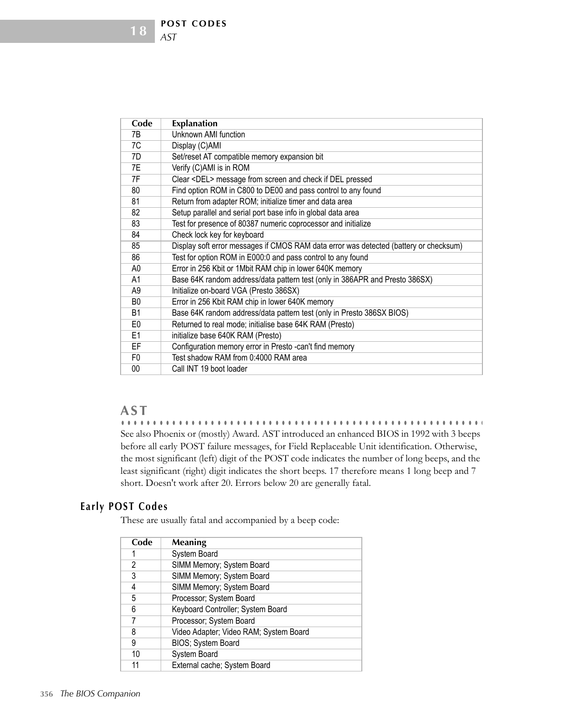*AST* **1 8**

| Code           | <b>Explanation</b>                                                                    |
|----------------|---------------------------------------------------------------------------------------|
| 7B             | Unknown AMI function                                                                  |
| 7C             | Display (C)AMI                                                                        |
| 7D             | Set/reset AT compatible memory expansion bit                                          |
| 7E             | Verify (C)AMI is in ROM                                                               |
| 7F             | Clear <del> message from screen and check if DEL pressed</del>                        |
| 80             | Find option ROM in C800 to DE00 and pass control to any found                         |
| 81             | Return from adapter ROM; initialize timer and data area                               |
| 82             | Setup parallel and serial port base info in global data area                          |
| 83             | Test for presence of 80387 numeric coprocessor and initialize                         |
| 84             | Check lock key for keyboard                                                           |
| 85             | Display soft error messages if CMOS RAM data error was detected (battery or checksum) |
| 86             | Test for option ROM in E000:0 and pass control to any found                           |
| A0             | Error in 256 Kbit or 1Mbit RAM chip in lower 640K memory                              |
| A1             | Base 64K random address/data pattern test (only in 386APR and Presto 386SX)           |
| A <sub>9</sub> | Initialize on-board VGA (Presto 386SX)                                                |
| B <sub>0</sub> | Error in 256 Kbit RAM chip in lower 640K memory                                       |
| <b>B1</b>      | Base 64K random address/data pattern test (only in Presto 386SX BIOS)                 |
| E <sub>0</sub> | Returned to real mode; initialise base 64K RAM (Presto)                               |
| E1             | initialize base 640K RAM (Presto)                                                     |
| EF             | Configuration memory error in Presto -can't find memory                               |
| F <sub>0</sub> | Test shadow RAM from 0:4000 RAM area                                                  |
| 00             | Call INT 19 boot loader                                                               |

**. . . . . . . . . . . . . . . . . . . . . . . . . . . . . . . . . . . . . . . . . . . . . . . . . . . . . . . . . AST** See also Phoenix or (mostly) Award. AST introduced an enhanced BIOS in 1992 with 3 beeps before all early POST failure messages, for Field Replaceable Unit identification. Otherwise, the most significant (left) digit of the POST code indicates the number of long beeps, and the least significant (right) digit indicates the short beeps. 17 therefore means 1 long beep and 7 short. Doesn't work after 20. Errors below 20 are generally fatal.

### **Early POST Codes**

These are usually fatal and accompanied by a beep code:

| Code | Meaning                                |
|------|----------------------------------------|
|      | System Board                           |
| 2    | SIMM Memory; System Board              |
| 3    | SIMM Memory; System Board              |
| 4    | SIMM Memory; System Board              |
| 5    | Processor; System Board                |
| 6    | Keyboard Controller; System Board      |
| 7    | Processor; System Board                |
| 8    | Video Adapter; Video RAM; System Board |
| 9    | <b>BIOS</b> ; System Board             |
| 10   | System Board                           |
| 11   | External cache; System Board           |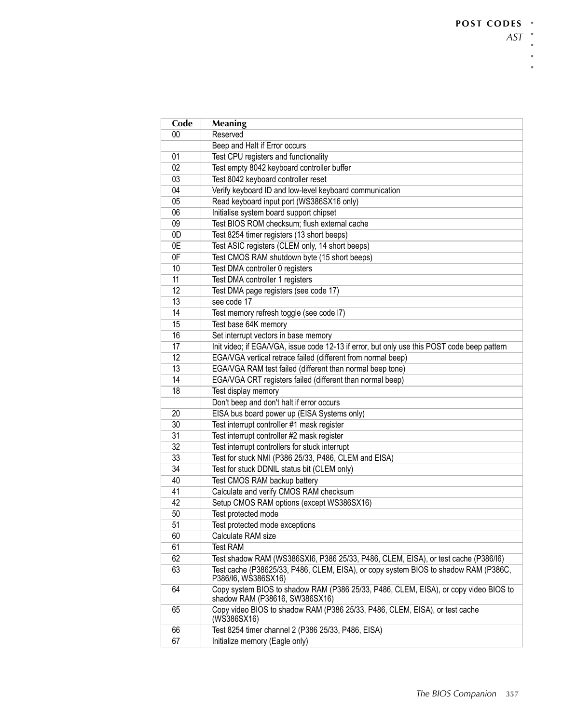$\bullet$ 

. . . . .  $\ddot{\phantom{1}}$  $\bullet$ 

| Code | Meaning                                                                                                                |  |  |
|------|------------------------------------------------------------------------------------------------------------------------|--|--|
| 00   | Reserved                                                                                                               |  |  |
|      | Beep and Halt if Error occurs                                                                                          |  |  |
| 01   | Test CPU registers and functionality                                                                                   |  |  |
| 02   | Test empty 8042 keyboard controller buffer                                                                             |  |  |
| 03   | Test 8042 keyboard controller reset                                                                                    |  |  |
| 04   | Verify keyboard ID and low-level keyboard communication                                                                |  |  |
| 05   | Read keyboard input port (WS386SX16 only)                                                                              |  |  |
| 06   | Initialise system board support chipset                                                                                |  |  |
| 09   | Test BIOS ROM checksum; flush external cache                                                                           |  |  |
| 0D   | Test 8254 timer registers (13 short beeps)                                                                             |  |  |
| 0E   | Test ASIC registers (CLEM only, 14 short beeps)                                                                        |  |  |
| 0F   | Test CMOS RAM shutdown byte (15 short beeps)                                                                           |  |  |
| 10   | Test DMA controller 0 registers                                                                                        |  |  |
| 11   | Test DMA controller 1 registers                                                                                        |  |  |
| 12   | Test DMA page registers (see code 17)                                                                                  |  |  |
| 13   | see code 17                                                                                                            |  |  |
| 14   | Test memory refresh toggle (see code I7)                                                                               |  |  |
| 15   |                                                                                                                        |  |  |
|      | Test base 64K memory                                                                                                   |  |  |
| 16   | Set interrupt vectors in base memory                                                                                   |  |  |
| 17   | Init video; if EGA/VGA, issue code 12-13 if error, but only use this POST code beep pattern                            |  |  |
| 12   | EGA/VGA vertical retrace failed (different from normal beep)                                                           |  |  |
| 13   | EGA/VGA RAM test failed (different than normal beep tone)                                                              |  |  |
| 14   | EGA/VGA CRT registers failed (different than normal beep)                                                              |  |  |
| 18   | Test display memory                                                                                                    |  |  |
|      | Don't beep and don't halt if error occurs                                                                              |  |  |
| 20   | EISA bus board power up (EISA Systems only)                                                                            |  |  |
| 30   | Test interrupt controller #1 mask register                                                                             |  |  |
| 31   | Test interrupt controller #2 mask register                                                                             |  |  |
| 32   | Test interrupt controllers for stuck interrupt                                                                         |  |  |
| 33   | Test for stuck NMI (P386 25/33, P486, CLEM and EISA)                                                                   |  |  |
| 34   | Test for stuck DDNIL status bit (CLEM only)                                                                            |  |  |
| 40   | Test CMOS RAM backup battery                                                                                           |  |  |
| 41   | Calculate and verify CMOS RAM checksum                                                                                 |  |  |
| 42   | Setup CMOS RAM options (except WS386SX16)                                                                              |  |  |
| 50   | Test protected mode                                                                                                    |  |  |
| 51   | Test protected mode exceptions                                                                                         |  |  |
| 60   | Calculate RAM size                                                                                                     |  |  |
| 61   | <b>Test RAM</b>                                                                                                        |  |  |
| 62   | Test shadow RAM (WS386SXI6, P386 25/33, P486, CLEM, EISA), or test cache (P386/I6)                                     |  |  |
| 63   | Test cache (P38625/33, P486, CLEM, EISA), or copy system BIOS to shadow RAM (P386C,<br>P386/I6, WS386SX16)             |  |  |
| 64   | Copy system BIOS to shadow RAM (P386 25/33, P486, CLEM, EISA), or copy video BIOS to<br>shadow RAM (P38616, SW386SX16) |  |  |
| 65   | Copy video BIOS to shadow RAM (P386 25/33, P486, CLEM, EISA), or test cache<br>(WS386SX16)                             |  |  |
| 66   | Test 8254 timer channel 2 (P386 25/33, P486, EISA)                                                                     |  |  |
| 67   | Initialize memory (Eagle only)                                                                                         |  |  |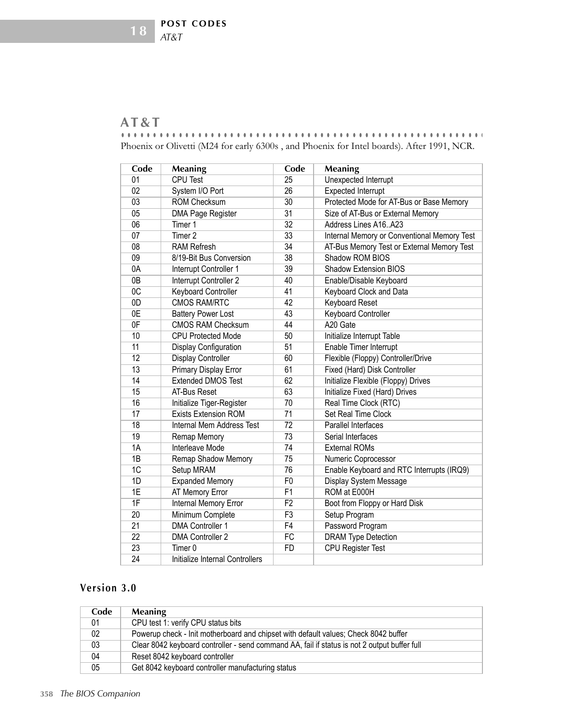**. . . . . . . . . . . . . . . . . . . . . . . . . . . . . . . . . . . . . . . . . . . . . . . . . . . . . . . . . AT&T** Phoenix or Olivetti (M24 for early 6300s , and Phoenix for Intel boards). After 1991, NCR.

| Code           | Meaning                         | Code           | Meaning                                     |
|----------------|---------------------------------|----------------|---------------------------------------------|
| 01             | <b>CPU Test</b>                 | 25             | Unexpected Interrupt                        |
| 02             | System I/O Port                 | 26             | <b>Expected Interrupt</b>                   |
| 03             | <b>ROM Checksum</b>             | 30             | Protected Mode for AT-Bus or Base Memory    |
| 0 <sub>5</sub> | <b>DMA Page Register</b>        | 31             | Size of AT-Bus or External Memory           |
| 06             | Timer 1                         | 32             | Address Lines A16, A23                      |
| 07             | Timer 2                         | 33             | Internal Memory or Conventional Memory Test |
| 08             | <b>RAM Refresh</b>              | 34             | AT-Bus Memory Test or External Memory Test  |
| 09             | 8/19-Bit Bus Conversion         | 38             | Shadow ROM BIOS                             |
| 0A             | Interrupt Controller 1          | 39             | Shadow Extension BIOS                       |
| 0B             | Interrupt Controller 2          | 40             | Enable/Disable Keyboard                     |
| 0C             | Keyboard Controller             | 41             | Keyboard Clock and Data                     |
| 0D             | <b>CMOS RAM/RTC</b>             | 42             | <b>Keyboard Reset</b>                       |
| 0E             | <b>Battery Power Lost</b>       | 43             | <b>Keyboard Controller</b>                  |
| 0F             | <b>CMOS RAM Checksum</b>        | 44             | A <sub>20</sub> Gate                        |
| 10             | <b>CPU Protected Mode</b>       | 50             | Initialize Interrupt Table                  |
| 11             | Display Configuration           | 51             | Enable Timer Interrupt                      |
| 12             | <b>Display Controller</b>       | 60             | Flexible (Floppy) Controller/Drive          |
| 13             | Primary Display Error           | 61             | Fixed (Hard) Disk Controller                |
| 14             | <b>Extended DMOS Test</b>       | 62             | Initialize Flexible (Floppy) Drives         |
| 15             | AT-Bus Reset                    | 63             | Initialize Fixed (Hard) Drives              |
| 16             | Initialize Tiger-Register       | 70             | Real Time Clock (RTC)                       |
| 17             | <b>Exists Extension ROM</b>     | 71             | Set Real Time Clock                         |
| 18             | Internal Mem Address Test       | 72             | Parallel Interfaces                         |
| 19             | Remap Memory                    | 73             | Serial Interfaces                           |
| 1A             | Interleave Mode                 | 74             | <b>External ROMs</b>                        |
| 1B             | Remap Shadow Memory             | 75             | Numeric Coprocessor                         |
| 1C             | Setup MRAM                      | 76             | Enable Keyboard and RTC Interrupts (IRQ9)   |
| 1D             | <b>Expanded Memory</b>          | F <sub>0</sub> | Display System Message                      |
| 1E             | AT Memory Error                 | F <sub>1</sub> | ROM at E000H                                |
| 1F             | Internal Memory Error           | F <sub>2</sub> | Boot from Floppy or Hard Disk               |
| 20             | Minimum Complete                | F <sub>3</sub> | Setup Program                               |
| 21             | <b>DMA Controller 1</b>         | F4             | Password Program                            |
| 22             | <b>DMA Controller 2</b>         | FC             | <b>DRAM Type Detection</b>                  |
| 23             | Timer <sub>0</sub>              | FD             | <b>CPU Register Test</b>                    |
| 24             | Initialize Internal Controllers |                |                                             |

# **Version 3.0**

| Code | <b>Meaning</b>                                                                               |
|------|----------------------------------------------------------------------------------------------|
| 01   | CPU test 1: verify CPU status bits                                                           |
| 02   | Powerup check - Init motherboard and chipset with default values; Check 8042 buffer          |
| 03   | Clear 8042 keyboard controller - send command AA, fail if status is not 2 output buffer full |
| 04   | Reset 8042 keyboard controller                                                               |
| 05   | Get 8042 keyboard controller manufacturing status                                            |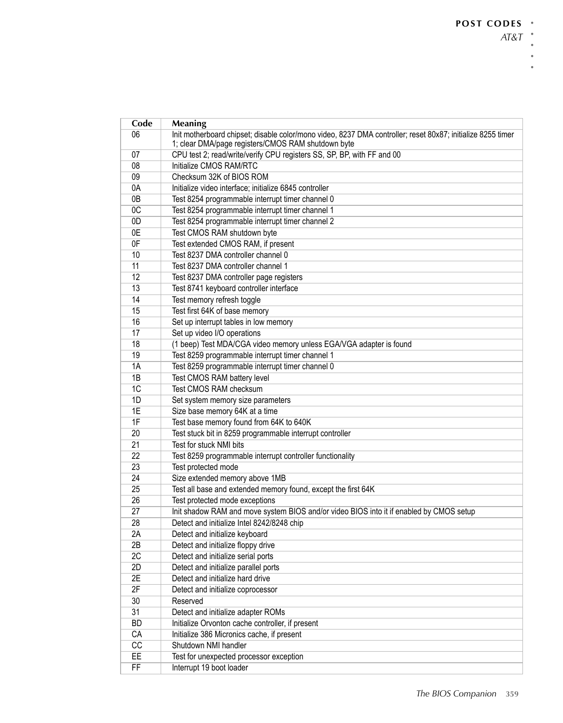. . . . .  $\ddot{\phantom{a}}$  $\bullet$ 

| Code            | Meaning                                                                                                                                                           |  |  |
|-----------------|-------------------------------------------------------------------------------------------------------------------------------------------------------------------|--|--|
| 06              | Init motherboard chipset; disable color/mono video, 8237 DMA controller; reset 80x87; initialize 8255 timer<br>1; clear DMA/page registers/CMOS RAM shutdown byte |  |  |
| 07              | CPU test 2; read/write/verify CPU registers SS, SP, BP, with FF and 00                                                                                            |  |  |
| 08              | Initialize CMOS RAM/RTC                                                                                                                                           |  |  |
| 09              | Checksum 32K of BIOS ROM                                                                                                                                          |  |  |
| 0A              | Initialize video interface: initialize 6845 controller                                                                                                            |  |  |
| 0 <sub>B</sub>  | Test 8254 programmable interrupt timer channel 0                                                                                                                  |  |  |
| 0C              | Test 8254 programmable interrupt timer channel 1                                                                                                                  |  |  |
| 0D              | Test 8254 programmable interrupt timer channel 2                                                                                                                  |  |  |
| 0E              | Test CMOS RAM shutdown byte                                                                                                                                       |  |  |
| 0F              | Test extended CMOS RAM, if present                                                                                                                                |  |  |
| 10              | Test 8237 DMA controller channel 0                                                                                                                                |  |  |
| 11              | Test 8237 DMA controller channel 1                                                                                                                                |  |  |
| 12              | Test 8237 DMA controller page registers                                                                                                                           |  |  |
| 13              | Test 8741 keyboard controller interface                                                                                                                           |  |  |
| 14              | Test memory refresh toggle                                                                                                                                        |  |  |
| 15              | Test first 64K of base memory                                                                                                                                     |  |  |
| 16              | Set up interrupt tables in low memory                                                                                                                             |  |  |
| 17              | Set up video I/O operations                                                                                                                                       |  |  |
| 18              | (1 beep) Test MDA/CGA video memory unless EGA/VGA adapter is found                                                                                                |  |  |
| 19              | Test 8259 programmable interrupt timer channel 1                                                                                                                  |  |  |
| 1A              | Test 8259 programmable interrupt timer channel 0                                                                                                                  |  |  |
| 1B              | Test CMOS RAM battery level                                                                                                                                       |  |  |
| 1C              | Test CMOS RAM checksum                                                                                                                                            |  |  |
| 1D              | Set system memory size parameters                                                                                                                                 |  |  |
| 1E              | Size base memory 64K at a time                                                                                                                                    |  |  |
| 1F              |                                                                                                                                                                   |  |  |
| 20              | Test base memory found from 64K to 640K                                                                                                                           |  |  |
| 21              | Test stuck bit in 8259 programmable interrupt controller<br>Test for stuck NMI bits                                                                               |  |  |
| 22              |                                                                                                                                                                   |  |  |
|                 | Test 8259 programmable interrupt controller functionality                                                                                                         |  |  |
| 23              | Test protected mode                                                                                                                                               |  |  |
| 24              | Size extended memory above 1MB                                                                                                                                    |  |  |
| 25              | Test all base and extended memory found, except the first 64K                                                                                                     |  |  |
| 26              | Test protected mode exceptions                                                                                                                                    |  |  |
| 27              | Init shadow RAM and move system BIOS and/or video BIOS into it if enabled by CMOS setup                                                                           |  |  |
| 28              | Detect and initialize Intel 8242/8248 chip                                                                                                                        |  |  |
| 2A              | Detect and initialize keyboard                                                                                                                                    |  |  |
| 2B              | Detect and initialize floppy drive                                                                                                                                |  |  |
| 2C              | Detect and initialize serial ports                                                                                                                                |  |  |
| 2D              | Detect and initialize parallel ports                                                                                                                              |  |  |
| 2E              | Detect and initialize hard drive                                                                                                                                  |  |  |
| 2F              | Detect and initialize coprocessor                                                                                                                                 |  |  |
| 30              | Reserved                                                                                                                                                          |  |  |
| 31              | Detect and initialize adapter ROMs                                                                                                                                |  |  |
| <b>BD</b>       | Initialize Orvonton cache controller, if present                                                                                                                  |  |  |
| CA              | Initialize 386 Micronics cache, if present                                                                                                                        |  |  |
| $\overline{cc}$ | Shutdown NMI handler                                                                                                                                              |  |  |
| EE              | Test for unexpected processor exception                                                                                                                           |  |  |
| FF              | Interrupt 19 boot loader                                                                                                                                          |  |  |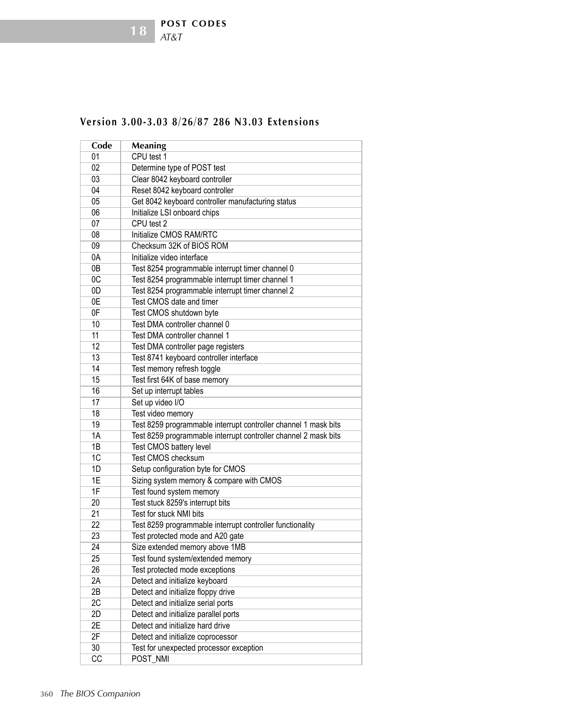*AT&T*

**1 8**

# **Version 3.00-3.03 8/26/87 286 N3.03 Extensions**

| Code                   | <b>Meaning</b>                                                                                |
|------------------------|-----------------------------------------------------------------------------------------------|
| 01                     | CPU test 1                                                                                    |
| 02                     | Determine type of POST test                                                                   |
| 03                     | Clear 8042 keyboard controller                                                                |
| 04                     | Reset 8042 keyboard controller                                                                |
| 05                     | Get 8042 keyboard controller manufacturing status                                             |
| 06                     | Initialize LSI onboard chips                                                                  |
| 07                     | CPU test 2                                                                                    |
| 08                     | Initialize CMOS RAM/RTC                                                                       |
| 09                     | Checksum 32K of BIOS ROM                                                                      |
| 0A                     | Initialize video interface                                                                    |
| 0B                     | Test 8254 programmable interrupt timer channel 0                                              |
| 0C                     | Test 8254 programmable interrupt timer channel 1                                              |
| 0D                     | Test 8254 programmable interrupt timer channel 2                                              |
| 0E                     | Test CMOS date and timer                                                                      |
| 0F                     | Test CMOS shutdown byte                                                                       |
| 10                     | Test DMA controller channel 0                                                                 |
| 11                     | Test DMA controller channel 1                                                                 |
| 12                     | Test DMA controller page registers                                                            |
| 13                     | Test 8741 keyboard controller interface                                                       |
| 14                     | Test memory refresh toggle                                                                    |
| 15                     | Test first 64K of base memory                                                                 |
| 16                     | Set up interrupt tables                                                                       |
| 17                     | Set up video I/O                                                                              |
| 18                     | Test video memory                                                                             |
| 19                     | Test 8259 programmable interrupt controller channel 1 mask bits                               |
| 1A                     | Test 8259 programmable interrupt controller channel 2 mask bits                               |
| 1B                     | Test CMOS battery level                                                                       |
| 1C                     | Test CMOS checksum                                                                            |
| 1D                     | Setup configuration byte for CMOS                                                             |
| 1E                     | Sizing system memory & compare with CMOS                                                      |
| 1F                     | Test found system memory                                                                      |
| 20                     | Test stuck 8259's interrupt bits                                                              |
| 21<br>$\overline{22}$  | Test for stuck NMI bits                                                                       |
| 23                     | Test 8259 programmable interrupt controller functionality<br>Test protected mode and A20 gate |
| 24                     |                                                                                               |
|                        | Size extended memory above 1MB                                                                |
| 25                     | Test found system/extended memory                                                             |
| 26                     | Test protected mode exceptions                                                                |
| 2A<br>$\overline{2B}$  | Detect and initialize keyboard                                                                |
|                        | Detect and initialize floppy drive<br>Detect and initialize serial ports                      |
| 2C<br>2D               |                                                                                               |
|                        | Detect and initialize parallel ports                                                          |
| 2E                     | Detect and initialize hard drive                                                              |
| 2F<br>30               | Detect and initialize coprocessor                                                             |
|                        | Test for unexpected processor exception                                                       |
| $\overline{\text{cc}}$ | POST_NMI                                                                                      |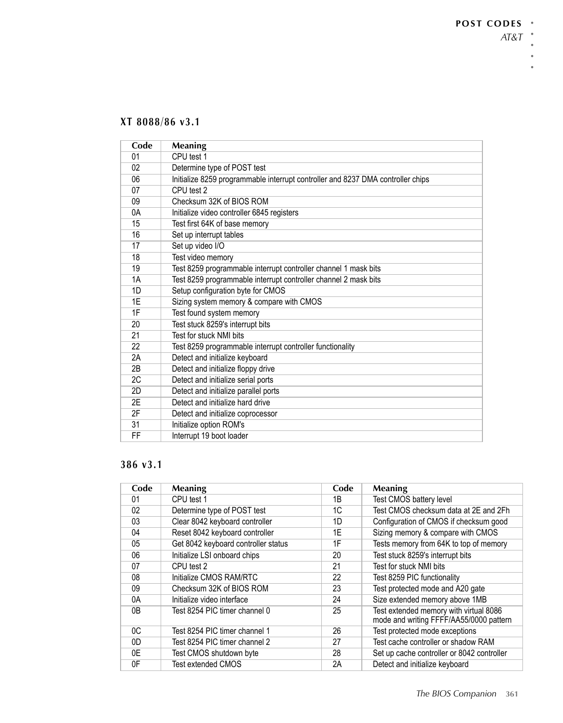### **XT 8088/86 v3.1**

| Code | Meaning                                                                         |
|------|---------------------------------------------------------------------------------|
| 01   | CPU test 1                                                                      |
| 02   | Determine type of POST test                                                     |
| 06   | Initialize 8259 programmable interrupt controller and 8237 DMA controller chips |
| 07   | CPU test 2                                                                      |
| 09   | Checksum 32K of BIOS ROM                                                        |
| 0A   | Initialize video controller 6845 registers                                      |
| 15   | Test first 64K of base memory                                                   |
| 16   | Set up interrupt tables                                                         |
| 17   | Set up video I/O                                                                |
| 18   | Test video memory                                                               |
| 19   | Test 8259 programmable interrupt controller channel 1 mask bits                 |
| 1A   | Test 8259 programmable interrupt controller channel 2 mask bits                 |
| 1D   | Setup configuration byte for CMOS                                               |
| 1E   | Sizing system memory & compare with CMOS                                        |
| 1F   | Test found system memory                                                        |
| 20   | Test stuck 8259's interrupt bits                                                |
| 21   | Test for stuck NMI bits                                                         |
| 22   | Test 8259 programmable interrupt controller functionality                       |
| 2A   | Detect and initialize keyboard                                                  |
| 2B   | Detect and initialize floppy drive                                              |
| 2C   | Detect and initialize serial ports                                              |
| 2D   | Detect and initialize parallel ports                                            |
| 2F   | Detect and initialize hard drive                                                |
| 2F   | Detect and initialize coprocessor                                               |
| 31   | Initialize option ROM's                                                         |
| FF   | Interrupt 19 boot loader                                                        |

# **386 v3.1**

| Code           | Meaning                             | Code | Meaning                                                                           |
|----------------|-------------------------------------|------|-----------------------------------------------------------------------------------|
| 01             | CPU test 1                          | 1B   | Test CMOS battery level                                                           |
| 02             | Determine type of POST test         | 1C   | Test CMOS checksum data at 2E and 2Fh                                             |
| 03             | Clear 8042 keyboard controller      | 1D   | Configuration of CMOS if checksum good                                            |
| 04             | Reset 8042 keyboard controller      | 1Ε   | Sizing memory & compare with CMOS                                                 |
| 05             | Get 8042 keyboard controller status | 1F   | Tests memory from 64K to top of memory                                            |
| 06             | Initialize LSI onboard chips        | 20   | Test stuck 8259's interrupt bits                                                  |
| 07             | CPU test 2                          | 21   | Test for stuck NMI bits                                                           |
| 08             | Initialize CMOS RAM/RTC             | 22   | Test 8259 PIC functionality                                                       |
| 09             | Checksum 32K of BIOS ROM            | 23   | Test protected mode and A20 gate                                                  |
| 0A             | Initialize video interface          | 24   | Size extended memory above 1MB                                                    |
| 0B             | Test 8254 PIC timer channel 0       | 25   | Test extended memory with virtual 8086<br>mode and writing FFFF/AA55/0000 pattern |
| 0C             | Test 8254 PIC timer channel 1       | 26   | Test protected mode exceptions                                                    |
| 0 <sub>D</sub> | Test 8254 PIC timer channel 2       | 27   | Test cache controller or shadow RAM                                               |
| 0E             | Test CMOS shutdown byte             | 28   | Set up cache controller or 8042 controller                                        |
| 0F             | Test extended CMOS                  | 2A   | Detect and initialize keyboard                                                    |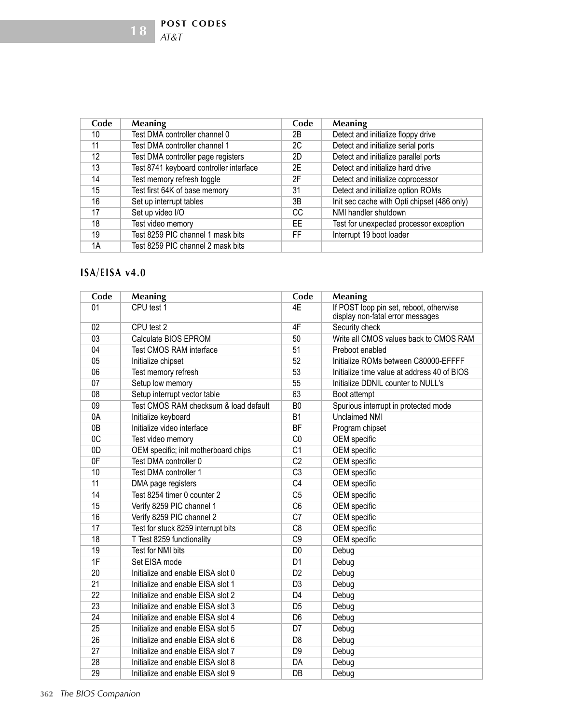| Code | Meaning                                 | Code | Meaning                                     |
|------|-----------------------------------------|------|---------------------------------------------|
| 10   | Test DMA controller channel 0           | 2B   | Detect and initialize floppy drive          |
| 11   | Test DMA controller channel 1           | 2C   | Detect and initialize serial ports          |
| 12   | Test DMA controller page registers      | 2D   | Detect and initialize parallel ports        |
| 13   | Test 8741 keyboard controller interface | 2E   | Detect and initialize hard drive            |
| 14   | Test memory refresh toggle              | 2F   | Detect and initialize coprocessor           |
| 15   | Test first 64K of base memory           | 31   | Detect and initialize option ROMs           |
| 16   | Set up interrupt tables                 | 3B   | Init sec cache with Opti chipset (486 only) |
| 17   | Set up video I/O                        | СC   | NMI handler shutdown                        |
| 18   | Test video memory                       | EE   | Test for unexpected processor exception     |
| 19   | Test 8259 PIC channel 1 mask bits       | FF   | Interrupt 19 boot loader                    |
| 1A   | Test 8259 PIC channel 2 mask bits       |      |                                             |

# **ISA/EISA v4.0**

| Code            | <b>Meaning</b>                        | Code           | Meaning                                                                     |
|-----------------|---------------------------------------|----------------|-----------------------------------------------------------------------------|
| 01              | CPU test 1                            | 4E             | If POST loop pin set, reboot, otherwise<br>display non-fatal error messages |
| 02              | CPU test 2                            | 4F             | Security check                                                              |
| 03              | Calculate BIOS EPROM                  | 50             | Write all CMOS values back to CMOS RAM                                      |
| 04              | <b>Test CMOS RAM interface</b>        | 51             | Preboot enabled                                                             |
| 0 <sub>5</sub>  | Initialize chipset                    | 52             | Initialize ROMs between C80000-EFFFF                                        |
| 06              | Test memory refresh                   | 53             | Initialize time value at address 40 of BIOS                                 |
| 07              | Setup low memory                      | 55             | Initialize DDNIL counter to NULL's                                          |
| 08              | Setup interrupt vector table          | 63             | Boot attempt                                                                |
| 09              | Test CMOS RAM checksum & load default | B <sub>0</sub> | Spurious interrupt in protected mode                                        |
| 0A              | Initialize keyboard                   | <b>B1</b>      | <b>Unclaimed NMI</b>                                                        |
| 0B              | Initialize video interface            | BF             | Program chipset                                                             |
| 0C              | Test video memory                     | CO             | OEM specific                                                                |
| 0 <sub>D</sub>  | OEM specific; init motherboard chips  | C <sub>1</sub> | OEM specific                                                                |
| 0F              | Test DMA controller 0                 | C <sub>2</sub> | <b>OEM</b> specific                                                         |
| 10              | Test DMA controller 1                 | C <sub>3</sub> | OEM specific                                                                |
| 11              | DMA page registers                    | C <sub>4</sub> | OEM specific                                                                |
| 14              | Test 8254 timer 0 counter 2           | C <sub>5</sub> | OEM specific                                                                |
| 15              | Verify 8259 PIC channel 1             | C <sub>6</sub> | OEM specific                                                                |
| 16              | Verify 8259 PIC channel 2             | C <sub>7</sub> | <b>OEM</b> specific                                                         |
| 17              | Test for stuck 8259 interrupt bits    | C <sub>8</sub> | OEM specific                                                                |
| 18              | T Test 8259 functionality             | C <sub>9</sub> | OEM specific                                                                |
| 19              | Test for NMI bits                     | D <sub>0</sub> | Debug                                                                       |
| 1F              | Set EISA mode                         | D <sub>1</sub> | Debug                                                                       |
| 20              | Initialize and enable EISA slot 0     | D <sub>2</sub> | Debug                                                                       |
| 21              | Initialize and enable EISA slot 1     | D <sub>3</sub> | Debug                                                                       |
| $\overline{22}$ | Initialize and enable EISA slot 2     | D <sub>4</sub> | Debug                                                                       |
| 23              | Initialize and enable EISA slot 3     | D <sub>5</sub> | Debug                                                                       |
| $\overline{24}$ | Initialize and enable EISA slot 4     | D <sub>6</sub> | Debug                                                                       |
| 25              | Initialize and enable EISA slot 5     | D7             | Debug                                                                       |
| 26              | Initialize and enable EISA slot 6     | D <sub>8</sub> | Debug                                                                       |
| 27              | Initialize and enable EISA slot 7     | D <sub>9</sub> | Debug                                                                       |
| 28              | Initialize and enable EISA slot 8     | DA             | Debug                                                                       |
| 29              | Initialize and enable EISA slot 9     | DB             | Debug                                                                       |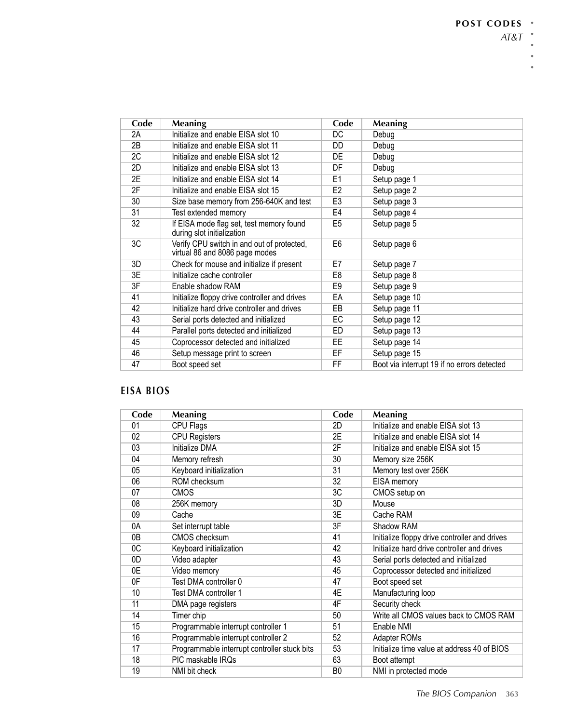| ٠ |
|---|
| ٠ |
| ٠ |
| ٠ |
| ٠ |

| Code | Meaning                                                                      | Code           | Meaning                                     |
|------|------------------------------------------------------------------------------|----------------|---------------------------------------------|
| 2A   | Initialize and enable EISA slot 10                                           | DC             | Debug                                       |
| 2B   | Initialize and enable EISA slot 11                                           | DD             | Debug                                       |
| 2C   | Initialize and enable EISA slot 12                                           | DE             | Debug                                       |
| 2D   | Initialize and enable EISA slot 13                                           | DF             | Debug                                       |
| 2E   | Initialize and enable EISA slot 14                                           | E1             | Setup page 1                                |
| 2F   | Initialize and enable EISA slot 15                                           | E <sub>2</sub> | Setup page 2                                |
| 30   | Size base memory from 256-640K and test                                      | E <sub>3</sub> | Setup page 3                                |
| 31   | Test extended memory                                                         | E4             | Setup page 4                                |
| 32   | If EISA mode flag set, test memory found<br>during slot initialization       | E <sub>5</sub> | Setup page 5                                |
| 3C   | Verify CPU switch in and out of protected,<br>virtual 86 and 8086 page modes | E <sub>6</sub> | Setup page 6                                |
| 3D   | Check for mouse and initialize if present                                    | E7             | Setup page 7                                |
| 3E   | Initialize cache controller                                                  | E8             | Setup page 8                                |
| 3F   | Enable shadow RAM                                                            | E <sub>9</sub> | Setup page 9                                |
| 41   | Initialize floppy drive controller and drives                                | EA             | Setup page 10                               |
| 42   | Initialize hard drive controller and drives                                  | EB             | Setup page 11                               |
| 43   | Serial ports detected and initialized                                        | EC             | Setup page 12                               |
| 44   | Parallel ports detected and initialized                                      | ED             | Setup page 13                               |
| 45   | Coprocessor detected and initialized                                         | <b>EE</b>      | Setup page 14                               |
| 46   | Setup message print to screen                                                | EF             | Setup page 15                               |
| 47   | Boot speed set                                                               | FF             | Boot via interrupt 19 if no errors detected |

### **EISA BIOS**

| Code           | Meaning                                      | Code           | Meaning                                       |
|----------------|----------------------------------------------|----------------|-----------------------------------------------|
| 01             | CPU Flags                                    | 2D             | Initialize and enable EISA slot 13            |
| 02             | <b>CPU Registers</b>                         | 2E             | Initialize and enable EISA slot 14            |
| 03             | Initialize DMA                               | 2F             | Initialize and enable EISA slot 15            |
| 04             | Memory refresh                               | 30             | Memory size 256K                              |
| 05             | Keyboard initialization                      | 31             | Memory test over 256K                         |
| 06             | ROM checksum                                 | 32             | EISA memory                                   |
| 07             | <b>CMOS</b>                                  | 3C             | CMOS setup on                                 |
| 08             | 256K memory                                  | 3D             | Mouse                                         |
| 09             | Cache                                        | 3E             | Cache RAM                                     |
| 0A             | Set interrupt table                          | 3F             | Shadow RAM                                    |
| 0 <sub>B</sub> | CMOS checksum                                | 41             | Initialize floppy drive controller and drives |
| 0C             | Keyboard initialization                      | 42             | Initialize hard drive controller and drives   |
| 0D             | Video adapter                                | 43             | Serial ports detected and initialized         |
| 0E             | Video memory                                 | 45             | Coprocessor detected and initialized          |
| 0F             | Test DMA controller 0                        | 47             | Boot speed set                                |
| 10             | Test DMA controller 1                        | 4E             | Manufacturing loop                            |
| 11             | DMA page registers                           | 4F             | Security check                                |
| 14             | Timer chip                                   | 50             | Write all CMOS values back to CMOS RAM        |
| 15             | Programmable interrupt controller 1          | 51             | Enable NMI                                    |
| 16             | Programmable interrupt controller 2          | 52             | Adapter ROMs                                  |
| 17             | Programmable interrupt controller stuck bits | 53             | Initialize time value at address 40 of BIOS   |
| 18             | PIC maskable IRQs                            | 63             | Boot attempt                                  |
| 19             | NMI bit check                                | B <sub>0</sub> | NMI in protected mode                         |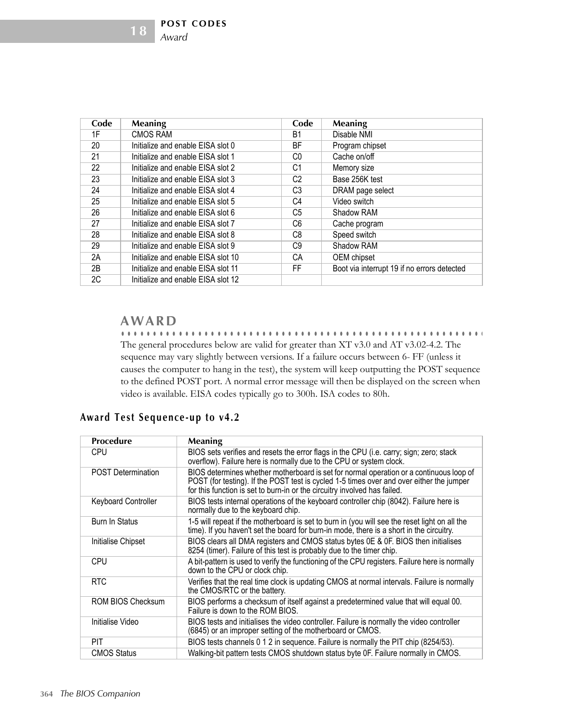**1 8**

| Code | <b>Meaning</b>                     | Code           | Meaning                                     |
|------|------------------------------------|----------------|---------------------------------------------|
| 1F   | <b>CMOS RAM</b>                    | <b>B1</b>      | Disable NMI                                 |
| 20   | Initialize and enable EISA slot 0  | BF             | Program chipset                             |
| 21   | Initialize and enable EISA slot 1  | C <sub>0</sub> | Cache on/off                                |
| 22   | Initialize and enable EISA slot 2  | C <sub>1</sub> | Memory size                                 |
| 23   | Initialize and enable EISA slot 3  | C <sub>2</sub> | Base 256K test                              |
| 24   | Initialize and enable EISA slot 4  | C <sub>3</sub> | DRAM page select                            |
| 25   | Initialize and enable EISA slot 5  | C4             | Video switch                                |
| 26   | Initialize and enable EISA slot 6  | C5             | Shadow RAM                                  |
| 27   | Initialize and enable EISA slot 7  | C6             | Cache program                               |
| 28   | Initialize and enable EISA slot 8  | C <sub>8</sub> | Speed switch                                |
| 29   | Initialize and enable EISA slot 9  | C <sub>9</sub> | Shadow RAM                                  |
| 2A   | Initialize and enable EISA slot 10 | CA             | OEM chipset                                 |
| 2B   | Initialize and enable EISA slot 11 | FF             | Boot via interrupt 19 if no errors detected |
| 2C   | Initialize and enable EISA slot 12 |                |                                             |

**. . . . . . . . . . . . . . . . . . . . . . . . . . . . . . . . . . . . . . . . . . . . . . . . . . . . . . . . . AWARD** The general procedures below are valid for greater than XT v3.0 and AT v3.02-4.2. The sequence may vary slightly between versions. If a failure occurs between 6- FF (unless it causes the computer to hang in the test), the system will keep outputting the POST sequence to the defined POST port. A normal error message will then be displayed on the screen when video is available. EISA codes typically go to 300h. ISA codes to 80h.

| Procedure                  | <b>Meaning</b>                                                                                                                                                                                                                                                   |
|----------------------------|------------------------------------------------------------------------------------------------------------------------------------------------------------------------------------------------------------------------------------------------------------------|
| CPU                        | BIOS sets verifies and resets the error flags in the CPU (i.e. carry; sign; zero; stack<br>overflow). Failure here is normally due to the CPU or system clock.                                                                                                   |
| <b>POST Determination</b>  | BIOS determines whether motherboard is set for normal operation or a continuous loop of<br>POST (for testing). If the POST test is cycled 1-5 times over and over either the jumper<br>for this function is set to burn-in or the circuitry involved has failed. |
| <b>Keyboard Controller</b> | BIOS tests internal operations of the keyboard controller chip (8042). Failure here is<br>normally due to the keyboard chip.                                                                                                                                     |
| <b>Burn In Status</b>      | 1-5 will repeat if the motherboard is set to burn in (you will see the reset light on all the<br>time). If you haven't set the board for burn-in mode, there is a short in the circuitry.                                                                        |
| Initialise Chipset         | BIOS clears all DMA registers and CMOS status bytes 0E & 0F. BIOS then initialises<br>8254 (timer). Failure of this test is probably due to the timer chip.                                                                                                      |
| CPU                        | A bit-pattern is used to verify the functioning of the CPU registers. Failure here is normally<br>down to the CPU or clock chip.                                                                                                                                 |
| <b>RTC</b>                 | Verifies that the real time clock is updating CMOS at normal intervals. Failure is normally<br>the CMOS/RTC or the battery.                                                                                                                                      |
| ROM BIOS Checksum          | BIOS performs a checksum of itself against a predetermined value that will equal 00.<br>Failure is down to the ROM BIOS.                                                                                                                                         |
| Initialise Video           | BIOS tests and initialises the video controller. Failure is normally the video controller<br>(6845) or an improper setting of the motherboard or CMOS.                                                                                                           |
| PIT                        | BIOS tests channels 0 1 2 in sequence. Failure is normally the PIT chip (8254/53).                                                                                                                                                                               |
| <b>CMOS Status</b>         | Walking-bit pattern tests CMOS shutdown status byte 0F. Failure normally in CMOS.                                                                                                                                                                                |

### **Award Test Sequence-up to v4.2**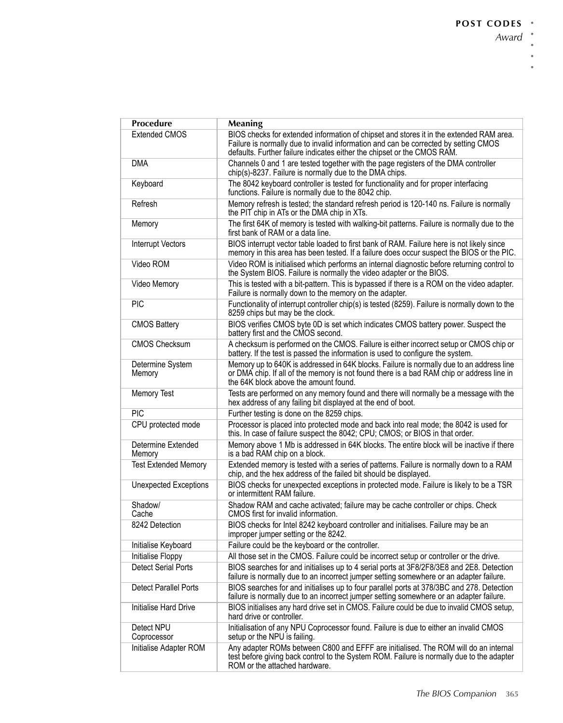$\ddot{\phantom{a}}$ 

. . . . .  $\bullet$ 

| Procedure                    | Meaning                                                                                                                                                                                                                                                   |
|------------------------------|-----------------------------------------------------------------------------------------------------------------------------------------------------------------------------------------------------------------------------------------------------------|
| <b>Extended CMOS</b>         | BIOS checks for extended information of chipset and stores it in the extended RAM area.<br>Failure is normally due to invalid information and can be corrected by setting CMOS<br>defaults. Further failure indicates either the chipset or the CMOS RAM. |
| <b>DMA</b>                   | Channels 0 and 1 are tested together with the page registers of the DMA controller<br>chip(s)-8237. Failure is normally due to the DMA chips.                                                                                                             |
| Keyboard                     | The 8042 keyboard controller is tested for functionality and for proper interfacing<br>functions. Failure is normally due to the 8042 chip.                                                                                                               |
| Refresh                      | Memory refresh is tested; the standard refresh period is 120-140 ns. Failure is normally<br>the PIT chip in ATs or the DMA chip in XTs.                                                                                                                   |
| Memory                       | The first 64K of memory is tested with walking-bit patterns. Failure is normally due to the<br>first bank of RAM or a data line.                                                                                                                          |
| <b>Interrupt Vectors</b>     | BIOS interrupt vector table loaded to first bank of RAM. Failure here is not likely since<br>memory in this area has been tested. If a failure does occur suspect the BIOS or the PIC.                                                                    |
| Video ROM                    | Video ROM is initialised which performs an internal diagnostic before returning control to<br>the System BIOS. Failure is normally the video adapter or the BIOS.                                                                                         |
| Video Memory                 | This is tested with a bit-pattern. This is bypassed if there is a ROM on the video adapter.<br>Failure is normally down to the memory on the adapter.                                                                                                     |
| <b>PIC</b>                   | Functionality of interrupt controller chip(s) is tested (8259). Failure is normally down to the<br>8259 chips but may be the clock.                                                                                                                       |
| <b>CMOS Battery</b>          | BIOS verifies CMOS byte 0D is set which indicates CMOS battery power. Suspect the<br>battery first and the CMOS second.                                                                                                                                   |
| <b>CMOS Checksum</b>         | A checksum is performed on the CMOS. Failure is either incorrect setup or CMOS chip or<br>battery. If the test is passed the information is used to configure the system.                                                                                 |
| Determine System<br>Memory   | Memory up to 640K is addressed in 64K blocks. Failure is normally due to an address line<br>or DMA chip. If all of the memory is not found there is a bad RAM chip or address line in<br>the 64K block above the amount found.                            |
| <b>Memory Test</b>           | Tests are performed on any memory found and there will normally be a message with the<br>hex address of any failing bit displayed at the end of boot.                                                                                                     |
| <b>PIC</b>                   | Further testing is done on the 8259 chips.                                                                                                                                                                                                                |
| CPU protected mode           | Processor is placed into protected mode and back into real mode; the 8042 is used for<br>this. In case of failure suspect the 8042; CPU; CMOS; or BIOS in that order.                                                                                     |
| Determine Extended<br>Memory | Memory above 1 Mb is addressed in 64K blocks. The entire block will be inactive if there<br>is a bad RAM chip on a block.                                                                                                                                 |
| <b>Test Extended Memory</b>  | Extended memory is tested with a series of patterns. Failure is normally down to a RAM<br>chip, and the hex address of the failed bit should be displayed.                                                                                                |
| <b>Unexpected Exceptions</b> | BIOS checks for unexpected exceptions in protected mode. Failure is likely to be a TSR<br>or intermittent RAM failure.                                                                                                                                    |
| Shadow/<br>Cache             | Shadow RAM and cache activated; failure may be cache controller or chips. Check<br>CMOS first for invalid information.                                                                                                                                    |
| 8242 Detection               | BIOS checks for Intel 8242 keyboard controller and initialises. Failure may be an<br>improper jumper setting or the 8242.                                                                                                                                 |
| Initialise Keyboard          | Failure could be the keyboard or the controller.                                                                                                                                                                                                          |
| Initialise Floppy            | All those set in the CMOS. Failure could be incorrect setup or controller or the drive.                                                                                                                                                                   |
| Detect Serial Ports          | BIOS searches for and initialises up to 4 serial ports at 3F8/2F8/3E8 and 2E8. Detection<br>failure is normally due to an incorrect jumper setting somewhere or an adapter failure.                                                                       |
| <b>Detect Parallel Ports</b> | BIOS searches for and initialises up to four parallel ports at 378/3BC and 278. Detection<br>failure is normally due to an incorrect jumper setting somewhere or an adapter failure.                                                                      |
| Initialise Hard Drive        | BIOS initialises any hard drive set in CMOS. Failure could be due to invalid CMOS setup,<br>hard drive or controller.                                                                                                                                     |
| Detect NPU<br>Coprocessor    | Initialisation of any NPU Coprocessor found. Failure is due to either an invalid CMOS<br>setup or the NPU is failing.                                                                                                                                     |
| Initialise Adapter ROM       | Any adapter ROMs between C800 and EFFF are initialised. The ROM will do an internal<br>test before giving back control to the System ROM. Failure is normally due to the adapter<br>ROM or the attached hardware.                                         |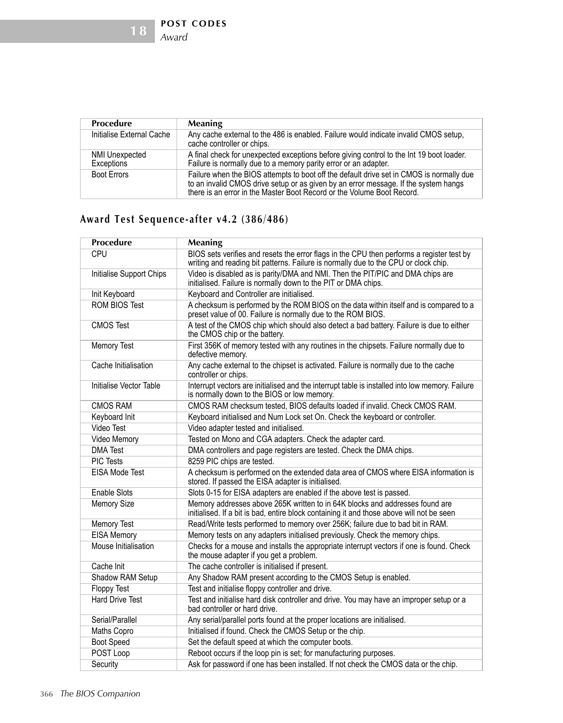*Award*

| Procedure                           | <b>Meaning</b>                                                                                                                                                                                                                                            |
|-------------------------------------|-----------------------------------------------------------------------------------------------------------------------------------------------------------------------------------------------------------------------------------------------------------|
| Initialise External Cache           | Any cache external to the 486 is enabled. Failure would indicate invalid CMOS setup.<br>cache controller or chips.                                                                                                                                        |
| <b>NMI Unexpected</b><br>Exceptions | A final check for unexpected exceptions before giving control to the Int 19 boot loader.<br>Failure is normally due to a memory parity error or an adapter.                                                                                               |
| <b>Boot Errors</b>                  | Failure when the BIOS attempts to boot off the default drive set in CMOS is normally due<br>to an invalid CMOS drive setup or as given by an error message. If the system hangs<br>there is an error in the Master Boot Record or the Volume Boot Record. |

# **Award Test Sequence-after v4.2 (386/486)**

| Procedure                | Meaning                                                                                                                                                                          |
|--------------------------|----------------------------------------------------------------------------------------------------------------------------------------------------------------------------------|
| CPU                      | BIOS sets verifies and resets the error flags in the CPU then performs a register test by<br>writing and reading bit patterns. Failure is normally due to the CPU or clock chip. |
| Initialise Support Chips | Video is disabled as is parity/DMA and NMI. Then the PIT/PIC and DMA chips are<br>initialised. Failure is normally down to the PIT or DMA chips.                                 |
| Init Keyboard            | Keyboard and Controller are initialised.                                                                                                                                         |
| ROM BIOS Test            | A checksum is performed by the ROM BIOS on the data within itself and is compared to a<br>preset value of 00. Failure is normally due to the ROM BIOS.                           |
| <b>CMOS Test</b>         | A test of the CMOS chip which should also detect a bad battery. Failure is due to either<br>the CMOS chip or the battery.                                                        |
| <b>Memory Test</b>       | First 356K of memory tested with any routines in the chipsets. Failure normally due to<br>defective memory.                                                                      |
| Cache Initialisation     | Any cache external to the chipset is activated. Failure is normally due to the cache<br>controller or chips.                                                                     |
| Initialise Vector Table  | Interrupt vectors are initialised and the interrupt table is installed into low memory. Failure<br>is normally down to the BIOS or low memory.                                   |
| <b>CMOS RAM</b>          | CMOS RAM checksum tested. BIOS defaults loaded if invalid. Check CMOS RAM.                                                                                                       |
| Keyboard Init            | Keyboard initialised and Num Lock set On. Check the keyboard or controller.                                                                                                      |
| Video Test               | Video adapter tested and initialised.                                                                                                                                            |
| Video Memory             | Tested on Mono and CGA adapters. Check the adapter card.                                                                                                                         |
| <b>DMA Test</b>          | DMA controllers and page registers are tested. Check the DMA chips.                                                                                                              |
| <b>PIC Tests</b>         | 8259 PIC chips are tested.                                                                                                                                                       |
| EISA Mode Test           | A checksum is performed on the extended data area of CMOS where EISA information is<br>stored. If passed the EISA adapter is initialised.                                        |
| <b>Enable Slots</b>      | Slots 0-15 for EISA adapters are enabled if the above test is passed.                                                                                                            |
| <b>Memory Size</b>       | Memory addresses above 265K written to in 64K blocks and addresses found are<br>initialised. If a bit is bad, entire block containing it and those above will not be seen        |
| Memory Test              | Read/Write tests performed to memory over 256K; failure due to bad bit in RAM.                                                                                                   |
| <b>EISA Memory</b>       | Memory tests on any adapters initialised previously. Check the memory chips.                                                                                                     |
| Mouse Initialisation     | Checks for a mouse and installs the appropriate interrupt vectors if one is found. Check<br>the mouse adapter if you get a problem.                                              |
| Cache Init               | The cache controller is initialised if present.                                                                                                                                  |
| Shadow RAM Setup         | Any Shadow RAM present according to the CMOS Setup is enabled.                                                                                                                   |
| <b>Floppy Test</b>       | Test and initialise floppy controller and drive.                                                                                                                                 |
| <b>Hard Drive Test</b>   | Test and initialise hard disk controller and drive. You may have an improper setup or a<br>bad controller or hard drive.                                                         |
| Serial/Parallel          | Any serial/parallel ports found at the proper locations are initialised.                                                                                                         |
| Maths Copro              | Initialised if found. Check the CMOS Setup or the chip.                                                                                                                          |
| <b>Boot Speed</b>        | Set the default speed at which the computer boots.                                                                                                                               |
| POST Loop                | Reboot occurs if the loop pin is set; for manufacturing purposes.                                                                                                                |
| Security                 | Ask for password if one has been installed. If not check the CMOS data or the chip.                                                                                              |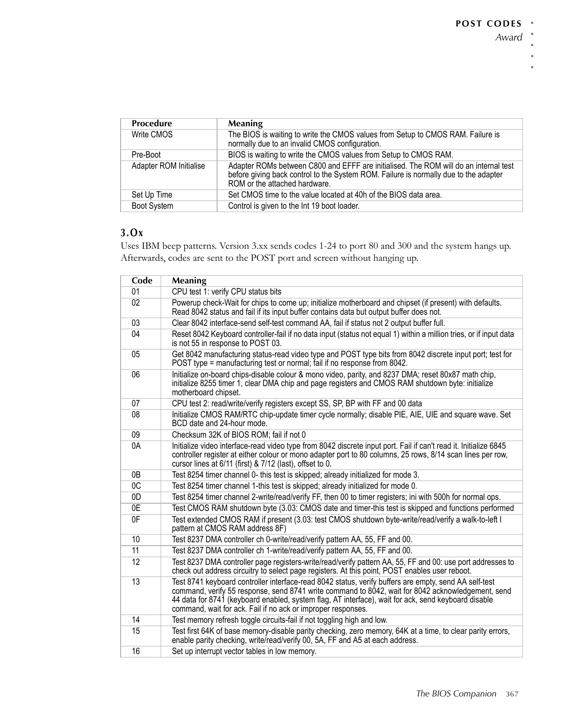. . . . .  $\bullet$ 

| Procedure              | <b>Meaning</b>                                                                                                                                                                                                |
|------------------------|---------------------------------------------------------------------------------------------------------------------------------------------------------------------------------------------------------------|
| Write CMOS             | The BIOS is waiting to write the CMOS values from Setup to CMOS RAM. Failure is normally due to an invalid CMOS configuration.                                                                                |
| Pre-Boot               | BIOS is waiting to write the CMOS values from Setup to CMOS RAM.                                                                                                                                              |
| Adapter ROM Initialise | Adapter ROMs between C800 and EFFF are initialised. The ROM will do an internal test<br>before giving back control to the System ROM. Failure is normally due to the adapter<br>ROM or the attached hardware. |
| Set Up Time            | Set CMOS time to the value located at 40h of the BIOS data area.                                                                                                                                              |
| <b>Boot System</b>     | Control is given to the Int 19 boot loader.                                                                                                                                                                   |

### **3.Ox**

Uses IBM beep patterns. Version 3.xx sends codes 1-24 to port 80 and 300 and the system hangs up. Afterwards, codes are sent to the POST port and screen without hanging up.

| Code           | Meaning                                                                                                                                                                                                                                                                                                                                                                           |
|----------------|-----------------------------------------------------------------------------------------------------------------------------------------------------------------------------------------------------------------------------------------------------------------------------------------------------------------------------------------------------------------------------------|
| 01             | CPU test 1: verify CPU status bits                                                                                                                                                                                                                                                                                                                                                |
| 02             | Powerup check-Wait for chips to come up; initialize motherboard and chipset (if present) with defaults.<br>Read 8042 status and fail if its input buffer contains data but output buffer does not.                                                                                                                                                                                |
| 03             | Clear 8042 interface-send self-test command AA, fail if status not 2 output buffer full.                                                                                                                                                                                                                                                                                          |
| 04             | Reset 8042 Keyboard controller-fail if no data input (status not equal 1) within a million tries, or if input data<br>is not 55 in response to POST 03.                                                                                                                                                                                                                           |
| 05             | Get 8042 manufacturing status-read video type and POST type bits from 8042 discrete input port; test for<br>POST type = manufacturing test or normal; fail if no response from 8042.                                                                                                                                                                                              |
| 06             | Initialize on-board chips-disable colour & mono video, parity, and 8237 DMA; reset 80x87 math chip,<br>initialize 8255 timer 1, clear DMA chip and page registers and CMOS RAM shutdown byte: initialize<br>motherboard chipset.                                                                                                                                                  |
| 07             | CPU test 2: read/write/verify registers except SS, SP, BP with FF and 00 data                                                                                                                                                                                                                                                                                                     |
| 08             | Initialize CMOS RAM/RTC chip-update timer cycle normally; disable PIE, AIE, UIE and square wave. Set<br>BCD date and 24-hour mode.                                                                                                                                                                                                                                                |
| 09             | Checksum 32K of BIOS ROM; fail if not 0                                                                                                                                                                                                                                                                                                                                           |
| 0A             | Initialize video interface-read video type from 8042 discrete input port. Fail if can't read it. Initialize 6845<br>controller register at either colour or mono adapter port to 80 columns, 25 rows, 8/14 scan lines per row,<br>cursor lines at 6/11 (first) & 7/12 (last), offset to 0.                                                                                        |
| 0 <sub>B</sub> | Test 8254 timer channel 0- this test is skipped; already initialized for mode 3.                                                                                                                                                                                                                                                                                                  |
| 0C             | Test 8254 timer channel 1-this test is skipped; already initialized for mode 0.                                                                                                                                                                                                                                                                                                   |
| 0 <sub>D</sub> | Test 8254 timer channel 2-write/read/verify FF, then 00 to timer registers; ini with 500h for normal ops.                                                                                                                                                                                                                                                                         |
| 0E             | Test CMOS RAM shutdown byte (3.03: CMOS date and timer-this test is skipped and functions performed                                                                                                                                                                                                                                                                               |
| 0F             | Test extended CMOS RAM if present (3.03: test CMOS shutdown byte-write/read/verify a walk-to-left I<br>pattern at CMOS RAM address 8F)                                                                                                                                                                                                                                            |
| 10             | Test 8237 DMA controller ch 0-write/read/verify pattern AA, 55, FF and 00.                                                                                                                                                                                                                                                                                                        |
| 11             | Test 8237 DMA controller ch 1-write/read/verify pattern AA, 55, FF and 00.                                                                                                                                                                                                                                                                                                        |
| 12             | Test 8237 DMA controller page registers-write/read/verify pattern AA, 55, FF and 00: use port addresses to<br>check out address circuitry to select page registers. At this point, POST enables user reboot.                                                                                                                                                                      |
| 13             | Test 8741 keyboard controller interface-read 8042 status, verify buffers are empty, send AA self-test<br>command, verify 55 response, send 8741 write command to 8042, wait for 8042 acknowledgement, send<br>44 data for 8741 (keyboard enabled, system flag, AT interface), wait for ack, send keyboard disable<br>command, wait for ack. Fail if no ack or improper responses. |
| 14             | Test memory refresh toggle circuits-fail if not toggling high and low.                                                                                                                                                                                                                                                                                                            |
| 15             | Test first 64K of base memory-disable parity checking, zero memory, 64K at a time, to clear parity errors,<br>enable parity checking, write/read/verify 00, 5A, FF and A5 at each address.                                                                                                                                                                                        |
| 16             | Set up interrupt vector tables in low memory.                                                                                                                                                                                                                                                                                                                                     |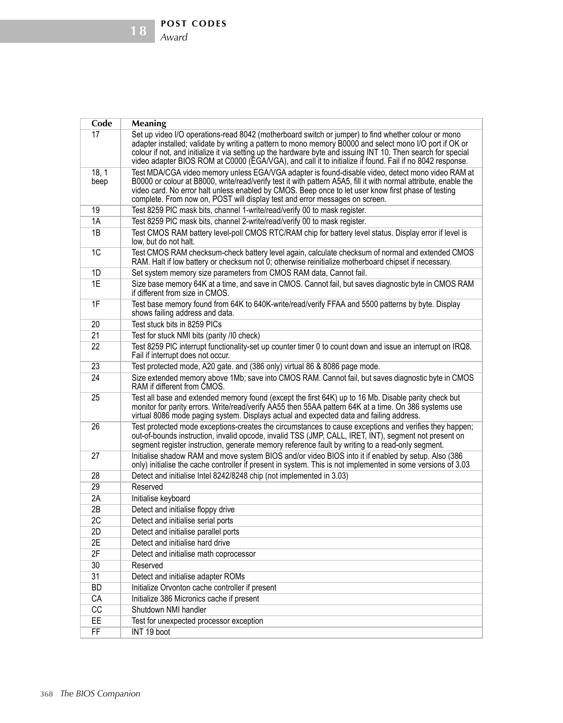**POST CODES**

*Award* **1 8**

| Code            | Meaning                                                                                                                                                                                                                                                                                                                                                                                                                                     |
|-----------------|---------------------------------------------------------------------------------------------------------------------------------------------------------------------------------------------------------------------------------------------------------------------------------------------------------------------------------------------------------------------------------------------------------------------------------------------|
| 17              | Set up video I/O operations-read 8042 (motherboard switch or jumper) to find whether colour or mono<br>adapter installed; validate by writing a pattern to mono memory B0000 and select mono I/O port if OK or<br>colour if not, and initialize it via setting up the hardware byte and issuing INT 10. Then search for special<br>video adapter BIOS ROM at C0000 (EGA/VGA), and call it to initialize if found. Fail if no 8042 response. |
| 18.1<br>beep    | Test MDA/CGA video memory unless EGA/VGA adapter is found-disable video, detect mono video RAM at<br>B0000 or colour at B8000, write/read/verify test it with pattern A5A5, fill it with normal attribute, enable the<br>video card. No error halt unless enabled by CMOS. Beep once to let user know first phase of testing<br>complete. From now on, POST will display test and error messages on screen.                                 |
| 19              | Test 8259 PIC mask bits, channel 1-write/read/verify 00 to mask register.                                                                                                                                                                                                                                                                                                                                                                   |
| 1A              | Test 8259 PIC mask bits, channel 2-write/read/verify 00 to mask register.                                                                                                                                                                                                                                                                                                                                                                   |
| 1 <sub>B</sub>  | Test CMOS RAM battery level-poll CMOS RTC/RAM chip for battery level status. Display error if level is<br>low, but do not halt.                                                                                                                                                                                                                                                                                                             |
| 1C              | Test CMOS RAM checksum-check battery level again, calculate checksum of normal and extended CMOS<br>RAM. Halt if low battery or checksum not 0; otherwise reinitialize motherboard chipset if necessary.                                                                                                                                                                                                                                    |
| 1D              | Set system memory size parameters from CMOS RAM data, Cannot fail.                                                                                                                                                                                                                                                                                                                                                                          |
| 1F              | Size base memory 64K at a time, and save in CMOS. Cannot fail, but saves diagnostic byte in CMOS RAM<br>if different from size in CMOS.                                                                                                                                                                                                                                                                                                     |
| 1F              | Test base memory found from 64K to 640K-write/read/verify FFAA and 5500 patterns by byte. Display<br>shows failing address and data.                                                                                                                                                                                                                                                                                                        |
| 20              | Test stuck bits in 8259 PICs                                                                                                                                                                                                                                                                                                                                                                                                                |
| 21              | Test for stuck NMI bits (parity /I0 check)                                                                                                                                                                                                                                                                                                                                                                                                  |
| 22              | Test 8259 PIC interrupt functionality-set up counter timer 0 to count down and issue an interrupt on IRQ8.<br>Fail if interrupt does not occur.                                                                                                                                                                                                                                                                                             |
| 23              | Test protected mode, A20 gate. and (386 only) virtual 86 & 8086 page mode.                                                                                                                                                                                                                                                                                                                                                                  |
| 24              | Size extended memory above 1Mb; save into CMOS RAM. Cannot fail, but saves diagnostic byte in CMOS<br>RAM if different from CMOS.                                                                                                                                                                                                                                                                                                           |
| 25              | Test all base and extended memory found (except the first 64K) up to 16 Mb. Disable parity check but<br>monitor for parity errors. Write/read/verify AA55 then 55AA pattern 64K at a time. On 386 systems use<br>virtual 8086 mode paging system. Displays actual and expected data and failing address.                                                                                                                                    |
| 26              | Test protected mode exceptions-creates the circumstances to cause exceptions and verifies they happen;<br>out-of-bounds instruction, invalid opcode, invalid TSS (JMP, CALL, IRET, INT), segment not present on<br>segment register instruction, generate memory reference fault by writing to a read-only segment.                                                                                                                         |
| 27              | Initialise shadow RAM and move system BIOS and/or video BIOS into it if enabled by setup. Also (386<br>only) initialise the cache controller if present in system. This is not implemented in some versions of 3.03                                                                                                                                                                                                                         |
| 28              | Detect and initialise Intel 8242/8248 chip (not implemented in 3.03)                                                                                                                                                                                                                                                                                                                                                                        |
| 29              | Reserved                                                                                                                                                                                                                                                                                                                                                                                                                                    |
| 2A              | Initialise keyboard                                                                                                                                                                                                                                                                                                                                                                                                                         |
| 2B              | Detect and initialise floppy drive                                                                                                                                                                                                                                                                                                                                                                                                          |
| 2C              | Detect and initialise serial ports                                                                                                                                                                                                                                                                                                                                                                                                          |
| 2D              | Detect and initialise parallel ports                                                                                                                                                                                                                                                                                                                                                                                                        |
| 2E              | Detect and initialise hard drive                                                                                                                                                                                                                                                                                                                                                                                                            |
| 2F              | Detect and initialise math coprocessor                                                                                                                                                                                                                                                                                                                                                                                                      |
| 30              | Reserved                                                                                                                                                                                                                                                                                                                                                                                                                                    |
| 31<br><b>BD</b> | Detect and initialise adapter ROMs                                                                                                                                                                                                                                                                                                                                                                                                          |
| CA              | Initialize Orvonton cache controller if present                                                                                                                                                                                                                                                                                                                                                                                             |
| CC              | Initialize 386 Micronics cache if present<br>Shutdown NMI handler                                                                                                                                                                                                                                                                                                                                                                           |
| EE              | Test for unexpected processor exception                                                                                                                                                                                                                                                                                                                                                                                                     |
| $\overline{FF}$ | INT 19 boot                                                                                                                                                                                                                                                                                                                                                                                                                                 |
|                 |                                                                                                                                                                                                                                                                                                                                                                                                                                             |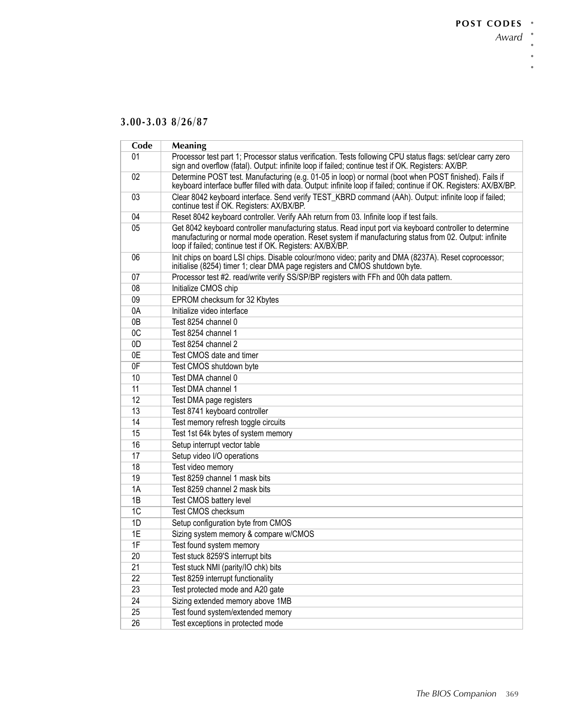$\ddot{\phantom{0}}$ 

# . . . . .  $\bullet$

### **3.00-3.03 8/26/87**

| Code            | Meaning                                                                                                                                                                                                                                                                        |
|-----------------|--------------------------------------------------------------------------------------------------------------------------------------------------------------------------------------------------------------------------------------------------------------------------------|
| 01              | Processor test part 1; Processor status verification. Tests following CPU status flags: set/clear carry zero<br>sign and overflow (fatal). Output: infinite loop if failed; continue test if OK. Registers: AX/BP.                                                             |
| 02              | Determine POST test. Manufacturing (e.g. 01-05 in loop) or normal (boot when POST finished). Fails if<br>keyboard interface buffer filled with data. Output: infinite loop if failed; continue if OK. Registers: AX/BX/BP.                                                     |
| 03              | Clear 8042 keyboard interface. Send verify TEST_KBRD command (AAh). Output: infinite loop if failed;<br>continue test if OK. Registers: AX/BX/BP.                                                                                                                              |
| 04              | Reset 8042 keyboard controller. Verify AAh return from 03. Infinite loop if test fails.                                                                                                                                                                                        |
| 05              | Get 8042 keyboard controller manufacturing status. Read input port via keyboard controller to determine<br>manufacturing or normal mode operation. Reset system if manufacturing status from 02. Output: infinite<br>loop if failed; continue test if OK. Registers: AX/BX/BP. |
| 06              | Init chips on board LSI chips. Disable colour/mono video: parity and DMA (8237A). Reset coprocessor:<br>initialise (8254) timer 1; clear DMA page registers and CMOS shutdown byte.                                                                                            |
| 07              | Processor test #2. read/write verify SS/SP/BP registers with FFh and 00h data pattern.                                                                                                                                                                                         |
| 08              | Initialize CMOS chip                                                                                                                                                                                                                                                           |
| 0.9             | EPROM checksum for 32 Kbytes                                                                                                                                                                                                                                                   |
| 0A              | Initialize video interface                                                                                                                                                                                                                                                     |
| 0 <sub>B</sub>  | Test 8254 channel 0                                                                                                                                                                                                                                                            |
| 0C              | Test 8254 channel 1                                                                                                                                                                                                                                                            |
| 0D              | Test 8254 channel 2                                                                                                                                                                                                                                                            |
| 0E              | Test CMOS date and timer                                                                                                                                                                                                                                                       |
| 0F              | Test CMOS shutdown byte                                                                                                                                                                                                                                                        |
| 10              | Test DMA channel 0                                                                                                                                                                                                                                                             |
| 11              | Test DMA channel 1                                                                                                                                                                                                                                                             |
| 12              | Test DMA page registers                                                                                                                                                                                                                                                        |
| 13              | Test 8741 keyboard controller                                                                                                                                                                                                                                                  |
| 14              | Test memory refresh toggle circuits                                                                                                                                                                                                                                            |
| 15              | Test 1st 64k bytes of system memory                                                                                                                                                                                                                                            |
| 16              | Setup interrupt vector table                                                                                                                                                                                                                                                   |
| 17              | Setup video I/O operations                                                                                                                                                                                                                                                     |
| 18              | Test video memory                                                                                                                                                                                                                                                              |
| 19              | Test 8259 channel 1 mask bits                                                                                                                                                                                                                                                  |
| 1A              | Test 8259 channel 2 mask bits                                                                                                                                                                                                                                                  |
| 1B              | <b>Test CMOS battery level</b>                                                                                                                                                                                                                                                 |
| 1C              | Test CMOS checksum                                                                                                                                                                                                                                                             |
| 1D              | Setup configuration byte from CMOS                                                                                                                                                                                                                                             |
| 1E              | Sizing system memory & compare w/CMOS                                                                                                                                                                                                                                          |
| 1F              | Test found system memory                                                                                                                                                                                                                                                       |
| 20              | Test stuck 8259'S interrupt bits                                                                                                                                                                                                                                               |
| 21              | Test stuck NMI (parity/IO chk) bits                                                                                                                                                                                                                                            |
| 22              | Test 8259 interrupt functionality                                                                                                                                                                                                                                              |
| 23              | Test protected mode and A20 gate                                                                                                                                                                                                                                               |
| 24              | Sizing extended memory above 1MB                                                                                                                                                                                                                                               |
| $\overline{25}$ | Test found system/extended memory                                                                                                                                                                                                                                              |
| 26              | Test exceptions in protected mode                                                                                                                                                                                                                                              |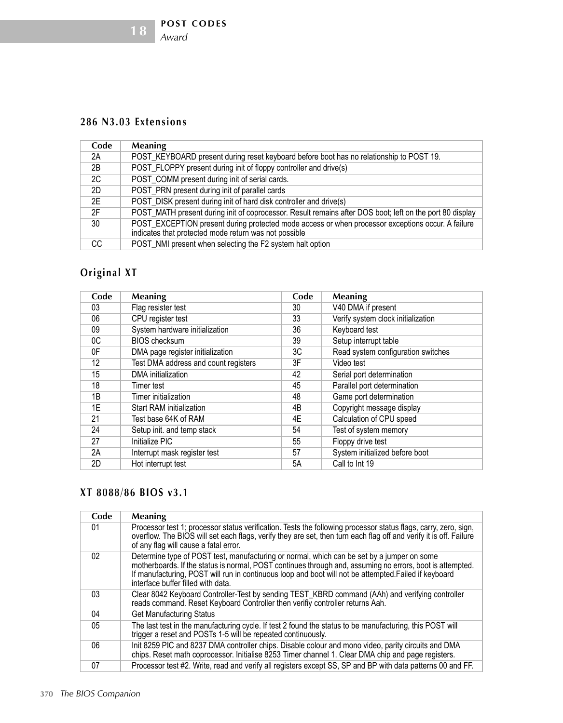# **286 N3.03 Extensions**

| Code | <b>Meaning</b>                                                                                                                                             |
|------|------------------------------------------------------------------------------------------------------------------------------------------------------------|
| 2A   | POST KEYBOARD present during reset keyboard before boot has no relationship to POST 19.                                                                    |
| 2B   | POST_FLOPPY present during init of floppy controller and drive(s)                                                                                          |
| 2C   | POST COMM present during init of serial cards.                                                                                                             |
| 2D   | POST_PRN present during init of parallel cards                                                                                                             |
| 2E   | POST DISK present during init of hard disk controller and drive(s)                                                                                         |
| 2F   | POST_MATH present during init of coprocessor. Result remains after DOS boot; left on the port 80 display                                                   |
| 30   | POST_EXCEPTION present during protected mode access or when processor exceptions occur. A failure<br>indicates that protected mode return was not possible |
| СC   | POST_NMI present when selecting the F2 system halt option                                                                                                  |

# **Original XT**

| Code | Meaning                              | Code | Meaning                            |
|------|--------------------------------------|------|------------------------------------|
| 03   | Flag resister test                   | 30   | V40 DMA if present                 |
| 06   | CPU register test                    | 33   | Verify system clock initialization |
| 09   | System hardware initialization       | 36   | Keyboard test                      |
| 0C   | <b>BIOS</b> checksum                 | 39   | Setup interrupt table              |
| 0F   | DMA page register initialization     | 3C   | Read system configuration switches |
| 12   | Test DMA address and count registers | 3F   | Video test                         |
| 15   | DMA initialization                   | 42   | Serial port determination          |
| 18   | Timer test                           | 45   | Parallel port determination        |
| 1B   | Timer initialization                 | 48   | Game port determination            |
| 1E   | Start RAM initialization             | 4B   | Copyright message display          |
| 21   | Test base 64K of RAM                 | 4E   | Calculation of CPU speed           |
| 24   | Setup init. and temp stack           | 54   | Test of system memory              |
| 27   | Initialize PIC                       | 55   | Floppy drive test                  |
| 2A   | Interrupt mask register test         | 57   | System initialized before boot     |
| 2D   | Hot interrupt test                   | 5A   | Call to Int 19                     |

### **XT 8088/86 BIOS v3.1**

| Code | <b>Meaning</b>                                                                                                                                                                                                                                                                                                                                         |
|------|--------------------------------------------------------------------------------------------------------------------------------------------------------------------------------------------------------------------------------------------------------------------------------------------------------------------------------------------------------|
| 01   | Processor test 1; processor status verification. Tests the following processor status flags, carry, zero, sign,<br>overflow. The BIOS will set each flags, verify they are set, then turn each flag off and verify it is off. Failure<br>of any flag will cause a fatal error.                                                                         |
| 02   | Determine type of POST test, manufacturing or normal, which can be set by a jumper on some<br>motherboards. If the status is normal, POST continues through and, assuming no errors, boot is attempted.<br>If manufacturing, POST will run in continuous loop and boot will not be attempted. Failed if keyboard<br>interface buffer filled with data. |
| 03   | Clear 8042 Keyboard Controller-Test by sending TEST_KBRD command (AAh) and verifying controller<br>reads command. Reset Keyboard Controller then verifiy controller returns Aah.                                                                                                                                                                       |
| 04   | <b>Get Manufacturing Status</b>                                                                                                                                                                                                                                                                                                                        |
| 05   | The last test in the manufacturing cycle. If test 2 found the status to be manufacturing, this POST will<br>trigger a reset and POSTs 1-5 will be repeated continuously.                                                                                                                                                                               |
| 06   | Init 8259 PIC and 8237 DMA controller chips. Disable colour and mono video, parity circuits and DMA chips. Reset math coprocessor. Initialise 8253 Timer channel 1. Clear DMA chip and page registers.                                                                                                                                                 |
| 07   | Processor test #2. Write, read and verify all registers except SS, SP and BP with data patterns 00 and FF.                                                                                                                                                                                                                                             |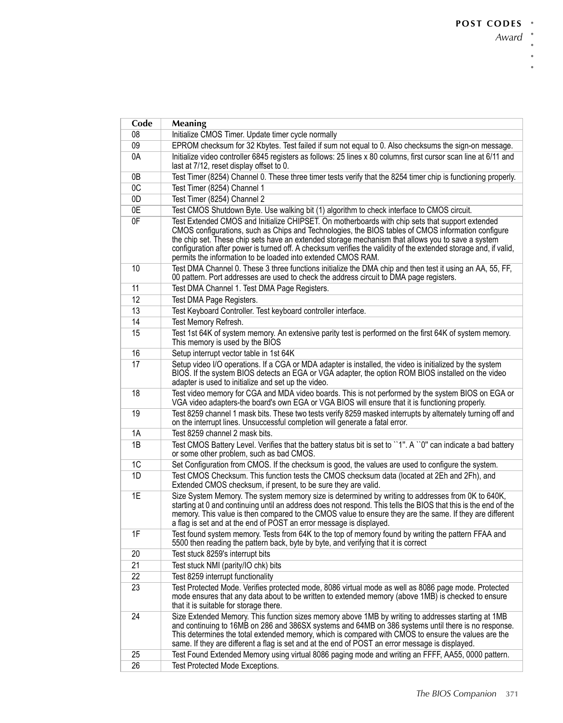$\ddot{\phantom{a}}$ 

. . . . .  $\bullet$ 

| Code           | Meaning                                                                                                                                                                                                                                                                                                                                                                                                                                                                                        |  |  |
|----------------|------------------------------------------------------------------------------------------------------------------------------------------------------------------------------------------------------------------------------------------------------------------------------------------------------------------------------------------------------------------------------------------------------------------------------------------------------------------------------------------------|--|--|
| 08             | Initialize CMOS Timer. Update timer cycle normally                                                                                                                                                                                                                                                                                                                                                                                                                                             |  |  |
| 09             | EPROM checksum for 32 Kbytes. Test failed if sum not equal to 0. Also checksums the sign-on message.                                                                                                                                                                                                                                                                                                                                                                                           |  |  |
| 0A             | Initialize video controller 6845 registers as follows: 25 lines x 80 columns, first cursor scan line at 6/11 and<br>last at 7/12, reset display offset to 0.                                                                                                                                                                                                                                                                                                                                   |  |  |
| 0B             | Test Timer (8254) Channel 0. These three timer tests verify that the 8254 timer chip is functioning properly.                                                                                                                                                                                                                                                                                                                                                                                  |  |  |
| 0C             | Test Timer (8254) Channel 1                                                                                                                                                                                                                                                                                                                                                                                                                                                                    |  |  |
| 0 <sub>D</sub> | Test Timer (8254) Channel 2                                                                                                                                                                                                                                                                                                                                                                                                                                                                    |  |  |
| 0E             | Test CMOS Shutdown Byte. Use walking bit (1) algorithm to check interface to CMOS circuit.                                                                                                                                                                                                                                                                                                                                                                                                     |  |  |
| 0F             | Test Extended CMOS and Initialize CHIPSET. On motherboards with chip sets that support extended<br>CMOS configurations, such as Chips and Technologies, the BIOS tables of CMOS information configure<br>the chip set. These chip sets have an extended storage mechanism that allows you to save a system<br>configuration after power is turned off. A checksum verifies the validity of the extended storage and, if valid,<br>permits the information to be loaded into extended CMOS RAM. |  |  |
| 10             | Test DMA Channel 0. These 3 three functions initialize the DMA chip and then test it using an AA, 55, FF,<br>00 pattern. Port addresses are used to check the address circuit to DMA page registers.                                                                                                                                                                                                                                                                                           |  |  |
| 11             | Test DMA Channel 1. Test DMA Page Registers.                                                                                                                                                                                                                                                                                                                                                                                                                                                   |  |  |
| 12             | Test DMA Page Registers.                                                                                                                                                                                                                                                                                                                                                                                                                                                                       |  |  |
| 13             | Test Keyboard Controller. Test keyboard controller interface.                                                                                                                                                                                                                                                                                                                                                                                                                                  |  |  |
| 14             | Test Memory Refresh.                                                                                                                                                                                                                                                                                                                                                                                                                                                                           |  |  |
| 15             | Test 1st 64K of system memory. An extensive parity test is performed on the first 64K of system memory.<br>This memory is used by the BIOS                                                                                                                                                                                                                                                                                                                                                     |  |  |
| 16             | Setup interrupt vector table in 1st 64K                                                                                                                                                                                                                                                                                                                                                                                                                                                        |  |  |
| 17             | Setup video I/O operations. If a CGA or MDA adapter is installed, the video is initialized by the system<br>BIOS. If the system BIOS detects an EGA or VGA adapter, the option ROM BIOS installed on the video<br>adapter is used to initialize and set up the video.                                                                                                                                                                                                                          |  |  |
| 18             | Test video memory for CGA and MDA video boards. This is not performed by the system BIOS on EGA or<br>VGA video adapters-the board's own EGA or VGA BIOS will ensure that it is functioning properly.                                                                                                                                                                                                                                                                                          |  |  |
| 19             | Test 8259 channel 1 mask bits. These two tests verify 8259 masked interrupts by alternately turning off and<br>on the interrupt lines. Unsuccessful completion will generate a fatal error.                                                                                                                                                                                                                                                                                                    |  |  |
| 1A             | Test 8259 channel 2 mask bits.                                                                                                                                                                                                                                                                                                                                                                                                                                                                 |  |  |
| 1B             | Test CMOS Battery Level. Verifies that the battery status bit is set to "1". A "0" can indicate a bad battery<br>or some other problem, such as bad CMOS.                                                                                                                                                                                                                                                                                                                                      |  |  |
| 1C             | Set Configuration from CMOS. If the checksum is good, the values are used to configure the system.                                                                                                                                                                                                                                                                                                                                                                                             |  |  |
| 1D             | Test CMOS Checksum. This function tests the CMOS checksum data (located at 2Eh and 2Fh), and<br>Extended CMOS checksum, if present, to be sure they are valid.                                                                                                                                                                                                                                                                                                                                 |  |  |
| 1E             | Size System Memory. The system memory size is determined by writing to addresses from 0K to 640K,<br>starting at 0 and continuing until an address does not respond. This tells the BIOS that this is the end of the<br>memory. This value is then compared to the CMOS value to ensure they are the same. If they are different<br>a flag is set and at the end of POST an error message is displayed.                                                                                        |  |  |
| 1F             | Test found system memory. Tests from 64K to the top of memory found by writing the pattern FFAA and<br>5500 then reading the pattern back, byte by byte, and verifying that it is correct                                                                                                                                                                                                                                                                                                      |  |  |
| 20             | Test stuck 8259's interrupt bits                                                                                                                                                                                                                                                                                                                                                                                                                                                               |  |  |
| 21             | Test stuck NMI (parity/IO chk) bits                                                                                                                                                                                                                                                                                                                                                                                                                                                            |  |  |
| 22             | Test 8259 interrupt functionality                                                                                                                                                                                                                                                                                                                                                                                                                                                              |  |  |
| 23             | Test Protected Mode. Verifies protected mode, 8086 virtual mode as well as 8086 page mode. Protected<br>mode ensures that any data about to be written to extended memory (above 1MB) is checked to ensure<br>that it is suitable for storage there.                                                                                                                                                                                                                                           |  |  |
| 24             | Size Extended Memory. This function sizes memory above 1MB by writing to addresses starting at 1MB<br>and continuing to 16MB on 286 and 386SX systems and 64MB on 386 systems until there is no response.<br>This determines the total extended memory, which is compared with CMOS to ensure the values are the<br>same. If they are different a flag is set and at the end of POST an error message is displayed.                                                                            |  |  |
| 25             | Test Found Extended Memory using virtual 8086 paging mode and writing an FFFF, AA55, 0000 pattern.                                                                                                                                                                                                                                                                                                                                                                                             |  |  |
| 26             | <b>Test Protected Mode Exceptions.</b>                                                                                                                                                                                                                                                                                                                                                                                                                                                         |  |  |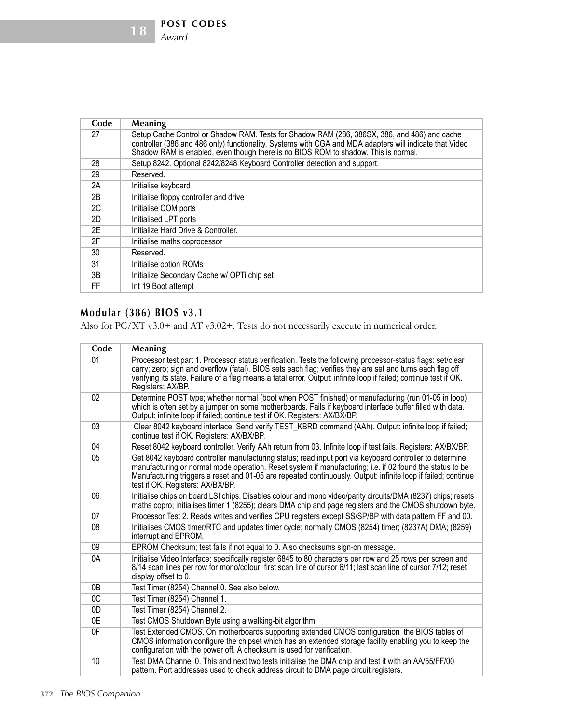*Award* **1 8**

| Code | Meaning                                                                                                                                                                                                                                                                                       |  |  |  |
|------|-----------------------------------------------------------------------------------------------------------------------------------------------------------------------------------------------------------------------------------------------------------------------------------------------|--|--|--|
| 27   | Setup Cache Control or Shadow RAM. Tests for Shadow RAM (286, 386SX, 386, and 486) and cache<br>controller (386 and 486 only) functionality. Systems with CGA and MDA adapters will indicate that Video<br>Shadow RAM is enabled, even though there is no BIOS ROM to shadow. This is normal. |  |  |  |
| 28   | Setup 8242. Optional 8242/8248 Keyboard Controller detection and support.                                                                                                                                                                                                                     |  |  |  |
| 29   | Reserved.                                                                                                                                                                                                                                                                                     |  |  |  |
| 2A   | Initialise keyboard                                                                                                                                                                                                                                                                           |  |  |  |
| 2B   | Initialise floppy controller and drive                                                                                                                                                                                                                                                        |  |  |  |
| 2C   | Initialise COM ports                                                                                                                                                                                                                                                                          |  |  |  |
| 2D   | Initialised LPT ports                                                                                                                                                                                                                                                                         |  |  |  |
| 2E   | Initialize Hard Drive & Controller.                                                                                                                                                                                                                                                           |  |  |  |
| 2F   | Initialise maths coprocessor                                                                                                                                                                                                                                                                  |  |  |  |
| 30   | Reserved.                                                                                                                                                                                                                                                                                     |  |  |  |
| 31   | Initialise option ROMs                                                                                                                                                                                                                                                                        |  |  |  |
| 3B   | Initialize Secondary Cache w/ OPTi chip set                                                                                                                                                                                                                                                   |  |  |  |
| FF   | Int 19 Boot attempt                                                                                                                                                                                                                                                                           |  |  |  |

### **Modular (386) BIOS v3.1**

Also for PC/XT v3.0+ and AT v3.02+. Tests do not necessarily execute in numerical order.

| Code           | Meaning                                                                                                                                                                                                                                                                                                                                                                  |  |  |  |
|----------------|--------------------------------------------------------------------------------------------------------------------------------------------------------------------------------------------------------------------------------------------------------------------------------------------------------------------------------------------------------------------------|--|--|--|
| 01             | Processor test part 1. Processor status verification. Tests the following processor-status flags: set/clear<br>carry; zero; sign and overflow (fatal). BIOS sets each flag; verifies they are set and turns each flag off<br>verifying its state. Failure of a flag means a fatal error. Output: infinite loop if failed; continue test if OK.<br>Registers: AX/BP.      |  |  |  |
| 02             | Determine POST type; whether normal (boot when POST finished) or manufacturing (run 01-05 in loop)<br>which is often set by a jumper on some motherboards. Fails if keyboard interface buffer filled with data.<br>Output: infinite loop if failed; continue test if OK. Registers: AX/BX/BP.                                                                            |  |  |  |
| 03             | Clear 8042 keyboard interface. Send verify TEST KBRD command (AAh). Output: infinite loop if failed;<br>continue test if OK. Registers: AX/BX/BP.                                                                                                                                                                                                                        |  |  |  |
| 04             | Reset 8042 keyboard controller. Verify AAh return from 03. Infinite loop if test fails. Registers: AX/BX/BP.                                                                                                                                                                                                                                                             |  |  |  |
| 05             | Get 8042 keyboard controller manufacturing status; read input port via keyboard controller to determine<br>manufacturing or normal mode operation. Reset system if manufacturing; i.e. if 02 found the status to be<br>Manufacturing triggers a reset and 01-05 are repeated continuously. Output: infinite loop if failed; continue<br>test if OK. Registers: AX/BX/BP. |  |  |  |
| 06             | Initialise chips on board LSI chips. Disables colour and mono video/parity circuits/DMA (8237) chips; resets<br>maths copro; initialises timer 1 (8255); clears DMA chip and page registers and the CMOS shutdown byte.                                                                                                                                                  |  |  |  |
| 07             | Processor Test 2. Reads writes and verifies CPU registers except SS/SP/BP with data pattern FF and 00.                                                                                                                                                                                                                                                                   |  |  |  |
| 08             | Initialises CMOS timer/RTC and updates timer cycle; normally CMOS (8254) timer; (8237A) DMA; (8259)<br>interrupt and EPROM.                                                                                                                                                                                                                                              |  |  |  |
| 09             | EPROM Checksum; test fails if not equal to 0. Also checksums sign-on message.                                                                                                                                                                                                                                                                                            |  |  |  |
| 0A             | Initialise Video Interface; specifically register 6845 to 80 characters per row and 25 rows per screen and<br>8/14 scan lines per row for mono/colour; first scan line of cursor 6/11; last scan line of cursor 7/12; reset<br>display offset to 0.                                                                                                                      |  |  |  |
| 0B             | Test Timer (8254) Channel 0. See also below.                                                                                                                                                                                                                                                                                                                             |  |  |  |
| 0 <sup>C</sup> | Test Timer (8254) Channel 1.                                                                                                                                                                                                                                                                                                                                             |  |  |  |
| 0D             | Test Timer (8254) Channel 2.                                                                                                                                                                                                                                                                                                                                             |  |  |  |
| 0E             | Test CMOS Shutdown Byte using a walking-bit algorithm.                                                                                                                                                                                                                                                                                                                   |  |  |  |
| 0F             | Test Extended CMOS. On motherboards supporting extended CMOS configuration the BIOS tables of<br>CMOS information configure the chipset which has an extended storage facility enabling you to keep the<br>configuration with the power off. A checksum is used for verification.                                                                                        |  |  |  |
| 10             | Test DMA Channel 0. This and next two tests initialise the DMA chip and test it with an AA/55/FF/00<br>pattern. Port addresses used to check address circuit to DMA page circuit registers.                                                                                                                                                                              |  |  |  |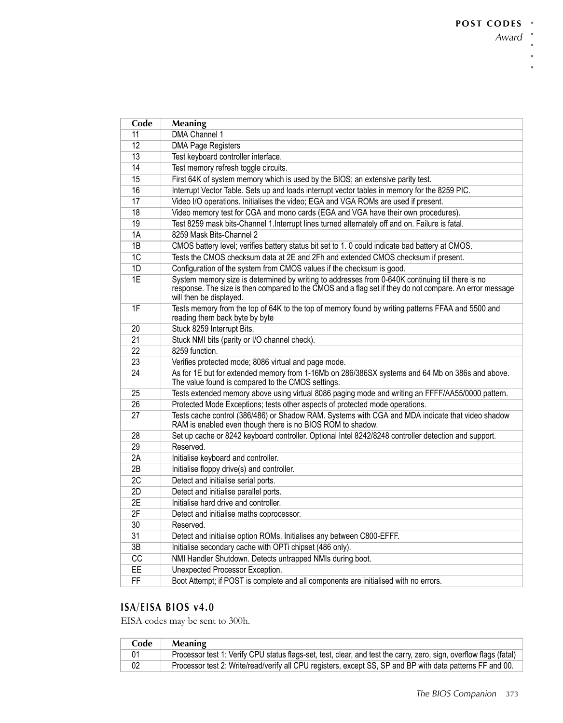$\bullet$ 

. . . . .  $\bullet$ 

| Code            | <b>Meaning</b>                                                                                                                                                                                                                         |  |  |
|-----------------|----------------------------------------------------------------------------------------------------------------------------------------------------------------------------------------------------------------------------------------|--|--|
| 11              | DMA Channel 1                                                                                                                                                                                                                          |  |  |
| 12              | <b>DMA Page Registers</b>                                                                                                                                                                                                              |  |  |
| 13              | Test keyboard controller interface.                                                                                                                                                                                                    |  |  |
| 14              | Test memory refresh toggle circuits.                                                                                                                                                                                                   |  |  |
| 15              | First 64K of system memory which is used by the BIOS; an extensive parity test.                                                                                                                                                        |  |  |
| 16              | Interrupt Vector Table. Sets up and loads interrupt vector tables in memory for the 8259 PIC.                                                                                                                                          |  |  |
| 17              | Video I/O operations. Initialises the video; EGA and VGA ROMs are used if present.                                                                                                                                                     |  |  |
| 18              | Video memory test for CGA and mono cards (EGA and VGA have their own procedures).                                                                                                                                                      |  |  |
| 19              | Test 8259 mask bits-Channel 1. Interrupt lines turned alternately off and on. Failure is fatal.                                                                                                                                        |  |  |
| 1A              | 8259 Mask Bits-Channel 2                                                                                                                                                                                                               |  |  |
| 1B              | CMOS battery level; verifies battery status bit set to 1. 0 could indicate bad battery at CMOS.                                                                                                                                        |  |  |
| 1C              | Tests the CMOS checksum data at 2E and 2Fh and extended CMOS checksum if present.                                                                                                                                                      |  |  |
| 1D              | Configuration of the system from CMOS values if the checksum is good.                                                                                                                                                                  |  |  |
| 1E              | System memory size is determined by writing to addresses from 0-640K continuing till there is no<br>response. The size is then compared to the CMOS and a flag set if they do not compare. An error message<br>will then be displayed. |  |  |
| 1F              | Tests memory from the top of 64K to the top of memory found by writing patterns FFAA and 5500 and<br>reading them back byte by byte                                                                                                    |  |  |
| $\overline{20}$ | Stuck 8259 Interrupt Bits.                                                                                                                                                                                                             |  |  |
| 21              | Stuck NMI bits (parity or I/O channel check).                                                                                                                                                                                          |  |  |
| $\overline{22}$ | 8259 function.                                                                                                                                                                                                                         |  |  |
| 23              | Verifies protected mode; 8086 virtual and page mode.                                                                                                                                                                                   |  |  |
| 24              | As for 1E but for extended memory from 1-16Mb on 286/386SX systems and 64 Mb on 386s and above.<br>The value found is compared to the CMOS settings.                                                                                   |  |  |
| 25              | Tests extended memory above using virtual 8086 paging mode and writing an FFFF/AA55/0000 pattern.                                                                                                                                      |  |  |
| 26              | Protected Mode Exceptions; tests other aspects of protected mode operations.                                                                                                                                                           |  |  |
| 27              | Tests cache control (386/486) or Shadow RAM. Systems with CGA and MDA indicate that video shadow<br>RAM is enabled even though there is no BIOS ROM to shadow.                                                                         |  |  |
| 28              | Set up cache or 8242 keyboard controller. Optional Intel 8242/8248 controller detection and support.                                                                                                                                   |  |  |
| 29              | Reserved.                                                                                                                                                                                                                              |  |  |
| 2A              | Initialise keyboard and controller.                                                                                                                                                                                                    |  |  |
| 2B              | Initialise floppy drive(s) and controller.                                                                                                                                                                                             |  |  |
| 2C              | Detect and initialise serial ports.                                                                                                                                                                                                    |  |  |
| 2D              | Detect and initialise parallel ports.                                                                                                                                                                                                  |  |  |
| 2E              | Initialise hard drive and controller.                                                                                                                                                                                                  |  |  |
| $\overline{2F}$ | Detect and initialise maths coprocessor.                                                                                                                                                                                               |  |  |
| 30              | Reserved.                                                                                                                                                                                                                              |  |  |
| 31              | Detect and initialise option ROMs. Initialises any between C800-EFFF.                                                                                                                                                                  |  |  |
| 3B              | Initialise secondary cache with OPTi chipset (486 only).                                                                                                                                                                               |  |  |
| $\overline{cc}$ | NMI Handler Shutdown. Detects untrapped NMIs during boot.                                                                                                                                                                              |  |  |
| EE              | Unexpected Processor Exception.                                                                                                                                                                                                        |  |  |
| FF              | Boot Attempt; if POST is complete and all components are initialised with no errors.                                                                                                                                                   |  |  |

# **ISA/EISA BIOS v4.0**

EISA codes may be sent to 300h.

| Code           | Meaning                                                                                                            |
|----------------|--------------------------------------------------------------------------------------------------------------------|
| 0 <sup>1</sup> | Processor test 1: Verify CPU status flags-set, test, clear, and test the carry, zero, sign, overflow flags (fatal) |
| 02             | Processor test 2: Write/read/verify all CPU registers, except SS, SP and BP with data patterns FF and 00.          |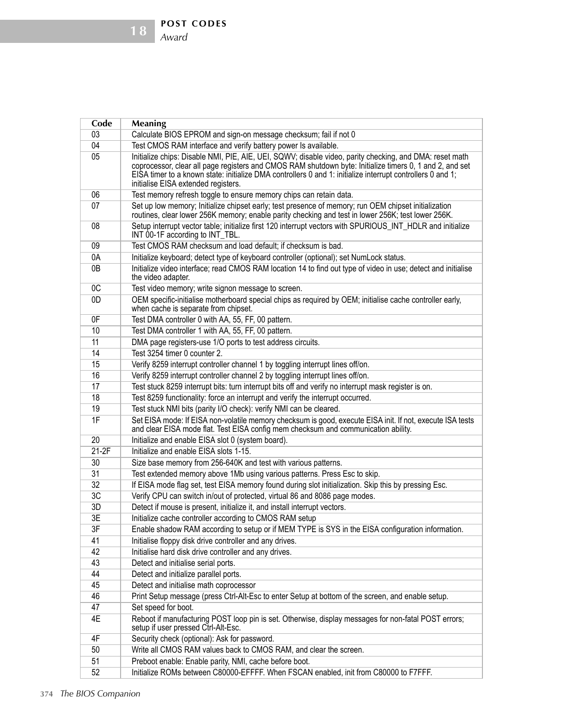**POST CODES**

*Award* **1 8**

| Code           | Meaning                                                                                                                                                                                                                                                                                                                                                                 |  |  |
|----------------|-------------------------------------------------------------------------------------------------------------------------------------------------------------------------------------------------------------------------------------------------------------------------------------------------------------------------------------------------------------------------|--|--|
| 03             | Calculate BIOS EPROM and sign-on message checksum; fail if not 0                                                                                                                                                                                                                                                                                                        |  |  |
| 04             | Test CMOS RAM interface and verify battery power Is available.                                                                                                                                                                                                                                                                                                          |  |  |
| 0 <sub>5</sub> | Initialize chips: Disable NMI, PIE, AIE, UEI, SQWV; disable video, parity checking, and DMA: reset math<br>coprocessor, clear all page registers and CMOS RAM shutdown byte: Initialize timers 0, 1 and 2, and set<br>EISA timer to a known state: initialize DMA controllers 0 and 1: initialize interrupt controllers 0 and 1;<br>initialise EISA extended registers. |  |  |
| 06             | Test memory refresh toggle to ensure memory chips can retain data.                                                                                                                                                                                                                                                                                                      |  |  |
| 07             | Set up low memory; Initialize chipset early; test presence of memory; run OEM chipset initialization<br>routines, clear lower 256K memory; enable parity checking and test in lower 256K; test lower 256K.                                                                                                                                                              |  |  |
| 08             | Setup interrupt vector table; initialize first 120 interrupt vectors with SPURIOUS_INT_HDLR and initialize<br>INT 00-1F according to INT TBL.                                                                                                                                                                                                                           |  |  |
| 09             | Test CMOS RAM checksum and load default; if checksum is bad.                                                                                                                                                                                                                                                                                                            |  |  |
| 0A             | Initialize keyboard; detect type of keyboard controller (optional); set NumLock status.                                                                                                                                                                                                                                                                                 |  |  |
| 0B             | Initialize video interface; read CMOS RAM location 14 to find out type of video in use; detect and initialise<br>the video adapter.                                                                                                                                                                                                                                     |  |  |
| 0C             | Test video memory; write signon message to screen.                                                                                                                                                                                                                                                                                                                      |  |  |
| 0D             | OEM specific-initialise motherboard special chips as required by OEM; initialise cache controller early,<br>when cache is separate from chipset.                                                                                                                                                                                                                        |  |  |
| 0F             | Test DMA controller 0 with AA, 55, FF, 00 pattern.                                                                                                                                                                                                                                                                                                                      |  |  |
| 10             | Test DMA controller 1 with AA, 55, FF, 00 pattern.                                                                                                                                                                                                                                                                                                                      |  |  |
| 11             | DMA page registers-use 1/O ports to test address circuits.                                                                                                                                                                                                                                                                                                              |  |  |
| 14             | Test 3254 timer 0 counter 2.                                                                                                                                                                                                                                                                                                                                            |  |  |
| 15             | Verify 8259 interrupt controller channel 1 by toggling interrupt lines off/on.                                                                                                                                                                                                                                                                                          |  |  |
| 16             | Verify 8259 interrupt controller channel 2 by toggling interrupt lines off/on.                                                                                                                                                                                                                                                                                          |  |  |
| 17             | Test stuck 8259 interrupt bits: turn interrupt bits off and verify no interrupt mask register is on.                                                                                                                                                                                                                                                                    |  |  |
| 18             | Test 8259 functionality: force an interrupt and verify the interrupt occurred.                                                                                                                                                                                                                                                                                          |  |  |
| 19             | Test stuck NMI bits (parity I/O check): verify NMI can be cleared.                                                                                                                                                                                                                                                                                                      |  |  |
| 1F             | Set EISA mode: If EISA non-volatile memory checksum is good, execute EISA init. If not, execute ISA tests<br>and clear EISA mode flat. Test EISA config mem checksum and communication ability.                                                                                                                                                                         |  |  |
| 20             | Initialize and enable EISA slot 0 (system board).                                                                                                                                                                                                                                                                                                                       |  |  |
| $21-2F$        | Initialize and enable EISA slots 1-15.                                                                                                                                                                                                                                                                                                                                  |  |  |
| 30             | Size base memory from 256-640K and test with various patterns.                                                                                                                                                                                                                                                                                                          |  |  |
| 31             | Test extended memory above 1Mb using various patterns. Press Esc to skip.                                                                                                                                                                                                                                                                                               |  |  |
| 32             | If EISA mode flag set, test EISA memory found during slot initialization. Skip this by pressing Esc.                                                                                                                                                                                                                                                                    |  |  |
| 3C             | Verify CPU can switch in/out of protected, virtual 86 and 8086 page modes.                                                                                                                                                                                                                                                                                              |  |  |
| 3D             | Detect if mouse is present, initialize it, and install interrupt vectors.                                                                                                                                                                                                                                                                                               |  |  |
| 3E             | Initialize cache controller according to CMOS RAM setup                                                                                                                                                                                                                                                                                                                 |  |  |
| 3F             | Enable shadow RAM according to setup or if MEM TYPE is SYS in the EISA configuration information.                                                                                                                                                                                                                                                                       |  |  |
| 41             | Initialise floppy disk drive controller and any drives.                                                                                                                                                                                                                                                                                                                 |  |  |
| 42             | Initialise hard disk drive controller and any drives.                                                                                                                                                                                                                                                                                                                   |  |  |
| 43             | Detect and initialise serial ports.                                                                                                                                                                                                                                                                                                                                     |  |  |
| 44             | Detect and initialize parallel ports.                                                                                                                                                                                                                                                                                                                                   |  |  |
| 45             | Detect and initialise math coprocessor                                                                                                                                                                                                                                                                                                                                  |  |  |
| 46             | Print Setup message (press Ctrl-Alt-Esc to enter Setup at bottom of the screen, and enable setup.                                                                                                                                                                                                                                                                       |  |  |
| 47             | Set speed for boot.                                                                                                                                                                                                                                                                                                                                                     |  |  |
| 4E             | Reboot if manufacturing POST loop pin is set. Otherwise, display messages for non-fatal POST errors;<br>setup if user pressed Ctrl-Alt-Esc.                                                                                                                                                                                                                             |  |  |
| 4F             | Security check (optional): Ask for password.                                                                                                                                                                                                                                                                                                                            |  |  |
| 50             | Write all CMOS RAM values back to CMOS RAM, and clear the screen.                                                                                                                                                                                                                                                                                                       |  |  |
| 51             | Preboot enable: Enable parity, NMI, cache before boot.                                                                                                                                                                                                                                                                                                                  |  |  |
| 52             | Initialize ROMs between C80000-EFFFF. When FSCAN enabled, init from C80000 to F7FFF.                                                                                                                                                                                                                                                                                    |  |  |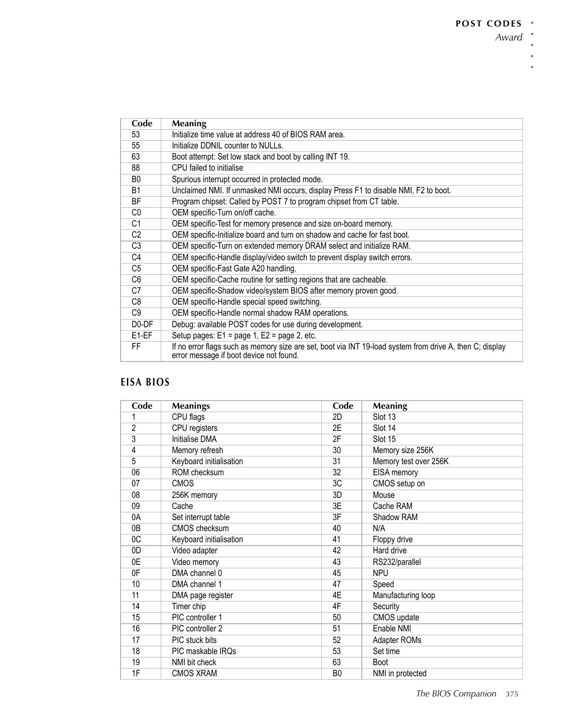. . . . .  $\bullet$ 

| Code               | Meaning                                                                                                                                             |  |
|--------------------|-----------------------------------------------------------------------------------------------------------------------------------------------------|--|
| 53                 | Initialize time value at address 40 of BIOS RAM area.                                                                                               |  |
| 55                 | Initialize DDNIL counter to NULLs.                                                                                                                  |  |
| 63                 | Boot attempt: Set low stack and boot by calling INT 19.                                                                                             |  |
| 88                 | CPU failed to initialise                                                                                                                            |  |
| B <sub>0</sub>     | Spurious interrupt occurred in protected mode.                                                                                                      |  |
| <b>B1</b>          | Unclaimed NMI. If unmasked NMI occurs, display Press F1 to disable NMI, F2 to boot.                                                                 |  |
| <b>BF</b>          | Program chipset: Called by POST 7 to program chipset from CT table.                                                                                 |  |
| CO                 | OEM specific-Turn on/off cache.                                                                                                                     |  |
| C <sub>1</sub>     | OEM specific-Test for memory presence and size on-board memory.                                                                                     |  |
| C <sub>2</sub>     | OEM specific-Initialize board and turn on shadow and cache for fast boot.                                                                           |  |
| C <sub>3</sub>     | OEM specific-Turn on extended memory DRAM select and initialize RAM.                                                                                |  |
| C <sub>4</sub>     | OEM specific-Handle display/video switch to prevent display switch errors.                                                                          |  |
| C <sub>5</sub>     | OEM specific-Fast Gate A20 handling.                                                                                                                |  |
| C <sub>6</sub>     | OEM specific-Cache routine for setting regions that are cacheable.                                                                                  |  |
| C7                 | OEM specific-Shadow video/system BIOS after memory proven good.                                                                                     |  |
| C <sub>8</sub>     | OEM specific-Handle special speed switching.                                                                                                        |  |
| C <sub>9</sub>     | OEM specific-Handle normal shadow RAM operations.                                                                                                   |  |
| D <sub>0</sub> -DF | Debug: available POST codes for use during development.                                                                                             |  |
| E1-EF              | Setup pages: $E1$ = page 1, $E2$ = page 2, etc.                                                                                                     |  |
| <b>FF</b>          | If no error flags such as memory size are set, boot via INT 19-load system from drive A, then C; display<br>error message if boot device not found. |  |

# **EISA BIOS**

| Code           | <b>Meanings</b>         | Code           | Meaning               |
|----------------|-------------------------|----------------|-----------------------|
| 1              | CPU flags               | 2D             | Slot 13               |
| 2              | CPU registers           | 2E             | Slot 14               |
| 3              | Initialise DMA          | 2F             | Slot 15               |
| 4              | Memory refresh          | 30             | Memory size 256K      |
| 5              | Keyboard initialisation | 31             | Memory test over 256K |
| 06             | ROM checksum            | 32             | EISA memory           |
| 07             | <b>CMOS</b>             | 3C             | CMOS setup on         |
| 08             | 256K memory             | 3D             | Mouse                 |
| 09             | Cache                   | 3E             | Cache RAM             |
| 0A             | Set interrupt table     | 3F             | Shadow RAM            |
| 0 <sub>B</sub> | CMOS checksum           | 40             | N/A                   |
| 0C             | Keyboard initialisation | 41             | Floppy drive          |
| 0D             | Video adapter           | 42             | Hard drive            |
| 0E             | Video memory            | 43             | RS232/parallel        |
| 0F             | DMA channel 0           | 45             | <b>NPU</b>            |
| 10             | DMA channel 1           | 47             | Speed                 |
| 11             | DMA page register       | 4E             | Manufacturing loop    |
| 14             | Timer chip              | 4F             | Security              |
| 15             | PIC controller 1        | 50             | CMOS update           |
| 16             | PIC controller 2        | 51             | Enable NMI            |
| 17             | PIC stuck bits          | 52             | Adapter ROMs          |
| 18             | PIC maskable IRQs       | 53             | Set time              |
| 19             | NMI bit check           | 63             | <b>Boot</b>           |
| 1F             | <b>CMOS XRAM</b>        | B <sub>0</sub> | NMI in protected      |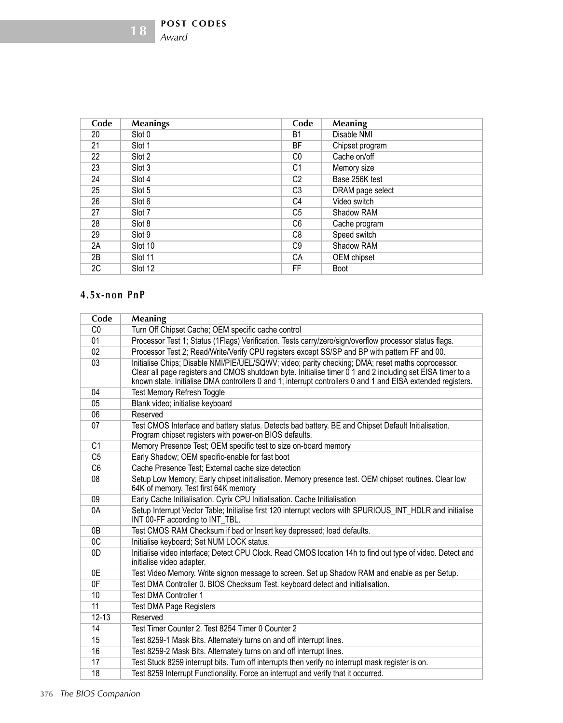| Code | <b>Meanings</b> | Code           | Meaning          |
|------|-----------------|----------------|------------------|
| 20   | Slot 0          | <b>B1</b>      | Disable NMI      |
| 21   | Slot 1          | <b>BF</b>      | Chipset program  |
| 22   | Slot 2          | C <sub>0</sub> | Cache on/off     |
| 23   | Slot 3          | C <sub>1</sub> | Memory size      |
| 24   | Slot 4          | C <sub>2</sub> | Base 256K test   |
| 25   | Slot 5          | C <sub>3</sub> | DRAM page select |
| 26   | Slot 6          | C <sub>4</sub> | Video switch     |
| 27   | Slot 7          | C <sub>5</sub> | Shadow RAM       |
| 28   | Slot 8          | C <sub>6</sub> | Cache program    |
| 29   | Slot 9          | C <sub>8</sub> | Speed switch     |
| 2A   | Slot 10         | C <sub>9</sub> | Shadow RAM       |
| 2B   | Slot 11         | CA             | OEM chipset      |
| 2C   | Slot 12         | FF             | Boot             |

### **4.5x-non PnP**

| Code           | Meaning                                                                                                                                                                                                                                                                                                                         |  |  |
|----------------|---------------------------------------------------------------------------------------------------------------------------------------------------------------------------------------------------------------------------------------------------------------------------------------------------------------------------------|--|--|
| CO             | Turn Off Chipset Cache: OEM specific cache control                                                                                                                                                                                                                                                                              |  |  |
| 01             | Processor Test 1; Status (1Flags) Verification. Tests carry/zero/sign/overflow processor status flags.                                                                                                                                                                                                                          |  |  |
| 02             | Processor Test 2; Read/Write/Verify CPU registers except SS/SP and BP with pattern FF and 00.                                                                                                                                                                                                                                   |  |  |
| 03             | Initialise Chips; Disable NMI/PIE/UEL/SQWV; video; parity checking; DMA; reset maths coprocessor.<br>Clear all page registers and CMOS shutdown byte. Initialise timer $0$ 1 and 2 including set EISA timer to a<br>known state. Initialise DMA controllers 0 and 1; interrupt controllers 0 and 1 and EISA extended registers. |  |  |
| 04             | <b>Test Memory Refresh Toggle</b>                                                                                                                                                                                                                                                                                               |  |  |
| 05             | Blank video; initialise keyboard                                                                                                                                                                                                                                                                                                |  |  |
| 06             | Reserved                                                                                                                                                                                                                                                                                                                        |  |  |
| 07             | Test CMOS Interface and battery status. Detects bad battery. BE and Chipset Default Initialisation.<br>Program chipset registers with power-on BIOS defaults.                                                                                                                                                                   |  |  |
| C <sub>1</sub> | Memory Presence Test: OEM specific test to size on-board memory                                                                                                                                                                                                                                                                 |  |  |
| C <sub>5</sub> | Early Shadow; OEM specific-enable for fast boot                                                                                                                                                                                                                                                                                 |  |  |
| C6             | Cache Presence Test: External cache size detection                                                                                                                                                                                                                                                                              |  |  |
| 08             | Setup Low Memory; Early chipset initialisation. Memory presence test. OEM chipset routines. Clear low<br>64K of memory. Test first 64K memory                                                                                                                                                                                   |  |  |
| 09             | Early Cache Initialisation. Cyrix CPU Initialisation. Cache Initialisation                                                                                                                                                                                                                                                      |  |  |
| 0A             | Setup Interrupt Vector Table; Initialise first 120 interrupt vectors with SPURIOUS_INT_HDLR and initialise<br>INT 00-FF according to INT_TBL.                                                                                                                                                                                   |  |  |
| 0B             | Test CMOS RAM Checksum if bad or Insert key depressed; load defaults.                                                                                                                                                                                                                                                           |  |  |
| 0C             | Initialise keyboard; Set NUM LOCK status.                                                                                                                                                                                                                                                                                       |  |  |
| 0 <sub>D</sub> | Initialise video interface; Detect CPU Clock. Read CMOS location 14h to find out type of video. Detect and<br>initialise video adapter.                                                                                                                                                                                         |  |  |
| 0E             | Test Video Memory. Write signon message to screen. Set up Shadow RAM and enable as per Setup.                                                                                                                                                                                                                                   |  |  |
| 0F             | Test DMA Controller 0. BIOS Checksum Test. keyboard detect and initialisation.                                                                                                                                                                                                                                                  |  |  |
| 10             | <b>Test DMA Controller 1</b>                                                                                                                                                                                                                                                                                                    |  |  |
| 11             | <b>Test DMA Page Registers</b>                                                                                                                                                                                                                                                                                                  |  |  |
| $12 - 13$      | Reserved                                                                                                                                                                                                                                                                                                                        |  |  |
| 14             | Test Timer Counter 2, Test 8254 Timer 0 Counter 2                                                                                                                                                                                                                                                                               |  |  |
| 15             | Test 8259-1 Mask Bits. Alternately turns on and off interrupt lines.                                                                                                                                                                                                                                                            |  |  |
| 16             | Test 8259-2 Mask Bits. Alternately turns on and off interrupt lines.                                                                                                                                                                                                                                                            |  |  |
| 17             | Test Stuck 8259 interrupt bits. Turn off interrupts then verify no interrupt mask register is on.                                                                                                                                                                                                                               |  |  |
| 18             | Test 8259 Interrupt Functionality. Force an interrupt and verify that it occurred.                                                                                                                                                                                                                                              |  |  |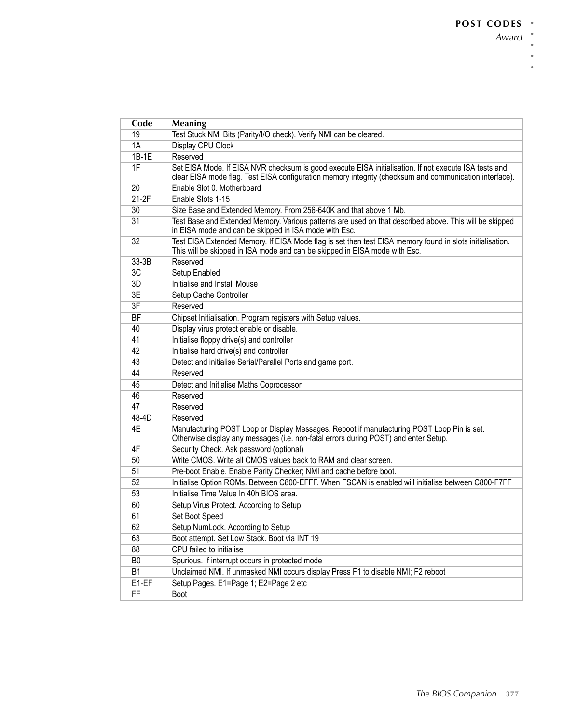$\ddot{\phantom{a}}$ 

. . . . .  $\bullet$ 

| Code           | Meaning                                                                                                                                                                                                         |  |  |
|----------------|-----------------------------------------------------------------------------------------------------------------------------------------------------------------------------------------------------------------|--|--|
| 19             | Test Stuck NMI Bits (Parity/I/O check). Verify NMI can be cleared.                                                                                                                                              |  |  |
| 1A             | Display CPU Clock                                                                                                                                                                                               |  |  |
| $1B-1E$        | Reserved                                                                                                                                                                                                        |  |  |
| 1F             | Set EISA Mode. If EISA NVR checksum is good execute EISA initialisation. If not execute ISA tests and<br>clear EISA mode flag. Test EISA configuration memory integrity (checksum and communication interface). |  |  |
| 20             | Enable Slot 0. Motherboard                                                                                                                                                                                      |  |  |
| $21-2F$        | Enable Slots 1-15                                                                                                                                                                                               |  |  |
| 30             | Size Base and Extended Memory. From 256-640K and that above 1 Mb.                                                                                                                                               |  |  |
| 31             | Test Base and Extended Memory. Various patterns are used on that described above. This will be skipped<br>in EISA mode and can be skipped in ISA mode with Esc.                                                 |  |  |
| 32             | Test EISA Extended Memory. If EISA Mode flag is set then test EISA memory found in slots initialisation.<br>This will be skipped in ISA mode and can be skipped in EISA mode with Esc.                          |  |  |
| $33-3B$        | Reserved                                                                                                                                                                                                        |  |  |
| 3C             | Setup Enabled                                                                                                                                                                                                   |  |  |
| 3D             | Initialise and Install Mouse                                                                                                                                                                                    |  |  |
| 3E             | Setup Cache Controller                                                                                                                                                                                          |  |  |
| 3F             | Reserved                                                                                                                                                                                                        |  |  |
| <b>BF</b>      | Chipset Initialisation. Program registers with Setup values.                                                                                                                                                    |  |  |
| 40             | Display virus protect enable or disable.                                                                                                                                                                        |  |  |
| 41             | Initialise floppy drive(s) and controller                                                                                                                                                                       |  |  |
| 42             | Initialise hard drive(s) and controller                                                                                                                                                                         |  |  |
| 43             | Detect and initialise Serial/Parallel Ports and game port.                                                                                                                                                      |  |  |
| 44             | Reserved                                                                                                                                                                                                        |  |  |
| 45             | Detect and Initialise Maths Coprocessor                                                                                                                                                                         |  |  |
| 46             | Reserved                                                                                                                                                                                                        |  |  |
| 47             | Reserved                                                                                                                                                                                                        |  |  |
| 48-4D          | Reserved                                                                                                                                                                                                        |  |  |
| 4E             | Manufacturing POST Loop or Display Messages. Reboot if manufacturing POST Loop Pin is set.<br>Otherwise display any messages (i.e. non-fatal errors during POST) and enter Setup.                               |  |  |
| 4F             | Security Check. Ask password (optional)                                                                                                                                                                         |  |  |
| 50             | Write CMOS. Write all CMOS values back to RAM and clear screen.                                                                                                                                                 |  |  |
| 51             | Pre-boot Enable. Enable Parity Checker; NMI and cache before boot.                                                                                                                                              |  |  |
| 52             | Initialise Option ROMs. Between C800-EFFF. When FSCAN is enabled will initialise between C800-F7FF                                                                                                              |  |  |
| 53             | Initialise Time Value In 40h BIOS area.                                                                                                                                                                         |  |  |
| 60             | Setup Virus Protect. According to Setup                                                                                                                                                                         |  |  |
| 61             | Set Boot Speed                                                                                                                                                                                                  |  |  |
| 62             | Setup NumLock. According to Setup                                                                                                                                                                               |  |  |
| 63             | Boot attempt. Set Low Stack. Boot via INT 19                                                                                                                                                                    |  |  |
| 88             | CPU failed to initialise                                                                                                                                                                                        |  |  |
| B <sub>0</sub> | Spurious. If interrupt occurs in protected mode                                                                                                                                                                 |  |  |
| <b>B1</b>      | Unclaimed NMI. If unmasked NMI occurs display Press F1 to disable NMI; F2 reboot                                                                                                                                |  |  |
| E1-EF          | Setup Pages. E1=Page 1: E2=Page 2 etc                                                                                                                                                                           |  |  |
| FF             | Boot                                                                                                                                                                                                            |  |  |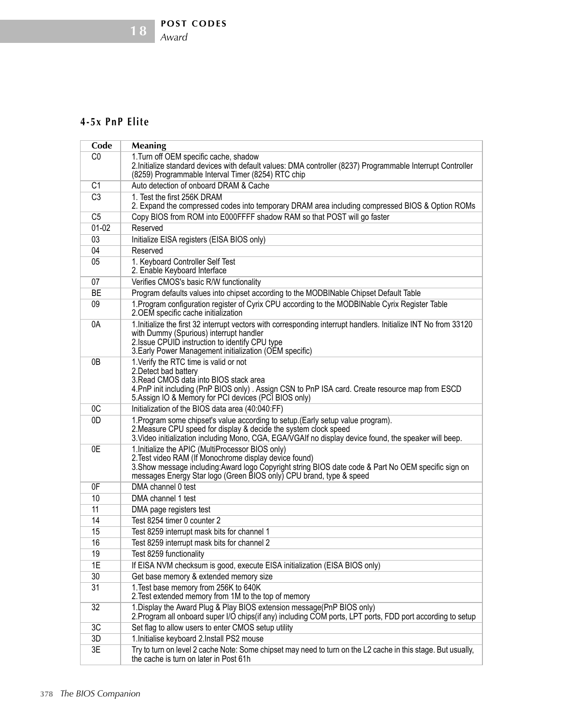**1 8**

### **4-5x PnP Elite**

| Code           | Meaning                                                                                                                                                                                                                                                                                    |  |  |
|----------------|--------------------------------------------------------------------------------------------------------------------------------------------------------------------------------------------------------------------------------------------------------------------------------------------|--|--|
| C <sub>0</sub> | 1. Turn off OEM specific cache, shadow<br>2. Initialize standard devices with default values: DMA controller (8237) Programmable Interrupt Controller<br>(8259) Programmable Interval Timer (8254) RTC chip                                                                                |  |  |
| C1             | Auto detection of onboard DRAM & Cache                                                                                                                                                                                                                                                     |  |  |
| C <sub>3</sub> | 1. Test the first 256K DRAM<br>2. Expand the compressed codes into temporary DRAM area including compressed BIOS & Option ROMs                                                                                                                                                             |  |  |
| C <sub>5</sub> | Copy BIOS from ROM into E000FFFF shadow RAM so that POST will go faster                                                                                                                                                                                                                    |  |  |
| $01 - 02$      | Reserved                                                                                                                                                                                                                                                                                   |  |  |
| 03             | Initialize EISA registers (EISA BIOS only)                                                                                                                                                                                                                                                 |  |  |
| 04             | Reserved                                                                                                                                                                                                                                                                                   |  |  |
| 05             | 1. Keyboard Controller Self Test<br>2. Enable Keyboard Interface                                                                                                                                                                                                                           |  |  |
| 07             | Verifies CMOS's basic R/W functionality                                                                                                                                                                                                                                                    |  |  |
| BE             | Program defaults values into chipset according to the MODBINable Chipset Default Table                                                                                                                                                                                                     |  |  |
| 09             | 1. Program configuration register of Cyrix CPU according to the MODBINable Cyrix Register Table<br>2.OEM specific cache initialization                                                                                                                                                     |  |  |
| 0A             | 1. Initialize the first 32 interrupt vectors with corresponding interrupt handlers. Initialize INT No from 33120<br>with Dummy (Spurious) interrupt handler<br>2.Issue CPUID instruction to identify CPU type<br>3. Early Power Management initialization (OEM specific)                   |  |  |
| 0B             | 1. Verify the RTC time is valid or not<br>2. Detect bad battery<br>3. Read CMOS data into BIOS stack area<br>4.PnP init including (PnP BIOS only). Assign CSN to PnP ISA card. Create resource map from ESCD<br>5. Assign IO & Memory for PCI devices (PCI BIOS only)                      |  |  |
| 0C             | Initialization of the BIOS data area (40:040:FF)                                                                                                                                                                                                                                           |  |  |
| 0D             | 1. Program some chipset's value according to setup. (Early setup value program).<br>2. Measure CPU speed for display & decide the system clock speed<br>3. Video initialization including Mono, CGA, EGA/VGAIf no display device found, the speaker will beep.                             |  |  |
| 0Ε             | 1. Initialize the APIC (MultiProcessor BIOS only)<br>2. Test video RAM (If Monochrome display device found)<br>3. Show message including: Award logo Copyright string BIOS date code & Part No OEM specific sign on<br>messages Energy Star logo (Green BIOS only) CPU brand, type & speed |  |  |
| 0F             | DMA channel 0 test                                                                                                                                                                                                                                                                         |  |  |
| 10             | DMA channel 1 test                                                                                                                                                                                                                                                                         |  |  |
| 11             | DMA page registers test                                                                                                                                                                                                                                                                    |  |  |
| 14             | Test 8254 timer 0 counter 2                                                                                                                                                                                                                                                                |  |  |
| 15             | Test 8259 interrupt mask bits for channel 1                                                                                                                                                                                                                                                |  |  |
| 16             | Test 8259 interrupt mask bits for channel 2                                                                                                                                                                                                                                                |  |  |
| 19             | Test 8259 functionality                                                                                                                                                                                                                                                                    |  |  |
| 1E             | If EISA NVM checksum is good, execute EISA initialization (EISA BIOS only)                                                                                                                                                                                                                 |  |  |
| 30             | Get base memory & extended memory size                                                                                                                                                                                                                                                     |  |  |
| 31             | 1. Test base memory from 256K to 640K<br>2. Test extended memory from 1M to the top of memory                                                                                                                                                                                              |  |  |
| 32             | 1. Display the Award Plug & Play BIOS extension message (PnP BIOS only)<br>2. Program all onboard super I/O chips(if any) including COM ports, LPT ports, FDD port according to setup                                                                                                      |  |  |
| 3C             | Set flag to allow users to enter CMOS setup utility                                                                                                                                                                                                                                        |  |  |
| 3D             | 1. Initialise keyboard 2. Install PS2 mouse                                                                                                                                                                                                                                                |  |  |
| 3E             | Try to turn on level 2 cache Note: Some chipset may need to turn on the L2 cache in this stage. But usually,<br>the cache is turn on later in Post 61h                                                                                                                                     |  |  |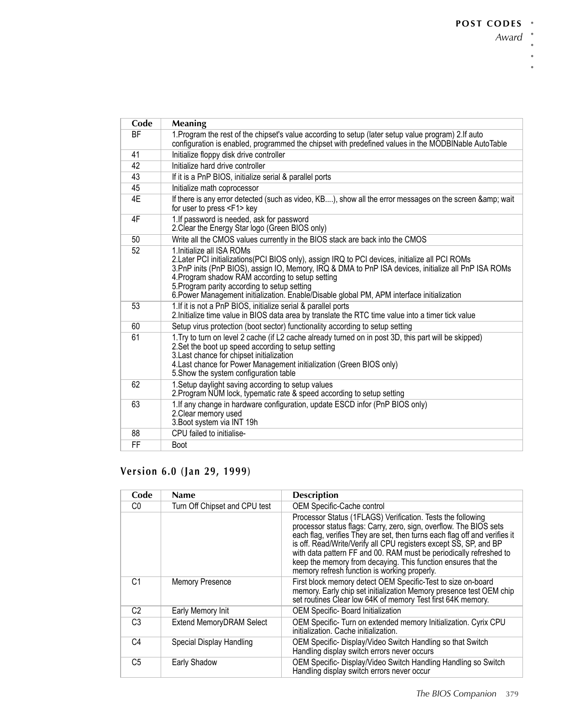|   | ۰       |
|---|---------|
|   | ٠       |
|   | à.      |
| ń | à.<br>٦ |
|   |         |

| Code      | Meaning                                                                                                                                                                                                                                                                                                                                                                                                                                  |  |  |  |
|-----------|------------------------------------------------------------------------------------------------------------------------------------------------------------------------------------------------------------------------------------------------------------------------------------------------------------------------------------------------------------------------------------------------------------------------------------------|--|--|--|
| <b>BF</b> | 1. Program the rest of the chipset's value according to setup (later setup value program) 2. If auto<br>configuration is enabled, programmed the chipset with predefined values in the MODBINable AutoTable                                                                                                                                                                                                                              |  |  |  |
| 41        | Initialize floppy disk drive controller                                                                                                                                                                                                                                                                                                                                                                                                  |  |  |  |
| 42        | Initialize hard drive controller                                                                                                                                                                                                                                                                                                                                                                                                         |  |  |  |
| 43        | If it is a PnP BIOS, initialize serial & parallel ports                                                                                                                                                                                                                                                                                                                                                                                  |  |  |  |
| 45        | Initialize math coprocessor                                                                                                                                                                                                                                                                                                                                                                                                              |  |  |  |
| 4E        | If there is any error detected (such as video, KB), show all the error messages on the screen & amp; wait<br>for user to press <f1> key</f1>                                                                                                                                                                                                                                                                                             |  |  |  |
| 4F        | 1. If password is needed, ask for password<br>2. Clear the Energy Star logo (Green BIOS only)                                                                                                                                                                                                                                                                                                                                            |  |  |  |
| 50        | Write all the CMOS values currently in the BIOS stack are back into the CMOS                                                                                                                                                                                                                                                                                                                                                             |  |  |  |
| 52        | 1. Initialize all ISA ROMs<br>2. Later PCI initializations (PCI BIOS only), assign IRQ to PCI devices, initialize all PCI ROMs<br>3. PnP inits (PnP BIOS), assign IO, Memory, IRQ & DMA to PnP ISA devices, initialize all PnP ISA ROMs<br>4 Program shadow RAM according to setup setting<br>5. Program parity according to setup setting<br>6. Power Management initialization. Enable/Disable global PM, APM interface initialization |  |  |  |
| 53        | 1. If it is not a PnP BIOS, initialize serial & parallel ports<br>2. Initialize time value in BIOS data area by translate the RTC time value into a timer tick value                                                                                                                                                                                                                                                                     |  |  |  |
| 60        | Setup virus protection (boot sector) functionality according to setup setting                                                                                                                                                                                                                                                                                                                                                            |  |  |  |
| 61        | 1. Try to turn on level 2 cache (if L2 cache already turned on in post 3D, this part will be skipped)<br>2. Set the boot up speed according to setup setting<br>3. Last chance for chipset initialization<br>4. Last chance for Power Management initialization (Green BIOS only)<br>5. Show the system configuration table                                                                                                              |  |  |  |
| 62        | 1. Setup daylight saving according to setup values<br>2. Program NUM lock, typematic rate & speed according to setup setting                                                                                                                                                                                                                                                                                                             |  |  |  |
| 63        | 1. If any change in hardware configuration, update ESCD infor (PnP BIOS only)<br>2. Clear memory used<br>3. Boot system via INT 19h                                                                                                                                                                                                                                                                                                      |  |  |  |
| 88        | CPU failed to initialise-                                                                                                                                                                                                                                                                                                                                                                                                                |  |  |  |
| FF        | Boot                                                                                                                                                                                                                                                                                                                                                                                                                                     |  |  |  |

# **Version 6.0 (Jan 29, 1999)**

| Code           | <b>Name</b>                   | <b>Description</b>                                                                                                                                                                                                                                                                                                                                                                                                                                                          |
|----------------|-------------------------------|-----------------------------------------------------------------------------------------------------------------------------------------------------------------------------------------------------------------------------------------------------------------------------------------------------------------------------------------------------------------------------------------------------------------------------------------------------------------------------|
| C <sub>0</sub> | Turn Off Chipset and CPU test | OEM Specific-Cache control                                                                                                                                                                                                                                                                                                                                                                                                                                                  |
|                |                               | Processor Status (1FLAGS) Verification. Tests the following<br>processor status flags: Carry, zero, sign, overflow. The BIOS sets<br>each flag, verifies They are set, then turns each flag off and verifies it<br>is off. Read/Write/Verify all CPU registers except SS, SP, and BP<br>with data pattern FF and 00. RAM must be periodically refreshed to<br>keep the memory from decaying. This function ensures that the<br>memory refresh function is working properly. |
| C <sub>1</sub> | <b>Memory Presence</b>        | First block memory detect OEM Specific-Test to size on-board<br>memory. Early chip set initialization Memory presence test OEM chip<br>set routines Clear low 64K of memory Test first 64K memory.                                                                                                                                                                                                                                                                          |
| C <sub>2</sub> | Early Memory Init             | OEM Specific- Board Initialization                                                                                                                                                                                                                                                                                                                                                                                                                                          |
| C <sub>3</sub> | Extend MemoryDRAM Select      | OEM Specific-Turn on extended memory Initialization. Cyrix CPU<br>initialization. Cache initialization.                                                                                                                                                                                                                                                                                                                                                                     |
| C <sub>4</sub> | Special Display Handling      | OEM Specific-Display/Video Switch Handling so that Switch<br>Handling display switch errors never occurs                                                                                                                                                                                                                                                                                                                                                                    |
| C5             | Early Shadow                  | OEM Specific- Display/Video Switch Handling Handling so Switch<br>Handling display switch errors never occur                                                                                                                                                                                                                                                                                                                                                                |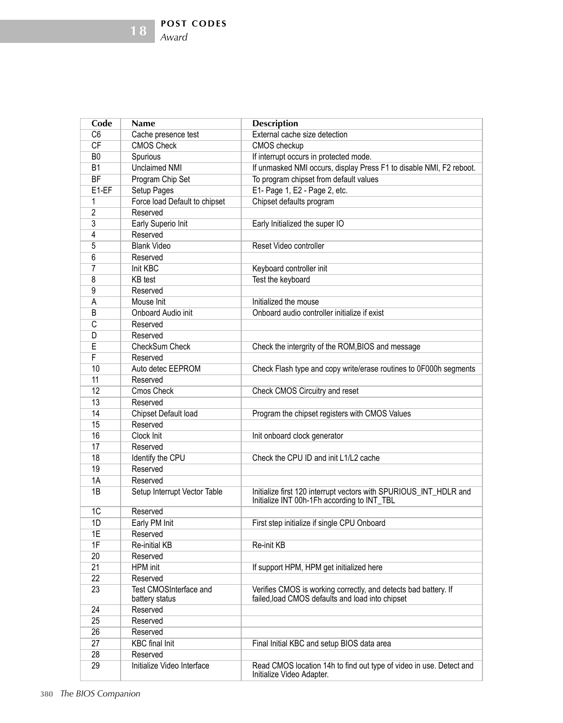*Award*

| Code            | Name                                            | <b>Description</b>                                                                                                 |
|-----------------|-------------------------------------------------|--------------------------------------------------------------------------------------------------------------------|
| C6              | Cache presence test                             | External cache size detection                                                                                      |
| <b>CF</b>       | <b>CMOS Check</b>                               | <b>CMOS</b> checkup                                                                                                |
| B <sub>0</sub>  | Spurious                                        | If interrupt occurs in protected mode.                                                                             |
| <b>B1</b>       | <b>Unclaimed NMI</b>                            | If unmasked NMI occurs, display Press F1 to disable NMI, F2 reboot.                                                |
| <b>BF</b>       | Program Chip Set                                | To program chipset from default values                                                                             |
| E1-EF           | Setup Pages                                     | E1- Page 1, E2 - Page 2, etc.                                                                                      |
| 1               | Force load Default to chipset                   | Chipset defaults program                                                                                           |
| $\mathfrak{p}$  | Reserved                                        |                                                                                                                    |
| 3               | Early Superio Init                              | Early Initialized the super IO                                                                                     |
| 4               | Reserved                                        |                                                                                                                    |
| 5               | <b>Blank Video</b>                              | Reset Video controller                                                                                             |
| 6               | Reserved                                        |                                                                                                                    |
| $\overline{7}$  | Init KBC                                        | Keyboard controller init                                                                                           |
| 8               | <b>KB</b> test                                  | Test the keyboard                                                                                                  |
| 9               | Reserved                                        |                                                                                                                    |
| A               | Mouse Init                                      | Initialized the mouse                                                                                              |
| B               | Onboard Audio init                              | Onboard audio controller initialize if exist                                                                       |
| C               | Reserved                                        |                                                                                                                    |
| D               | Reserved                                        |                                                                                                                    |
| E               | CheckSum Check                                  | Check the intergrity of the ROM, BIOS and message                                                                  |
| F               | Reserved                                        |                                                                                                                    |
| 10              | Auto detec EEPROM                               | Check Flash type and copy write/erase routines to 0F000h segments                                                  |
| 11              | Reserved                                        |                                                                                                                    |
| 12              | Cmos Check                                      | Check CMOS Circuitry and reset                                                                                     |
| 13              | Reserved                                        |                                                                                                                    |
| 14              | <b>Chipset Default load</b>                     | Program the chipset registers with CMOS Values                                                                     |
| 15              | Reserved                                        |                                                                                                                    |
| 16              | Clock Init                                      | Init onboard clock generator                                                                                       |
| 17              | Reserved                                        |                                                                                                                    |
| 18              | Identify the CPU                                | Check the CPU ID and init L1/L2 cache                                                                              |
| 19              | Reserved                                        |                                                                                                                    |
| 1A              | Reserved                                        |                                                                                                                    |
| 1B              | Setup Interrupt Vector Table                    | Initialize first 120 interrupt vectors with SPURIOUS_INT_HDLR and<br>Initialize INT 00h-1Fh according to INT_TBL   |
| 1C              | Reserved                                        |                                                                                                                    |
| 1D              | Early PM Init                                   | First step initialize if single CPU Onboard                                                                        |
| 1E              | Reserved                                        |                                                                                                                    |
| 1F              | <b>Re-initial KB</b>                            | Re-init KB                                                                                                         |
| 20              | Reserved                                        |                                                                                                                    |
| 21              | HPM init                                        | If support HPM, HPM get initialized here                                                                           |
| $\overline{22}$ | Reserved                                        |                                                                                                                    |
| 23              | <b>Test CMOSInterface and</b><br>battery status | Verifies CMOS is working correctly, and detects bad battery. If<br>failed load CMOS defaults and load into chipset |
| 24              | Reserved                                        |                                                                                                                    |
| 25              | Reserved                                        |                                                                                                                    |
| 26              | Reserved                                        |                                                                                                                    |
| 27              | <b>KBC</b> final Init                           | Final Initial KBC and setup BIOS data area                                                                         |
| 28              | Reserved                                        |                                                                                                                    |
| 29              | Initialize Video Interface                      | Read CMOS location 14h to find out type of video in use. Detect and<br>Initialize Video Adapter.                   |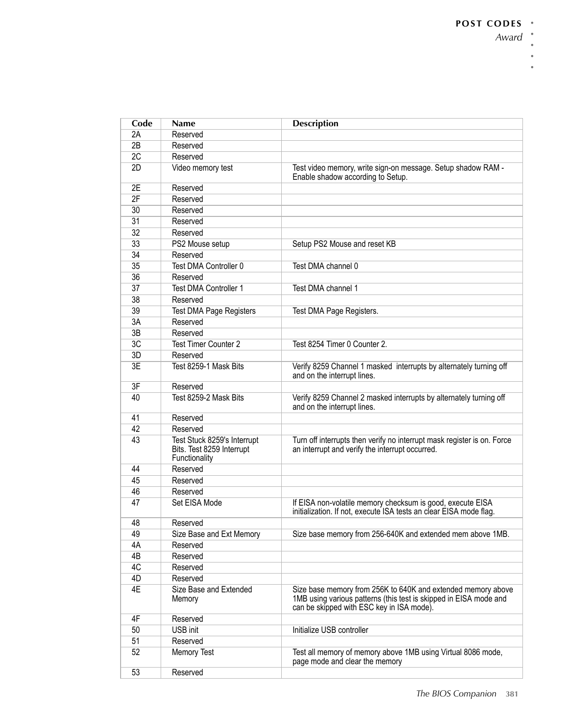. . . . .  $\ddot{\phantom{0}}$ 

 $\bullet$ 

| Code           | Name                                                                      | <b>Description</b>                                                                                                                                                             |
|----------------|---------------------------------------------------------------------------|--------------------------------------------------------------------------------------------------------------------------------------------------------------------------------|
| 2A             | Reserved                                                                  |                                                                                                                                                                                |
| 2 <sub>B</sub> | Reserved                                                                  |                                                                                                                                                                                |
| 2C             | Reserved                                                                  |                                                                                                                                                                                |
| 2D             | Video memory test                                                         | Test video memory, write sign-on message. Setup shadow RAM -<br>Enable shadow according to Setup.                                                                              |
| 2E             | Reserved                                                                  |                                                                                                                                                                                |
| 2F             | Reserved                                                                  |                                                                                                                                                                                |
| 30             | Reserved                                                                  |                                                                                                                                                                                |
| 31             | Reserved                                                                  |                                                                                                                                                                                |
| 32             | Reserved                                                                  |                                                                                                                                                                                |
| 33             | PS2 Mouse setup                                                           | Setup PS2 Mouse and reset KB                                                                                                                                                   |
| 34             | Reserved                                                                  |                                                                                                                                                                                |
| 35             | Test DMA Controller 0                                                     | Test DMA channel 0                                                                                                                                                             |
| 36             | Reserved                                                                  |                                                                                                                                                                                |
| 37             | Test DMA Controller 1                                                     | Test DMA channel 1                                                                                                                                                             |
| 38             | Reserved                                                                  |                                                                                                                                                                                |
| 39             | Test DMA Page Registers                                                   | Test DMA Page Registers.                                                                                                                                                       |
| 3A             | Reserved                                                                  |                                                                                                                                                                                |
| 3B             | Reserved                                                                  |                                                                                                                                                                                |
| 3C             | <b>Test Timer Counter 2</b>                                               | Test 8254 Timer 0 Counter 2.                                                                                                                                                   |
| 3D             | Reserved                                                                  |                                                                                                                                                                                |
| 3E             | Test 8259-1 Mask Bits                                                     | Verify 8259 Channel 1 masked interrupts by alternately turning off<br>and on the interrupt lines.                                                                              |
| 3F             | Reserved                                                                  |                                                                                                                                                                                |
| 40             | Test 8259-2 Mask Bits                                                     | Verify 8259 Channel 2 masked interrupts by alternately turning off<br>and on the interrupt lines.                                                                              |
| 41             | Reserved                                                                  |                                                                                                                                                                                |
| 42             | Reserved                                                                  |                                                                                                                                                                                |
| 43             | Test Stuck 8259's Interrupt<br>Bits. Test 8259 Interrupt<br>Functionality | Turn off interrupts then verify no interrupt mask register is on. Force<br>an interrupt and verify the interrupt occurred.                                                     |
| 44             | Reserved                                                                  |                                                                                                                                                                                |
| 45             | Reserved                                                                  |                                                                                                                                                                                |
| 46             | Reserved                                                                  |                                                                                                                                                                                |
| 47             | Set EISA Mode                                                             | If EISA non-volatile memory checksum is good, execute EISA<br>initialization. If not, execute ISA tests an clear EISA mode flag.                                               |
| 48             | Reserved                                                                  |                                                                                                                                                                                |
| 49             | Size Base and Ext Memory                                                  | Size base memory from 256-640K and extended mem above 1MB.                                                                                                                     |
| 4A             | Reserved                                                                  |                                                                                                                                                                                |
| 4B             | Reserved                                                                  |                                                                                                                                                                                |
| 4C             | Reserved                                                                  |                                                                                                                                                                                |
| 4 <sub>D</sub> | Reserved                                                                  |                                                                                                                                                                                |
| 4E             | Size Base and Extended<br>Memory                                          | Size base memory from 256K to 640K and extended memory above<br>1MB using various patterns (this test is skipped in EISA mode and<br>can be skipped with ESC key in ISA mode). |
| 4F             | Reserved                                                                  |                                                                                                                                                                                |
| 50             | USB init                                                                  | Initialize USB controller                                                                                                                                                      |
| 51             | Reserved                                                                  |                                                                                                                                                                                |
| 52             | <b>Memory Test</b>                                                        | Test all memory of memory above 1MB using Virtual 8086 mode,<br>page mode and clear the memory                                                                                 |
| 53             | Reserved                                                                  |                                                                                                                                                                                |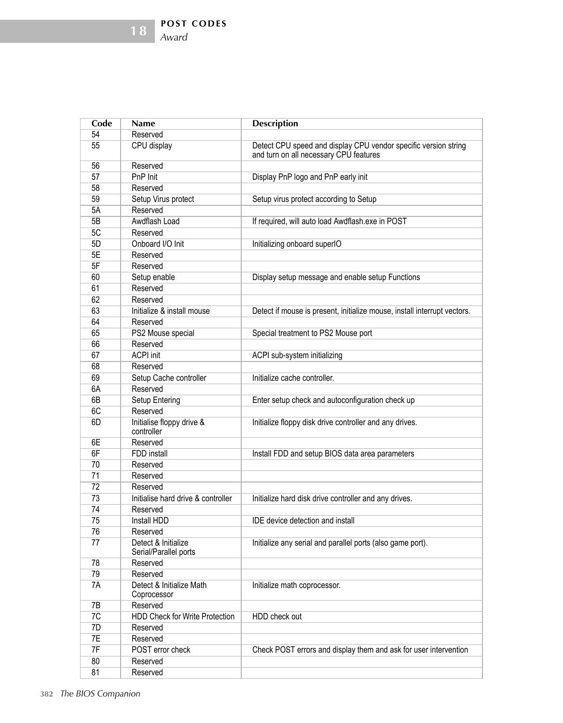*Award*

| Code | <b>Name</b>                                  | <b>Description</b>                                                                                        |
|------|----------------------------------------------|-----------------------------------------------------------------------------------------------------------|
| 54   | Reserved                                     |                                                                                                           |
| 55   | CPU display                                  | Detect CPU speed and display CPU vendor specific version string<br>and turn on all necessary CPU features |
| 56   | Reserved                                     |                                                                                                           |
| 57   | PnP Init                                     | Display PnP logo and PnP early init                                                                       |
| 58   | Reserved                                     |                                                                                                           |
| 59   | Setup Virus protect                          | Setup virus protect according to Setup                                                                    |
| 5A   | Reserved                                     |                                                                                                           |
| 5B   | Awdflash Load                                | If required, will auto load Awdflash.exe in POST                                                          |
| 5C   | Reserved                                     |                                                                                                           |
| 5D   | Onboard I/O Init                             | Initializing onboard superIO                                                                              |
| 5E   | Reserved                                     |                                                                                                           |
| 5F   | Reserved                                     |                                                                                                           |
| 60   | Setup enable                                 | Display setup message and enable setup Functions                                                          |
| 61   | Reserved                                     |                                                                                                           |
| 62   | Reserved                                     |                                                                                                           |
| 63   | Initialize & install mouse                   | Detect if mouse is present, initialize mouse, install interrupt vectors.                                  |
| 64   | Reserved                                     |                                                                                                           |
| 65   | PS2 Mouse special                            | Special treatment to PS2 Mouse port                                                                       |
| 66   | Reserved                                     |                                                                                                           |
| 67   | <b>ACPI init</b>                             | ACPI sub-system initializing                                                                              |
| 68   | Reserved                                     |                                                                                                           |
| 69   | Setup Cache controller                       | Initialize cache controller.                                                                              |
| 6A   | Reserved                                     |                                                                                                           |
| 6B   | Setup Entering                               | Enter setup check and autoconfiguration check up                                                          |
| 6C   | Reserved                                     |                                                                                                           |
| 6D   | Initialise floppy drive &<br>controller      | Initialize floppy disk drive controller and any drives.                                                   |
| 6E   | Reserved                                     |                                                                                                           |
| 6F   | FDD install                                  | Install FDD and setup BIOS data area parameters                                                           |
| 70   | Reserved                                     |                                                                                                           |
| 71   | Reserved                                     |                                                                                                           |
| 72   | Reserved                                     |                                                                                                           |
| 73   | Initialise hard drive & controller           | Initialize hard disk drive controller and any drives.                                                     |
| 74   | Reserved                                     |                                                                                                           |
| 75   | Install HDD                                  | <b>IDE</b> device detection and install                                                                   |
| 76   | Reserved                                     |                                                                                                           |
| 77   | Detect & Initialize<br>Serial/Parallel ports | Initialize any serial and parallel ports (also game port).                                                |
| 78   | Reserved                                     |                                                                                                           |
| 79   | Reserved                                     |                                                                                                           |
| 7A   | Detect & Initialize Math<br>Coprocessor      | Initialize math coprocessor.                                                                              |
| 7B   | Reserved                                     |                                                                                                           |
| 7C   | <b>HDD Check for Write Protection</b>        | HDD check out                                                                                             |
| 7D   | Reserved                                     |                                                                                                           |
| 7F   | Reserved                                     |                                                                                                           |
| 7F   | POST error check                             | Check POST errors and display them and ask for user intervention                                          |
| 80   | Reserved                                     |                                                                                                           |
| 81   | Reserved                                     |                                                                                                           |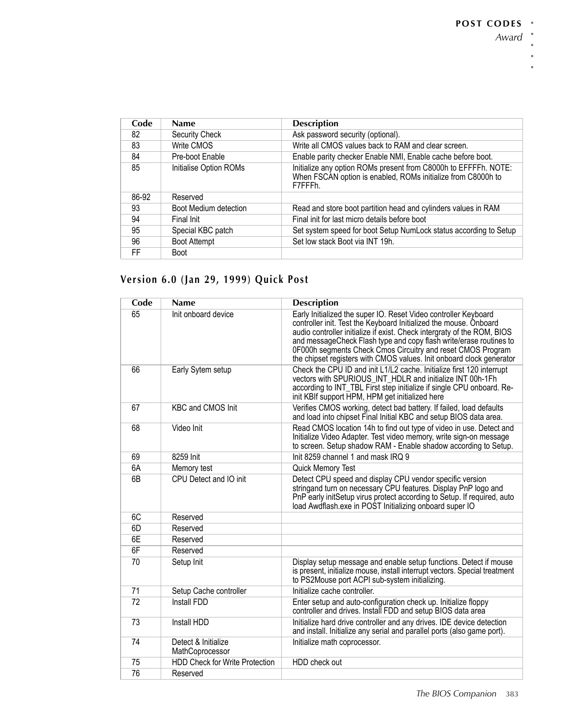|   | ٠      |
|---|--------|
| ł | ۰      |
|   | ٠      |
|   | ۰<br>÷ |
|   | ٠      |

| Code  | Name                   | <b>Description</b>                                                                                                                        |
|-------|------------------------|-------------------------------------------------------------------------------------------------------------------------------------------|
| 82    | Security Check         | Ask password security (optional).                                                                                                         |
| 83    | Write CMOS             | Write all CMOS values back to RAM and clear screen.                                                                                       |
| 84    | Pre-boot Enable        | Enable parity checker Enable NMI, Enable cache before boot.                                                                               |
| 85    | Initialise Option ROMs | Initialize any option ROMs present from C8000h to EFFFFh. NOTE:<br>When FSCAN option is enabled, ROMs initialize from C8000h to<br>F7FFFh |
| 86-92 | Reserved               |                                                                                                                                           |
| 93    | Boot Medium detection  | Read and store boot partition head and cylinders values in RAM                                                                            |
| 94    | Final Init             | Final init for last micro details before boot                                                                                             |
| 95    | Special KBC patch      | Set system speed for boot Setup NumLock status according to Setup                                                                         |
| 96    | <b>Boot Attempt</b>    | Set low stack Boot via INT 19h.                                                                                                           |
| FF    | Boot                   |                                                                                                                                           |

# **Version 6.0 (Jan 29, 1999) Quick Post**

| Code | Name                                   | <b>Description</b>                                                                                                                                                                                                                                                                                                                                                                                                            |
|------|----------------------------------------|-------------------------------------------------------------------------------------------------------------------------------------------------------------------------------------------------------------------------------------------------------------------------------------------------------------------------------------------------------------------------------------------------------------------------------|
| 65   | Init onboard device                    | Early Initialized the super IO. Reset Video controller Keyboard<br>controller init. Test the Keyboard Initialized the mouse. Onboard<br>audio controller initialize if exist. Check intergraty of the ROM, BIOS<br>and message Check Flash type and copy flash write/erase routines to<br>0F000h segments Check Cmos Circuitry and reset CMOS Program<br>the chipset registers with CMOS values. Init onboard clock generator |
| 66   | Early Sytem setup                      | Check the CPU ID and init L1/L2 cache. Initialize first 120 interrupt<br>vectors with SPURIOUS INT HDLR and initialize INT 00h-1Fh<br>according to INT_TBL First step initialize if single CPU onboard. Re-<br>init KBIf support HPM, HPM get initialized here                                                                                                                                                                |
| 67   | <b>KBC and CMOS Init</b>               | Verifies CMOS working, detect bad battery. If failed, load defaults<br>and load into chipset Final Initial KBC and setup BIOS data area.                                                                                                                                                                                                                                                                                      |
| 68   | Video Init                             | Read CMOS location 14h to find out type of video in use. Detect and<br>Initialize Video Adapter. Test video memory, write sign-on message<br>to screen. Setup shadow RAM - Enable shadow according to Setup.                                                                                                                                                                                                                  |
| 69   | 8259 Init                              | Init 8259 channel 1 and mask IRO 9                                                                                                                                                                                                                                                                                                                                                                                            |
| 6A   | Memory test                            | <b>Quick Memory Test</b>                                                                                                                                                                                                                                                                                                                                                                                                      |
| 6B   | CPU Detect and IO init                 | Detect CPU speed and display CPU vendor specific version<br>stringand turn on necessary CPU features. Display PnP logo and<br>PnP early initSetup virus protect according to Setup. If required, auto<br>load Awdflash exe in POST Initializing onboard super IO                                                                                                                                                              |
| 6C   | Reserved                               |                                                                                                                                                                                                                                                                                                                                                                                                                               |
| 6D   | Reserved                               |                                                                                                                                                                                                                                                                                                                                                                                                                               |
| 6E   | Reserved                               |                                                                                                                                                                                                                                                                                                                                                                                                                               |
| 6F   | Reserved                               |                                                                                                                                                                                                                                                                                                                                                                                                                               |
| 70   | Setup Init                             | Display setup message and enable setup functions. Detect if mouse<br>is present, initialize mouse, install interrupt vectors. Special treatment<br>to PS2Mouse port ACPI sub-system initializing.                                                                                                                                                                                                                             |
| 71   | Setup Cache controller                 | Initialize cache controller.                                                                                                                                                                                                                                                                                                                                                                                                  |
| 72   | Install FDD                            | Enter setup and auto-configuration check up. Initialize floppy<br>controller and drives. Install FDD and setup BIOS data area                                                                                                                                                                                                                                                                                                 |
| 73   | Install HDD                            | Initialize hard drive controller and any drives. IDE device detection<br>and install. Initialize any serial and parallel ports (also game port).                                                                                                                                                                                                                                                                              |
| 74   | Detect & Initialize<br>MathCoprocessor | Initialize math coprocessor.                                                                                                                                                                                                                                                                                                                                                                                                  |
| 75   | <b>HDD Check for Write Protection</b>  | HDD check out                                                                                                                                                                                                                                                                                                                                                                                                                 |
| 76   | Reserved                               |                                                                                                                                                                                                                                                                                                                                                                                                                               |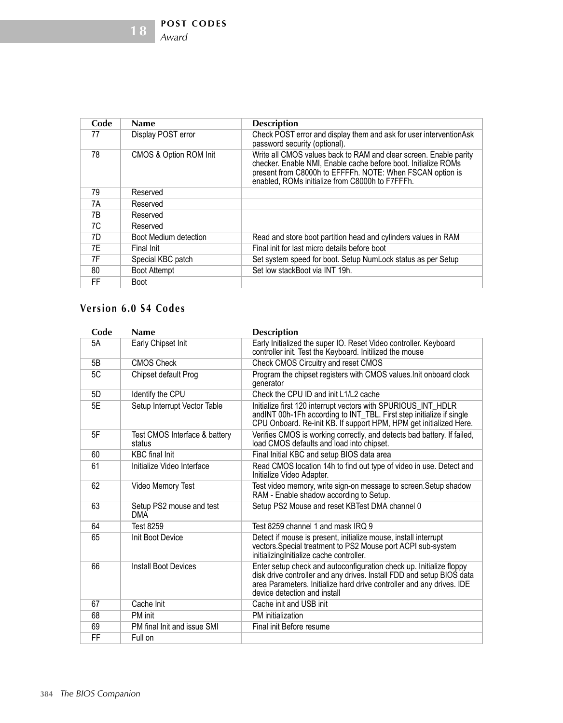*Award*

| Code | <b>Name</b>                       | <b>Description</b>                                                                                                                                                                                                                                  |  |
|------|-----------------------------------|-----------------------------------------------------------------------------------------------------------------------------------------------------------------------------------------------------------------------------------------------------|--|
| 77   | Display POST error                | Check POST error and display them and ask for user intervention Ask<br>password security (optional).                                                                                                                                                |  |
| 78   | <b>CMOS &amp; Option ROM Init</b> | Write all CMOS values back to RAM and clear screen. Enable parity<br>checker. Enable NMI, Enable cache before boot. Initialize ROMs<br>present from C8000h to EFFFFh. NOTE: When FSCAN option is<br>enabled, ROMs initialize from C8000h to F7FFFh. |  |
| 79   | Reserved                          |                                                                                                                                                                                                                                                     |  |
| 7A   | Reserved                          |                                                                                                                                                                                                                                                     |  |
| 7B   | Reserved                          |                                                                                                                                                                                                                                                     |  |
| 7C   | Reserved                          |                                                                                                                                                                                                                                                     |  |
| 7D   | Boot Medium detection             | Read and store boot partition head and cylinders values in RAM                                                                                                                                                                                      |  |
| 7E   | Final Init                        | Final init for last micro details before boot                                                                                                                                                                                                       |  |
| 7F   | Special KBC patch                 | Set system speed for boot. Setup NumLock status as per Setup                                                                                                                                                                                        |  |
| 80   | <b>Boot Attempt</b>               | Set low stackBoot via INT 19h.                                                                                                                                                                                                                      |  |
| FF   | Boot                              |                                                                                                                                                                                                                                                     |  |

# **Version 6.0 S4 Codes**

| Code | Name                                    | <b>Description</b>                                                                                                                                                                                                                                    |  |
|------|-----------------------------------------|-------------------------------------------------------------------------------------------------------------------------------------------------------------------------------------------------------------------------------------------------------|--|
| 5Α   | Early Chipset Init                      | Early Initialized the super IO. Reset Video controller. Keyboard<br>controller init. Test the Keyboard. Initilized the mouse                                                                                                                          |  |
| 5B   | <b>CMOS Check</b>                       | Check CMOS Circuitry and reset CMOS                                                                                                                                                                                                                   |  |
| 5C   | Chipset default Prog                    | Program the chipset registers with CMOS values. Init onboard clock<br>generator                                                                                                                                                                       |  |
| 5D   | Identify the CPU                        | Check the CPU ID and init L1/L2 cache                                                                                                                                                                                                                 |  |
| 5E   | Setup Interrupt Vector Table            | Initialize first 120 interrupt vectors with SPURIOUS INT HDLR<br>andINT 00h-1Fh according to INT_TBL. First step initialize if single<br>CPU Onboard. Re-init KB. If support HPM, HPM get initialized Here.                                           |  |
| 5F   | Test CMOS Interface & battery<br>status | Verifies CMOS is working correctly, and detects bad battery. If failed,<br>load CMOS defaults and load into chipset.                                                                                                                                  |  |
| 60   | <b>KBC</b> final Init                   | Final Initial KBC and setup BIOS data area                                                                                                                                                                                                            |  |
| 61   | Initialize Video Interface              | Read CMOS location 14h to find out type of video in use. Detect and<br>Initialize Video Adapter.                                                                                                                                                      |  |
| 62   | Video Memory Test                       | Test video memory, write sign-on message to screen. Setup shadow<br>RAM - Enable shadow according to Setup.                                                                                                                                           |  |
| 63   | Setup PS2 mouse and test<br><b>DMA</b>  | Setup PS2 Mouse and reset KBTest DMA channel 0                                                                                                                                                                                                        |  |
| 64   | Test 8259                               | Test 8259 channel 1 and mask IRQ 9                                                                                                                                                                                                                    |  |
| 65   | Init Boot Device                        | Detect if mouse is present, initialize mouse, install interrupt<br>vectors Special treatment to PS2 Mouse port ACPI sub-system<br>initializing Initialize cache controller.                                                                           |  |
| 66   | <b>Install Boot Devices</b>             | Enter setup check and autoconfiguration check up. Initialize floppy<br>disk drive controller and any drives. Install FDD and setup BIOS data<br>area Parameters. Initialize hard drive controller and any drives. IDE<br>device detection and install |  |
| 67   | Cache Init                              | Cache init and USB init                                                                                                                                                                                                                               |  |
| 68   | PM init                                 | PM initialization                                                                                                                                                                                                                                     |  |
| 69   | PM final Init and issue SMI             | Final init Before resume                                                                                                                                                                                                                              |  |
| FF   | Full on                                 |                                                                                                                                                                                                                                                       |  |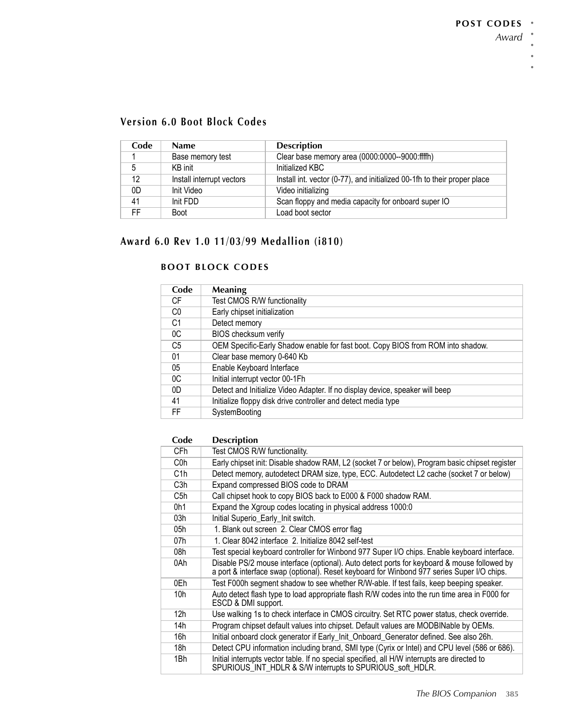# **Version 6.0 Boot Block Codes**

| Code | <b>Name</b>               | <b>Description</b>                                                       |  |
|------|---------------------------|--------------------------------------------------------------------------|--|
|      | Base memory test          | Clear base memory area (0000:0000--9000:ffffh)                           |  |
| 5    | KB init                   | Initialized KBC                                                          |  |
| 12   | Install interrupt vectors | Install int. vector (0-77), and initialized 00-1fh to their proper place |  |
| 0D   | Init Video                | Video initializing                                                       |  |
| 41   | Init FDD                  | Scan floppy and media capacity for onboard super IO                      |  |
| FF.  | Boot                      | Load boot sector                                                         |  |

# **Award 6.0 Rev 1.0 11/03/99 Medallion (i810)**

### **BOOT BLOCK CODES**

| Code           | <b>Meaning</b>                                                                  |
|----------------|---------------------------------------------------------------------------------|
| СF             | Test CMOS R/W functionality                                                     |
| C <sub>0</sub> | Early chipset initialization                                                    |
| C <sub>1</sub> | Detect memory                                                                   |
| 0C             | BIOS checksum verify                                                            |
| C <sub>5</sub> | OEM Specific-Early Shadow enable for fast boot. Copy BIOS from ROM into shadow. |
| 01             | Clear base memory 0-640 Kb                                                      |
| 05             | Enable Keyboard Interface                                                       |
| 0C             | Initial interrupt vector 00-1Fh                                                 |
| 0 <sub>D</sub> | Detect and Initialize Video Adapter. If no display device, speaker will beep    |
| 41             | Initialize floppy disk drive controller and detect media type                   |
| FF             | SystemBooting                                                                   |

| Code             | <b>Description</b>                                                                                                                                                                        |  |  |
|------------------|-------------------------------------------------------------------------------------------------------------------------------------------------------------------------------------------|--|--|
| CFh              | Test CMOS R/W functionality.                                                                                                                                                              |  |  |
| C <sub>0</sub> h | Early chipset init: Disable shadow RAM, L2 (socket 7 or below), Program basic chipset register                                                                                            |  |  |
| C <sub>1</sub> h | Detect memory, autodetect DRAM size, type, ECC. Autodetect L2 cache (socket 7 or below)                                                                                                   |  |  |
| C <sub>3</sub> h | Expand compressed BIOS code to DRAM                                                                                                                                                       |  |  |
| C5h              | Call chipset hook to copy BIOS back to E000 & F000 shadow RAM.                                                                                                                            |  |  |
| 0h1              | Expand the Xgroup codes locating in physical address 1000:0                                                                                                                               |  |  |
| 03h              | Initial Superio Early Init switch.                                                                                                                                                        |  |  |
| 05h              | 1. Blank out screen 2. Clear CMOS error flag                                                                                                                                              |  |  |
| 07h              | 1. Clear 8042 interface 2. Initialize 8042 self-test                                                                                                                                      |  |  |
| 08h              | Test special keyboard controller for Winbond 977 Super I/O chips. Enable keyboard interface.                                                                                              |  |  |
| 0Ah              | Disable PS/2 mouse interface (optional). Auto detect ports for keyboard & mouse followed by<br>a port & interface swap (optional). Reset keyboard for Winbond 977 series Super I/O chips. |  |  |
| 0Eh              | Test F000h segment shadow to see whether R/W-able. If test fails, keep beeping speaker.                                                                                                   |  |  |
| 10h              | Auto detect flash type to load appropriate flash R/W codes into the run time area in F000 for<br>ESCD & DMI support.                                                                      |  |  |
| 12h              | Use walking 1s to check interface in CMOS circuitry. Set RTC power status, check override.                                                                                                |  |  |
| 14h              | Program chipset default values into chipset. Default values are MODBINable by OEMs.                                                                                                       |  |  |
| 16h              | Initial onboard clock generator if Early Init Onboard Generator defined. See also 26h.                                                                                                    |  |  |
| 18h              | Detect CPU information including brand, SMI type (Cyrix or Intel) and CPU level (586 or 686).                                                                                             |  |  |
| 1Bh              | Initial interrupts vector table. If no special specified, all H/W interrupts are directed to<br>SPURIOUS INT HDLR & S/W interrupts to SPURIOUS soft HDLR.                                 |  |  |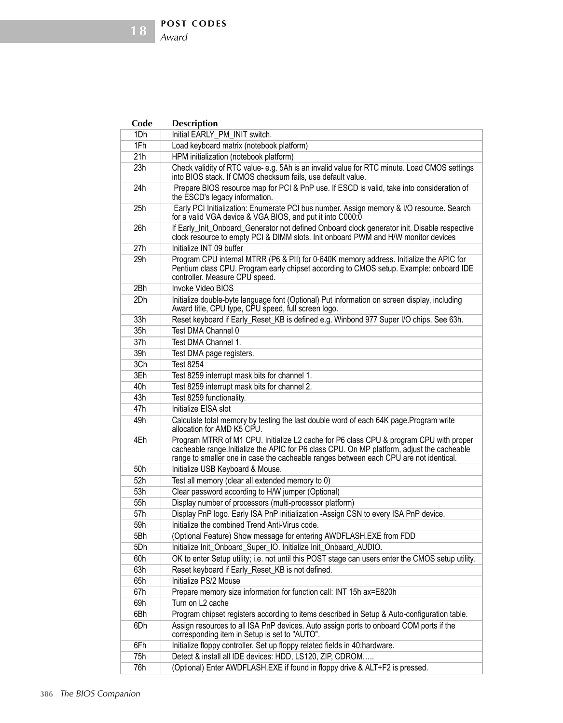**POST CODES**

*Award* **1 8**

| Code | <b>Description</b>                                                                                                                                                                                                                                                            |  |  |
|------|-------------------------------------------------------------------------------------------------------------------------------------------------------------------------------------------------------------------------------------------------------------------------------|--|--|
| 1Dh  | Initial EARLY_PM_INIT switch.                                                                                                                                                                                                                                                 |  |  |
| 1Fh  | Load keyboard matrix (notebook platform)                                                                                                                                                                                                                                      |  |  |
| 21h  | HPM initialization (notebook platform)                                                                                                                                                                                                                                        |  |  |
| 23h  | Check validity of RTC value- e.g. 5Ah is an invalid value for RTC minute. Load CMOS settings<br>into BIOS stack. If CMOS checksum fails, use default value.                                                                                                                   |  |  |
| 24h  | Prepare BIOS resource map for PCI & PnP use. If ESCD is valid, take into consideration of<br>the ESCD's legacy information.                                                                                                                                                   |  |  |
| 25h  | Early PCI Initialization: Enumerate PCI bus number. Assign memory & I/O resource. Search<br>for a valid VGA device & VGA BIOS, and put it into C000:0                                                                                                                         |  |  |
| 26h  | If Early Init Onboard Generator not defined Onboard clock generator init. Disable respective<br>clock resource to empty PCI & DIMM slots. Init onboard PWM and H/W monitor devices                                                                                            |  |  |
| 27h  | Initialize INT 09 buffer                                                                                                                                                                                                                                                      |  |  |
| 29h  | Program CPU internal MTRR (P6 & PII) for 0-640K memory address. Initialize the APIC for<br>Pentium class CPU. Program early chipset according to CMOS setup. Example: onboard IDE<br>controller. Measure CPU speed.                                                           |  |  |
| 2Bh  | Invoke Video BIOS                                                                                                                                                                                                                                                             |  |  |
| 2Dh  | Initialize double-byte language font (Optional) Put information on screen display, including<br>Award title, CPU type, CPU speed, full screen logo.                                                                                                                           |  |  |
| 33h  | Reset keyboard if Early_Reset_KB is defined e.g. Winbond 977 Super I/O chips. See 63h.                                                                                                                                                                                        |  |  |
| 35h  | Test DMA Channel 0                                                                                                                                                                                                                                                            |  |  |
| 37h  | Test DMA Channel 1.                                                                                                                                                                                                                                                           |  |  |
| 39h  | Test DMA page registers.                                                                                                                                                                                                                                                      |  |  |
| 3Ch  | <b>Test 8254</b>                                                                                                                                                                                                                                                              |  |  |
| 3Eh  | Test 8259 interrupt mask bits for channel 1.                                                                                                                                                                                                                                  |  |  |
| 40h  | Test 8259 interrupt mask bits for channel 2.                                                                                                                                                                                                                                  |  |  |
| 43h  | Test 8259 functionality.                                                                                                                                                                                                                                                      |  |  |
| 47h  | Initialize EISA slot                                                                                                                                                                                                                                                          |  |  |
| 49h  | Calculate total memory by testing the last double word of each 64K page. Program write<br>allocation for AMD K5 CPU.                                                                                                                                                          |  |  |
| 4Eh  | Program MTRR of M1 CPU. Initialize L2 cache for P6 class CPU & program CPU with proper<br>cacheable range Initialize the APIC for P6 class CPU. On MP platform, adjust the cacheable<br>range to smaller one in case the cacheable ranges between each CPU are not identical. |  |  |
| 50h  | Initialize USB Keyboard & Mouse.                                                                                                                                                                                                                                              |  |  |
| 52h  | Test all memory (clear all extended memory to 0)                                                                                                                                                                                                                              |  |  |
| 53h  | Clear password according to H/W jumper (Optional)                                                                                                                                                                                                                             |  |  |
| 55h  | Display number of processors (multi-processor platform)                                                                                                                                                                                                                       |  |  |
| 57h  | Display PnP logo. Early ISA PnP initialization -Assign CSN to every ISA PnP device.                                                                                                                                                                                           |  |  |
| 59h  | Initialize the combined Trend Anti-Virus code.                                                                                                                                                                                                                                |  |  |
| 5Bh  | (Optional Feature) Show message for entering AWDFLASH.EXE from FDD                                                                                                                                                                                                            |  |  |
| 5Dh  | Initialize Init Onboard Super IO. Initialize Init Onbaard AUDIO.                                                                                                                                                                                                              |  |  |
| 60h  | OK to enter Setup utility; i.e. not until this POST stage can users enter the CMOS setup utility.                                                                                                                                                                             |  |  |
| 63h  | Reset keyboard if Early_Reset_KB is not defined.                                                                                                                                                                                                                              |  |  |
| 65h  | Initialize PS/2 Mouse                                                                                                                                                                                                                                                         |  |  |
| 67h  | Prepare memory size information for function call: INT 15h ax=E820h                                                                                                                                                                                                           |  |  |
| 69h  | Turn on L2 cache                                                                                                                                                                                                                                                              |  |  |
| 6Bh  | Program chipset registers according to items described in Setup & Auto-configuration table.                                                                                                                                                                                   |  |  |
| 6Dh  | Assign resources to all ISA PnP devices. Auto assign ports to onboard COM ports if the<br>corresponding item in Setup is set to "AUTO".                                                                                                                                       |  |  |
| 6Fh  | Initialize floppy controller. Set up floppy related fields in 40:hardware.                                                                                                                                                                                                    |  |  |
| 75h  | Detect & install all IDE devices: HDD, LS120, ZIP, CDROM                                                                                                                                                                                                                      |  |  |
| 76h  | (Optional) Enter AWDFLASH.EXE if found in floppy drive & ALT+F2 is pressed.                                                                                                                                                                                                   |  |  |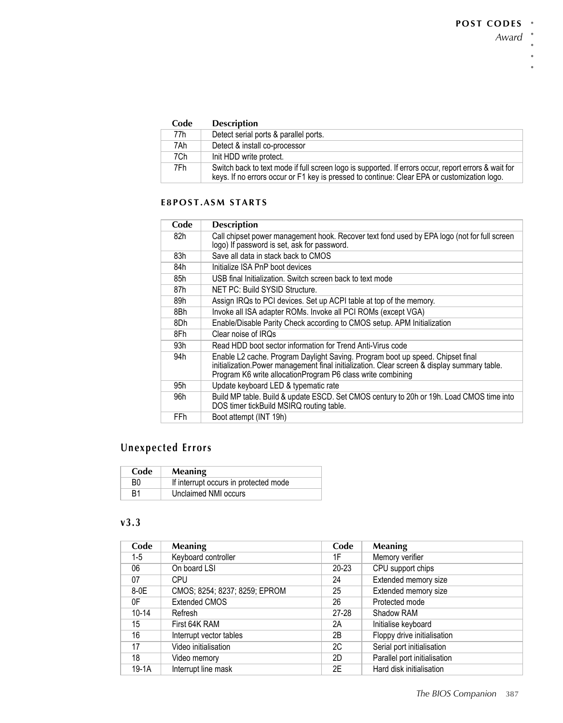| Code | <b>Description</b>                                                                                                                                                                                  |  |
|------|-----------------------------------------------------------------------------------------------------------------------------------------------------------------------------------------------------|--|
| 77h  | Detect serial ports & parallel ports.                                                                                                                                                               |  |
| 7Ah  | Detect & install co-processor                                                                                                                                                                       |  |
| 7Ch  | Init HDD write protect.                                                                                                                                                                             |  |
| 7Fh  | Switch back to text mode if full screen logo is supported. If errors occur, report errors & wait for<br>keys. If no errors occur or F1 key is pressed to continue: Clear EPA or customization logo. |  |

### **E8POST.ASM STARTS**

| Code | <b>Description</b>                                                                                                                                                                                                                           |  |  |
|------|----------------------------------------------------------------------------------------------------------------------------------------------------------------------------------------------------------------------------------------------|--|--|
| 82h  | Call chipset power management hook. Recover text fond used by EPA logo (not for full screen<br>logo) If password is set, ask for password.                                                                                                   |  |  |
| 83h  | Save all data in stack back to CMOS                                                                                                                                                                                                          |  |  |
| 84h  | Initialize ISA PnP boot devices                                                                                                                                                                                                              |  |  |
| 85h  | USB final Initialization. Switch screen back to text mode                                                                                                                                                                                    |  |  |
| 87h  | NET PC: Build SYSID Structure                                                                                                                                                                                                                |  |  |
| 89h  | Assign IRQs to PCI devices. Set up ACPI table at top of the memory.                                                                                                                                                                          |  |  |
| 8Bh  | Invoke all ISA adapter ROMs. Invoke all PCI ROMs (except VGA)                                                                                                                                                                                |  |  |
| 8Dh  | Enable/Disable Parity Check according to CMOS setup. APM Initialization                                                                                                                                                                      |  |  |
| 8Fh  | Clear noise of IROs                                                                                                                                                                                                                          |  |  |
| 93h  | Read HDD boot sector information for Trend Anti-Virus code                                                                                                                                                                                   |  |  |
| 94h  | Enable L2 cache. Program Daylight Saving. Program boot up speed. Chipset final<br>initialization Power management final initialization. Clear screen & display summary table.<br>Program K6 write allocationProgram P6 class write combining |  |  |
| 95h  | Update keyboard LED & typematic rate                                                                                                                                                                                                         |  |  |
| 96h  | Build MP table. Build & update ESCD. Set CMOS century to 20h or 19h. Load CMOS time into<br>DOS timer tickBuild MSIRQ routing table.                                                                                                         |  |  |
| FFh  | Boot attempt (INT 19h)                                                                                                                                                                                                                       |  |  |

# **Unexpected Errors**

| Code | Meaning                               |  |
|------|---------------------------------------|--|
| B0   | If interrupt occurs in protected mode |  |
| R1   | Unclaimed NMI occurs                  |  |

### **v3.3**

| Code      | Meaning                       | Code      | <b>Meaning</b>               |
|-----------|-------------------------------|-----------|------------------------------|
| $1-5$     | Keyboard controller           | 1F        | Memory verifier              |
| 06        | On board LSI                  | $20 - 23$ | CPU support chips            |
| 07        | CPU                           | 24        | Extended memory size         |
| 8-0E      | CMOS; 8254; 8237; 8259; EPROM | 25        | Extended memory size         |
| 0F        | <b>Extended CMOS</b>          | 26        | Protected mode               |
| $10 - 14$ | Refresh                       | $27-28$   | Shadow RAM                   |
| 15        | First 64K RAM                 | 2Α        | Initialise keyboard          |
| 16        | Interrupt vector tables       | 2Β        | Floppy drive initialisation  |
| 17        | Video initialisation          | 2C        | Serial port initialisation   |
| 18        | Video memory                  | 2D        | Parallel port initialisation |
| $19-1A$   | Interrupt line mask           | 2E        | Hard disk initialisation     |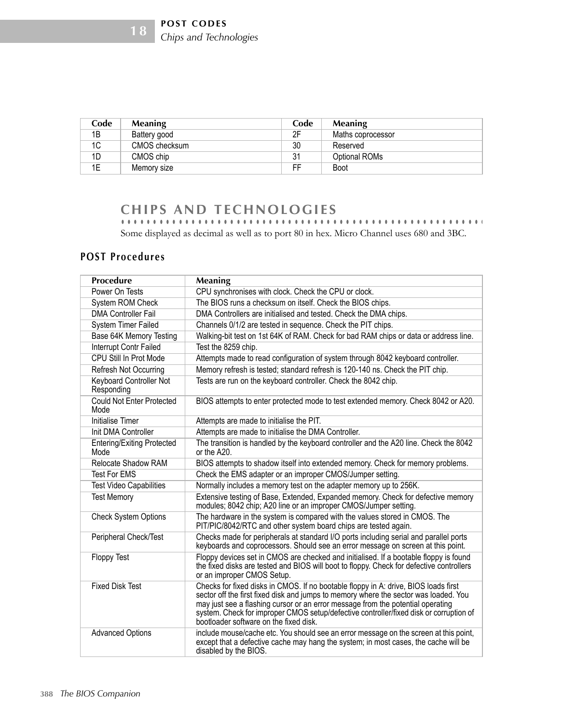| Code | <b>Meaning</b> | Code | Meaning           |
|------|----------------|------|-------------------|
| 1B   | Battery good   | 2F   | Maths coprocessor |
| 1C   | CMOS checksum  | 30   | Reserved          |
| 1D   | CMOS chip      | 31   | Optional ROMs     |
| 1E   | Memory size    | FF   | <b>Boot</b>       |

# **. . . . . . . . . . . . . . . . . . . . . . . . . . . . . . . . . . . . . . . . . . . . . . . . . . . . . . . . . CHIPS AND TECHNOLOGIES**

Some displayed as decimal as well as to port 80 in hex. Micro Channel uses 680 and 3BC.

# **POST Procedures**

| Procedure                                 | Meaning                                                                                                                                                                                                                                                                                                                                                                                            |
|-------------------------------------------|----------------------------------------------------------------------------------------------------------------------------------------------------------------------------------------------------------------------------------------------------------------------------------------------------------------------------------------------------------------------------------------------------|
| Power On Tests                            | CPU synchronises with clock. Check the CPU or clock.                                                                                                                                                                                                                                                                                                                                               |
| System ROM Check                          | The BIOS runs a checksum on itself. Check the BIOS chips.                                                                                                                                                                                                                                                                                                                                          |
| <b>DMA Controller Fail</b>                | DMA Controllers are initialised and tested. Check the DMA chips.                                                                                                                                                                                                                                                                                                                                   |
| <b>System Timer Failed</b>                | Channels 0/1/2 are tested in sequence. Check the PIT chips.                                                                                                                                                                                                                                                                                                                                        |
| Base 64K Memory Testing                   | Walking-bit test on 1st 64K of RAM. Check for bad RAM chips or data or address line.                                                                                                                                                                                                                                                                                                               |
| Interrupt Contr Failed                    | Test the 8259 chip.                                                                                                                                                                                                                                                                                                                                                                                |
| CPU Still In Prot Mode                    | Attempts made to read configuration of system through 8042 keyboard controller.                                                                                                                                                                                                                                                                                                                    |
| Refresh Not Occurring                     | Memory refresh is tested; standard refresh is 120-140 ns. Check the PIT chip.                                                                                                                                                                                                                                                                                                                      |
| Keyboard Controller Not<br>Responding     | Tests are run on the keyboard controller. Check the 8042 chip.                                                                                                                                                                                                                                                                                                                                     |
| <b>Could Not Enter Protected</b><br>Mode  | BIOS attempts to enter protected mode to test extended memory. Check 8042 or A20.                                                                                                                                                                                                                                                                                                                  |
| <b>Initialise Timer</b>                   | Attempts are made to initialise the PIT.                                                                                                                                                                                                                                                                                                                                                           |
| Init DMA Controller                       | Attempts are made to initialise the DMA Controller.                                                                                                                                                                                                                                                                                                                                                |
| <b>Entering/Exiting Protected</b><br>Mode | The transition is handled by the keyboard controller and the A20 line. Check the 8042<br>or the A20.                                                                                                                                                                                                                                                                                               |
| Relocate Shadow RAM                       | BIOS attempts to shadow itself into extended memory. Check for memory problems.                                                                                                                                                                                                                                                                                                                    |
| <b>Test For EMS</b>                       | Check the EMS adapter or an improper CMOS/Jumper setting.                                                                                                                                                                                                                                                                                                                                          |
| <b>Test Video Capabilities</b>            | Normally includes a memory test on the adapter memory up to 256K.                                                                                                                                                                                                                                                                                                                                  |
| <b>Test Memory</b>                        | Extensive testing of Base, Extended, Expanded memory. Check for defective memory<br>modules; 8042 chip; A20 line or an improper CMOS/Jumper setting.                                                                                                                                                                                                                                               |
| <b>Check System Options</b>               | The hardware in the system is compared with the values stored in CMOS. The<br>PIT/PIC/8042/RTC and other system board chips are tested again.                                                                                                                                                                                                                                                      |
| Peripheral Check/Test                     | Checks made for peripherals at standard I/O ports including serial and parallel ports<br>keyboards and coprocessors. Should see an error message on screen at this point.                                                                                                                                                                                                                          |
| <b>Floppy Test</b>                        | Floppy devices set in CMOS are checked and initialised. If a bootable floppy is found<br>the fixed disks are tested and BIOS will boot to floppy. Check for defective controllers<br>or an improper CMOS Setup.                                                                                                                                                                                    |
| <b>Fixed Disk Test</b>                    | Checks for fixed disks in CMOS. If no bootable floppy in A: drive, BIOS loads first<br>sector off the first fixed disk and jumps to memory where the sector was loaded. You<br>may just see a flashing cursor or an error message from the potential operating<br>system. Check for improper CMOS setup/defective controller/fixed disk or corruption of<br>bootloader software on the fixed disk. |
| <b>Advanced Options</b>                   | include mouse/cache etc. You should see an error message on the screen at this point,<br>except that a defective cache may hang the system; in most cases, the cache will be<br>disabled by the BIOS.                                                                                                                                                                                              |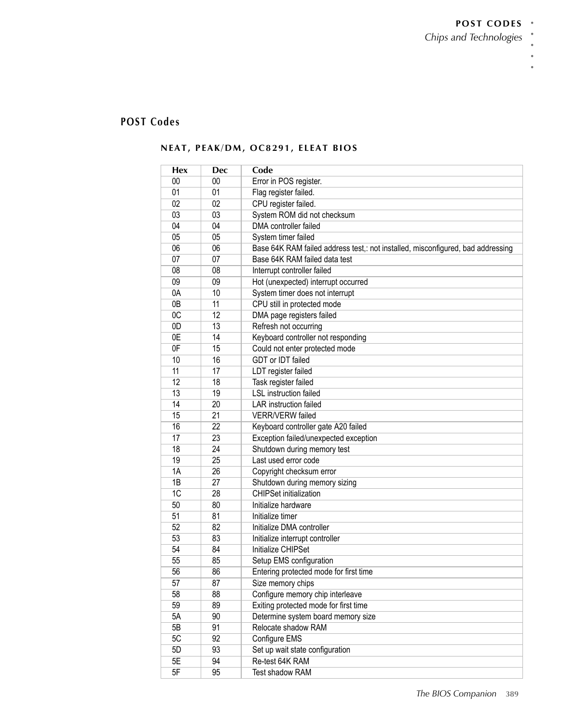. . . . .  $\ddot{\phantom{0}}$  $\bullet$ 

# **POST Codes**

| Hex            | Dec | Code                                                                            |
|----------------|-----|---------------------------------------------------------------------------------|
| 00             | 00  | Error in POS register.                                                          |
| 01             | 01  | Flag register failed.                                                           |
| 02             | 02  | CPU register failed.                                                            |
| 03             | 03  | System ROM did not checksum                                                     |
| 04             | 04  | DMA controller failed                                                           |
| 0 <sub>5</sub> | 05  | System timer failed                                                             |
| 06             | 06  | Base 64K RAM failed address test,: not installed, misconfigured, bad addressing |
| 07             | 07  | Base 64K RAM failed data test                                                   |
| 08             | 08  | Interrupt controller failed                                                     |
| 09             | 09  | Hot (unexpected) interrupt occurred                                             |
| 0A             | 10  | System timer does not interrupt                                                 |
| 0B             | 11  | CPU still in protected mode                                                     |
| 0 <sup>C</sup> | 12  | DMA page registers failed                                                       |
| 0D             | 13  | Refresh not occurring                                                           |
| 0E             | 14  | Keyboard controller not responding                                              |
| 0F             | 15  | Could not enter protected mode                                                  |
| 10             | 16  | GDT or IDT failed                                                               |
| 11             | 17  | LDT register failed                                                             |
| 12             | 18  | Task register failed                                                            |
| 13             | 19  | <b>LSL</b> instruction failed                                                   |
| 14             | 20  | <b>LAR</b> instruction failed                                                   |
| 15             | 21  | <b>VERR/VERW</b> failed                                                         |
| 16             | 22  | Keyboard controller gate A20 failed                                             |
| 17             | 23  | Exception failed/unexpected exception                                           |
| 18             | 24  | Shutdown during memory test                                                     |
| 19             | 25  | Last used error code                                                            |
| 1A             | 26  | Copyright checksum error                                                        |
| 1B             | 27  | Shutdown during memory sizing                                                   |
| 1C             | 28  | <b>CHIPSet initialization</b>                                                   |
| 50             | 80  | Initialize hardware                                                             |
| 51             | 81  | Initialize timer                                                                |
| 52             | 82  | Initialize DMA controller                                                       |
| 53             | 83  | Initialize interrupt controller                                                 |
| 54             | 84  | Initialize CHIPSet                                                              |
| 55             | 85  | Setup EMS configuration                                                         |
| 56             | 86  | Entering protected mode for first time                                          |
| 57             | 87  | Size memory chips                                                               |
| 58             | 88  | Configure memory chip interleave                                                |
| 59             | 89  | Exiting protected mode for first time                                           |
| 5A             | 90  | Determine system board memory size                                              |
| 5B             | 91  | Relocate shadow RAM                                                             |
| 5C             | 92  | Configure EMS                                                                   |
| 5D             | 93  | Set up wait state configuration                                                 |
| 5E             | 94  | Re-test 64K RAM                                                                 |
| 5F             | 95  | <b>Test shadow RAM</b>                                                          |

### **NEAT, PEAK/DM, OC8291, ELEAT BIOS**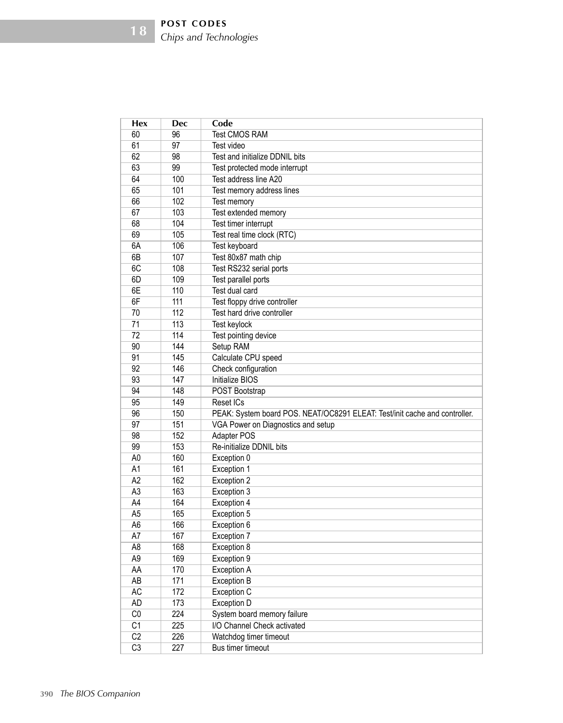| Hex             | <b>Dec</b> | Code                                                                       |
|-----------------|------------|----------------------------------------------------------------------------|
| 60              | 96         | <b>Test CMOS RAM</b>                                                       |
| 61              | 97         | Test video                                                                 |
| 62              | 98         | Test and initialize DDNIL bits                                             |
| 63              | 99         | Test protected mode interrupt                                              |
| 64              | 100        | Test address line A20                                                      |
| 65              | 101        | Test memory address lines                                                  |
| 66              | 102        | Test memory                                                                |
| 67              | 103        | Test extended memory                                                       |
| 68              | 104        | Test timer interrupt                                                       |
| 69              | 105        | Test real time clock (RTC)                                                 |
| 6A              | 106        | Test keyboard                                                              |
| 6B              | 107        | Test 80x87 math chip                                                       |
| 6C              | 108        | Test RS232 serial ports                                                    |
| 6 <sub>D</sub>  | 109        | Test parallel ports                                                        |
| 6E              | 110        | Test dual card                                                             |
| 6F              | 111        | Test floppy drive controller                                               |
| 70              | 112        | Test hard drive controller                                                 |
| 71              | 113        | <b>Test keylock</b>                                                        |
| 72              | 114        | Test pointing device                                                       |
| 90              | 144        | Setup RAM                                                                  |
| 91              | 145        | Calculate CPU speed                                                        |
| 92              | 146        | Check configuration                                                        |
| 93              | 147        | Initialize BIOS                                                            |
| 94              | 148        | POST Bootstrap                                                             |
| 95              | 149        | <b>Reset ICs</b>                                                           |
| 96              | 150        | PEAK: System board POS. NEAT/OC8291 ELEAT: Test/init cache and controller. |
| 97              | 151        | VGA Power on Diagnostics and setup                                         |
| 98              | 152        | Adapter POS                                                                |
| 99              | 153        | Re-initialize DDNIL bits                                                   |
| A <sub>0</sub>  | 160        | Exception 0                                                                |
| A <sub>1</sub>  | 161        | Exception 1                                                                |
| A2              | 162        | Exception 2                                                                |
| A <sub>3</sub>  | 163        | Exception 3                                                                |
| A4              | 164        | Exception 4                                                                |
| A <sub>5</sub>  | 165        | Exception 5                                                                |
| A <sub>6</sub>  | 166        | Exception 6                                                                |
| A7              | 167        | Exception 7                                                                |
| A <sub>8</sub>  | 168        | Exception 8                                                                |
| A <sub>9</sub>  | 169        | Exception 9                                                                |
| AA              | 170        | Exception A                                                                |
| AB              | 171        | <b>Exception B</b>                                                         |
| <b>AC</b>       | 172        | Exception C                                                                |
| <b>AD</b>       | 173        | <b>Exception D</b>                                                         |
| C <sub>0</sub>  | 224        | System board memory failure                                                |
| C <sub>1</sub>  | 225        | I/O Channel Check activated                                                |
| C <sub>2</sub>  | 226        | Watchdog timer timeout                                                     |
| $\overline{C3}$ | 227        | Bus timer timeout                                                          |

**1 8**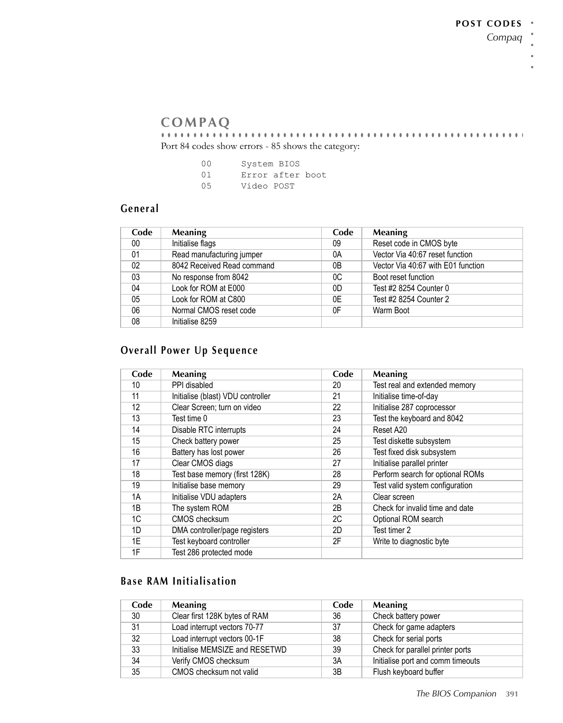. . . . .  $\bullet$ 

**. . . . . . . . . . . . . . . . . . . . . . . . . . . . . . . . . . . . . . . . . . . . . . . . . . . . . . . . . COMPAQ** Port 84 codes show errors - 85 shows the category:

- 00 System BIOS
- 01 Error after boot
- 05 Video POST

# **General**

| Code | <b>Meaning</b>             | Code           | <b>Meaning</b>                     |
|------|----------------------------|----------------|------------------------------------|
| 00   | Initialise flags           | 09             | Reset code in CMOS byte            |
| 01   | Read manufacturing jumper  | 0A             | Vector Via 40:67 reset function    |
| 02   | 8042 Received Read command | 0 <sub>B</sub> | Vector Via 40:67 with E01 function |
| 03   | No response from 8042      | 0C             | Boot reset function                |
| 04   | Look for ROM at E000       | 0 <sub>D</sub> | Test #2 8254 Counter 0             |
| 05   | Look for ROM at C800       | 0E             | Test #2 8254 Counter 2             |
| 06   | Normal CMOS reset code     | 0F             | Warm Boot                          |
| 08   | Initialise 8259            |                |                                    |

### **Overall Power Up Sequence**

| Code | <b>Meaning</b>                    | Code | Meaning                          |
|------|-----------------------------------|------|----------------------------------|
| 10   | PPI disabled                      | 20   | Test real and extended memory    |
| 11   | Initialise (blast) VDU controller | 21   | Initialise time-of-day           |
| 12   | Clear Screen; turn on video       | 22   | Initialise 287 coprocessor       |
| 13   | Test time 0                       | 23   | Test the keyboard and 8042       |
| 14   | Disable RTC interrupts            | 24   | Reset A20                        |
| 15   | Check battery power               | 25   | Test diskette subsystem          |
| 16   | Battery has lost power            | 26   | Test fixed disk subsystem        |
| 17   | Clear CMOS diags                  | 27   | Initialise parallel printer      |
| 18   | Test base memory (first 128K)     | 28   | Perform search for optional ROMs |
| 19   | Initialise base memory            | 29   | Test valid system configuration  |
| 1A   | Initialise VDU adapters           | 2A   | Clear screen                     |
| 1B   | The system ROM                    | 2B   | Check for invalid time and date  |
| 1C   | CMOS checksum                     | 2C   | Optional ROM search              |
| 1D   | DMA controller/page registers     | 2D   | Test timer 2                     |
| 1E   | Test keyboard controller          | 2F   | Write to diagnostic byte         |
| 1F   | Test 286 protected mode           |      |                                  |

# **Base RAM Initialisation**

| Code | <b>Meaning</b>                 | Code | <b>Meaning</b>                    |
|------|--------------------------------|------|-----------------------------------|
| 30   | Clear first 128K bytes of RAM  | 36   | Check battery power               |
| 31   | Load interrupt vectors 70-77   | 37   | Check for game adapters           |
| 32   | Load interrupt vectors 00-1F   | 38   | Check for serial ports            |
| 33   | Initialise MEMSIZE and RESETWD | 39   | Check for parallel printer ports  |
| 34   | Verify CMOS checksum           | 3A   | Initialise port and comm timeouts |
| 35   | CMOS checksum not valid        | 3B   | Flush keyboard buffer             |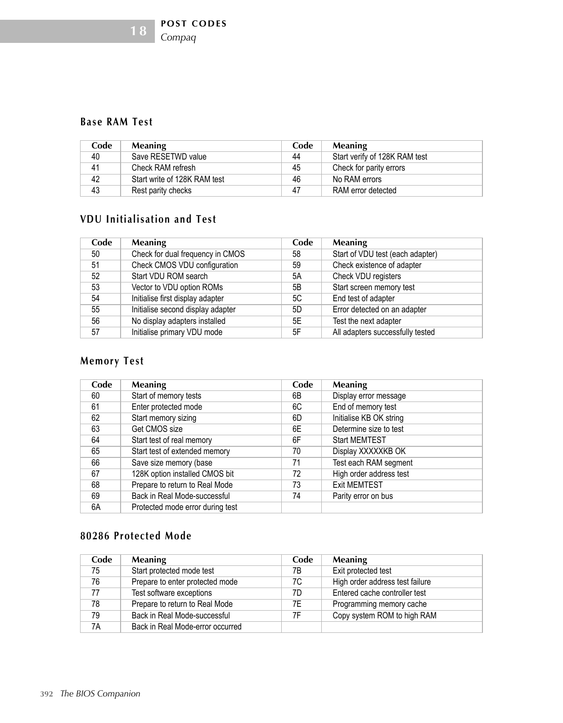

*Compaq*

### **Base RAM Test**

| Code | <b>Meaning</b>               | Code | Meaning                       |
|------|------------------------------|------|-------------------------------|
| 40   | Save RESETWD value           | 44   | Start verify of 128K RAM test |
| 41   | Check RAM refresh            | 45   | Check for parity errors       |
| 42   | Start write of 128K RAM test | 46   | No RAM errors                 |
| 43   | Rest parity checks           | 47   | RAM error detected            |

# **VDU Initialisation and Test**

| Code | <b>Meaning</b>                    | Code      | <b>Meaning</b>                   |
|------|-----------------------------------|-----------|----------------------------------|
| 50   | Check for dual frequency in CMOS  | 58        | Start of VDU test (each adapter) |
| 51   | Check CMOS VDU configuration      | 59        | Check existence of adapter       |
| 52   | Start VDU ROM search              | <b>5A</b> | Check VDU registers              |
| 53   | Vector to VDU option ROMs         | 5Β        | Start screen memory test         |
| 54   | Initialise first display adapter  | 5C        | End test of adapter              |
| 55   | Initialise second display adapter | 5D        | Error detected on an adapter     |
| 56   | No display adapters installed     | 5E        | Test the next adapter            |
| 57   | Initialise primary VDU mode       | 5F        | All adapters successfully tested |

# **Memory Test**

| Code | Meaning                          | Code | <b>Meaning</b>          |
|------|----------------------------------|------|-------------------------|
| 60   | Start of memory tests            | 6B   | Display error message   |
| 61   | Enter protected mode             | 6C   | End of memory test      |
| 62   | Start memory sizing              | 6D   | Initialise KB OK string |
| 63   | Get CMOS size                    | 6E   | Determine size to test  |
| 64   | Start test of real memory        | 6F   | <b>Start MEMTEST</b>    |
| 65   | Start test of extended memory    | 70   | Display XXXXXKB OK      |
| 66   | Save size memory (base           | 71   | Test each RAM segment   |
| 67   | 128K option installed CMOS bit   | 72   | High order address test |
| 68   | Prepare to return to Real Mode   | 73   | <b>Exit MEMTEST</b>     |
| 69   | Back in Real Mode-successful     | 74   | Parity error on bus     |
| 6A   | Protected mode error during test |      |                         |

### **80286 Protected Mode**

| Code | <b>Meaning</b>                   | Code | <b>Meaning</b>                  |
|------|----------------------------------|------|---------------------------------|
| 75   | Start protected mode test        | 7B   | Exit protected test             |
| 76   | Prepare to enter protected mode  | 7C   | High order address test failure |
| 77   | Test software exceptions         | 7D   | Entered cache controller test   |
| 78   | Prepare to return to Real Mode   | 7F   | Programming memory cache        |
| 79   | Back in Real Mode-successful     | 7F   | Copy system ROM to high RAM     |
| 7A   | Back in Real Mode-error occurred |      |                                 |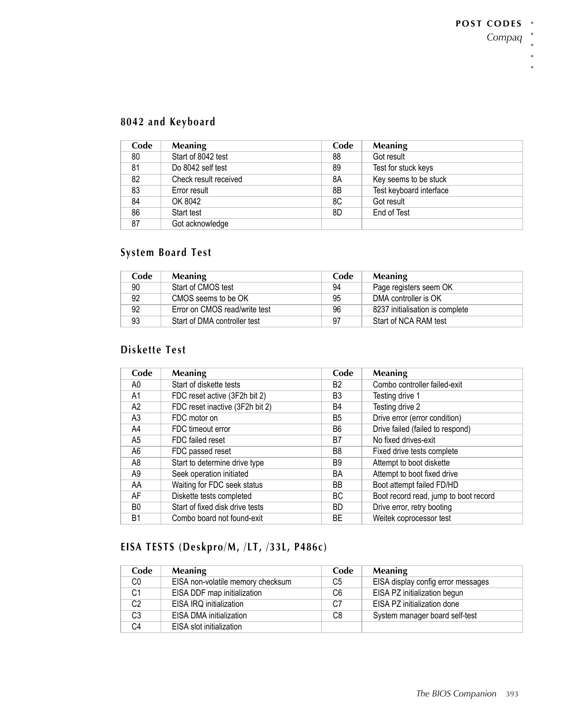# **8042 and Keyboard**

| Code | <b>Meaning</b>        | Code | <b>Meaning</b>          |
|------|-----------------------|------|-------------------------|
| 80   | Start of 8042 test    | 88   | Got result              |
| 81   | Do 8042 self test     | 89   | Test for stuck keys     |
| 82   | Check result received | 8A   | Key seems to be stuck   |
| 83   | Error result          | 8B   | Test keyboard interface |
| 84   | OK 8042               | 8C   | Got result              |
| 86   | Start test            | 8D   | End of Test             |
| 87   | Got acknowledge       |      |                         |

# **System Board Test**

| Code | <b>Meaning</b>                | Code | <b>Meaning</b>                  |
|------|-------------------------------|------|---------------------------------|
| 90   | Start of CMOS test            | 94   | Page registers seem OK          |
| 92   | CMOS seems to be OK           | 95   | DMA controller is OK            |
| 92   | Error on CMOS read/write test | 96   | 8237 initialisation is complete |
| 93   | Start of DMA controller test  | 97   | Start of NCA RAM test           |

# **Diskette Test**

| Code           | Meaning                         | Code           | <b>Meaning</b>                        |
|----------------|---------------------------------|----------------|---------------------------------------|
| A <sub>0</sub> | Start of diskette tests         | B2             | Combo controller failed-exit          |
| A1             | FDC reset active (3F2h bit 2)   | B <sub>3</sub> | Testing drive 1                       |
| A2             | FDC reset inactive (3F2h bit 2) | <b>B4</b>      | Testing drive 2                       |
| A <sub>3</sub> | FDC motor on                    | <b>B5</b>      | Drive error (error condition)         |
| A4             | FDC timeout error               | B <sub>6</sub> | Drive failed (failed to respond)      |
| A <sub>5</sub> | FDC failed reset                | B7             | No fixed drives-exit                  |
| A6             | FDC passed reset                | B <sub>8</sub> | Fixed drive tests complete            |
| A8             | Start to determine drive type   | B <sub>9</sub> | Attempt to boot diskette              |
| A <sub>9</sub> | Seek operation initiated        | BA             | Attempt to boot fixed drive           |
| AA             | Waiting for FDC seek status     | <b>BB</b>      | Boot attempt failed FD/HD             |
| AF             | Diskette tests completed        | <b>BC</b>      | Boot record read, jump to boot record |
| B <sub>0</sub> | Start of fixed disk drive tests | <b>BD</b>      | Drive error, retry booting            |
| <b>B1</b>      | Combo board not found-exit      | <b>BE</b>      | Weitek coprocessor test               |

# **EISA TESTS (Deskpro/M, /LT, /33L, P486c)**

| Code           | <b>Meaning</b>                    | Code           | <b>Meaning</b>                     |
|----------------|-----------------------------------|----------------|------------------------------------|
| C <sub>0</sub> | EISA non-volatile memory checksum | C5             | EISA display config error messages |
| C <sub>1</sub> | EISA DDF map initialization       | C <sub>6</sub> | EISA PZ initialization begun       |
| C <sub>2</sub> | EISA IRQ initialization           | C7             | EISA PZ initialization done        |
| C <sub>3</sub> | EISA DMA initialization           | C <sub>8</sub> | System manager board self-test     |
| C <sub>4</sub> | EISA slot initialization          |                |                                    |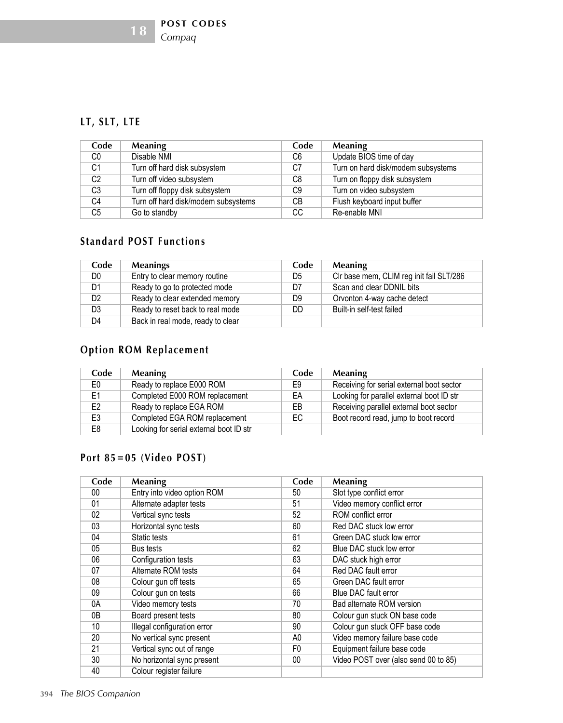

**POST CODES**

*Compaq*

# **LT, SLT, LTE**

| Code           | <b>Meaning</b>                      | Code           | <b>Meaning</b>                     |
|----------------|-------------------------------------|----------------|------------------------------------|
| C <sub>0</sub> | Disable NMI                         | C <sub>6</sub> | Update BIOS time of day            |
| C <sub>1</sub> | Turn off hard disk subsystem        | C7             | Turn on hard disk/modem subsystems |
| C <sub>2</sub> | Turn off video subsystem            | C <sub>8</sub> | Turn on floppy disk subsystem      |
| C <sub>3</sub> | Turn off floppy disk subsystem      | C9             | Turn on video subsystem            |
| C <sub>4</sub> | Turn off hard disk/modem subsystems | СB             | Flush keyboard input buffer        |
| C <sub>5</sub> | Go to standby                       | СC             | Re-enable MNI                      |

## **Standard POST Functions**

| Code           | <b>Meanings</b>                   | Code           | Meaning                                  |
|----------------|-----------------------------------|----------------|------------------------------------------|
| D <sub>0</sub> | Entry to clear memory routine     | D5             | CIr base mem, CLIM reg init fail SLT/286 |
| D <sub>1</sub> | Ready to go to protected mode     | D7             | Scan and clear DDNIL bits                |
| D <sub>2</sub> | Ready to clear extended memory    | D <sub>9</sub> | Orvonton 4-way cache detect              |
| D <sub>3</sub> | Ready to reset back to real mode  | DD             | Built-in self-test failed                |
| D <sub>4</sub> | Back in real mode, ready to clear |                |                                          |

# **Option ROM Replacement**

| Code           | <b>Meaning</b>                          | Code | <b>Meaning</b>                            |
|----------------|-----------------------------------------|------|-------------------------------------------|
| E0             | Ready to replace E000 ROM               | E9   | Receiving for serial external boot sector |
| E <sub>1</sub> | Completed E000 ROM replacement          | FA   | Looking for parallel external boot ID str |
| E <sub>2</sub> | Ready to replace EGA ROM                | EB   | Receiving parallel external boot sector   |
| E <sub>3</sub> | Completed EGA ROM replacement           | EC.  | Boot record read, jump to boot record     |
| E8             | Looking for serial external boot ID str |      |                                           |

# **Port 85=05 (Video POST)**

| Code           | <b>Meaning</b>              | Code           | Meaning                              |
|----------------|-----------------------------|----------------|--------------------------------------|
| 00             | Entry into video option ROM | 50             | Slot type conflict error             |
| 01             | Alternate adapter tests     | 51             | Video memory conflict error          |
| 02             | Vertical sync tests         | 52             | ROM conflict error                   |
| 03             | Horizontal sync tests       | 60             | Red DAC stuck low error              |
| 04             | Static tests                | 61             | Green DAC stuck low error            |
| 05             | Bus tests                   | 62             | Blue DAC stuck low error             |
| 06             | Configuration tests         | 63             | DAC stuck high error                 |
| 07             | Alternate ROM tests         | 64             | Red DAC fault error                  |
| 08             | Colour gun off tests        | 65             | Green DAC fault error                |
| 09             | Colour gun on tests         | 66             | <b>Blue DAC fault error</b>          |
| 0A             | Video memory tests          | 70             | Bad alternate ROM version            |
| 0 <sub>B</sub> | Board present tests         | 80             | Colour gun stuck ON base code        |
| 10             | Illegal configuration error | 90             | Colour gun stuck OFF base code       |
| 20             | No vertical sync present    | A <sub>0</sub> | Video memory failure base code       |
| 21             | Vertical sync out of range  | F <sub>0</sub> | Equipment failure base code          |
| 30             | No horizontal sync present  | 00             | Video POST over (also send 00 to 85) |
| 40             | Colour register failure     |                |                                      |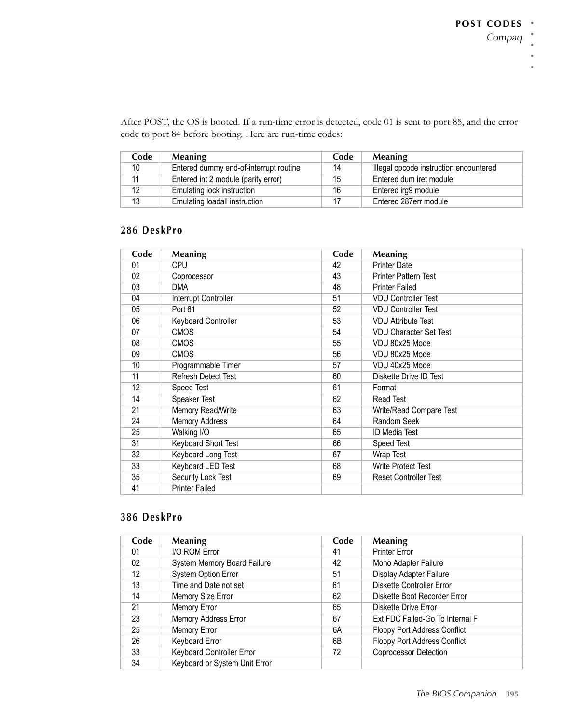$\ddot{\phantom{0}}$ 

| ٠       |
|---------|
| ٠       |
| à.      |
| þ.<br>Ξ |
|         |

| After POST, the OS is booted. If a run-time error is detected, code 01 is sent to port 85, and the error<br>code to port 84 before booting. Here are run-time codes: |  |
|----------------------------------------------------------------------------------------------------------------------------------------------------------------------|--|
| $\sim$ $\sim$ $\sim$                                                                                                                                                 |  |

| Code | <b>Meaning</b>                         | Code | <b>Meaning</b>                         |
|------|----------------------------------------|------|----------------------------------------|
| 10   | Entered dummy end-of-interrupt routine | 14   | Illegal opcode instruction encountered |
| 11   | Entered int 2 module (parity error)    | 15   | Entered dum iret module                |
| 12   | <b>Emulating lock instruction</b>      | 16   | Entered irg9 module                    |
| 13   | <b>Emulating loadall instruction</b>   |      | Entered 287err module                  |

### **286 DeskPro**

| Code | Meaning                    | Code | Meaning                       |
|------|----------------------------|------|-------------------------------|
| 01   | <b>CPU</b>                 | 42   | <b>Printer Date</b>           |
| 02   | Coprocessor                | 43   | <b>Printer Pattern Test</b>   |
| 03   | <b>DMA</b>                 | 48   | <b>Printer Failed</b>         |
| 04   | Interrupt Controller       | 51   | <b>VDU Controller Test</b>    |
| 05   | Port 61                    | 52   | <b>VDU Controller Test</b>    |
| 06   | <b>Keyboard Controller</b> | 53   | <b>VDU Attribute Test</b>     |
| 07   | <b>CMOS</b>                | 54   | <b>VDU Character Set Test</b> |
| 08   | <b>CMOS</b>                | 55   | VDU 80x25 Mode                |
| 09   | <b>CMOS</b>                | 56   | VDU 80x25 Mode                |
| 10   | Programmable Timer         | 57   | VDU 40x25 Mode                |
| 11   | <b>Refresh Detect Test</b> | 60   | Diskette Drive ID Test        |
| 12   | Speed Test                 | 61   | Format                        |
| 14   | Speaker Test               | 62   | Read Test                     |
| 21   | Memory Read/Write          | 63   | Write/Read Compare Test       |
| 24   | <b>Memory Address</b>      | 64   | Random Seek                   |
| 25   | Walking I/O                | 65   | <b>ID Media Test</b>          |
| 31   | Keyboard Short Test        | 66   | Speed Test                    |
| 32   | Keyboard Long Test         | 67   | Wrap Test                     |
| 33   | Keyboard LED Test          | 68   | Write Protect Test            |
| 35   | Security Lock Test         | 69   | <b>Reset Controller Test</b>  |
| 41   | <b>Printer Failed</b>      |      |                               |

# **386 DeskPro**

| Code | <b>Meaning</b>                | Code | Meaning                             |
|------|-------------------------------|------|-------------------------------------|
| 01   | I/O ROM Error                 | 41   | <b>Printer Error</b>                |
| 02   | System Memory Board Failure   | 42   | Mono Adapter Failure                |
| 12   | System Option Error           | 51   | Display Adapter Failure             |
| 13   | Time and Date not set         | 61   | Diskette Controller Error           |
| 14   | Memory Size Error             | 62   | Diskette Boot Recorder Error        |
| 21   | Memory Error                  | 65   | Diskette Drive Error                |
| 23   | Memory Address Error          | 67   | Ext FDC Failed-Go To Internal F     |
| 25   | Memory Error                  | 6A   | <b>Floppy Port Address Conflict</b> |
| 26   | Keyboard Error                | 6B   | <b>Floppy Port Address Conflict</b> |
| 33   | Keyboard Controller Error     | 72   | <b>Coprocessor Detection</b>        |
| 34   | Keyboard or System Unit Error |      |                                     |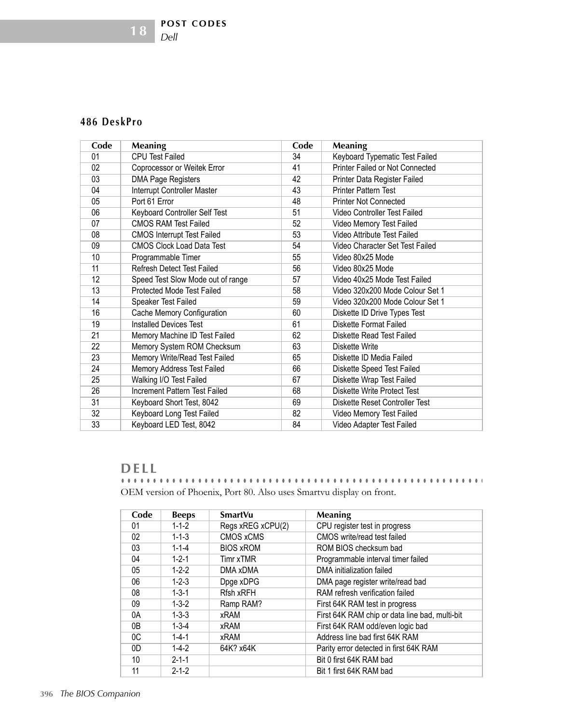*Dell* **1 8**

### **486 DeskPro**

| Code | Meaning                              | Code | Meaning                         |
|------|--------------------------------------|------|---------------------------------|
| 01   | <b>CPU Test Failed</b>               | 34   | Keyboard Typematic Test Failed  |
| 02   | Coprocessor or Weitek Error          | 41   | Printer Failed or Not Connected |
| 03   | <b>DMA Page Registers</b>            | 42   | Printer Data Register Failed    |
| 04   | Interrupt Controller Master          | 43   | <b>Printer Pattern Test</b>     |
| 05   | Port 61 Error                        | 48   | <b>Printer Not Connected</b>    |
| 06   | <b>Keyboard Controller Self Test</b> | 51   | Video Controller Test Failed    |
| 07   | <b>CMOS RAM Test Failed</b>          | 52   | Video Memory Test Failed        |
| 08   | <b>CMOS Interrupt Test Failed</b>    | 53   | Video Attribute Test Failed     |
| 09   | <b>CMOS Clock Load Data Test</b>     | 54   | Video Character Set Test Failed |
| 10   | Programmable Timer                   | 55   | Video 80x25 Mode                |
| 11   | Refresh Detect Test Failed           | 56   | Video 80x25 Mode                |
| 12   | Speed Test Slow Mode out of range    | 57   | Video 40x25 Mode Test Failed    |
| 13   | Protected Mode Test Failed           | 58   | Video 320x200 Mode Colour Set 1 |
| 14   | Speaker Test Failed                  | 59   | Video 320x200 Mode Colour Set 1 |
| 16   | Cache Memory Configuration           | 60   | Diskette ID Drive Types Test    |
| 19   | <b>Installed Devices Test</b>        | 61   | Diskette Format Failed          |
| 21   | Memory Machine ID Test Failed        | 62   | Diskette Read Test Failed       |
| 22   | Memory System ROM Checksum           | 63   | Diskette Write                  |
| 23   | Memory Write/Read Test Failed        | 65   | Diskette ID Media Failed        |
| 24   | Memory Address Test Failed           | 66   | Diskette Speed Test Failed      |
| 25   | Walking I/O Test Failed              | 67   | Diskette Wrap Test Failed       |
| 26   | Increment Pattern Test Failed        | 68   | Diskette Write Protect Test     |
| 31   | Keyboard Short Test, 8042            | 69   | Diskette Reset Controller Test  |
| 32   | Keyboard Long Test Failed            | 82   | Video Memory Test Failed        |
| 33   | Keyboard LED Test, 8042              | 84   | Video Adapter Test Failed       |

**. . . . . . . . . . . . . . . . . . . . . . . . . . . . . . . . . . . . . . . . . . . . . . . . . . . . . . . . . DELL** OEM version of Phoenix, Port 80. Also uses Smartvu display on front.

| Code           | <b>Beeps</b> | <b>SmartVu</b>    | <b>Meaning</b>                                 |
|----------------|--------------|-------------------|------------------------------------------------|
| 01             | $1 - 1 - 2$  | Regs xREG xCPU(2) | CPU register test in progress                  |
| 02             | $1 - 1 - 3$  | CMOS xCMS         | CMOS write/read test failed                    |
| 03             | $1 - 1 - 4$  | <b>BIOS xROM</b>  | ROM BIOS checksum bad                          |
| 04             | $1 - 2 - 1$  | Timr xTMR         | Programmable interval timer failed             |
| 05             | $1 - 2 - 2$  | DMA xDMA          | DMA initialization failed                      |
| 06             | $1 - 2 - 3$  | Dpge xDPG         | DMA page register write/read bad               |
| 08             | $1 - 3 - 1$  | Rfsh xRFH         | RAM refresh verification failed                |
| 09             | $1 - 3 - 2$  | Ramp RAM?         | First 64K RAM test in progress                 |
| 0A             | $1 - 3 - 3$  | xRAM              | First 64K RAM chip or data line bad, multi-bit |
| 0B             | $1 - 3 - 4$  | xRAM              | First 64K RAM odd/even logic bad               |
| 0C             | $1 - 4 - 1$  | xRAM              | Address line bad first 64K RAM                 |
| 0 <sub>D</sub> | $1 - 4 - 2$  | 64K? x64K         | Parity error detected in first 64K RAM         |
| 10             | $2 - 1 - 1$  |                   | Bit 0 first 64K RAM bad                        |
| 11             | $2 - 1 - 2$  |                   | Bit 1 first 64K RAM bad                        |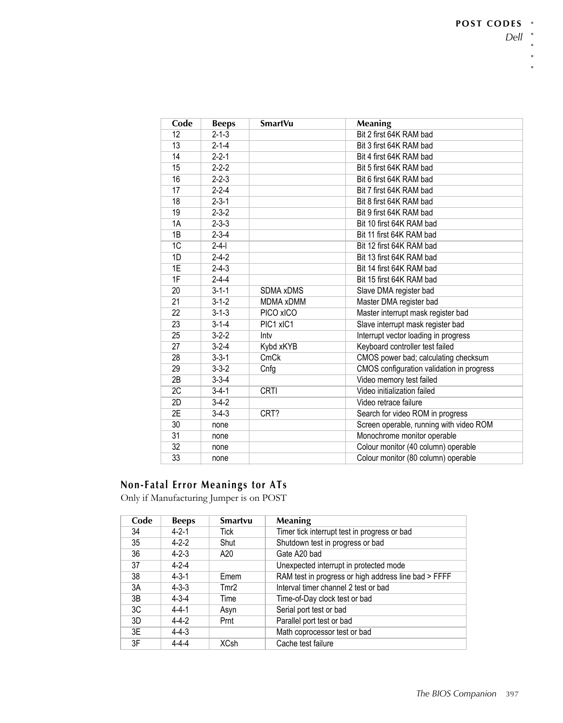| ľ | $\bullet$ |
|---|-----------|
|   | $\bullet$ |
|   | ٠         |
|   | ٠         |

| om. |
|-----|
|     |
|     |
| om. |

| Code | <b>Beeps</b> | <b>SmartVu</b>   | Meaning                                   |  |
|------|--------------|------------------|-------------------------------------------|--|
| 12   | $2 - 1 - 3$  |                  | Bit 2 first 64K RAM bad                   |  |
| 13   | $2 - 1 - 4$  |                  | Bit 3 first 64K RAM bad                   |  |
| 14   | $2 - 2 - 1$  |                  | Bit 4 first 64K RAM bad                   |  |
| 15   | $2 - 2 - 2$  |                  | Bit 5 first 64K RAM bad                   |  |
| 16   | $2 - 2 - 3$  |                  | Bit 6 first 64K RAM bad                   |  |
| 17   | $2 - 2 - 4$  |                  | Bit 7 first 64K RAM bad                   |  |
| 18   | $2 - 3 - 1$  |                  | Bit 8 first 64K RAM bad                   |  |
| 19   | $2 - 3 - 2$  |                  | Bit 9 first 64K RAM bad                   |  |
| 1A   | $2 - 3 - 3$  |                  | Bit 10 first 64K RAM bad                  |  |
| 1B   | $2 - 3 - 4$  |                  | Bit 11 first 64K RAM bad                  |  |
| 1C   | $2 - 4 - 1$  |                  | Bit 12 first 64K RAM bad                  |  |
| 1D   | $2 - 4 - 2$  |                  | Bit 13 first 64K RAM bad                  |  |
| 1E   | $2 - 4 - 3$  |                  | Bit 14 first 64K RAM bad                  |  |
| 1F   | $2 - 4 - 4$  |                  | Bit 15 first 64K RAM bad                  |  |
| 20   | $3 - 1 - 1$  | <b>SDMA xDMS</b> | Slave DMA register bad                    |  |
| 21   | $3 - 1 - 2$  | MDMA xDMM        | Master DMA register bad                   |  |
| 22   | $3 - 1 - 3$  | PICO xICO        | Master interrupt mask register bad        |  |
| 23   | $3 - 1 - 4$  | PIC1 xIC1        | Slave interrupt mask register bad         |  |
| 25   | $3 - 2 - 2$  | Inty             | Interrupt vector loading in progress      |  |
| 27   | $3 - 2 - 4$  | Kybd xKYB        | Keyboard controller test failed           |  |
| 28   | $3 - 3 - 1$  | CmCk             | CMOS power bad; calculating checksum      |  |
| 29   | $3 - 3 - 2$  | Cnfq             | CMOS configuration validation in progress |  |
| 2B   | $3 - 3 - 4$  |                  | Video memory test failed                  |  |
| 2C   | $3 - 4 - 1$  | <b>CRTI</b>      | Video initialization failed               |  |
| 2D   | $3-4-2$      |                  | Video retrace failure                     |  |
| 2E   | $3 - 4 - 3$  | CRT?             | Search for video ROM in progress          |  |
| 30   | none         |                  | Screen operable, running with video ROM   |  |
| 31   | none         |                  | Monochrome monitor operable               |  |
| 32   | none         |                  | Colour monitor (40 column) operable       |  |
| 33   | none         |                  | Colour monitor (80 column) operable       |  |

# **Non-Fatal Error Meanings tor ATs**

Only if Manufacturing Jumper is on POST

| Code | <b>Beeps</b> | <b>Smartvu</b> | <b>Meaning</b>                                       |
|------|--------------|----------------|------------------------------------------------------|
| 34   | $4 - 2 - 1$  | Tick           | Timer tick interrupt test in progress or bad         |
| 35   | $4 - 2 - 2$  | Shut           | Shutdown test in progress or bad                     |
| 36   | $4 - 2 - 3$  | A20            | Gate A20 bad                                         |
| 37   | $4 - 2 - 4$  |                | Unexpected interrupt in protected mode               |
| 38   | $4 - 3 - 1$  | Emem           | RAM test in progress or high address line bad > FFFF |
| 3A   | $4 - 3 - 3$  | Tmr2           | Interval timer channel 2 test or bad                 |
| 3B   | $4 - 3 - 4$  | Time           | Time-of-Day clock test or bad                        |
| 3C   | $4 - 4 - 1$  | Asyn           | Serial port test or bad                              |
| 3D   | $4 - 4 - 2$  | Prnt           | Parallel port test or bad                            |
| 3E   | $4 - 4 - 3$  |                | Math coprocessor test or bad                         |
| 3F   | $4 - 4 - 4$  | <b>XCsh</b>    | Cache test failure                                   |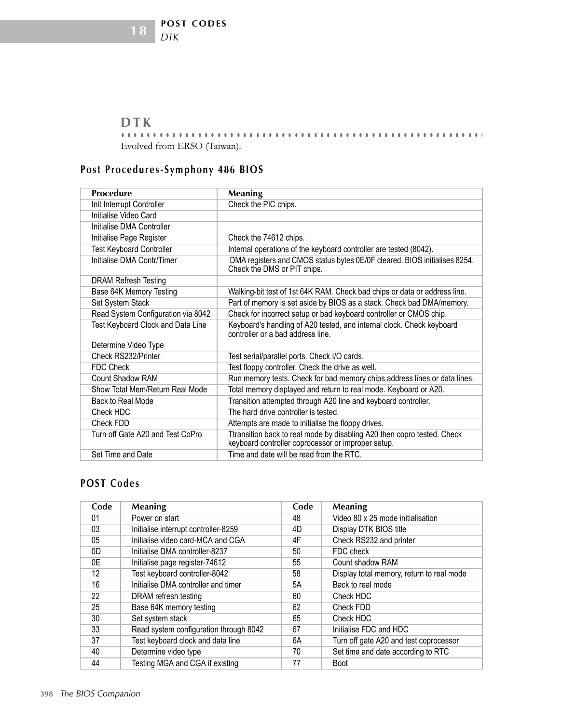

**. . . . . . . . . . . . . . . . . . . . . . . . . . . . . . . . . . . . . . . . . . . . . . . . . . . . . . . . . DTK** Evolved from ERSO (Taiwan).

# **Post Procedures-Symphony 486 BIOS**

| Procedure                          | Meaning                                                                                                                       |
|------------------------------------|-------------------------------------------------------------------------------------------------------------------------------|
| Init Interrupt Controller          | Check the PIC chips.                                                                                                          |
| Initialise Video Card              |                                                                                                                               |
| Initialise DMA Controller          |                                                                                                                               |
| Initialise Page Register           | Check the 74612 chips.                                                                                                        |
| <b>Test Keyboard Controller</b>    | Internal operations of the keyboard controller are tested (8042).                                                             |
| Initialise DMA Contr/Timer         | DMA registers and CMOS status bytes 0E/0F cleared. BIOS initialises 8254.<br>Check the DMS or PIT chips.                      |
| <b>DRAM Refresh Testing</b>        |                                                                                                                               |
| Base 64K Memory Testing            | Walking-bit test of 1st 64K RAM. Check bad chips or data or address line.                                                     |
| Set System Stack                   | Part of memory is set aside by BIOS as a stack. Check bad DMA/memory.                                                         |
| Read System Configuration via 8042 | Check for incorrect setup or bad keyboard controller or CMOS chip.                                                            |
| Test Keyboard Clock and Data Line  | Keyboard's handling of A20 tested, and internal clock. Check keyboard<br>controller or a bad address line.                    |
| Determine Video Type               |                                                                                                                               |
| Check RS232/Printer                | Test serial/parallel ports. Check I/O cards.                                                                                  |
| <b>FDC Check</b>                   | Test floppy controller. Check the drive as well.                                                                              |
| Count Shadow RAM                   | Run memory tests. Check for bad memory chips address lines or data lines.                                                     |
| Show Total Mem/Return Real Mode    | Total memory displayed and return to real mode. Keyboard or A20.                                                              |
| Back to Real Mode                  | Transition attempted through A20 line and keyboard controller.                                                                |
| Check HDC                          | The hard drive controller is tested.                                                                                          |
| Check FDD                          | Attempts are made to initialise the floppy drives.                                                                            |
| Turn off Gate A20 and Test CoPro   | Ttransition back to real mode by disabling A20 then copro tested. Check<br>keyboard controller coprocessor or improper setup. |
| Set Time and Date                  | Time and date will be read from the RTC.                                                                                      |

# **POST Codes**

| Code           | <b>Meaning</b>                         | Code | Meaning                                   |
|----------------|----------------------------------------|------|-------------------------------------------|
| 01             | Power on start                         | 48   | Video 80 x 25 mode initialisation         |
| 03             | Initialise interrupt controller-8259   | 4D   | Display DTK BIOS title                    |
| 05             | Initialise video card-MCA and CGA      | 4F   | Check RS232 and printer                   |
| 0 <sub>D</sub> | Initialise DMA controller-8237         | 50   | FDC check                                 |
| 0E             | Initialise page register-74612         | 55   | Count shadow RAM                          |
| 12             | Test keyboard controller-8042          | 58   | Display total memory, return to real mode |
| 16             | Initialise DMA controller and timer    | 5Α   | Back to real mode                         |
| 22             | DRAM refresh testing                   | 60   | Check HDC                                 |
| 25             | Base 64K memory testing                | 62   | Check FDD                                 |
| 30             | Set system stack                       | 65   | Check HDC                                 |
| 33             | Read system configuration through 8042 | 67   | Initialise FDC and HDC                    |
| 37             | Test keyboard clock and data line      | 6A   | Turn off gate A20 and test coprocessor    |
| 40             | Determine video type                   | 70   | Set time and date according to RTC        |
| 44             | Testing MGA and CGA if existing        | 77   | <b>Boot</b>                               |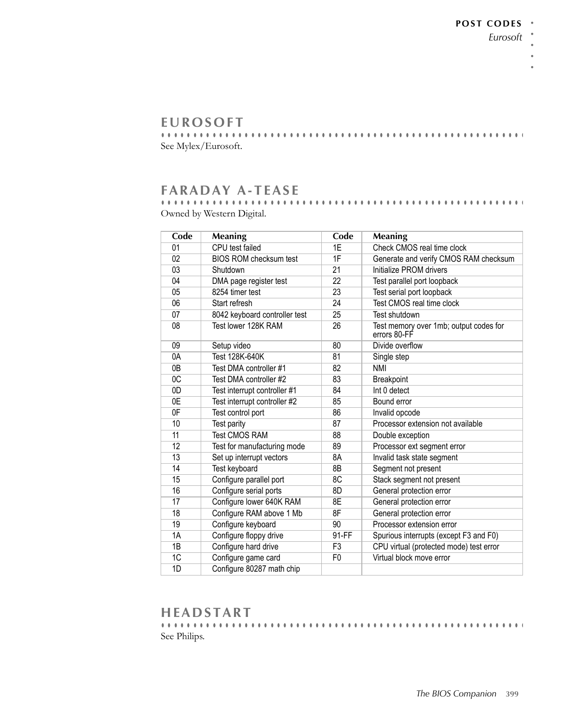**. . . . . . . . . . . . . . . . . . . . . . . . . . . . . . . . . . . . . . . . . . . . . . . . . . . . . . . . . EUROSOFT** See Mylex/Eurosoft.

# **. . . . . . . . . . . . . . . . . . . . . . . . . . . . . . . . . . . . . . . . . . . . . . . . . . . . . . . . . FARADAY A-TEASE**

Owned by Western Digital.

| Code           | Meaning                       | Code           | Meaning                                                |
|----------------|-------------------------------|----------------|--------------------------------------------------------|
| 01             | CPU test failed               | 1E             | Check CMOS real time clock                             |
| 02             | <b>BIOS ROM checksum test</b> | 1F             | Generate and verify CMOS RAM checksum                  |
| 03             | Shutdown                      | 21             | Initialize PROM drivers                                |
| 04             | DMA page register test        | 22             | Test parallel port loopback                            |
| 05             | 8254 timer test               | 23             | Test serial port loopback                              |
| 06             | Start refresh                 | 24             | Test CMOS real time clock                              |
| 07             | 8042 keyboard controller test | 25             | Test shutdown                                          |
| 08             | Test lower 128K RAM           | 26             | Test memory over 1mb; output codes for<br>errors 80-FF |
| 09             | Setup video                   | 80             | Divide overflow                                        |
| 0A             | Test 128K-640K                | 81             | Single step                                            |
| 0 <sub>B</sub> | Test DMA controller #1        | 82             | <b>NMI</b>                                             |
| 0C             | Test DMA controller #2        | 83             | <b>Breakpoint</b>                                      |
| 0D             | Test interrupt controller #1  | 84             | Int 0 detect                                           |
| 0E             | Test interrupt controller #2  | 85             | Bound error                                            |
| 0F             | Test control port             | 86             | Invalid opcode                                         |
| 10             | Test parity                   | 87             | Processor extension not available                      |
| 11             | <b>Test CMOS RAM</b>          | 88             | Double exception                                       |
| 12             | Test for manufacturing mode   | 89             | Processor ext segment error                            |
| 13             | Set up interrupt vectors      | 8A             | Invalid task state segment                             |
| 14             | <b>Test keyboard</b>          | 8 <sub>B</sub> | Segment not present                                    |
| 15             | Configure parallel port       | 8C             | Stack segment not present                              |
| 16             | Configure serial ports        | 8D             | General protection error                               |
| 17             | Configure lower 640K RAM      | 8E             | General protection error                               |
| 18             | Configure RAM above 1 Mb      | 8F             | General protection error                               |
| 19             | Configure keyboard            | 90             | Processor extension error                              |
| 1A             | Configure floppy drive        | 91-FF          | Spurious interrupts (except F3 and F0)                 |
| 1B             | Configure hard drive          | F <sub>3</sub> | CPU virtual (protected mode) test error                |
| 1C             | Configure game card           | F <sub>0</sub> | Virtual block move error                               |
| 1D             | Configure 80287 math chip     |                |                                                        |

# **. . . . . . . . . . . . . . . . . . . . . . . . . . . . . . . . . . . . . . . . . . . . . . . . . . . . . . . . . HEADSTART**

See Philips.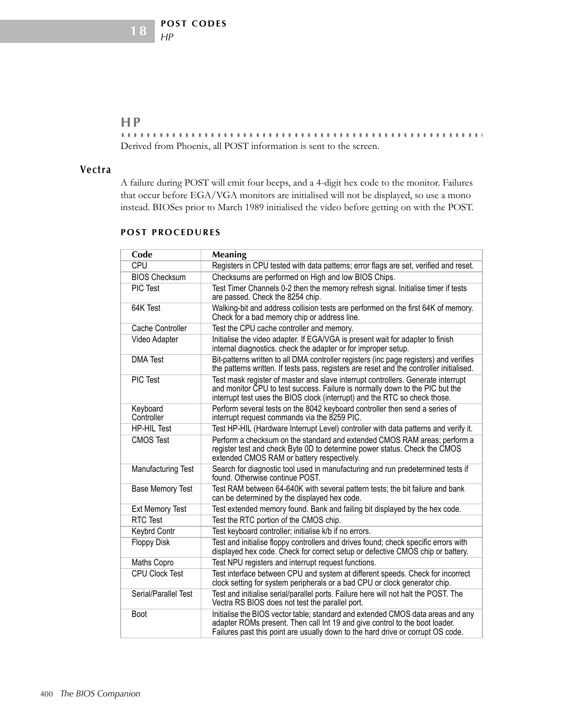```
. . . . . . . . . . . . . . . . . . . . . . . . . . . . . . . . . . . . . . . . . . . . . . . . . . . . . . . . . H P
Derived from Phoenix, all POST information is sent to the screen.
```
#### **Vectra**

A failure during POST will emit four beeps, and a 4-digit hex code to the monitor. Failures that occur before EGA/VGA monitors are initialised will not be displayed, so use a mono instead. BIOSes prior to March 1989 initialised the video before getting on with the POST.

| Code                      | Meaning                                                                                                                                                                                                                                           |
|---------------------------|---------------------------------------------------------------------------------------------------------------------------------------------------------------------------------------------------------------------------------------------------|
| CPU                       | Registers in CPU tested with data patterns; error flags are set, verified and reset.                                                                                                                                                              |
| <b>BIOS Checksum</b>      | Checksums are performed on High and low BIOS Chips.                                                                                                                                                                                               |
| <b>PIC Test</b>           | Test Timer Channels 0-2 then the memory refresh signal. Initialise timer if tests<br>are passed. Check the 8254 chip.                                                                                                                             |
| 64K Test                  | Walking-bit and address collision tests are performed on the first 64K of memory.<br>Check for a bad memory chip or address line.                                                                                                                 |
| Cache Controller          | Test the CPU cache controller and memory.                                                                                                                                                                                                         |
| Video Adapter             | Initialise the video adapter. If EGA/VGA is present wait for adapter to finish<br>internal diagnostics, check the adapter or for improper setup.                                                                                                  |
| <b>DMA</b> Test           | Bit-patterns written to all DMA controller registers (inc page registers) and verifies<br>the patterns written. If tests pass, registers are reset and the controller initialised.                                                                |
| <b>PIC Test</b>           | Test mask register of master and slave interrupt controllers. Generate interrupt<br>and monitor CPU to test success. Failure is normally down to the PIC but the<br>interrupt test uses the BIOS clock (interrupt) and the RTC so check those.    |
| Keyboard<br>Controller    | Perform several tests on the 8042 keyboard controller then send a series of<br>interrupt request commands via the 8259 PIC.                                                                                                                       |
| <b>HP-HIL Test</b>        | Test HP-HIL (Hardware Interrupt Level) controller with data patterns and verify it.                                                                                                                                                               |
| <b>CMOS Test</b>          | Perform a checksum on the standard and extended CMOS RAM areas; perform a<br>register test and check Byte 0D to determine power status. Check the CMOS<br>extended CMOS RAM or battery respectively.                                              |
| <b>Manufacturing Test</b> | Search for diagnostic tool used in manufacturing and run predetermined tests if<br>found. Otherwise continue POST.                                                                                                                                |
| <b>Base Memory Test</b>   | Test RAM between 64-640K with several pattern tests; the bit failure and bank<br>can be determined by the displayed hex code.                                                                                                                     |
| <b>Ext Memory Test</b>    | Test extended memory found. Bank and failing bit displayed by the hex code.                                                                                                                                                                       |
| RTC Test                  | Test the RTC portion of the CMOS chip.                                                                                                                                                                                                            |
| <b>Keybrd Contr</b>       | Test keyboard controller; initialise k/b if no errors.                                                                                                                                                                                            |
| <b>Floppy Disk</b>        | Test and initialise floppy controllers and drives found; check specific errors with<br>displayed hex code. Check for correct setup or defective CMOS chip or battery.                                                                             |
| <b>Maths Copro</b>        | Test NPU registers and interrupt request functions.                                                                                                                                                                                               |
| <b>CPU Clock Test</b>     | Test interface between CPU and system at different speeds. Check for incorrect<br>clock setting for system peripherals or a bad CPU or clock generator chip.                                                                                      |
| Serial/Parallel Test      | Test and initialise serial/parallel ports. Failure here will not halt the POST. The<br>Vectra RS BIOS does not test the parallel port.                                                                                                            |
| Boot                      | Initialise the BIOS vector table; standard and extended CMOS data areas and any<br>adapter ROMs present. Then call Int 19 and give control to the boot loader.<br>Failures past this point are usually down to the hard drive or corrupt OS code. |
|                           |                                                                                                                                                                                                                                                   |

#### **POST PROCEDURES**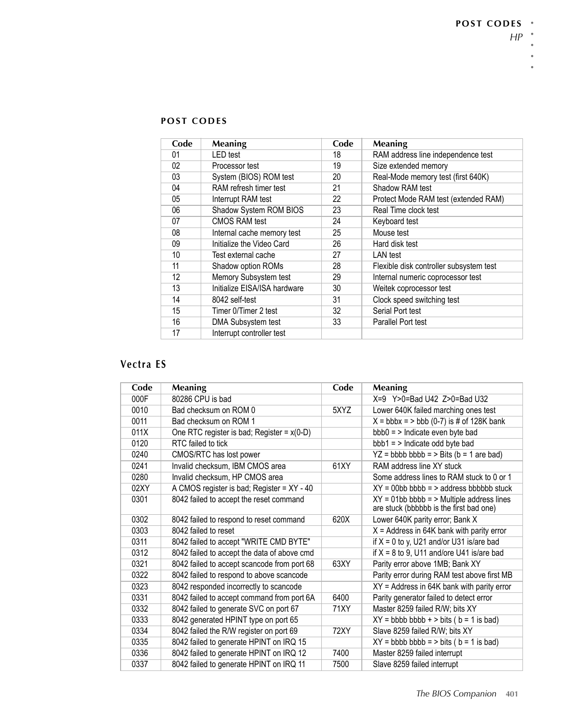# . . . . .  $\bullet$  $\bullet$

| POST CODES |
|------------|
|            |

| Code | Meaning                      | Code | Meaning                                 |
|------|------------------------------|------|-----------------------------------------|
| 01   | LED test                     | 18   | RAM address line independence test      |
| 02   | Processor test               | 19   | Size extended memory                    |
| 03   | System (BIOS) ROM test       | 20   | Real-Mode memory test (first 640K)      |
| 04   | RAM refresh timer test       | 21   | Shadow RAM test                         |
| 05   | Interrupt RAM test           | 22   | Protect Mode RAM test (extended RAM)    |
| 06   | Shadow System ROM BIOS       | 23   | Real Time clock test                    |
| 07   | CMOS RAM test                | 24   | Keyboard test                           |
| 08   | Internal cache memory test   | 25   | Mouse test                              |
| 09   | Initialize the Video Card    | 26   | Hard disk test                          |
| 10   | Test external cache          | 27   | LAN test                                |
| 11   | Shadow option ROMs           | 28   | Flexible disk controller subsystem test |
| 12   | Memory Subsystem test        | 29   | Internal numeric coprocessor test       |
| 13   | Initialize EISA/ISA hardware | 30   | Weitek coprocessor test                 |
| 14   | 8042 self-test               | 31   | Clock speed switching test              |
| 15   | Timer 0/Timer 2 test         | 32   | Serial Port test                        |
| 16   | <b>DMA Subsystem test</b>    | 33   | Parallel Port test                      |
| 17   | Interrupt controller test    |      |                                         |

### **Vectra ES**

| Code | <b>Meaning</b>                               | Code | Meaning                                                                                 |
|------|----------------------------------------------|------|-----------------------------------------------------------------------------------------|
| 000F | 80286 CPU is bad                             |      | X=9 Y>0=Bad U42 Z>0=Bad U32                                                             |
| 0010 | Bad checksum on ROM 0                        | 5XYZ | Lower 640K failed marching ones test                                                    |
| 0011 | Bad checksum on ROM 1                        |      | $X = bbbx =$ > bbb (0-7) is # of 128K bank                                              |
| 011X | One RTC register is bad; Register = $x(0-D)$ |      | bbb0 = > Indicate even byte bad                                                         |
| 0120 | RTC failed to tick                           |      | $bbb1 = > Indicate odd byte bad$                                                        |
| 0240 | CMOS/RTC has lost power                      |      | $YZ = bbbb bbbb = - Bits (b = 1 are bad)$                                               |
| 0241 | Invalid checksum, IBM CMOS area              | 61XY | RAM address line XY stuck                                                               |
| 0280 | Invalid checksum, HP CMOS area               |      | Some address lines to RAM stuck to 0 or 1                                               |
| 02XY | A CMOS register is bad; Register = XY - 40   |      | $XY = 00$ bb bbbb = > address bbbbbb stuck                                              |
| 0301 | 8042 failed to accept the reset command      |      | $XY = 01$ bb bbbb = > Multiple address lines<br>are stuck (bbbbbb is the first bad one) |
| 0302 | 8042 failed to respond to reset command      | 620X | Lower 640K parity error; Bank X                                                         |
| 0303 | 8042 failed to reset                         |      | $X =$ Address in 64K bank with parity error                                             |
| 0311 | 8042 failed to accept "WRITE CMD BYTE"       |      | if $X = 0$ to y, U21 and/or U31 is/are bad                                              |
| 0312 | 8042 failed to accept the data of above cmd  |      | if $X = 8$ to 9, U11 and/ore U41 is/are bad                                             |
| 0321 | 8042 failed to accept scancode from port 68  | 63XY | Parity error above 1MB; Bank XY                                                         |
| 0322 | 8042 failed to respond to above scancode     |      | Parity error during RAM test above first MB                                             |
| 0323 | 8042 responded incorrectly to scancode       |      | $XY =$ Address in 64K bank with parity error                                            |
| 0331 | 8042 failed to accept command from port 6A   | 6400 | Parity generator failed to detect error                                                 |
| 0332 | 8042 failed to generate SVC on port 67       | 71XY | Master 8259 failed R/W; bits XY                                                         |
| 0333 | 8042 generated HPINT type on port 65         |      | $XY = bbbb \tbb{b} + b \t{b}$ is $(b = 1 \text{ is bad})$                               |
| 0334 | 8042 failed the R/W register on port 69      | 72XY | Slave 8259 failed R/W; bits XY                                                          |
| 0335 | 8042 failed to generate HPINT on IRQ 15      |      | $XY = bbbb \tbb{b} = b\text{ bits } (b = 1 \text{ is bad})$                             |
| 0336 | 8042 failed to generate HPINT on IRQ 12      | 7400 | Master 8259 failed interrupt                                                            |
| 0337 | 8042 failed to generate HPINT on IRQ 11      | 7500 | Slave 8259 failed interrupt                                                             |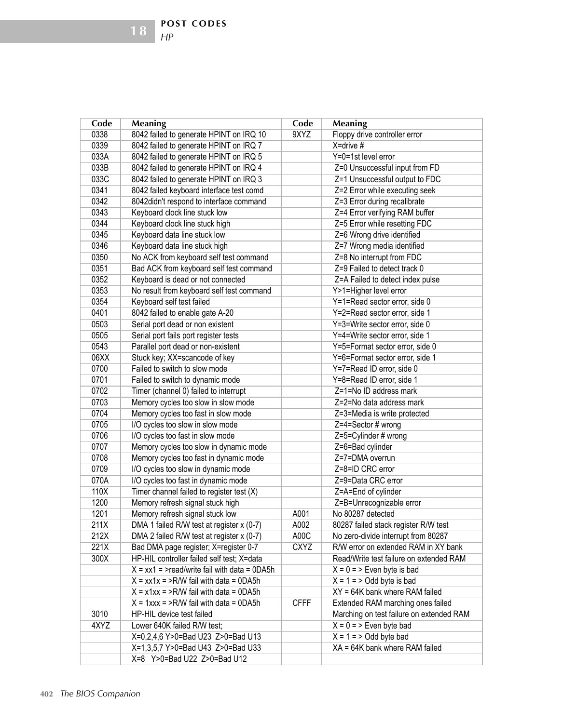*HP* **1 8**

| Code | Meaning                                        | Code        | Meaning                                  |
|------|------------------------------------------------|-------------|------------------------------------------|
| 0338 | 8042 failed to generate HPINT on IRQ 10        | 9XYZ        | Floppy drive controller error            |
| 0339 | 8042 failed to generate HPINT on IRQ 7         |             | $X =$ drive #                            |
| 033A | 8042 failed to generate HPINT on IRQ 5         |             | Y=0=1st level error                      |
| 033B | 8042 failed to generate HPINT on IRQ 4         |             | Z=0 Unsuccessful input from FD           |
| 033C | 8042 failed to generate HPINT on IRQ 3         |             | Z=1 Unsuccessful output to FDC           |
| 0341 | 8042 failed keyboard interface test comd       |             | Z=2 Error while executing seek           |
| 0342 | 8042didn't respond to interface command        |             | Z=3 Error during recalibrate             |
| 0343 | Keyboard clock line stuck low                  |             | Z=4 Error verifying RAM buffer           |
| 0344 | Keyboard clock line stuck high                 |             | Z=5 Error while resetting FDC            |
| 0345 | Keyboard data line stuck low                   |             | Z=6 Wrong drive identified               |
| 0346 | Keyboard data line stuck high                  |             | Z=7 Wrong media identified               |
| 0350 | No ACK from keyboard self test command         |             | Z=8 No interrupt from FDC                |
| 0351 | Bad ACK from keyboard self test command        |             | Z=9 Failed to detect track 0             |
| 0352 | Keyboard is dead or not connected              |             | Z=A Failed to detect index pulse         |
| 0353 | No result from keyboard self test command      |             | Y>1=Higher level error                   |
| 0354 | Keyboard self test failed                      |             | Y=1=Read sector error, side 0            |
| 0401 | 8042 failed to enable gate A-20                |             | Y=2=Read sector error, side 1            |
| 0503 | Serial port dead or non existent               |             | Y=3=Write sector error, side 0           |
| 0505 | Serial port fails port register tests          |             | Y=4=Write sector error, side 1           |
| 0543 | Parallel port dead or non-existent             |             | Y=5=Format sector error, side 0          |
| 06XX | Stuck key; XX=scancode of key                  |             | Y=6=Format sector error, side 1          |
| 0700 | Failed to switch to slow mode                  |             | Y=7=Read ID error, side 0                |
| 0701 | Failed to switch to dynamic mode               |             | Y=8=Read ID error, side 1                |
| 0702 | Timer (channel 0) failed to interrupt          |             | Z=1=No ID address mark                   |
| 0703 | Memory cycles too slow in slow mode            |             | Z=2=No data address mark                 |
| 0704 | Memory cycles too fast in slow mode            |             | Z=3=Media is write protected             |
| 0705 | I/O cycles too slow in slow mode               |             | Z=4=Sector # wrong                       |
| 0706 | I/O cycles too fast in slow mode               |             | Z=5=Cylinder # wrong                     |
| 0707 | Memory cycles too slow in dynamic mode         |             | Z=6=Bad cylinder                         |
| 0708 | Memory cycles too fast in dynamic mode         |             | Z=7=DMA overrun                          |
| 0709 | I/O cycles too slow in dynamic mode            |             | Z=8=ID CRC error                         |
| 070A | I/O cycles too fast in dynamic mode            |             | Z=9=Data CRC error                       |
| 110X | Timer channel failed to register test (X)      |             | Z=A=End of cylinder                      |
| 1200 | Memory refresh signal stuck high               |             | Z=B=Unrecognizable error                 |
| 1201 | Memory refresh signal stuck low                | A001        | No 80287 detected                        |
| 211X | DMA 1 failed R/W test at register x (0-7)      | A002        | 80287 failed stack register R/W test     |
| 212X | DMA 2 failed R/W test at register x (0-7)      | A00C        | No zero-divide interrupt from 80287      |
| 221X | Bad DMA page register; X=register 0-7          | <b>CXYZ</b> | R/W error on extended RAM in XY bank     |
| 300X | HP-HIL controller failed self test; X=data     |             | Read/Write test failure on extended RAM  |
|      | $X = xx1$ = >read/write fail with data = 0DA5h |             | $X = 0 =$ > Even byte is bad             |
|      | $X = xx1x = >R/W$ fail with data = 0DA5h       |             | $X = 1 =$ > Odd byte is bad              |
|      | $X = x1xx = \text{R/W}$ fail with data = 0DA5h |             | XY = 64K bank where RAM failed           |
|      | $X = 1$ xxx = >R/W fail with data = 0DA5h      | <b>CFFF</b> | Extended RAM marching ones failed        |
| 3010 | HP-HIL device test failed                      |             | Marching on test failure on extended RAM |
| 4XYZ | Lower 640K failed R/W test;                    |             | $X = 0 =$ > Even byte bad                |
|      | X=0,2,4,6 Y>0=Bad U23 Z>0=Bad U13              |             | $X = 1 =$ > Odd byte bad                 |
|      | X=1,3,5,7 Y>0=Bad U43 Z>0=Bad U33              |             | XA = 64K bank where RAM failed           |
|      | X=8 Y>0=Bad U22 Z>0=Bad U12                    |             |                                          |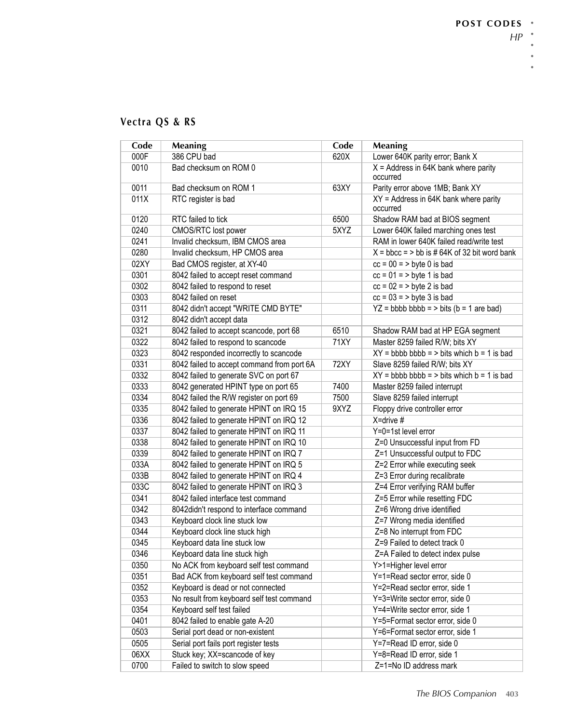# . . . . .  $\bullet$  $\bullet$

# **Vectra QS & RS**

| Code | <b>Meaning</b>                             | Code | Meaning                                                |
|------|--------------------------------------------|------|--------------------------------------------------------|
| 000F | 386 CPU bad                                | 620X | Lower 640K parity error; Bank X                        |
| 0010 | Bad checksum on ROM 0                      |      | $X =$ Address in 64K bank where parity<br>occurred     |
| 0011 | Bad checksum on ROM 1                      | 63XY | Parity error above 1MB; Bank XY                        |
| 011X | RTC register is bad                        |      | $XY =$ Address in 64K bank where parity<br>occurred    |
| 0120 | RTC failed to tick                         | 6500 | Shadow RAM bad at BIOS segment                         |
| 0240 | CMOS/RTC lost power                        | 5XYZ | Lower 640K failed marching ones test                   |
| 0241 | Invalid checksum, IBM CMOS area            |      | RAM in lower 640K failed read/write test               |
| 0280 | Invalid checksum. HP CMOS area             |      | $X =$ bbcc = $>$ bb is #64K of 32 bit word bank        |
| 02XY | Bad CMOS register, at XY-40                |      | $cc = 00 =$ > byte 0 is bad                            |
| 0301 | 8042 failed to accept reset command        |      | $cc = 01 =$ > byte 1 is bad                            |
| 0302 | 8042 failed to respond to reset            |      | $cc = 02 =$ > byte 2 is bad                            |
| 0303 | 8042 failed on reset                       |      | $cc = 03 =$ > byte 3 is bad                            |
| 0311 | 8042 didn't accept "WRITE CMD BYTE"        |      | $YZ = bbbb bbbb = > bits (b = 1 are bad)$              |
| 0312 | 8042 didn't accept data                    |      |                                                        |
| 0321 | 8042 failed to accept scancode, port 68    | 6510 | Shadow RAM bad at HP EGA segment                       |
| 0322 | 8042 failed to respond to scancode         | 71XY | Master 8259 failed R/W; bits XY                        |
| 0323 | 8042 responded incorrectly to scancode     |      | $XY = bbbb bbbb = - bits which b = 1 is bad$           |
| 0331 | 8042 failed to accept command from port 6A | 72XY | Slave 8259 failed R/W; bits XY                         |
| 0332 | 8042 failed to generate SVC on port 67     |      | $XY = bbbb \tbb{b} = b\t{b}$ bits which $b = 1$ is bad |
| 0333 | 8042 generated HPINT type on port 65       | 7400 | Master 8259 failed interrupt                           |
| 0334 | 8042 failed the R/W register on port 69    | 7500 | Slave 8259 failed interrupt                            |
| 0335 | 8042 failed to generate HPINT on IRQ 15    | 9XYZ | Floppy drive controller error                          |
| 0336 | 8042 failed to generate HPINT on IRQ 12    |      | $X =$ drive #                                          |
| 0337 | 8042 failed to generate HPINT on IRQ 11    |      | Y=0=1st level error                                    |
| 0338 | 8042 failed to generate HPINT on IRQ 10    |      | Z=0 Unsuccessful input from FD                         |
| 0339 | 8042 failed to generate HPINT on IRQ 7     |      | Z=1 Unsuccessful output to FDC                         |
| 033A | 8042 failed to generate HPINT on IRQ 5     |      | Z=2 Error while executing seek                         |
| 033B | 8042 failed to generate HPINT on IRQ 4     |      | Z=3 Error during recalibrate                           |
| 033C | 8042 failed to generate HPINT on IRQ 3     |      | Z=4 Error verifying RAM buffer                         |
| 0341 | 8042 failed interface test command         |      | Z=5 Error while resetting FDC                          |
| 0342 | 8042didn't respond to interface command    |      | Z=6 Wrong drive identified                             |
| 0343 | Keyboard clock line stuck low              |      | Z=7 Wrong media identified                             |
| 0344 | Keyboard clock line stuck high             |      | Z=8 No interrupt from FDC                              |
| 0345 | Keyboard data line stuck low               |      | Z=9 Failed to detect track 0                           |
| 0346 | Keyboard data line stuck high              |      | Z=A Failed to detect index pulse                       |
| 0350 | No ACK from keyboard self test command     |      | Y>1=Higher level error                                 |
| 0351 | Bad ACK from keyboard self test command    |      | Y=1=Read sector error, side 0                          |
| 0352 | Keyboard is dead or not connected          |      | Y=2=Read sector error, side 1                          |
| 0353 | No result from keyboard self test command  |      | Y=3=Write sector error, side 0                         |
| 0354 | Keyboard self test failed                  |      | Y=4=Write sector error, side 1                         |
| 0401 | 8042 failed to enable gate A-20            |      | Y=5=Format sector error, side 0                        |
| 0503 | Serial port dead or non-existent           |      | Y=6=Format sector error, side 1                        |
| 0505 | Serial port fails port register tests      |      | Y=7=Read ID error, side 0                              |
| 06XX | Stuck key; XX=scancode of key              |      | Y=8=Read ID error, side 1                              |
| 0700 | Failed to switch to slow speed             |      | Z=1=No ID address mark                                 |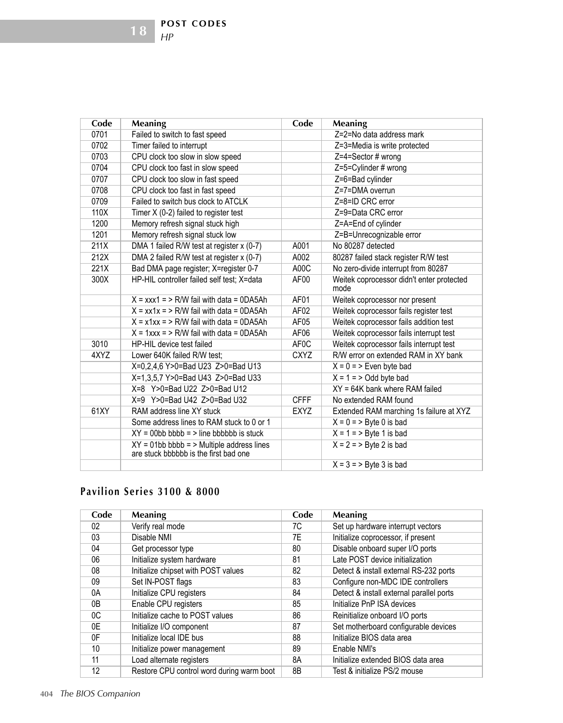| Code | Meaning                                                                             | Code              | Meaning                                           |
|------|-------------------------------------------------------------------------------------|-------------------|---------------------------------------------------|
| 0701 | Failed to switch to fast speed                                                      |                   | Z=2=No data address mark                          |
| 0702 | Timer failed to interrupt                                                           |                   | Z=3=Media is write protected                      |
| 0703 | CPU clock too slow in slow speed                                                    |                   | Z=4=Sector # wrong                                |
| 0704 | CPU clock too fast in slow speed                                                    |                   | Z=5=Cylinder # wrong                              |
| 0707 | CPU clock too slow in fast speed                                                    |                   | Z=6=Bad cylinder                                  |
| 0708 | CPU clock too fast in fast speed                                                    |                   | Z=7=DMA overrun                                   |
| 0709 | Failed to switch bus clock to ATCLK                                                 |                   | Z=8=ID CRC error                                  |
| 110X | Timer X (0-2) failed to register test                                               |                   | Z=9=Data CRC error                                |
| 1200 | Memory refresh signal stuck high                                                    |                   | Z=A=End of cylinder                               |
| 1201 | Memory refresh signal stuck low                                                     |                   | Z=B=Unrecognizable error                          |
| 211X | DMA 1 failed R/W test at register x (0-7)                                           | A001              | No 80287 detected                                 |
| 212X | DMA 2 failed R/W test at register x (0-7)                                           | A002              | 80287 failed stack register R/W test              |
| 221X | Bad DMA page register; X=register 0-7                                               | A00C              | No zero-divide interrupt from 80287               |
| 300X | HP-HIL controller failed self test: X=data                                          | AF00              | Weitek coprocessor didn't enter protected<br>mode |
|      | $X =$ xxx1 = > R/W fail with data = 0DA5Ah                                          | AF01              | Weitek coprocessor nor present                    |
|      | $X = xx1x =$ > R/W fail with data = 0DA5Ah                                          | AF <sub>02</sub>  | Weitek coprocessor fails register test            |
|      | $X = x1xx =$ > R/W fail with data = 0DA5Ah                                          | AF <sub>05</sub>  | Weitek coprocessor fails addition test            |
|      | $X = 1$ xxx = > R/W fail with data = 0DA5Ah                                         | AF06              | Weitek coprocessor fails interrupt test           |
| 3010 | HP-HIL device test failed                                                           | AF <sub>0</sub> C | Weitek coprocessor fails interrupt test           |
| 4XYZ | Lower 640K failed R/W test:                                                         | <b>CXYZ</b>       | R/W error on extended RAM in XY bank              |
|      | X=0,2,4,6 Y>0=Bad U23 Z>0=Bad U13                                                   |                   | $X = 0 =$ > Even byte bad                         |
|      | X=1,3,5,7 Y>0=Bad U43 Z>0=Bad U33                                                   |                   | $X = 1 =$ > Odd byte bad                          |
|      | X=8 Y>0=Bad U22 Z>0=Bad U12                                                         |                   | $XY = 64K$ bank where RAM failed                  |
|      | X=9 Y>0=Bad U42 Z>0=Bad U32                                                         | <b>CFFF</b>       | No extended RAM found                             |
| 61XY | RAM address line XY stuck                                                           | <b>EXYZ</b>       | Extended RAM marching 1s failure at XYZ           |
|      | Some address lines to RAM stuck to 0 or 1                                           |                   | $X = 0 =$ > Byte 0 is bad                         |
|      | $XY = 00$ bb bbbb = > line bbbbbb is stuck                                          |                   | $X = 1 =$ > Byte 1 is bad                         |
|      | $XY = 01bb bbb =$ > Multiple address lines<br>are stuck bbbbbb is the first bad one |                   | $X = 2 =$ > Byte 2 is bad                         |
|      |                                                                                     |                   | $X = 3 =$ > Byte 3 is bad                         |

# **Pavilion Series 3100 & 8000**

| Code           | <b>Meaning</b>                            | Code | <b>Meaning</b>                           |
|----------------|-------------------------------------------|------|------------------------------------------|
| 02             | Verify real mode                          | 7C   | Set up hardware interrupt vectors        |
| 03             | Disable NMI                               | 7E   | Initialize coprocessor, if present       |
| 04             | Get processor type                        | 80   | Disable onboard super I/O ports          |
| 06             | Initialize system hardware                | 81   | Late POST device initialization          |
| 08             | Initialize chipset with POST values       | 82   | Detect & install external RS-232 ports   |
| 09             | Set IN-POST flags                         | 83   | Configure non-MDC IDE controllers        |
| 0A             | Initialize CPU registers                  | 84   | Detect & install external parallel ports |
| 0B             | Enable CPU registers                      | 85   | Initialize PnP ISA devices               |
| 0 <sup>C</sup> | Initialize cache to POST values           | 86   | Reinitialize onboard I/O ports           |
| 0E             | Initialize I/O component                  | 87   | Set motherboard configurable devices     |
| 0F             | Initialize local IDE bus                  | 88   | Initialize BIOS data area                |
| 10             | Initialize power management               | 89   | Enable NMI's                             |
| 11             | Load alternate registers                  | 8A   | Initialize extended BIOS data area       |
| 12             | Restore CPU control word during warm boot | 8B   | Test & initialize PS/2 mouse             |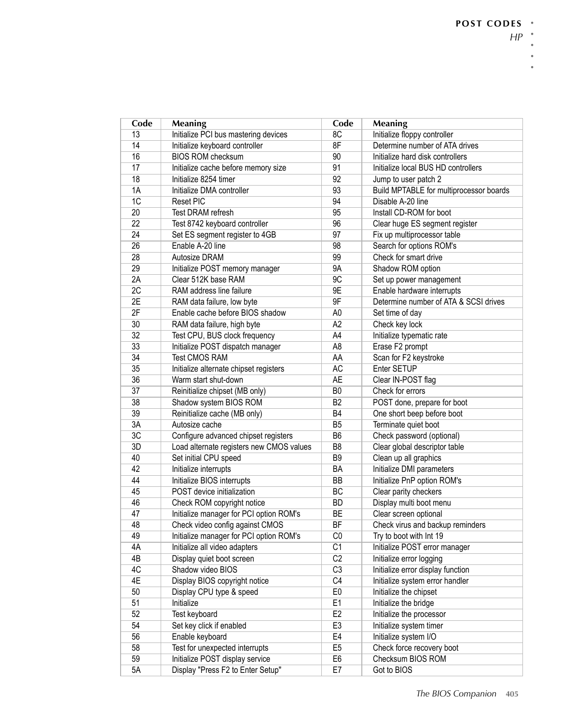*HP*

|   | ٠         |
|---|-----------|
| , |           |
|   | $\bullet$ |
|   | $\bullet$ |
|   | ۰         |

| Code | <b>Meaning</b>                           | Code            | <b>Meaning</b>                          |
|------|------------------------------------------|-----------------|-----------------------------------------|
| 13   | Initialize PCI bus mastering devices     | 8C              | Initialize floppy controller            |
| 14   | Initialize keyboard controller           | 8F              | Determine number of ATA drives          |
| 16   | <b>BIOS ROM checksum</b>                 | 90              | Initialize hard disk controllers        |
| 17   | Initialize cache before memory size      | 91              | Initialize local BUS HD controllers     |
| 18   | Initialize 8254 timer                    | 92              | Jump to user patch 2                    |
| 1A   | Initialize DMA controller                | 93              | Build MPTABLE for multiprocessor boards |
| 1C   | Reset PIC                                | 94              | Disable A-20 line                       |
| 20   | <b>Test DRAM refresh</b>                 | 95              | Install CD-ROM for boot                 |
| 22   | Test 8742 keyboard controller            | 96              | Clear huge ES segment register          |
| 24   | Set ES segment register to 4GB           | 97              | Fix up multiprocessor table             |
| 26   | Enable A-20 line                         | 98              | Search for options ROM's                |
| 28   | Autosize DRAM                            | 99              | Check for smart drive                   |
| 29   | Initialize POST memory manager           | <b>9A</b>       | Shadow ROM option                       |
| 2A   | Clear 512K base RAM                      | 9C              | Set up power management                 |
| 2C   | RAM address line failure                 | 9E              | Enable hardware interrupts              |
| 2E   | RAM data failure, low byte               | 9F              | Determine number of ATA & SCSI drives   |
| 2F   | Enable cache before BIOS shadow          | A <sub>0</sub>  | Set time of day                         |
| 30   | RAM data failure, high byte              | A2              | Check key lock                          |
| 32   | Test CPU, BUS clock frequency            | A4              | Initialize typematic rate               |
| 33   | Initialize POST dispatch manager         | A <sub>8</sub>  | Erase F2 prompt                         |
| 34   | <b>Test CMOS RAM</b>                     | AA              | Scan for F2 keystroke                   |
| 35   | Initialize alternate chipset registers   | AC              | Enter SETUP                             |
| 36   | Warm start shut-down                     | AE              | Clear IN-POST flag                      |
| 37   | Reinitialize chipset (MB only)           | B <sub>0</sub>  | Check for errors                        |
| 38   | Shadow system BIOS ROM                   | B2              | POST done, prepare for boot             |
| 39   | Reinitialize cache (MB only)             | <b>B4</b>       | One short beep before boot              |
| 3A   | Autosize cache                           | B <sub>5</sub>  | Terminate quiet boot                    |
| 3C   | Configure advanced chipset registers     | B <sub>6</sub>  | Check password (optional)               |
| 3D   | Load alternate registers new CMOS values | B <sub>8</sub>  | Clear global descriptor table           |
| 40   | Set initial CPU speed                    | B <sub>9</sub>  | Clean up all graphics                   |
| 42   | Initialize interrupts                    | BA              | Initialize DMI parameters               |
| 44   | Initialize BIOS interrupts               | <b>BB</b>       | Initialize PnP option ROM's             |
| 45   | POST device initialization               | <b>BC</b>       | Clear parity checkers                   |
| 46   | Check ROM copyright notice               | <b>BD</b>       | Display multi boot menu                 |
| 47   | Initialize manager for PCI option ROM's  | BE              | Clear screen optional                   |
| 48   | Check video config against CMOS          | <b>BF</b>       | Check virus and backup reminders        |
| 49   | Initialize manager for PCI option ROM's  | C <sub>0</sub>  | Try to boot with Int 19                 |
| 4A   | Initialize all video adapters            | C <sub>1</sub>  | Initialize POST error manager           |
| 4B   | Display quiet boot screen                | $\overline{C2}$ | Initialize error logging                |
| 4C   | Shadow video BIOS                        | C <sub>3</sub>  | Initialize error display function       |
| 4E   | Display BIOS copyright notice            | $\overline{C4}$ | Initialize system error handler         |
| 50   | Display CPU type & speed                 | E <sub>0</sub>  | Initialize the chipset                  |
| 51   | Initialize                               | E <sub>1</sub>  | Initialize the bridge                   |
| 52   | Test keyboard                            | E2              | Initialize the processor                |
| 54   | Set key click if enabled                 | E <sub>3</sub>  | Initialize system timer                 |
| 56   | Enable keyboard                          | E4              | Initialize system I/O                   |
| 58   | Test for unexpected interrupts           | E <sub>5</sub>  | Check force recovery boot               |
| 59   | Initialize POST display service          | E <sub>6</sub>  | Checksum BIOS ROM                       |
|      |                                          |                 |                                         |
| 5A   | Display "Press F2 to Enter Setup"        | E7              | Got to BIOS                             |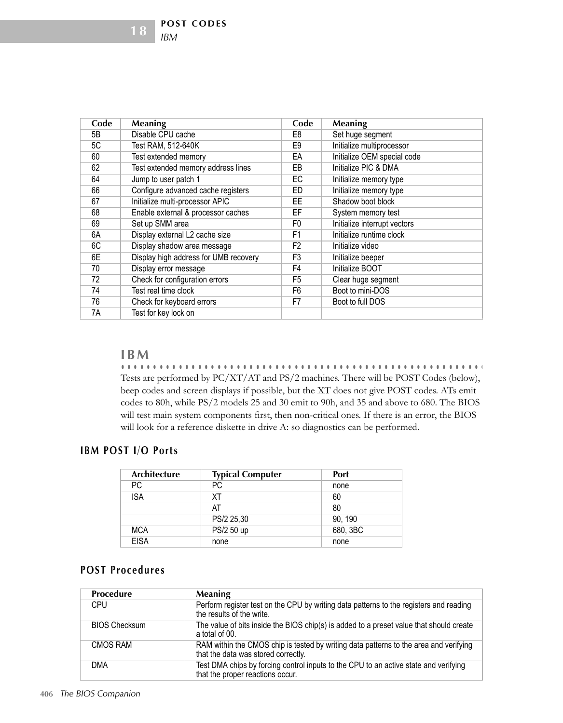| Code | Meaning                               | Code           | Meaning                      |
|------|---------------------------------------|----------------|------------------------------|
| 5B   | Disable CPU cache                     | E8             | Set huge segment             |
| 5C   | Test RAM, 512-640K                    | E <sub>9</sub> | Initialize multiprocessor    |
| 60   | Test extended memory                  | EA             | Initialize OEM special code  |
| 62   | Test extended memory address lines    | EB             | Initialize PIC & DMA         |
| 64   | Jump to user patch 1                  | EC             | Initialize memory type       |
| 66   | Configure advanced cache registers    | ED             | Initialize memory type       |
| 67   | Initialize multi-processor APIC       | EE.            | Shadow boot block            |
| 68   | Enable external & processor caches    | EF             | System memory test           |
| 69   | Set up SMM area                       | F <sub>0</sub> | Initialize interrupt vectors |
| 6A   | Display external L2 cache size        | F <sub>1</sub> | Initialize runtime clock     |
| 6C   | Display shadow area message           | F <sub>2</sub> | Initialize video             |
| 6E   | Display high address for UMB recovery | F <sub>3</sub> | Initialize beeper            |
| 70   | Display error message                 | F <sub>4</sub> | Initialize BOOT              |
| 72   | Check for configuration errors        | F <sub>5</sub> | Clear huge segment           |
| 74   | Test real time clock                  | F <sub>6</sub> | Boot to mini-DOS             |
| 76   | Check for keyboard errors             | F7             | Boot to full DOS             |
| 7A   | Test for key lock on                  |                |                              |

**. . . . . . . . . . . . . . . . . . . . . . . . . . . . . . . . . . . . . . . . . . . . . . . . . . . . . . . . . IBM** Tests are performed by PC/XT/AT and PS/2 machines. There will be POST Codes (below), beep codes and screen displays if possible, but the XT does not give POST codes. ATs emit codes to 80h, while PS/2 models 25 and 30 emit to 90h, and 35 and above to 680. The BIOS will test main system components first, then non-critical ones. If there is an error, the BIOS will look for a reference diskette in drive A: so diagnostics can be performed.

#### **IBM POST I/O Ports**

| Architecture | <b>Typical Computer</b> | Port     |
|--------------|-------------------------|----------|
| PC           | РC                      | none     |
| <b>ISA</b>   | XT                      | 60       |
|              | AT                      | 80       |
|              | PS/2 25,30              | 90, 190  |
| <b>MCA</b>   | PS/2 50 up              | 680, 3BC |
| <b>EISA</b>  | none                    | none     |

#### **POST Procedures**

| Procedure            | <b>Meaning</b>                                                                                                               |
|----------------------|------------------------------------------------------------------------------------------------------------------------------|
| CPU                  | Perform register test on the CPU by writing data patterns to the registers and reading<br>the results of the write.          |
| <b>BIOS Checksum</b> | The value of bits inside the BIOS chip(s) is added to a preset value that should create<br>a total of 00.                    |
| CMOS RAM             | RAM within the CMOS chip is tested by writing data patterns to the area and verifying<br>that the data was stored correctly. |
| <b>DMA</b>           | Test DMA chips by forcing control inputs to the CPU to an active state and verifying<br>that the proper reactions occur.     |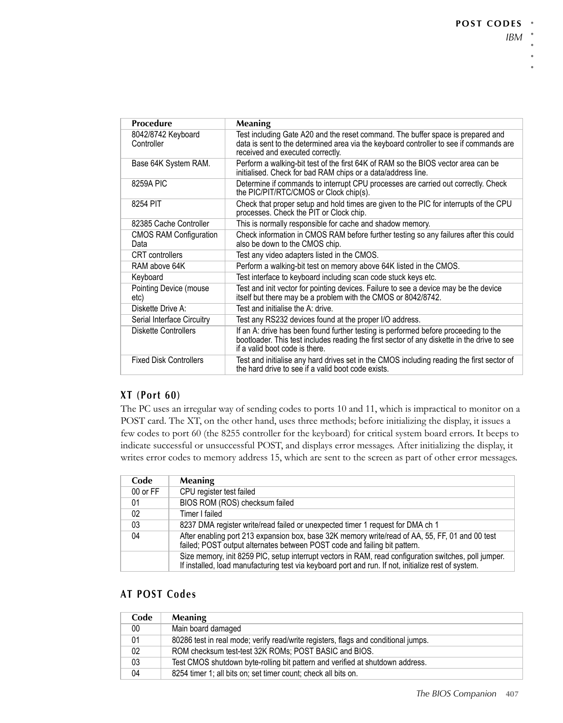. . . . .

| Procedure                             | Meaning                                                                                                                                                                                                              |
|---------------------------------------|----------------------------------------------------------------------------------------------------------------------------------------------------------------------------------------------------------------------|
| 8042/8742 Keyboard<br>Controller      | Test including Gate A20 and the reset command. The buffer space is prepared and<br>data is sent to the determined area via the keyboard controller to see if commands are<br>received and executed correctly.        |
| Base 64K System RAM.                  | Perform a walking-bit test of the first 64K of RAM so the BIOS vector area can be<br>initialised. Check for bad RAM chips or a data/address line.                                                                    |
| 8259A PIC                             | Determine if commands to interrupt CPU processes are carried out correctly. Check<br>the PIC/PIT/RTC/CMOS or Clock chip(s).                                                                                          |
| 8254 PIT                              | Check that proper setup and hold times are given to the PIC for interrupts of the CPU<br>processes. Check the PIT or Clock chip.                                                                                     |
| 82385 Cache Controller                | This is normally responsible for cache and shadow memory.                                                                                                                                                            |
| <b>CMOS RAM Configuration</b><br>Data | Check information in CMOS RAM before further testing so any failures after this could<br>also be down to the CMOS chip.                                                                                              |
| <b>CRT</b> controllers                | Test any video adapters listed in the CMOS.                                                                                                                                                                          |
| RAM above 64K                         | Perform a walking-bit test on memory above 64K listed in the CMOS.                                                                                                                                                   |
| Keyboard                              | Test interface to keyboard including scan code stuck keys etc.                                                                                                                                                       |
| Pointing Device (mouse<br>etc)        | Test and init vector for pointing devices. Failure to see a device may be the device<br>itself but there may be a problem with the CMOS or 8042/8742.                                                                |
| Diskette Drive A:                     | Test and initialise the A: drive.                                                                                                                                                                                    |
| Serial Interface Circuitry            | Test any RS232 devices found at the proper I/O address.                                                                                                                                                              |
| Diskette Controllers                  | If an A: drive has been found further testing is performed before proceeding to the<br>bootloader. This test includes reading the first sector of any diskette in the drive to see<br>if a valid boot code is there. |
| <b>Fixed Disk Controllers</b>         | Test and initialise any hard drives set in the CMOS including reading the first sector of<br>the hard drive to see if a valid boot code exists.                                                                      |

#### **XT (Port 60)**

The PC uses an irregular way of sending codes to ports 10 and 11, which is impractical to monitor on a POST card. The XT, on the other hand, uses three methods; before initializing the display, it issues a few codes to port 60 (the 8255 controller for the keyboard) for critical system board errors. It beeps to indicate successful or unsuccessful POST, and displays error messages. After initializing the display, it writes error codes to memory address 15, which are sent to the screen as part of other error messages.

| Code     | <b>Meaning</b>                                                                                                                                                                                            |
|----------|-----------------------------------------------------------------------------------------------------------------------------------------------------------------------------------------------------------|
| 00 or FF | CPU register test failed                                                                                                                                                                                  |
| 01       | BIOS ROM (ROS) checksum failed                                                                                                                                                                            |
| 02       | Timer I failed                                                                                                                                                                                            |
| 03       | 8237 DMA register write/read failed or unexpected timer 1 request for DMA ch 1                                                                                                                            |
| 04       | After enabling port 213 expansion box, base 32K memory write/read of AA, 55, FF, 01 and 00 test failed; POST output alternates between POST code and failing bit pattern.                                 |
|          | Size memory, init 8259 PIC, setup interrupt vectors in RAM, read configuration switches, poll jumper. If installed, load manufacturing test via keyboard port and run. If not, initialize rest of system. |

#### **AT POST Codes**

| Code | <b>Meaning</b>                                                                     |
|------|------------------------------------------------------------------------------------|
| 00   | Main board damaged                                                                 |
| 01   | 80286 test in real mode; verify read/write registers, flags and conditional jumps. |
| 02   | ROM checksum test-test 32K ROMs: POST BASIC and BIOS.                              |
| 03   | Test CMOS shutdown byte-rolling bit pattern and verified at shutdown address.      |
| 04   | 8254 timer 1; all bits on; set timer count; check all bits on.                     |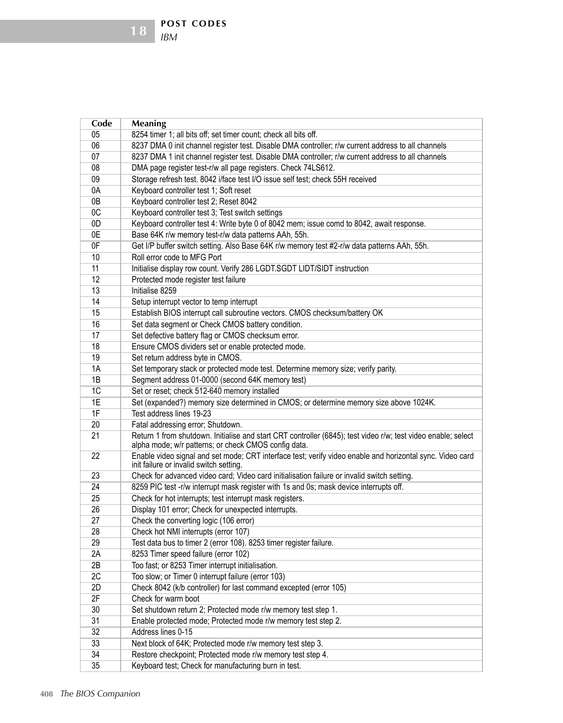**POST CODES**

*IBM* **1 8**

| Code            | Meaning                                                                                                                                                               |
|-----------------|-----------------------------------------------------------------------------------------------------------------------------------------------------------------------|
| 05              | 8254 timer 1; all bits off; set timer count; check all bits off.                                                                                                      |
| 06              | 8237 DMA 0 init channel register test. Disable DMA controller; r/w current address to all channels                                                                    |
| 07              | 8237 DMA 1 init channel register test. Disable DMA controller; r/w current address to all channels                                                                    |
| 08              | DMA page register test-r/w all page registers. Check 74LS612.                                                                                                         |
| 09              | Storage refresh test. 8042 i/face test I/O issue self test; check 55H received                                                                                        |
| 0A              | Keyboard controller test 1; Soft reset                                                                                                                                |
| 0B              | Keyboard controller test 2; Reset 8042                                                                                                                                |
| 0C              | Keyboard controller test 3; Test switch settings                                                                                                                      |
| 0 <sub>D</sub>  | Keyboard controller test 4: Write byte 0 of 8042 mem; issue comd to 8042, await response.                                                                             |
| 0E              | Base 64K r/w memory test-r/w data patterns AAh, 55h.                                                                                                                  |
| 0F              | Get I/P buffer switch setting. Also Base 64K r/w memory test #2-r/w data patterns AAh, 55h.                                                                           |
| 10              | Roll error code to MFG Port                                                                                                                                           |
| 11              | Initialise display row count. Verify 286 LGDT.SGDT LIDT/SIDT instruction                                                                                              |
| 12              | Protected mode register test failure                                                                                                                                  |
| 13              | Initialise 8259                                                                                                                                                       |
| 14              | Setup interrupt vector to temp interrupt                                                                                                                              |
| 15              | Establish BIOS interrupt call subroutine vectors. CMOS checksum/battery OK                                                                                            |
| 16              | Set data segment or Check CMOS battery condition.                                                                                                                     |
| 17              | Set defective battery flag or CMOS checksum error.                                                                                                                    |
| 18              | Ensure CMOS dividers set or enable protected mode.                                                                                                                    |
| 19              | Set return address byte in CMOS.                                                                                                                                      |
| 1A              | Set temporary stack or protected mode test. Determine memory size; verify parity.                                                                                     |
| 1B              | Segment address 01-0000 (second 64K memory test)                                                                                                                      |
| 1C              | Set or reset; check 512-640 memory installed                                                                                                                          |
| 1E              | Set (expanded?) memory size determined in CMOS; or determine memory size above 1024K.                                                                                 |
| 1F              | Test address lines 19-23                                                                                                                                              |
| $\overline{20}$ | Fatal addressing error; Shutdown.                                                                                                                                     |
| 21              | Return 1 from shutdown. Initialise and start CRT controller (6845); test video r/w; test video enable; select<br>alpha mode; w/r patterns; or check CMOS config data. |
| 22              | Enable video signal and set mode; CRT interface test; verify video enable and horizontal sync. Video card<br>init failure or invalid switch setting.                  |
| 23              | Check for advanced video card; Video card initialisation failure or invalid switch setting.                                                                           |
| 24              | 8259 PIC test -r/w interrupt mask register with 1s and 0s; mask device interrupts off.                                                                                |
| 25              | Check for hot interrupts; test interrupt mask registers.                                                                                                              |
| 26              | Display 101 error; Check for unexpected interrupts.                                                                                                                   |
| 27              | Check the converting logic (106 error)                                                                                                                                |
| 28              | Check hot NMI interrupts (error 107)                                                                                                                                  |
| 29              | Test data bus to timer 2 (error 108). 8253 timer register failure.                                                                                                    |
| 2A              | 8253 Timer speed failure (error 102)                                                                                                                                  |
| 2B              | Too fast; or 8253 Timer interrupt initialisation.                                                                                                                     |
| 2C              | Too slow; or Timer 0 interrupt failure (error 103)                                                                                                                    |
| 2D              | Check 8042 (k/b controller) for last command excepted (error 105)                                                                                                     |
| 2F              | Check for warm boot                                                                                                                                                   |
| 30              | Set shutdown return 2; Protected mode r/w memory test step 1.                                                                                                         |
| 31              | Enable protected mode; Protected mode r/w memory test step 2.                                                                                                         |
| 32              | Address lines 0-15                                                                                                                                                    |
| 33              | Next block of 64K; Protected mode r/w memory test step 3.                                                                                                             |
| 34              | Restore checkpoint; Protected mode r/w memory test step 4.                                                                                                            |
| 35              | Keyboard test; Check for manufacturing burn in test.                                                                                                                  |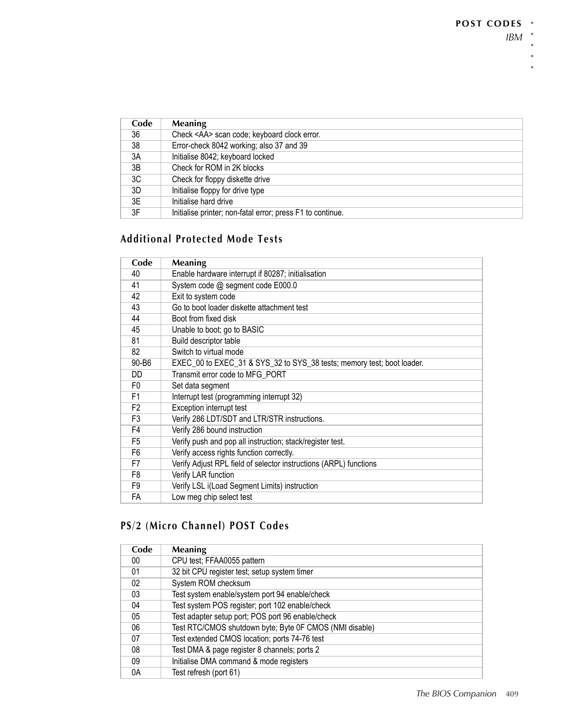. . . . .  $\ddot{\phantom{a}}$  $\bullet$ 

| Code | Meaning                                                    |
|------|------------------------------------------------------------|
| 36   | Check <aa> scan code; keyboard clock error.</aa>           |
| 38   | Error-check 8042 working; also 37 and 39                   |
| 3A   | Initialise 8042; keyboard locked                           |
| 3B   | Check for ROM in 2K blocks                                 |
| 3C   | Check for floppy diskette drive                            |
| 3D   | Initialise floppy for drive type                           |
| 3E   | Initialise hard drive                                      |
| 3F   | Initialise printer; non-fatal error; press F1 to continue. |

# **Additional Protected Mode Tests**

| Code           | Meaning                                                                |
|----------------|------------------------------------------------------------------------|
| 40             | Enable hardware interrupt if 80287; initialisation                     |
| 41             | System code @ segment code E000.0                                      |
| 42             | Exit to system code                                                    |
| 43             | Go to boot loader diskette attachment test                             |
| 44             | Boot from fixed disk                                                   |
| 45             | Unable to boot; go to BASIC                                            |
| 81             | Build descriptor table                                                 |
| 82             | Switch to virtual mode                                                 |
| 90-B6          | EXEC 00 to EXEC 31 & SYS 32 to SYS 38 tests; memory test; boot loader. |
| DD             | Transmit error code to MFG PORT                                        |
| F <sub>0</sub> | Set data segment                                                       |
| F <sub>1</sub> | Interrupt test (programming interrupt 32)                              |
| F <sub>2</sub> | Exception interrupt test                                               |
| F <sub>3</sub> | Verify 286 LDT/SDT and LTR/STR instructions.                           |
| F4             | Verify 286 bound instruction                                           |
| F <sub>5</sub> | Verify push and pop all instruction; stack/register test.              |
| F <sub>6</sub> | Verify access rights function correctly.                               |
| F7             | Verify Adjust RPL field of selector instructions (ARPL) functions      |
| F <sub>8</sub> | Verify LAR function                                                    |
| F <sub>9</sub> | Verify LSL i(Load Segment Limits) instruction                          |
| FA             | Low meg chip select test                                               |

## **PS/2 (Micro Channel) POST Codes**

| Code | <b>Meaning</b>                                          |
|------|---------------------------------------------------------|
| 00   | CPU test: FFAA0055 pattern                              |
| 01   | 32 bit CPU register test; setup system timer            |
| 02   | System ROM checksum                                     |
| 03   | Test system enable/system port 94 enable/check          |
| 04   | Test system POS register; port 102 enable/check         |
| 05   | Test adapter setup port; POS port 96 enable/check       |
| 06   | Test RTC/CMOS shutdown byte; Byte 0F CMOS (NMI disable) |
| 07   | Test extended CMOS location; ports 74-76 test           |
| 08   | Test DMA & page register 8 channels; ports 2            |
| 09   | Initialise DMA command & mode registers                 |
| 0Α   | Test refresh (port 61)                                  |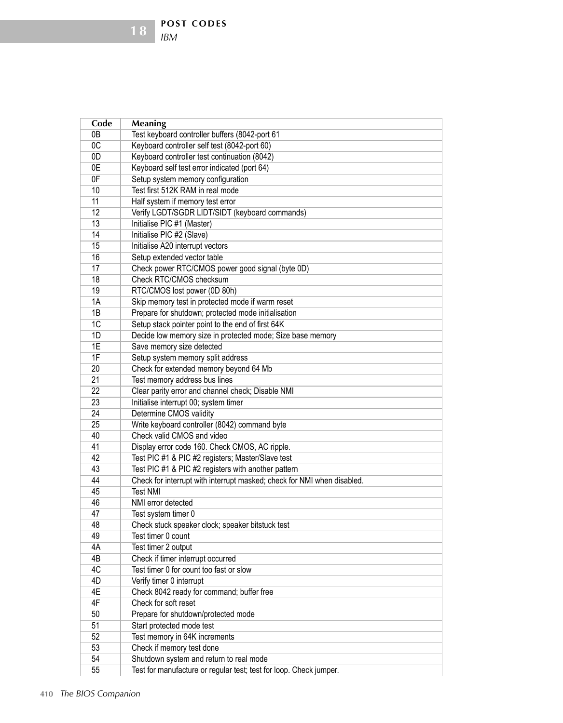*IBM* **1 8**

| Code            | Meaning                                                                 |
|-----------------|-------------------------------------------------------------------------|
| 0B              | Test keyboard controller buffers (8042-port 61                          |
| 0C              | Keyboard controller self test (8042-port 60)                            |
| 0 <sub>D</sub>  | Keyboard controller test continuation (8042)                            |
| 0E              | Keyboard self test error indicated (port 64)                            |
| 0F              | Setup system memory configuration                                       |
| 10              | Test first 512K RAM in real mode                                        |
| 11              | Half system if memory test error                                        |
| 12              | Verify LGDT/SGDR LIDT/SIDT (keyboard commands)                          |
| 13              | Initialise PIC #1 (Master)                                              |
| 14              | Initialise PIC #2 (Slave)                                               |
| 15              | Initialise A20 interrupt vectors                                        |
| 16              | Setup extended vector table                                             |
| 17              | Check power RTC/CMOS power good signal (byte 0D)                        |
| 18              | Check RTC/CMOS checksum                                                 |
| 19              | RTC/CMOS lost power (0D 80h)                                            |
| 1A              | Skip memory test in protected mode if warm reset                        |
| 1B              | Prepare for shutdown; protected mode initialisation                     |
| 1C              | Setup stack pointer point to the end of first 64K                       |
| 1D              | Decide low memory size in protected mode; Size base memory              |
| 1E              | Save memory size detected                                               |
| 1F              | Setup system memory split address                                       |
| 20              | Check for extended memory beyond 64 Mb                                  |
| 21              | Test memory address bus lines                                           |
| $\overline{22}$ | Clear parity error and channel check; Disable NMI                       |
| 23              | Initialise interrupt 00; system timer                                   |
| 24              | Determine CMOS validity                                                 |
| 25              | Write keyboard controller (8042) command byte                           |
| 40              | Check valid CMOS and video                                              |
| 41              | Display error code 160. Check CMOS, AC ripple.                          |
| 42              | Test PIC #1 & PIC #2 registers; Master/Slave test                       |
| 43              | Test PIC #1 & PIC #2 registers with another pattern                     |
| 44              | Check for interrupt with interrupt masked; check for NMI when disabled. |
| 45              | <b>Test NMI</b>                                                         |
| 46              | NMI error detected                                                      |
| 47              | Test system timer 0                                                     |
| 48              | Check stuck speaker clock; speaker bitstuck test                        |
| 49              | Test timer 0 count                                                      |
| 4A              | Test timer 2 output                                                     |
| 4 <sub>B</sub>  | Check if timer interrupt occurred                                       |
| 4C              | Test timer 0 for count too fast or slow                                 |
| 4D              | Verify timer 0 interrupt                                                |
| 4E              | Check 8042 ready for command; buffer free                               |
| 4F              | Check for soft reset                                                    |
| 50              | Prepare for shutdown/protected mode                                     |
| 51              | Start protected mode test                                               |
| 52              | Test memory in 64K increments                                           |
| 53              | Check if memory test done                                               |
| 54              | Shutdown system and return to real mode                                 |
| 55              | Test for manufacture or regular test; test for loop. Check jumper.      |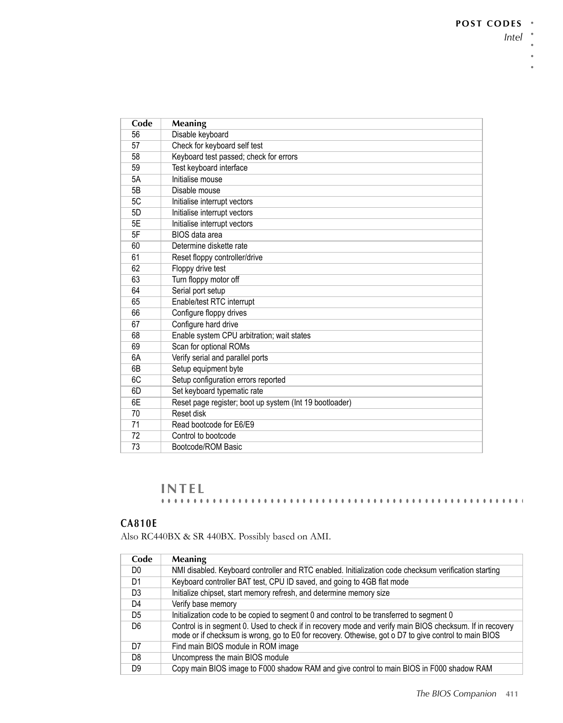|   | ٠ |
|---|---|
| I | ٠ |
|   |   |
|   | ۰ |
|   |   |

| om. |
|-----|
|     |
|     |
|     |
|     |
|     |
|     |
|     |
|     |
|     |
|     |
|     |
|     |
|     |
|     |

| Code      | Meaning                                                 |
|-----------|---------------------------------------------------------|
| 56        | Disable keyboard                                        |
| 57        | Check for keyboard self test                            |
| 58        | Keyboard test passed; check for errors                  |
| 59        | Test keyboard interface                                 |
| <b>5A</b> | Initialise mouse                                        |
| 5B        | Disable mouse                                           |
|           |                                                         |
| 5C        | Initialise interrupt vectors                            |
| 5D        | Initialise interrupt vectors                            |
| 5E        | Initialise interrupt vectors                            |
| 5F        | BIOS data area                                          |
| 60        | Determine diskette rate                                 |
| 61        | Reset floppy controller/drive                           |
| 62        | Floppy drive test                                       |
| 63        | Turn floppy motor off                                   |
| 64        | Serial port setup                                       |
| 65        | Enable/test RTC interrupt                               |
| 66        | Configure floppy drives                                 |
| 67        | Configure hard drive                                    |
| 68        | Enable system CPU arbitration; wait states              |
| 69        | Scan for optional ROMs                                  |
| 6A        | Verify serial and parallel ports                        |
| 6B        | Setup equipment byte                                    |
| 6C        | Setup configuration errors reported                     |
| 6D        | Set keyboard typematic rate                             |
| 6E        | Reset page register; boot up system (Int 19 bootloader) |
| 70        | Reset disk                                              |
| 71        | Read bootcode for E6/E9                                 |
| 72        | Control to bootcode                                     |
| 73        | Bootcode/ROM Basic                                      |

# **. . . . . . . . . . . . . . . . . . . . . . . . . . . . . . . . . . . . . . . . . . . . . . . . . . . . . . . . . INTEL**

#### **CA810E**

Also RC440BX & SR 440BX. Possibly based on AMI.

| Code           | <b>Meaning</b>                                                                                                                                                                                                   |  |
|----------------|------------------------------------------------------------------------------------------------------------------------------------------------------------------------------------------------------------------|--|
| D <sub>0</sub> | NMI disabled. Keyboard controller and RTC enabled. Initialization code checksum verification starting                                                                                                            |  |
| D <sub>1</sub> | Keyboard controller BAT test, CPU ID saved, and going to 4GB flat mode                                                                                                                                           |  |
| D <sub>3</sub> | Initialize chipset, start memory refresh, and determine memory size                                                                                                                                              |  |
| D4             | Verify base memory                                                                                                                                                                                               |  |
| D <sub>5</sub> | Initialization code to be copied to segment 0 and control to be transferred to segment 0                                                                                                                         |  |
| D <sub>6</sub> | Control is in segment 0. Used to check if in recovery mode and verify main BIOS checksum. If in recovery<br>mode or if checksum is wrong, go to E0 for recovery. Othewise, got o D7 to give control to main BIOS |  |
| D7             | Find main BIOS module in ROM image                                                                                                                                                                               |  |
| D <sub>8</sub> | Uncompress the main BIOS module                                                                                                                                                                                  |  |
| D9             | Copy main BIOS image to F000 shadow RAM and give control to main BIOS in F000 shadow RAM                                                                                                                         |  |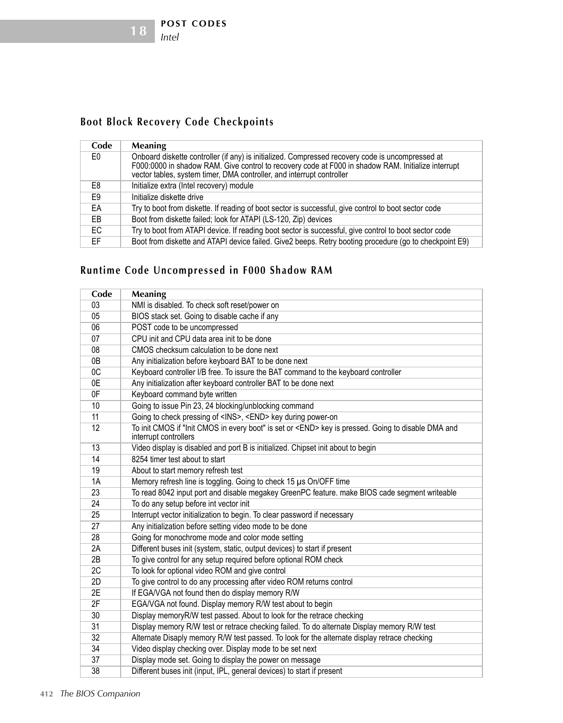# **Boot Block Recovery Code Checkpoints**

| Code | <b>Meaning</b>                                                                                                                                                                                                                                                                  |
|------|---------------------------------------------------------------------------------------------------------------------------------------------------------------------------------------------------------------------------------------------------------------------------------|
| E0   | Onboard diskette controller (if any) is initialized. Compressed recovery code is uncompressed at<br>F000:0000 in shadow RAM. Give control to recovery code at F000 in shadow RAM. Initialize interrupt<br>vector tables, system timer, DMA controller, and interrupt controller |
| E8   | Initialize extra (Intel recovery) module                                                                                                                                                                                                                                        |
| E9   | Initialize diskette drive                                                                                                                                                                                                                                                       |
| EA   | Try to boot from diskette. If reading of boot sector is successful, give control to boot sector code                                                                                                                                                                            |
| EB   | Boot from diskette failed; look for ATAPI (LS-120, Zip) devices                                                                                                                                                                                                                 |
| EC.  | Try to boot from ATAPI device. If reading boot sector is successful, give control to boot sector code                                                                                                                                                                           |
| EF   | Boot from diskette and ATAPI device failed. Give2 beeps. Retry booting procedure (go to checkpoint E9)                                                                                                                                                                          |

# **Runtime Code Uncompressed in F000 Shadow RAM**

| Code           | Meaning                                                                                                                            |  |  |
|----------------|------------------------------------------------------------------------------------------------------------------------------------|--|--|
| 03             | NMI is disabled. To check soft reset/power on                                                                                      |  |  |
| 05             | BIOS stack set. Going to disable cache if any                                                                                      |  |  |
| 06             | POST code to be uncompressed                                                                                                       |  |  |
| 07             | CPU init and CPU data area init to be done                                                                                         |  |  |
| 08             | CMOS checksum calculation to be done next                                                                                          |  |  |
| 0B             | Any initialization before keyboard BAT to be done next                                                                             |  |  |
| 0 <sub>C</sub> | Keyboard controller I/B free. To issure the BAT command to the keyboard controller                                                 |  |  |
| 0E             | Any initialization after keyboard controller BAT to be done next                                                                   |  |  |
| 0F             | Keyboard command byte written                                                                                                      |  |  |
| 10             | Going to issue Pin 23, 24 blocking/unblocking command                                                                              |  |  |
| 11             | Going to check pressing of <ins>, <end> key during power-on</end></ins>                                                            |  |  |
| 12             | To init CMOS if "Init CMOS in every boot" is set or <end> key is pressed. Going to disable DMA and<br/>interrupt controllers</end> |  |  |
| 13             | Video display is disabled and port B is initialized. Chipset init about to begin                                                   |  |  |
| 14             | 8254 timer test about to start                                                                                                     |  |  |
| 19             | About to start memory refresh test                                                                                                 |  |  |
| 1A             | Memory refresh line is toggling. Going to check 15 µs On/OFF time                                                                  |  |  |
| 23             | To read 8042 input port and disable megakey GreenPC feature. make BIOS cade segment writeable                                      |  |  |
| 24             | To do any setup before int vector init                                                                                             |  |  |
| 25             | Interrupt vector initialization to begin. To clear password if necessary                                                           |  |  |
| 27             | Any initialization before setting video mode to be done                                                                            |  |  |
| 28             | Going for monochrome mode and color mode setting                                                                                   |  |  |
| 2A             | Different buses init (system, static, output devices) to start if present                                                          |  |  |
| 2B             | To give control for any setup required before optional ROM check                                                                   |  |  |
| 2C             | To look for optional video ROM and give control                                                                                    |  |  |
| 2D             | To give control to do any processing after video ROM returns control                                                               |  |  |
| 2E             | If EGA/VGA not found then do display memory R/W                                                                                    |  |  |
| 2F             | EGA/VGA not found. Display memory R/W test about to begin                                                                          |  |  |
| 30             | Display memoryR/W test passed. About to look for the retrace checking                                                              |  |  |
| 31             | Display memory R/W test or retrace checking failed. To do alternate Display memory R/W test                                        |  |  |
| 32             | Alternate Disaply memory R/W test passed. To look for the alternate display retrace checking                                       |  |  |
| 34             | Video display checking over. Display mode to be set next                                                                           |  |  |
| 37             | Display mode set. Going to display the power on message                                                                            |  |  |
| 38             | Different buses init (input, IPL, general devices) to start if present                                                             |  |  |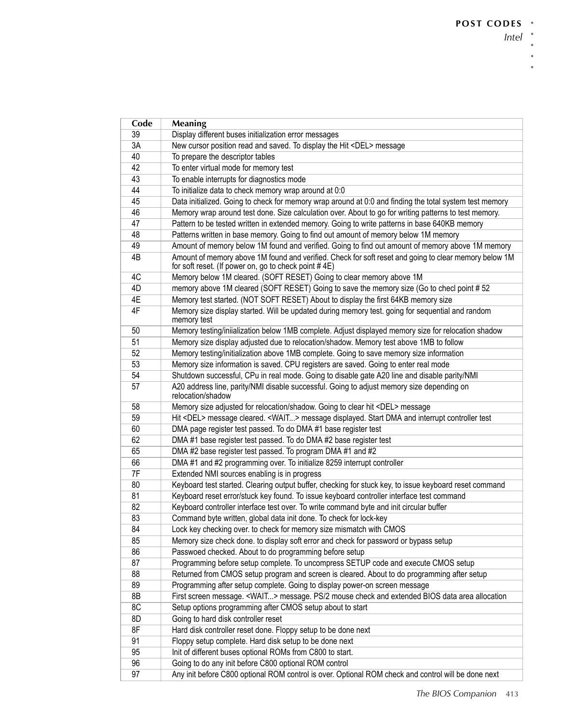. . . . .  $\bullet$ 

| Code | Meaning                                                                                                                                                          |  |  |  |
|------|------------------------------------------------------------------------------------------------------------------------------------------------------------------|--|--|--|
| 39   | Display different buses initialization error messages                                                                                                            |  |  |  |
| 3A   | New cursor position read and saved. To display the Hit <del> message</del>                                                                                       |  |  |  |
| 40   | To prepare the descriptor tables                                                                                                                                 |  |  |  |
| 42   | To enter virtual mode for memory test                                                                                                                            |  |  |  |
| 43   | To enable interrupts for diagnostics mode                                                                                                                        |  |  |  |
| 44   | To initialize data to check memory wrap around at 0:0                                                                                                            |  |  |  |
| 45   | Data initialized. Going to check for memory wrap around at 0:0 and finding the total system test memory                                                          |  |  |  |
| 46   | Memory wrap around test done. Size calculation over. About to go for writing patterns to test memory.                                                            |  |  |  |
| 47   | Pattern to be tested written in extended memory. Going to write patterns in base 640KB memory                                                                    |  |  |  |
| 48   | Patterns written in base memory. Going to find out amount of memory below 1M memory                                                                              |  |  |  |
| 49   | Amount of memory below 1M found and verified. Going to find out amount of memory above 1M memory                                                                 |  |  |  |
| 4B   | Amount of memory above 1M found and verified. Check for soft reset and going to clear memory below 1M<br>for soft reset. (If power on, go to check point $#4E$ ) |  |  |  |
| 4C   | Memory below 1M cleared. (SOFT RESET) Going to clear memory above 1M                                                                                             |  |  |  |
| 4D   | memory above 1M cleared (SOFT RESET) Going to save the memory size (Go to checl point #52                                                                        |  |  |  |
| 4E   | Memory test started. (NOT SOFT RESET) About to display the first 64KB memory size                                                                                |  |  |  |
| 4F   | Memory size display started. Will be updated during memory test, going for sequential and random<br>memory test                                                  |  |  |  |
| 50   | Memory testing/iniialization below 1MB complete. Adjust displayed memory size for relocation shadow                                                              |  |  |  |
| 51   | Memory size display adjusted due to relocation/shadow. Memory test above 1MB to follow                                                                           |  |  |  |
| 52   | Memory testing/initialization above 1MB complete. Going to save memory size information                                                                          |  |  |  |
| 53   | Memory size information is saved. CPU registers are saved. Going to enter real mode                                                                              |  |  |  |
| 54   | Shutdown successful, CPu in real mode. Going to disable gate A20 line and disable parity/NMI                                                                     |  |  |  |
| 57   | A20 address line, parity/NMI disable successful. Going to adjust memory size depending on<br>relocation/shadow                                                   |  |  |  |
| 58   | Memory size adjusted for relocation/shadow. Going to clear hit <del> message</del>                                                                               |  |  |  |
| 59   | Hit <del> message cleared. <wait> message displayed. Start DMA and interrupt controller test</wait></del>                                                        |  |  |  |
| 60   | DMA page register test passed. To do DMA #1 base register test                                                                                                   |  |  |  |
| 62   | DMA #1 base register test passed. To do DMA #2 base register test                                                                                                |  |  |  |
| 65   | DMA #2 base register test passed. To program DMA #1 and #2                                                                                                       |  |  |  |
| 66   | DMA #1 and #2 programming over. To initialize 8259 interrupt controller                                                                                          |  |  |  |
| 7F   | Extended NMI sources enabling is in progress                                                                                                                     |  |  |  |
| 80   | Keyboard test started. Clearing output buffer, checking for stuck key, to issue keyboard reset command                                                           |  |  |  |
| 81   | Keyboard reset error/stuck key found. To issue keyboard controller interface test command                                                                        |  |  |  |
| 82   | Keyboard controller interface test over. To write command byte and init circular buffer                                                                          |  |  |  |
| 83   | Command byte written, global data init done. To check for lock-key                                                                                               |  |  |  |
| 84   | Lock key checking over, to check for memory size mismatch with CMOS                                                                                              |  |  |  |
| 85   | Memory size check done, to display soft error and check for password or bypass setup                                                                             |  |  |  |
| 86   | Passwoed checked. About to do programming before setup                                                                                                           |  |  |  |
| 87   | Programming before setup complete. To uncompress SETUP code and execute CMOS setup                                                                               |  |  |  |
| 88   | Returned from CMOS setup program and screen is cleared. About to do programming after setup                                                                      |  |  |  |
| 89   | Programming after setup complete. Going to display power-on screen message                                                                                       |  |  |  |
| 8B   | First screen message. <wait> message. PS/2 mouse check and extended BIOS data area allocation</wait>                                                             |  |  |  |
| 8C   | Setup options programming after CMOS setup about to start                                                                                                        |  |  |  |
| 8D   | Going to hard disk controller reset                                                                                                                              |  |  |  |
| 8F   |                                                                                                                                                                  |  |  |  |
| 91   | Hard disk controller reset done. Floppy setup to be done next                                                                                                    |  |  |  |
| 95   | Floppy setup complete. Hard disk setup to be done next                                                                                                           |  |  |  |
|      | Init of different buses optional ROMs from C800 to start.                                                                                                        |  |  |  |
| 96   | Going to do any init before C800 optional ROM control                                                                                                            |  |  |  |
| 97   | Any init before C800 optional ROM control is over. Optional ROM check and control will be done next                                                              |  |  |  |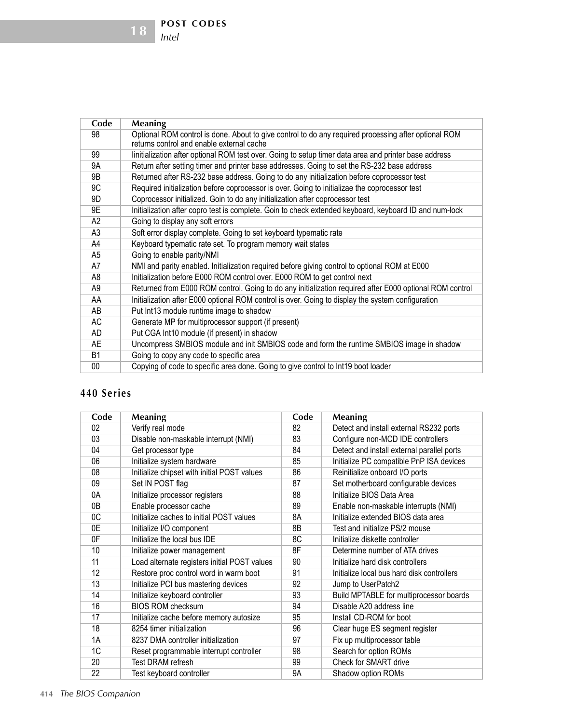### **POST CODES**

*Intel* **1 8**

| Code           | Meaning                                                                                                                                           |  |
|----------------|---------------------------------------------------------------------------------------------------------------------------------------------------|--|
| 98             | Optional ROM control is done. About to give control to do any required processing after optional ROM<br>returns control and enable external cache |  |
| 99             | linitialization after optional ROM test over. Going to setup timer data area and printer base address                                             |  |
| <b>9A</b>      | Return after setting timer and printer base addresses. Going to set the RS-232 base address                                                       |  |
| 9B             | Returned after RS-232 base address. Going to do any initialization before coprocessor test                                                        |  |
| 9C             | Required initialization before coprocessor is over. Going to initializae the coprocessor test                                                     |  |
| 9D             | Coprocessor initialized. Goin to do any initialization after coprocessor test                                                                     |  |
| 9E             | Initialization after copro test is complete. Goin to check extended keyboard, keyboard ID and num-lock                                            |  |
| A2             | Going to display any soft errors                                                                                                                  |  |
| A <sub>3</sub> | Soft error display complete. Going to set keyboard typematic rate                                                                                 |  |
| A4             | Keyboard typematic rate set. To program memory wait states                                                                                        |  |
| A <sub>5</sub> | Going to enable parity/NMI                                                                                                                        |  |
| A7             | NMI and parity enabled. Initialization required before giving control to optional ROM at E000                                                     |  |
| A <sub>8</sub> | Initialization before E000 ROM control over. E000 ROM to get control next                                                                         |  |
| A <sub>9</sub> | Returned from E000 ROM control. Going to do any initialization required after E000 optional ROM control                                           |  |
| AA             | Initialization after E000 optional ROM control is over. Going to display the system configuration                                                 |  |
| AB             | Put Int13 module runtime image to shadow                                                                                                          |  |
| AC             | Generate MP for multiprocessor support (if present)                                                                                               |  |
| AD             | Put CGA Int10 module (if present) in shadow                                                                                                       |  |
| <b>AE</b>      | Uncompress SMBIOS module and init SMBIOS code and form the runtime SMBIOS image in shadow                                                         |  |
| <b>B1</b>      | Going to copy any code to specific area                                                                                                           |  |
| 00             | Copying of code to specific area done. Going to give control to Int19 boot loader                                                                 |  |

## **440 Series**

| Code           | Meaning                                      | Code | Meaning                                    |
|----------------|----------------------------------------------|------|--------------------------------------------|
| 02             | Verify real mode                             | 82   | Detect and install external RS232 ports    |
| 03             | Disable non-maskable interrupt (NMI)         | 83   | Configure non-MCD IDE controllers          |
| 04             | Get processor type                           | 84   | Detect and install external parallel ports |
| 06             | Initialize system hardware                   | 85   | Initialize PC compatible PnP ISA devices   |
| 08             | Initialize chipset with initial POST values  | 86   | Reinitialize onboard I/O ports             |
| 09             | Set IN POST flag                             | 87   | Set motherboard configurable devices       |
| 0A             | Initialize processor registers               | 88   | Initialize BIOS Data Area                  |
| 0 <sub>B</sub> | Enable processor cache                       | 89   | Enable non-maskable interrupts (NMI)       |
| 0C             | Initialize caches to initial POST values     | 8A   | Initialize extended BIOS data area         |
| 0E             | Initialize I/O component                     | 8B   | Test and initialize PS/2 mouse             |
| 0F             | Initialize the local bus IDE                 | 8C   | Initialize diskette controller             |
| 10             | Initialize power management                  | 8F   | Determine number of ATA drives             |
| 11             | Load alternate registers initial POST values | 90   | Initialize hard disk controllers           |
| 12             | Restore proc control word in warm boot       | 91   | Initialize local bus hard disk controllers |
| 13             | Initialize PCI bus mastering devices         | 92   | Jump to UserPatch2                         |
| 14             | Initialize keyboard controller               | 93   | Build MPTABLE for multiprocessor boards    |
| 16             | <b>BIOS ROM checksum</b>                     | 94   | Disable A20 address line                   |
| 17             | Initialize cache before memory autosize      | 95   | Install CD-ROM for boot                    |
| 18             | 8254 timer initialization                    | 96   | Clear huge ES segment register             |
| 1A             | 8237 DMA controller initialization           | 97   | Fix up multiprocessor table                |
| 1C             | Reset programmable interrupt controller      | 98   | Search for option ROMs                     |
| 20             | <b>Test DRAM refresh</b>                     | 99   | Check for SMART drive                      |
| 22             | Test keyboard controller                     | 9Α   | Shadow option ROMs                         |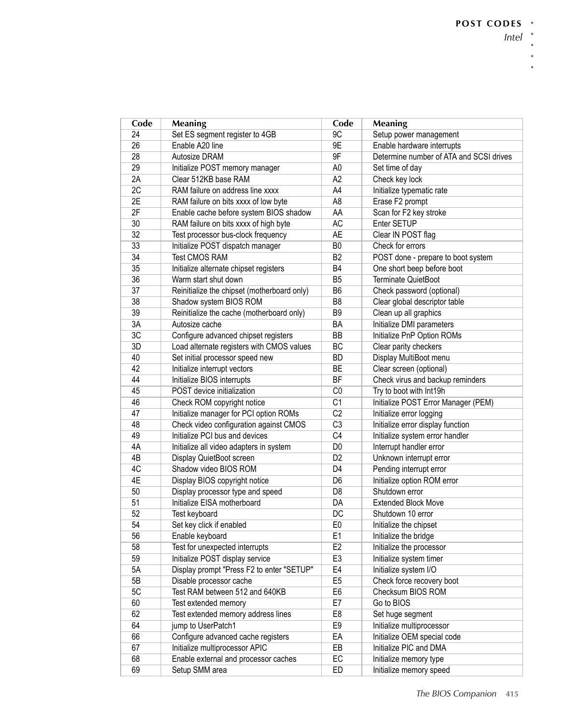. . . . .  $\ddot{\phantom{0}}$  $\bullet$ 

| Code           | Meaning                                     | Code            | Meaning                                 |
|----------------|---------------------------------------------|-----------------|-----------------------------------------|
| 24             | Set ES segment register to 4GB              | 9C              | Setup power management                  |
| 26             | Enable A20 line                             | 9E              | Enable hardware interrupts              |
| 28             | <b>Autosize DRAM</b>                        | 9F              | Determine number of ATA and SCSI drives |
| 29             | Initialize POST memory manager              | A <sub>0</sub>  | Set time of day                         |
| 2A             | Clear 512KB base RAM                        | A <sub>2</sub>  | Check key lock                          |
| 2C             | RAM failure on address line xxxx            | A4              | Initialize typematic rate               |
| 2E             | RAM failure on bits xxxx of low byte        | A8              | Erase F2 prompt                         |
| 2F             | Enable cache before system BIOS shadow      | AA              | Scan for F2 key stroke                  |
| 30             | RAM failure on bits xxxx of high byte       | <b>AC</b>       | Enter SETUP                             |
| 32             | Test processor bus-clock frequency          | <b>AE</b>       | Clear IN POST flag                      |
| 33             | Initialize POST dispatch manager            | B <sub>0</sub>  | Check for errors                        |
| 34             | <b>Test CMOS RAM</b>                        | B <sub>2</sub>  | POST done - prepare to boot system      |
| 35             | Initialize alternate chipset registers      | B <sub>4</sub>  | One short beep before boot              |
| 36             | Warm start shut down                        | B <sub>5</sub>  | <b>Terminate QuietBoot</b>              |
| 37             | Reinitialize the chipset (motherboard only) | <b>B6</b>       | Check password (optional)               |
| 38             | Shadow system BIOS ROM                      | B <sub>8</sub>  | Clear global descriptor table           |
| 39             | Reinitialize the cache (motherboard only)   | B <sub>9</sub>  | Clean up all graphics                   |
| 3A             | Autosize cache                              | <b>BA</b>       | Initialize DMI parameters               |
| 3C             | Configure advanced chipset registers        | <b>BB</b>       | Initialize PnP Option ROMs              |
| 3D             |                                             | BC              |                                         |
| 40             | Load alternate registers with CMOS values   | <b>BD</b>       | Clear parity checkers                   |
| 42             | Set initial processor speed new             |                 | Display MultiBoot menu                  |
|                | Initialize interrupt vectors                | <b>BE</b>       | Clear screen (optional)                 |
| 44             | Initialize BIOS interrupts                  | <b>BF</b>       | Check virus and backup reminders        |
| 45             | POST device initialization                  | $\overline{C}0$ | Try to boot with Int19h                 |
| 46             | Check ROM copyright notice                  | C <sub>1</sub>  | Initialize POST Error Manager (PEM)     |
| 47             | Initialize manager for PCI option ROMs      | C <sub>2</sub>  | Initialize error logging                |
| 48             | Check video configuration against CMOS      | C <sub>3</sub>  | Initialize error display function       |
| 49             | Initialize PCI bus and devices              | C <sub>4</sub>  | Initialize system error handler         |
| 4A             | Initialize all video adapters in system     | D <sub>0</sub>  | Interrupt handler error                 |
| 4 <sub>B</sub> | Display QuietBoot screen                    | D2              | Unknown interrupt error                 |
| 4C             | Shadow video BIOS ROM                       | D <sub>4</sub>  | Pending interrupt error                 |
| 4E             | Display BIOS copyright notice               | D <sub>6</sub>  | Initialize option ROM error             |
| 50             | Display processor type and speed            | D <sub>8</sub>  | Shutdown error                          |
| 51             | Initialize EISA motherboard                 | DA              | <b>Extended Block Move</b>              |
| 52             | Test keyboard                               | DC              | Shutdown 10 error                       |
| 54             | Set key click if enabled                    | E <sub>0</sub>  | Initialize the chipset                  |
| 56             | Enable keyboard                             | E <sub>1</sub>  | Initialize the bridge                   |
| 58             | Test for unexpected interrupts              | E <sub>2</sub>  | Initialize the processor                |
| 59             | Initialize POST display service             | E <sub>3</sub>  | Initialize system timer                 |
| 5A             | Display prompt "Press F2 to enter "SETUP"   | E4              | Initialize system I/O                   |
| 5B             | Disable processor cache                     | E <sub>5</sub>  | Check force recovery boot               |
| 5C             | Test RAM between 512 and 640KB              | E <sub>6</sub>  | Checksum BIOS ROM                       |
| 60             | Test extended memory                        | E7              | Go to BIOS                              |
| 62             | Test extended memory address lines          | E <sub>8</sub>  | Set huge segment                        |
| 64             | jump to UserPatch1                          | E <sub>9</sub>  | Initialize multiprocessor               |
| 66             | Configure advanced cache registers          | EA              | Initialize OEM special code             |
| 67             | Initialize multiprocessor APIC              | EB              | Initialize PIC and DMA                  |
| 68             | Enable external and processor caches        | EC              | Initialize memory type                  |
| 69             | Setup SMM area                              | <b>ED</b>       | Initialize memory speed                 |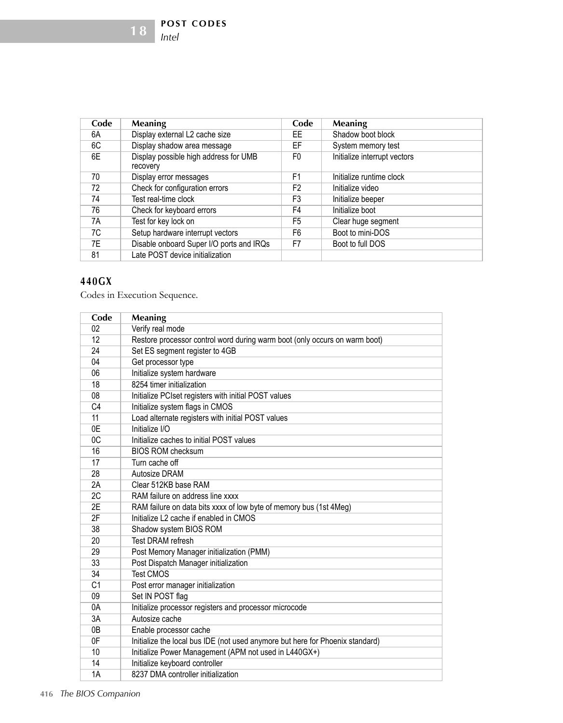| Code | <b>Meaning</b>                                    | Code           | Meaning                      |
|------|---------------------------------------------------|----------------|------------------------------|
| 6A   | Display external L2 cache size                    | EE             | Shadow boot block            |
| 6C   | Display shadow area message                       | EF             | System memory test           |
| 6E   | Display possible high address for UMB<br>recovery | F <sub>0</sub> | Initialize interrupt vectors |
| 70   | Display error messages                            | F <sub>1</sub> | Initialize runtime clock     |
| 72   | Check for configuration errors                    | F <sub>2</sub> | Initialize video             |
| 74   | Test real-time clock                              | F <sub>3</sub> | Initialize beeper            |
| 76   | Check for keyboard errors                         | F4             | Initialize boot              |
| 7A   | Test for key lock on                              | F <sub>5</sub> | Clear huge segment           |
| 7C   | Setup hardware interrupt vectors                  | F <sub>6</sub> | Boot to mini-DOS             |
| 7F   | Disable onboard Super I/O ports and IRQs          | F7             | Boot to full DOS             |
| 81   | Late POST device initialization                   |                |                              |

#### **440GX**

Codes in Execution Sequence.

| Code           | Meaning                                                                       |  |  |
|----------------|-------------------------------------------------------------------------------|--|--|
| 02             | Verify real mode                                                              |  |  |
| 12             | Restore processor control word during warm boot (only occurs on warm boot)    |  |  |
| 24             | Set ES segment register to 4GB                                                |  |  |
| 04             | Get processor type                                                            |  |  |
| 06             | Initialize system hardware                                                    |  |  |
| 18             | 8254 timer initialization                                                     |  |  |
| 08             | Initialize PCIset registers with initial POST values                          |  |  |
| C <sub>4</sub> | Initialize system flags in CMOS                                               |  |  |
| 11             | Load alternate registers with initial POST values                             |  |  |
| 0E             | Initialize I/O                                                                |  |  |
| 0C             | Initialize caches to initial POST values                                      |  |  |
| 16             | <b>BIOS ROM checksum</b>                                                      |  |  |
| 17             | Turn cache off                                                                |  |  |
| 28             | Autosize DRAM                                                                 |  |  |
| 2A             | Clear 512KB base RAM                                                          |  |  |
| 2C             | RAM failure on address line xxxx                                              |  |  |
| 2E             | RAM failure on data bits xxxx of low byte of memory bus (1st 4Meg)            |  |  |
| 2F             | Initialize L2 cache if enabled in CMOS                                        |  |  |
| 38             | Shadow system BIOS ROM                                                        |  |  |
| 20             | <b>Test DRAM refresh</b>                                                      |  |  |
| 29             | Post Memory Manager initialization (PMM)                                      |  |  |
| 33             | Post Dispatch Manager initialization                                          |  |  |
| 34             | <b>Test CMOS</b>                                                              |  |  |
| C <sub>1</sub> | Post error manager initialization                                             |  |  |
| 09             | Set IN POST flag                                                              |  |  |
| 0A             | Initialize processor registers and processor microcode                        |  |  |
| 3A             | Autosize cache                                                                |  |  |
| 0 <sub>B</sub> | Enable processor cache                                                        |  |  |
| 0F             | Initialize the local bus IDE (not used anymore but here for Phoenix standard) |  |  |
| 10             | Initialize Power Management (APM not used in L440GX+)                         |  |  |
| 14             | Initialize keyboard controller                                                |  |  |
| 1A             | 8237 DMA controller initialization                                            |  |  |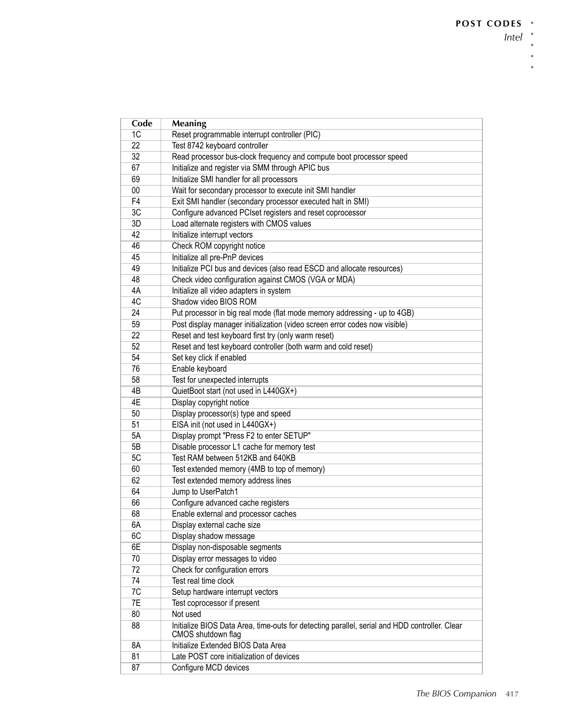. . . . .  $\ddot{\phantom{a}}$ 

 $\bullet$ 

| Code     | Meaning                                                                                                             |  |  |  |
|----------|---------------------------------------------------------------------------------------------------------------------|--|--|--|
| 1C       | Reset programmable interrupt controller (PIC)                                                                       |  |  |  |
| 22       | Test 8742 keyboard controller                                                                                       |  |  |  |
| 32       | Read processor bus-clock frequency and compute boot processor speed                                                 |  |  |  |
| 67       | Initialize and register via SMM through APIC bus                                                                    |  |  |  |
| 69       | Initialize SMI handler for all processors                                                                           |  |  |  |
| 00       | Wait for secondary processor to execute init SMI handler                                                            |  |  |  |
| F4       | Exit SMI handler (secondary processor executed halt in SMI)                                                         |  |  |  |
| 3C       | Configure advanced PCIset registers and reset coprocessor                                                           |  |  |  |
| 3D       | Load alternate registers with CMOS values                                                                           |  |  |  |
| 42       | Initialize interrupt vectors                                                                                        |  |  |  |
| 46       | Check ROM copyright notice                                                                                          |  |  |  |
| 45       | Initialize all pre-PnP devices                                                                                      |  |  |  |
| 49       | Initialize PCI bus and devices (also read ESCD and allocate resources)                                              |  |  |  |
| 48       | Check video configuration against CMOS (VGA or MDA)                                                                 |  |  |  |
| 4A       | Initialize all video adapters in system                                                                             |  |  |  |
| 4C       | Shadow video BIOS ROM                                                                                               |  |  |  |
| 24       | Put processor in big real mode (flat mode memory addressing - up to 4GB)                                            |  |  |  |
| 59       | Post display manager initialization (video screen error codes now visible)                                          |  |  |  |
| 22       | Reset and test keyboard first try (only warm reset)                                                                 |  |  |  |
| 52       | Reset and test keyboard controller (both warm and cold reset)                                                       |  |  |  |
| 54       | Set key click if enabled                                                                                            |  |  |  |
| 76       | Enable keyboard                                                                                                     |  |  |  |
| 58       | Test for unexpected interrupts                                                                                      |  |  |  |
| 4B       | QuietBoot start (not used in L440GX+)                                                                               |  |  |  |
| 4E       | Display copyright notice                                                                                            |  |  |  |
| 50       | Display processor(s) type and speed                                                                                 |  |  |  |
| 51       | EISA init (not used in L440GX+)                                                                                     |  |  |  |
| 5A       | Display prompt "Press F2 to enter SETUP"                                                                            |  |  |  |
| 5B       | Disable processor L1 cache for memory test                                                                          |  |  |  |
| 5C       | Test RAM between 512KB and 640KB                                                                                    |  |  |  |
|          |                                                                                                                     |  |  |  |
| 60<br>62 | Test extended memory (4MB to top of memory)<br>Test extended memory address lines                                   |  |  |  |
| 64       |                                                                                                                     |  |  |  |
|          | Jump to UserPatch1                                                                                                  |  |  |  |
| 66       | Configure advanced cache registers                                                                                  |  |  |  |
| 68       | Enable external and processor caches                                                                                |  |  |  |
| 6A       | Display external cache size                                                                                         |  |  |  |
| 6C       | Display shadow message                                                                                              |  |  |  |
| 6E       | Display non-disposable segments                                                                                     |  |  |  |
| 70       | Display error messages to video                                                                                     |  |  |  |
| 72       | Check for configuration errors                                                                                      |  |  |  |
| 74       | Test real time clock                                                                                                |  |  |  |
| 7C       | Setup hardware interrupt vectors                                                                                    |  |  |  |
| 7E       | Test coprocessor if present                                                                                         |  |  |  |
| 80       | Not used                                                                                                            |  |  |  |
| 88       | Initialize BIOS Data Area, time-outs for detecting parallel, serial and HDD controller. Clear<br>CMOS shutdown flag |  |  |  |
| 8A       | Initialize Extended BIOS Data Area                                                                                  |  |  |  |
| 81       | Late POST core initialization of devices                                                                            |  |  |  |
| 87       | Configure MCD devices                                                                                               |  |  |  |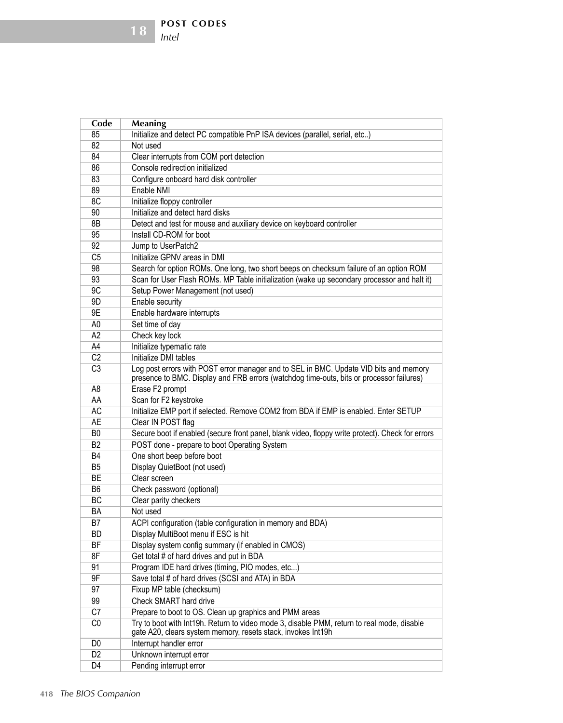*Intel* **1 8**

| Code           | Meaning                                                                                                                                                                           |  |  |  |
|----------------|-----------------------------------------------------------------------------------------------------------------------------------------------------------------------------------|--|--|--|
| 85             | Initialize and detect PC compatible PnP ISA devices (parallel, serial, etc)                                                                                                       |  |  |  |
| 82             | Not used                                                                                                                                                                          |  |  |  |
| 84             | Clear interrupts from COM port detection                                                                                                                                          |  |  |  |
| 86             | Console redirection initialized                                                                                                                                                   |  |  |  |
| 83             | Configure onboard hard disk controller                                                                                                                                            |  |  |  |
| 89             | Enable NMI                                                                                                                                                                        |  |  |  |
| 8C             | Initialize floppy controller                                                                                                                                                      |  |  |  |
| 90             | Initialize and detect hard disks                                                                                                                                                  |  |  |  |
| 8B             | Detect and test for mouse and auxiliary device on keyboard controller                                                                                                             |  |  |  |
| 95             | Install CD-ROM for boot                                                                                                                                                           |  |  |  |
| 92             | Jump to UserPatch2                                                                                                                                                                |  |  |  |
| C <sub>5</sub> | Initialize GPNV areas in DMI                                                                                                                                                      |  |  |  |
| 98             | Search for option ROMs. One long, two short beeps on checksum failure of an option ROM                                                                                            |  |  |  |
| 93             | Scan for User Flash ROMs. MP Table initialization (wake up secondary processor and halt it)                                                                                       |  |  |  |
| 9C             | Setup Power Management (not used)                                                                                                                                                 |  |  |  |
| 9D             | Enable security                                                                                                                                                                   |  |  |  |
| 9E             |                                                                                                                                                                                   |  |  |  |
| A0             | Enable hardware interrupts<br>Set time of day                                                                                                                                     |  |  |  |
| A2             |                                                                                                                                                                                   |  |  |  |
|                | Check key lock                                                                                                                                                                    |  |  |  |
| A4             | Initialize typematic rate                                                                                                                                                         |  |  |  |
| C <sub>2</sub> | Initialize DMI tables                                                                                                                                                             |  |  |  |
| C <sub>3</sub> | Log post errors with POST error manager and to SEL in BMC. Update VID bits and memory<br>presence to BMC. Display and FRB errors (watchdog time-outs, bits or processor failures) |  |  |  |
| A <sub>8</sub> | Erase F2 prompt                                                                                                                                                                   |  |  |  |
| AA             | Scan for F2 keystroke                                                                                                                                                             |  |  |  |
| <b>AC</b>      | Initialize EMP port if selected. Remove COM2 from BDA if EMP is enabled. Enter SETUP                                                                                              |  |  |  |
| AE             | Clear IN POST flag                                                                                                                                                                |  |  |  |
| B <sub>0</sub> | Secure boot if enabled (secure front panel, blank video, floppy write protect). Check for errors                                                                                  |  |  |  |
| B <sub>2</sub> | POST done - prepare to boot Operating System                                                                                                                                      |  |  |  |
| B <sub>4</sub> | One short beep before boot                                                                                                                                                        |  |  |  |
| B <sub>5</sub> | Display QuietBoot (not used)                                                                                                                                                      |  |  |  |
| BE             | Clear screen                                                                                                                                                                      |  |  |  |
| B <sub>6</sub> | Check password (optional)                                                                                                                                                         |  |  |  |
| BC             | Clear parity checkers                                                                                                                                                             |  |  |  |
| <b>BA</b>      | Not used                                                                                                                                                                          |  |  |  |
| B7             | ACPI configuration (table configuration in memory and BDA)                                                                                                                        |  |  |  |
| <b>BD</b>      | Display MultiBoot menu if ESC is hit                                                                                                                                              |  |  |  |
| <b>BF</b>      | Display system config summary (if enabled in CMOS)                                                                                                                                |  |  |  |
| 8F             | Get total # of hard drives and put in BDA                                                                                                                                         |  |  |  |
| 91             | Program IDE hard drives (timing, PIO modes, etc)                                                                                                                                  |  |  |  |
| 9F             | Save total # of hard drives (SCSI and ATA) in BDA                                                                                                                                 |  |  |  |
| 97             | Fixup MP table (checksum)                                                                                                                                                         |  |  |  |
| 99             | Check SMART hard drive                                                                                                                                                            |  |  |  |
| C7             | Prepare to boot to OS. Clean up graphics and PMM areas                                                                                                                            |  |  |  |
| CO             | Try to boot with Int19h. Return to video mode 3, disable PMM, return to real mode, disable<br>gate A20, clears system memory, resets stack, invokes Int19h                        |  |  |  |
| D <sub>0</sub> | Interrupt handler error                                                                                                                                                           |  |  |  |
| D <sub>2</sub> | Unknown interrupt error                                                                                                                                                           |  |  |  |
| D <sub>4</sub> | Pending interrupt error                                                                                                                                                           |  |  |  |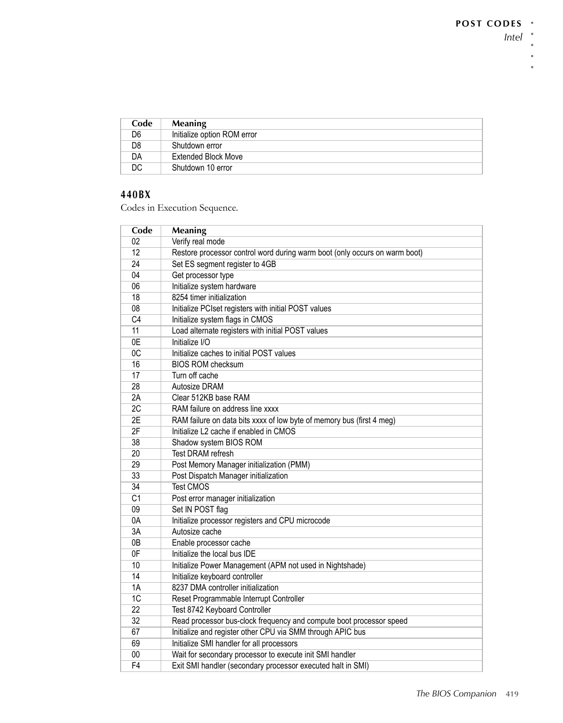. . . . .  $\bullet$  $\bullet$ 

| Code           | <b>Meaning</b>              |
|----------------|-----------------------------|
| D <sub>6</sub> | Initialize option ROM error |
| D <sub>8</sub> | Shutdown error              |
| DA             | <b>Extended Block Move</b>  |
| DC.            | Shutdown 10 error           |

### **440BX**

Codes in Execution Sequence.

| Code            | Meaning                                                                    |
|-----------------|----------------------------------------------------------------------------|
| 02              | Verify real mode                                                           |
| 12              | Restore processor control word during warm boot (only occurs on warm boot) |
| $\overline{24}$ | Set ES segment register to 4GB                                             |
| 04              | Get processor type                                                         |
| 06              | Initialize system hardware                                                 |
| 18              | 8254 timer initialization                                                  |
| 08              | Initialize PCIset registers with initial POST values                       |
| C <sub>4</sub>  | Initialize system flags in CMOS                                            |
| 11              | Load alternate registers with initial POST values                          |
| 0E              | Initialize I/O                                                             |
| 0C              | Initialize caches to initial POST values                                   |
| 16              | <b>BIOS ROM checksum</b>                                                   |
| 17              | Turn off cache                                                             |
| 28              | Autosize DRAM                                                              |
| 2A              | Clear 512KB base RAM                                                       |
| 2C              | RAM failure on address line xxxx                                           |
| 2E              | RAM failure on data bits xxxx of low byte of memory bus (first 4 meg)      |
| 2F              | Initialize L2 cache if enabled in CMOS                                     |
| 38              | Shadow system BIOS ROM                                                     |
| 20              | <b>Test DRAM refresh</b>                                                   |
| 29              | Post Memory Manager initialization (PMM)                                   |
| 33              | Post Dispatch Manager initialization                                       |
| 34              | <b>Test CMOS</b>                                                           |
| C <sub>1</sub>  | Post error manager initialization                                          |
| 09              | Set IN POST flag                                                           |
| 0A              | Initialize processor registers and CPU microcode                           |
| 3A              | Autosize cache                                                             |
| 0B              | Enable processor cache                                                     |
| 0F              | Initialize the local bus IDE                                               |
| 10              | Initialize Power Management (APM not used in Nightshade)                   |
| 14              | Initialize keyboard controller                                             |
| 1A              | 8237 DMA controller initialization                                         |
| 1C              | Reset Programmable Interrupt Controller                                    |
| 22              | Test 8742 Keyboard Controller                                              |
| 32              | Read processor bus-clock frequency and compute boot processor speed        |
| 67              | Initialize and register other CPU via SMM through APIC bus                 |
| 69              | Initialize SMI handler for all processors                                  |
| 00              | Wait for secondary processor to execute init SMI handler                   |
| F4              | Exit SMI handler (secondary processor executed halt in SMI)                |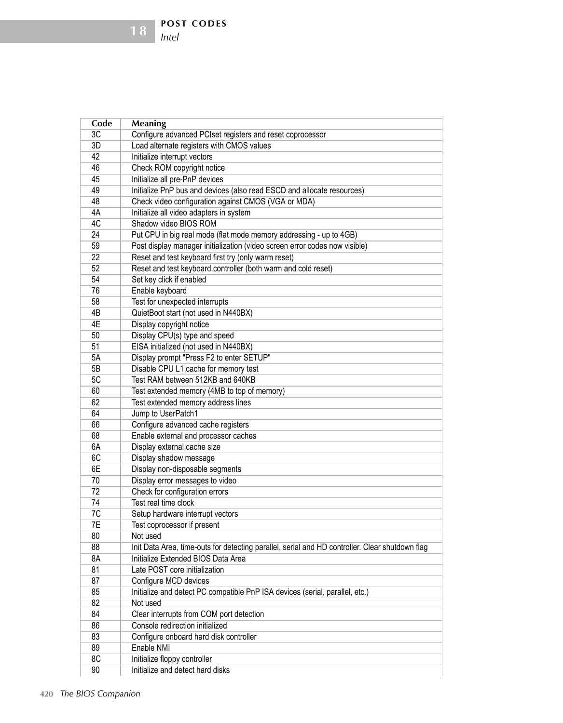**POST CODES**

*Intel* **1 8**

| Code | Meaning                                                                                         |  |  |  |
|------|-------------------------------------------------------------------------------------------------|--|--|--|
| 3C   | Configure advanced PCIset registers and reset coprocessor                                       |  |  |  |
| 3D   | Load alternate registers with CMOS values                                                       |  |  |  |
| 42   | Initialize interrupt vectors                                                                    |  |  |  |
| 46   | Check ROM copyright notice                                                                      |  |  |  |
| 45   | Initialize all pre-PnP devices                                                                  |  |  |  |
| 49   | Initialize PnP bus and devices (also read ESCD and allocate resources)                          |  |  |  |
| 48   | Check video configuration against CMOS (VGA or MDA)                                             |  |  |  |
| 4A   | Initialize all video adapters in system                                                         |  |  |  |
| 4C   | Shadow video BIOS ROM                                                                           |  |  |  |
| 24   | Put CPU in big real mode (flat mode memory addressing - up to 4GB)                              |  |  |  |
| 59   | Post display manager initialization (video screen error codes now visible)                      |  |  |  |
| 22   | Reset and test keyboard first try (only warm reset)                                             |  |  |  |
| 52   | Reset and test keyboard controller (both warm and cold reset)                                   |  |  |  |
| 54   | Set key click if enabled                                                                        |  |  |  |
| 76   | Enable keyboard                                                                                 |  |  |  |
| 58   | Test for unexpected interrupts                                                                  |  |  |  |
| 4B   | QuietBoot start (not used in N440BX)                                                            |  |  |  |
| 4E   | Display copyright notice                                                                        |  |  |  |
| 50   | Display CPU(s) type and speed                                                                   |  |  |  |
| 51   | EISA initialized (not used in N440BX)                                                           |  |  |  |
| 5A   | Display prompt "Press F2 to enter SETUP"                                                        |  |  |  |
| 5B   | Disable CPU L1 cache for memory test                                                            |  |  |  |
| 5C   | Test RAM between 512KB and 640KB                                                                |  |  |  |
| 60   | Test extended memory (4MB to top of memory)                                                     |  |  |  |
| 62   | Test extended memory address lines                                                              |  |  |  |
| 64   | Jump to UserPatch1                                                                              |  |  |  |
| 66   | Configure advanced cache registers                                                              |  |  |  |
| 68   | Enable external and processor caches                                                            |  |  |  |
| 6A   | Display external cache size                                                                     |  |  |  |
| 6C   | Display shadow message                                                                          |  |  |  |
| 6E   | Display non-disposable segments                                                                 |  |  |  |
| 70   | Display error messages to video                                                                 |  |  |  |
| 72   | Check for configuration errors                                                                  |  |  |  |
| 74   | Test real time clock                                                                            |  |  |  |
| 7C   | Setup hardware interrupt vectors                                                                |  |  |  |
| 7E   | Test coprocessor if present                                                                     |  |  |  |
| 80   | Not used                                                                                        |  |  |  |
| 88   | Init Data Area, time-outs for detecting parallel, serial and HD controller. Clear shutdown flag |  |  |  |
| 8A   | Initialize Extended BIOS Data Area                                                              |  |  |  |
| 81   | Late POST core initialization                                                                   |  |  |  |
| 87   | Configure MCD devices                                                                           |  |  |  |
| 85   | Initialize and detect PC compatible PnP ISA devices (serial, parallel, etc.)                    |  |  |  |
| 82   | Not used                                                                                        |  |  |  |
| 84   | Clear interrupts from COM port detection                                                        |  |  |  |
| 86   | Console redirection initialized                                                                 |  |  |  |
| 83   | Configure onboard hard disk controller                                                          |  |  |  |
| 89   | Enable NMI                                                                                      |  |  |  |
| 8C   | Initialize floppy controller                                                                    |  |  |  |
| 90   | Initialize and detect hard disks                                                                |  |  |  |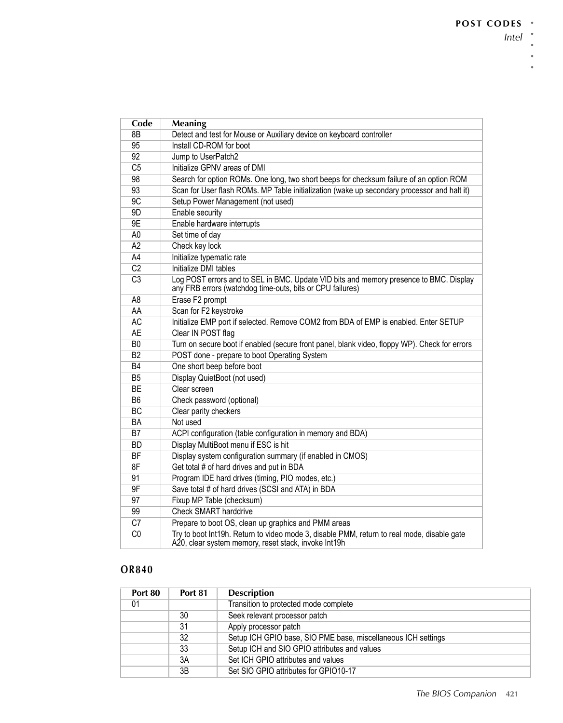| ٠         |
|-----------|
| ٠         |
| ٠         |
| $\bullet$ |
| ٠         |

| Code           | Meaning                                                                                                                                             |  |  |
|----------------|-----------------------------------------------------------------------------------------------------------------------------------------------------|--|--|
| 8B             | Detect and test for Mouse or Auxiliary device on keyboard controller                                                                                |  |  |
| 95             | Install CD-ROM for boot                                                                                                                             |  |  |
| 92             | Jump to UserPatch2                                                                                                                                  |  |  |
| C <sub>5</sub> | Initialize GPNV areas of DMI                                                                                                                        |  |  |
| 98             | Search for option ROMs. One long, two short beeps for checksum failure of an option ROM                                                             |  |  |
| 93             | Scan for User flash ROMs. MP Table initialization (wake up secondary processor and halt it)                                                         |  |  |
| 9C             | Setup Power Management (not used)                                                                                                                   |  |  |
| 9D             | Enable security                                                                                                                                     |  |  |
| 9E             | Enable hardware interrupts                                                                                                                          |  |  |
| A <sub>0</sub> | Set time of day                                                                                                                                     |  |  |
| A2             | Check key lock                                                                                                                                      |  |  |
| A4             | Initialize typematic rate                                                                                                                           |  |  |
| C <sub>2</sub> | Initialize DMI tables                                                                                                                               |  |  |
| C <sub>3</sub> | Log POST errors and to SEL in BMC. Update VID bits and memory presence to BMC. Display<br>any FRB errors (watchdog time-outs, bits or CPU failures) |  |  |
| A <sub>8</sub> | Erase F2 prompt                                                                                                                                     |  |  |
| AA             | Scan for F2 keystroke                                                                                                                               |  |  |
| <b>AC</b>      | Initialize EMP port if selected. Remove COM2 from BDA of EMP is enabled. Enter SETUP                                                                |  |  |
| <b>AE</b>      | Clear IN POST flag                                                                                                                                  |  |  |
| B <sub>0</sub> | Turn on secure boot if enabled (secure front panel, blank video, floppy WP). Check for errors                                                       |  |  |
| <b>B2</b>      | POST done - prepare to boot Operating System                                                                                                        |  |  |
| <b>B4</b>      | One short beep before boot                                                                                                                          |  |  |
| B <sub>5</sub> | Display QuietBoot (not used)                                                                                                                        |  |  |
| <b>BE</b>      | Clear screen                                                                                                                                        |  |  |
| B <sub>6</sub> | Check password (optional)                                                                                                                           |  |  |
| BC             | Clear parity checkers                                                                                                                               |  |  |
| <b>BA</b>      | Not used                                                                                                                                            |  |  |
| <b>B7</b>      | ACPI configuration (table configuration in memory and BDA)                                                                                          |  |  |
| <b>BD</b>      | Display MultiBoot menu if ESC is hit                                                                                                                |  |  |
| <b>BF</b>      | Display system configuration summary (if enabled in CMOS)                                                                                           |  |  |
| 8F             | Get total # of hard drives and put in BDA                                                                                                           |  |  |
| 91             | Program IDE hard drives (timing, PIO modes, etc.)                                                                                                   |  |  |
| 9F             | Save total # of hard drives (SCSI and ATA) in BDA                                                                                                   |  |  |
| 97             | Fixup MP Table (checksum)                                                                                                                           |  |  |
| 99             | Check SMART harddrive                                                                                                                               |  |  |
| C7             | Prepare to boot OS, clean up graphics and PMM areas                                                                                                 |  |  |
| C <sub>0</sub> | Try to boot Int19h. Return to video mode 3, disable PMM, return to real mode, disable gate<br>A20, clear system memory, reset stack, invoke Int19h  |  |  |

#### **OR840**

| Port 80 | Port 81 | <b>Description</b>                                            |  |
|---------|---------|---------------------------------------------------------------|--|
| 01      |         | Transition to protected mode complete                         |  |
|         | 30      | Seek relevant processor patch                                 |  |
|         | 31      | Apply processor patch                                         |  |
|         | 32      | Setup ICH GPIO base, SIO PME base, miscellaneous ICH settings |  |
|         | 33      | Setup ICH and SIO GPIO attributes and values                  |  |
|         | 3A      | Set ICH GPIO attributes and values                            |  |
|         | 3B      | Set SIO GPIO attributes for GPIO10-17                         |  |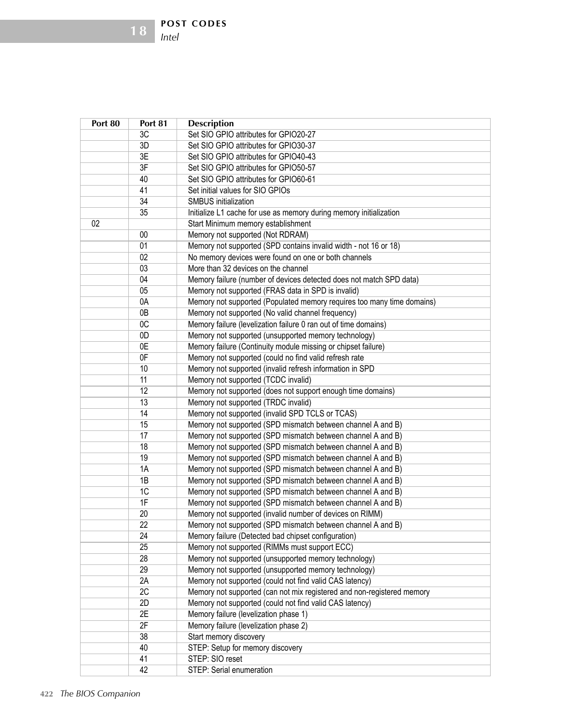**POST CODES**

*Intel* **1 8**

| Port 80 | Port 81         | <b>Description</b>                                                     |  |
|---------|-----------------|------------------------------------------------------------------------|--|
|         | ЗC              | Set SIO GPIO attributes for GPIO20-27                                  |  |
|         | 3D              | Set SIO GPIO attributes for GPIO30-37                                  |  |
|         | 3E              | Set SIO GPIO attributes for GPIO40-43                                  |  |
|         | 3F              | Set SIO GPIO attributes for GPIO50-57                                  |  |
|         | 40              | Set SIO GPIO attributes for GPIO60-61                                  |  |
|         | 41              | Set initial values for SIO GPIOs                                       |  |
|         | 34              | SMBUS initialization                                                   |  |
|         | 35              | Initialize L1 cache for use as memory during memory initialization     |  |
| 02      |                 | Start Minimum memory establishment                                     |  |
|         | $00\,$          | Memory not supported (Not RDRAM)                                       |  |
|         | 01              | Memory not supported (SPD contains invalid width - not 16 or 18)       |  |
|         | 02              | No memory devices were found on one or both channels                   |  |
|         | 03              | More than 32 devices on the channel                                    |  |
|         | 04              | Memory failure (number of devices detected does not match SPD data)    |  |
|         | 05              | Memory not supported (FRAS data in SPD is invalid)                     |  |
|         | 0A              | Memory not supported (Populated memory requires too many time domains) |  |
|         | 0 <sub>B</sub>  | Memory not supported (No valid channel frequency)                      |  |
|         | 0C              | Memory failure (levelization failure 0 ran out of time domains)        |  |
|         | 0D              | Memory not supported (unsupported memory technology)                   |  |
|         | 0E              | Memory failure (Continuity module missing or chipset failure)          |  |
|         | 0F              | Memory not supported (could no find valid refresh rate                 |  |
|         | 10              | Memory not supported (invalid refresh information in SPD               |  |
|         | 11              | Memory not supported (TCDC invalid)                                    |  |
|         | 12              | Memory not supported (does not support enough time domains)            |  |
|         | 13              | Memory not supported (TRDC invalid)                                    |  |
|         | 14              | Memory not supported (invalid SPD TCLS or TCAS)                        |  |
|         | 15              | Memory not supported (SPD mismatch between channel A and B)            |  |
|         | 17              | Memory not supported (SPD mismatch between channel A and B)            |  |
|         | 18              | Memory not supported (SPD mismatch between channel A and B)            |  |
|         | 19              | Memory not supported (SPD mismatch between channel A and B)            |  |
|         | 1A              | Memory not supported (SPD mismatch between channel A and B)            |  |
|         | 1B              | Memory not supported (SPD mismatch between channel A and B)            |  |
|         | 1C              | Memory not supported (SPD mismatch between channel A and B)            |  |
|         | 1F              | Memory not supported (SPD mismatch between channel A and B)            |  |
|         | 20              | Memory not supported (invalid number of devices on RIMM)               |  |
|         | $\overline{22}$ | Memory not supported (SPD mismatch between channel A and B)            |  |
|         | 24              | Memory failure (Detected bad chipset configuration)                    |  |
|         | 25              | Memory not supported (RIMMs must support ECC)                          |  |
|         | 28              | Memory not supported (unsupported memory technology)                   |  |
|         | 29              | Memory not supported (unsupported memory technology)                   |  |
|         | 2A              | Memory not supported (could not find valid CAS latency)                |  |
|         | 2C              | Memory not supported (can not mix registered and non-registered memory |  |
|         | 2D              | Memory not supported (could not find valid CAS latency)                |  |
|         | 2E              | Memory failure (levelization phase 1)                                  |  |
|         | 2F              | Memory failure (levelization phase 2)                                  |  |
|         | 38              | Start memory discovery                                                 |  |
|         | 40              | STEP: Setup for memory discovery                                       |  |
|         | 41              | STEP: SIO reset                                                        |  |
|         | 42              | STEP: Serial enumeration                                               |  |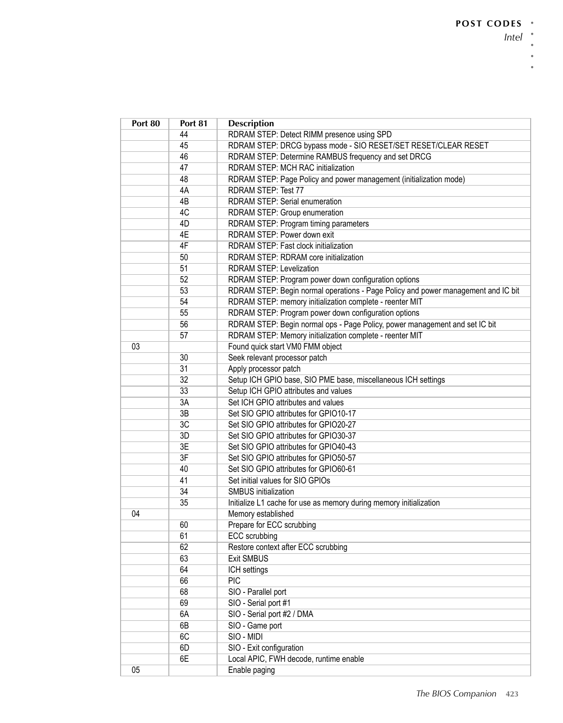. . . . . .  $\bullet$ 

| Port 80                                     | Port 81        | <b>Description</b>                                                                |
|---------------------------------------------|----------------|-----------------------------------------------------------------------------------|
|                                             | 44             | RDRAM STEP: Detect RIMM presence using SPD                                        |
|                                             | 45             | RDRAM STEP: DRCG bypass mode - SIO RESET/SET RESET/CLEAR RESET                    |
|                                             | 46             | RDRAM STEP: Determine RAMBUS frequency and set DRCG                               |
|                                             | 47             | RDRAM STEP: MCH RAC initialization                                                |
|                                             | 48             | RDRAM STEP: Page Policy and power management (initialization mode)                |
|                                             | 4A             | RDRAM STEP: Test 77                                                               |
|                                             | 4B             | RDRAM STEP: Serial enumeration                                                    |
|                                             | 4C             | RDRAM STEP: Group enumeration                                                     |
|                                             | 4D             | RDRAM STEP: Program timing parameters                                             |
|                                             | 4E             | RDRAM STEP: Power down exit                                                       |
| 4F<br>RDRAM STEP: Fast clock initialization |                |                                                                                   |
|                                             | 50             | RDRAM STEP: RDRAM core initialization                                             |
|                                             | 51             | <b>RDRAM STEP: Levelization</b>                                                   |
|                                             | 52             | RDRAM STEP: Program power down configuration options                              |
|                                             | 53             | RDRAM STEP: Begin normal operations - Page Policy and power management and IC bit |
|                                             | 54             | RDRAM STEP: memory initialization complete - reenter MIT                          |
|                                             | 55             | RDRAM STEP: Program power down configuration options                              |
|                                             | 56             | RDRAM STEP: Begin normal ops - Page Policy, power management and set IC bit       |
|                                             | 57             | RDRAM STEP: Memory initialization complete - reenter MIT                          |
| 03                                          |                | Found quick start VM0 FMM object                                                  |
|                                             | 30             |                                                                                   |
|                                             | 31             | Seek relevant processor patch                                                     |
|                                             |                | Apply processor patch                                                             |
|                                             | 32             | Setup ICH GPIO base, SIO PME base, miscellaneous ICH settings                     |
|                                             | 33             | Setup ICH GPIO attributes and values                                              |
|                                             | 3A             | Set ICH GPIO attributes and values                                                |
|                                             | 3B             | Set SIO GPIO attributes for GPIO10-17                                             |
|                                             | 3C             | Set SIO GPIO attributes for GPIO20-27                                             |
|                                             | 3D             | Set SIO GPIO attributes for GPIO30-37                                             |
|                                             | 3E             | Set SIO GPIO attributes for GPIO40-43                                             |
|                                             | 3F             | Set SIO GPIO attributes for GPIO50-57                                             |
|                                             | 40             | Set SIO GPIO attributes for GPIO60-61                                             |
|                                             | 41             | Set initial values for SIO GPIOs                                                  |
|                                             | 34             | <b>SMBUS</b> initialization                                                       |
|                                             | 35             | Initialize L1 cache for use as memory during memory initialization                |
| 04                                          |                | Memory established                                                                |
|                                             | 60             | Prepare for ECC scrubbing                                                         |
|                                             | 61             | ECC scrubbing                                                                     |
|                                             | 62             | Restore context after ECC scrubbing                                               |
|                                             | 63             | <b>Exit SMBUS</b>                                                                 |
|                                             | 64             | ICH settings                                                                      |
|                                             | 66             | PIC                                                                               |
|                                             | 68             | SIO - Parallel port                                                               |
|                                             | 69             | SIO - Serial port #1                                                              |
|                                             | 6A             | SIO - Serial port #2 / DMA                                                        |
|                                             | 6 <sub>B</sub> | SIO - Game port                                                                   |
|                                             | 6C             | SIO - MIDI                                                                        |
|                                             | 6 <sub>D</sub> | SIO - Exit configuration                                                          |
|                                             | 6E             | Local APIC, FWH decode, runtime enable                                            |
| 05                                          |                | Enable paging                                                                     |
|                                             |                |                                                                                   |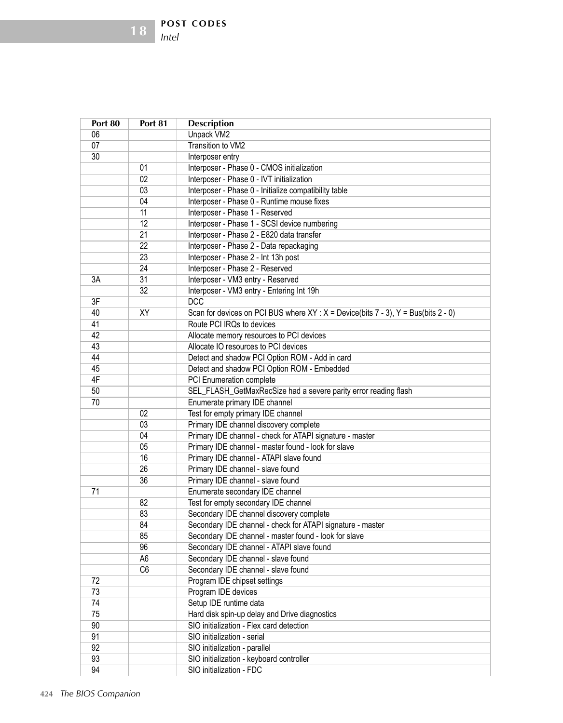| Port 80         | Port 81        | <b>Description</b>                                                                           |  |
|-----------------|----------------|----------------------------------------------------------------------------------------------|--|
| 06              |                | Unpack VM2                                                                                   |  |
| 07              |                | Transition to VM2                                                                            |  |
| 30              |                | Interposer entry                                                                             |  |
|                 | 01             | Interposer - Phase 0 - CMOS initialization                                                   |  |
|                 | 02             | Interposer - Phase 0 - IVT initialization                                                    |  |
|                 | 03             | Interposer - Phase 0 - Initialize compatibility table                                        |  |
|                 | 04             | Interposer - Phase 0 - Runtime mouse fixes                                                   |  |
|                 | 11             | Interposer - Phase 1 - Reserved                                                              |  |
|                 | 12             | Interposer - Phase 1 - SCSI device numbering                                                 |  |
|                 | 21             | Interposer - Phase 2 - E820 data transfer                                                    |  |
|                 | 22             | Interposer - Phase 2 - Data repackaging                                                      |  |
|                 | 23             | Interposer - Phase 2 - Int 13h post                                                          |  |
|                 | 24             | Interposer - Phase 2 - Reserved                                                              |  |
| 3A              | 31             | Interposer - VM3 entry - Reserved                                                            |  |
|                 | 32             | Interposer - VM3 entry - Entering Int 19h                                                    |  |
| 3F              |                | DCC                                                                                          |  |
| 40              | XY             | Scan for devices on PCI BUS where $XY : X =$ Device(bits $7 - 3$ ), $Y =$ Bus(bits $2 - 0$ ) |  |
| 41              |                | Route PCI IRQs to devices                                                                    |  |
| 42              |                | Allocate memory resources to PCI devices                                                     |  |
| 43              |                | Allocate IO resources to PCI devices                                                         |  |
| 44              |                | Detect and shadow PCI Option ROM - Add in card                                               |  |
| 45              |                | Detect and shadow PCI Option ROM - Embedded                                                  |  |
| 4F              |                | PCI Enumeration complete                                                                     |  |
| 50              |                | SEL_FLASH_GetMaxRecSize had a severe parity error reading flash                              |  |
| 70              |                | Enumerate primary IDE channel                                                                |  |
|                 | 02             | Test for empty primary IDE channel                                                           |  |
|                 | 03             | Primary IDE channel discovery complete                                                       |  |
|                 | 04             | Primary IDE channel - check for ATAPI signature - master                                     |  |
|                 | 05             | Primary IDE channel - master found - look for slave                                          |  |
|                 | 16             | Primary IDE channel - ATAPI slave found                                                      |  |
|                 | 26             | Primary IDE channel - slave found                                                            |  |
|                 | 36             | Primary IDE channel - slave found                                                            |  |
| 71              |                | Enumerate secondary IDE channel                                                              |  |
|                 | 82             | Test for empty secondary IDE channel                                                         |  |
|                 | 83             | Secondary IDE channel discovery complete                                                     |  |
|                 | 84             | Secondary IDE channel - check for ATAPI signature - master                                   |  |
|                 | 85             | Secondary IDE channel - master found - look for slave                                        |  |
|                 | 96             | Secondary IDE channel - ATAPI slave found                                                    |  |
|                 | A <sub>6</sub> | Secondary IDE channel - slave found                                                          |  |
|                 | C <sub>6</sub> | Secondary IDE channel - slave found                                                          |  |
| $\overline{72}$ |                | Program IDE chipset settings                                                                 |  |
| 73              |                | Program IDE devices                                                                          |  |
| 74              |                | Setup IDE runtime data                                                                       |  |
| 75              |                | Hard disk spin-up delay and Drive diagnostics                                                |  |
| 90              |                | SIO initialization - Flex card detection                                                     |  |
| 91              |                | SIO initialization - serial                                                                  |  |
| 92              |                | SIO initialization - parallel                                                                |  |
| 93              |                | SIO initialization - keyboard controller                                                     |  |
| 94              |                | SIO initialization - FDC                                                                     |  |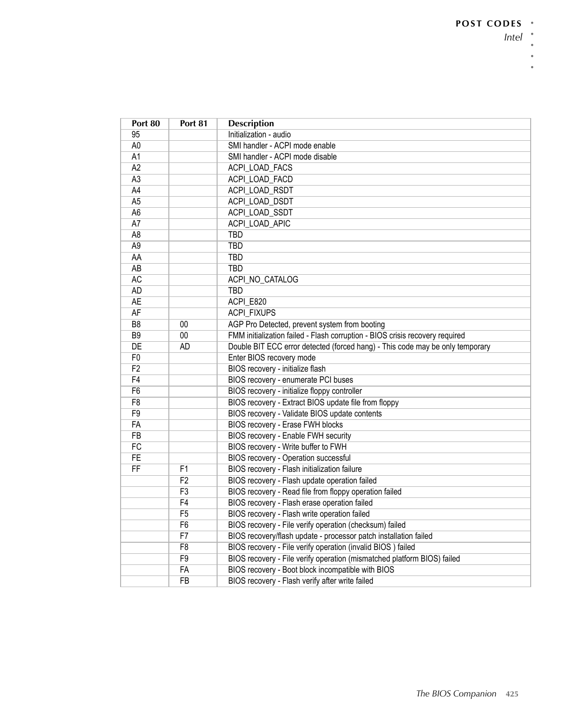. . . . .  $\ddot{\phantom{0}}$ 

 $\bullet$ 

 $\bullet$ 

| Port 80        | Port 81        | <b>Description</b>                                                            |  |
|----------------|----------------|-------------------------------------------------------------------------------|--|
| 95             |                | Initialization - audio                                                        |  |
| A <sub>0</sub> |                | SMI handler - ACPI mode enable                                                |  |
| A <sub>1</sub> |                | SMI handler - ACPI mode disable                                               |  |
| A <sub>2</sub> |                | ACPI LOAD FACS                                                                |  |
| A3             |                | ACPI LOAD FACD                                                                |  |
| A4             |                | ACPI LOAD RSDT                                                                |  |
| A <sub>5</sub> |                | ACPI LOAD DSDT                                                                |  |
| A <sub>6</sub> |                | ACPI_LOAD_SSDT                                                                |  |
| A7             |                | ACPI LOAD APIC                                                                |  |
| A <sub>8</sub> |                | <b>TBD</b>                                                                    |  |
| A <sub>9</sub> |                | <b>TBD</b>                                                                    |  |
| AA             |                | <b>TBD</b>                                                                    |  |
| AB             |                | <b>TBD</b>                                                                    |  |
| <b>AC</b>      |                | ACPI NO CATALOG                                                               |  |
| <b>AD</b>      |                | <b>TBD</b>                                                                    |  |
| <b>AE</b>      |                | ACPI_E820                                                                     |  |
| AF             |                | <b>ACPI FIXUPS</b>                                                            |  |
| B <sub>8</sub> | 00             | AGP Pro Detected, prevent system from booting                                 |  |
| B <sub>9</sub> | 00             | FMM initialization failed - Flash corruption - BIOS crisis recovery required  |  |
| DE             | <b>AD</b>      | Double BIT ECC error detected (forced hang) - This code may be only temporary |  |
| F <sub>0</sub> |                | Enter BIOS recovery mode                                                      |  |
| F <sub>2</sub> |                | BIOS recovery - initialize flash                                              |  |
| F4             |                | BIOS recovery - enumerate PCI buses                                           |  |
| F6             |                | BIOS recovery - initialize floppy controller                                  |  |
| F <sub>8</sub> |                | BIOS recovery - Extract BIOS update file from floppy                          |  |
| F <sub>9</sub> |                | BIOS recovery - Validate BIOS update contents                                 |  |
| FA             |                | BIOS recovery - Erase FWH blocks                                              |  |
| <b>FB</b>      |                | BIOS recovery - Enable FWH security                                           |  |
| FC             |                | BIOS recovery - Write buffer to FWH                                           |  |
| FE             |                | BIOS recovery - Operation successful                                          |  |
| FF             | F <sub>1</sub> | BIOS recovery - Flash initialization failure                                  |  |
|                | F2             | BIOS recovery - Flash update operation failed                                 |  |
|                | F3             | BIOS recovery - Read file from floppy operation failed                        |  |
|                | F4             | BIOS recovery - Flash erase operation failed                                  |  |
|                | F <sub>5</sub> | BIOS recovery - Flash write operation failed                                  |  |
|                | F <sub>6</sub> | BIOS recovery - File verify operation (checksum) failed                       |  |
|                | F7             | BIOS recovery/flash update - processor patch installation failed              |  |
|                | F <sub>8</sub> | BIOS recovery - File verify operation (invalid BIOS) failed                   |  |
|                | F <sub>9</sub> | BIOS recovery - File verify operation (mismatched platform BIOS) failed       |  |
|                | FA             | BIOS recovery - Boot block incompatible with BIOS                             |  |
|                | FB             | BIOS recovery - Flash verify after write failed                               |  |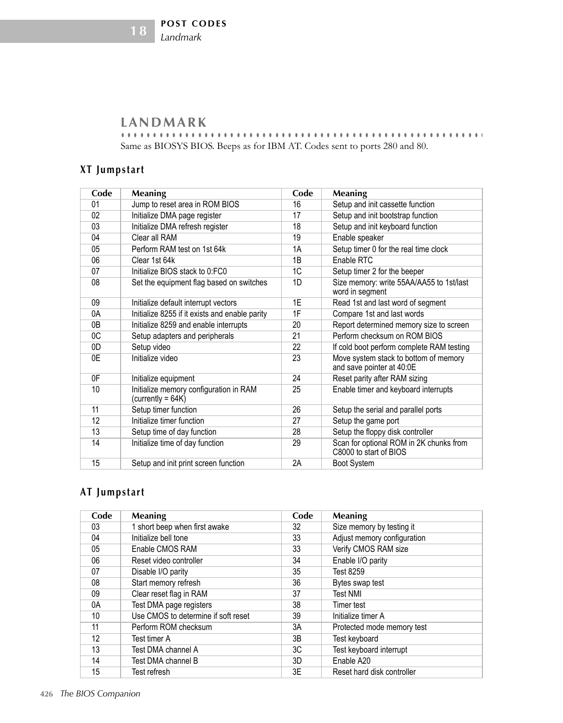**1 8**

**. . . . . . . . . . . . . . . . . . . . . . . . . . . . . . . . . . . . . . . . . . . . . . . . . . . . . . . . . LANDMARK** Same as BIOSYS BIOS. Beeps as for IBM AT. Codes sent to ports 280 and 80.

#### **XT Jumpstart**

| Code           | Meaning                                                     | Code | Meaning                                                            |
|----------------|-------------------------------------------------------------|------|--------------------------------------------------------------------|
| 01             | Jump to reset area in ROM BIOS                              | 16   | Setup and init cassette function                                   |
| 02             | Initialize DMA page register                                | 17   | Setup and init bootstrap function                                  |
| 03             | Initialize DMA refresh register                             | 18   | Setup and init keyboard function                                   |
| 04             | Clear all RAM                                               | 19   | Enable speaker                                                     |
| 05             | Perform RAM test on 1st 64k                                 | 1A   | Setup timer 0 for the real time clock                              |
| 06             | Clear 1st 64k                                               | 1B   | Enable RTC                                                         |
| 07             | Initialize BIOS stack to 0:FC0                              | 1C   | Setup timer 2 for the beeper                                       |
| 08             | Set the equipment flag based on switches                    | 1D   | Size memory: write 55AA/AA55 to 1st/last<br>word in segment        |
| 09             | Initialize default interrupt vectors                        | 1E   | Read 1st and last word of segment                                  |
| 0A             | Initialize 8255 if it exists and enable parity              | 1F   | Compare 1st and last words                                         |
| 0 <sub>B</sub> | Initialize 8259 and enable interrupts                       | 20   | Report determined memory size to screen                            |
| 0C             | Setup adapters and peripherals                              | 21   | Perform checksum on ROM BIOS                                       |
| 0 <sub>D</sub> | Setup video                                                 | 22   | If cold boot perform complete RAM testing                          |
| 0E             | Initialize video                                            | 23   | Move system stack to bottom of memory<br>and save pointer at 40:0E |
| 0F             | Initialize equipment                                        | 24   | Reset parity after RAM sizing                                      |
| 10             | Initialize memory configuration in RAM<br>(currently = 64K) | 25   | Enable timer and keyboard interrupts                               |
| 11             | Setup timer function                                        | 26   | Setup the serial and parallel ports                                |
| 12             | Initialize timer function                                   | 27   | Setup the game port                                                |
| 13             | Setup time of day function                                  | 28   | Setup the floppy disk controller                                   |
| 14             | Initialize time of day function                             | 29   | Scan for optional ROM in 2K chunks from<br>C8000 to start of BIOS  |
| 15             | Setup and init print screen function                        | 2A   | <b>Boot System</b>                                                 |

### **AT Jumpstart**

| Code | Meaning                             | Code | Meaning                     |
|------|-------------------------------------|------|-----------------------------|
| 03   | 1 short beep when first awake       | 32   | Size memory by testing it   |
| 04   | Initialize bell tone                | 33   | Adjust memory configuration |
| 05   | Enable CMOS RAM                     | 33   | Verify CMOS RAM size        |
| 06   | Reset video controller              | 34   | Enable I/O parity           |
| 07   | Disable I/O parity                  | 35   | <b>Test 8259</b>            |
| 08   | Start memory refresh                | 36   | Bytes swap test             |
| 09   | Clear reset flag in RAM             | 37   | <b>Test NMI</b>             |
| 0A   | Test DMA page registers             | 38   | Timer test                  |
| 10   | Use CMOS to determine if soft reset | 39   | Initialize timer A          |
| 11   | Perform ROM checksum                | 3A   | Protected mode memory test  |
| 12   | Test timer A                        | 3B   | Test keyboard               |
| 13   | Test DMA channel A                  | ЗC   | Test keyboard interrupt     |
| 14   | Test DMA channel B                  | 3D   | Enable A20                  |
| 15   | Test refresh                        | 3E   | Reset hard disk controller  |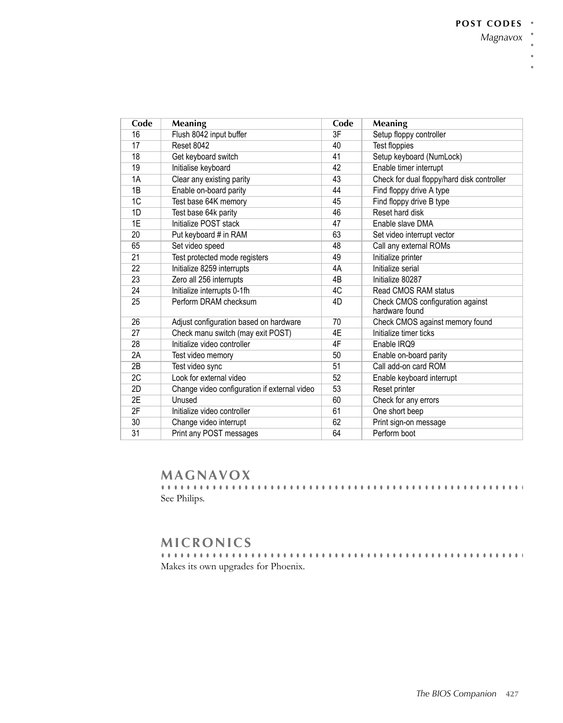. . . . .  $\bullet$ 

| Code           | Meaning                                      | Code | Meaning                                            |
|----------------|----------------------------------------------|------|----------------------------------------------------|
| 16             | Flush 8042 input buffer                      | 3F   | Setup floppy controller                            |
| 17             | <b>Reset 8042</b>                            | 40   | <b>Test floppies</b>                               |
| 18             | Get keyboard switch                          | 41   | Setup keyboard (NumLock)                           |
| 19             | Initialise keyboard                          | 42   | Enable timer interrupt                             |
| 1A             | Clear any existing parity                    | 43   | Check for dual floppy/hard disk controller         |
| 1B             | Enable on-board parity                       | 44   | Find floppy drive A type                           |
| 1C             | Test base 64K memory                         | 45   | Find floppy drive B type                           |
| 1 <sub>D</sub> | Test base 64k parity                         | 46   | Reset hard disk                                    |
| 1E             | Initialize POST stack                        | 47   | Enable slave DMA                                   |
| 20             | Put keyboard # in RAM                        | 63   | Set video interrupt vector                         |
| 65             | Set video speed                              | 48   | Call any external ROMs                             |
| 21             | Test protected mode registers                | 49   | Initialize printer                                 |
| 22             | Initialize 8259 interrupts                   | 4A   | Initialize serial                                  |
| 23             | Zero all 256 interrupts                      | 4B   | Initialize 80287                                   |
| 24             | Initialize interrupts 0-1fh                  | 4C   | Read CMOS RAM status                               |
| 25             | Perform DRAM checksum                        | 4D   | Check CMOS configuration against<br>hardware found |
| 26             | Adjust configuration based on hardware       | 70   | Check CMOS against memory found                    |
| 27             | Check manu switch (may exit POST)            | 4E   | Initialize timer ticks                             |
| 28             | Initialize video controller                  | 4F   | Enable IRQ9                                        |
| 2A             | Test video memory                            | 50   | Enable on-board parity                             |
| 2B             | Test video sync                              | 51   | Call add-on card ROM                               |
| 2C             | Look for external video                      | 52   | Enable keyboard interrupt                          |
| 2D             | Change video configuration if external video | 53   | Reset printer                                      |
| 2E             | Unused                                       | 60   | Check for any errors                               |
| 2F             | Initialize video controller                  | 61   | One short beep                                     |
| 30             | Change video interrupt                       | 62   | Print sign-on message                              |
| 31             | Print any POST messages                      | 64   | Perform boot                                       |

**. . . . . . . . . . . . . . . . . . . . . . . . . . . . . . . . . . . . . . . . . . . . . . . . . . . . . . . . . MAGNAVOX** See Philips.

**. . . . . . . . . . . . . . . . . . . . . . . . . . . . . . . . . . . . . . . . . . . . . . . . . . . . . . . . . MICRONICS** Makes its own upgrades for Phoenix.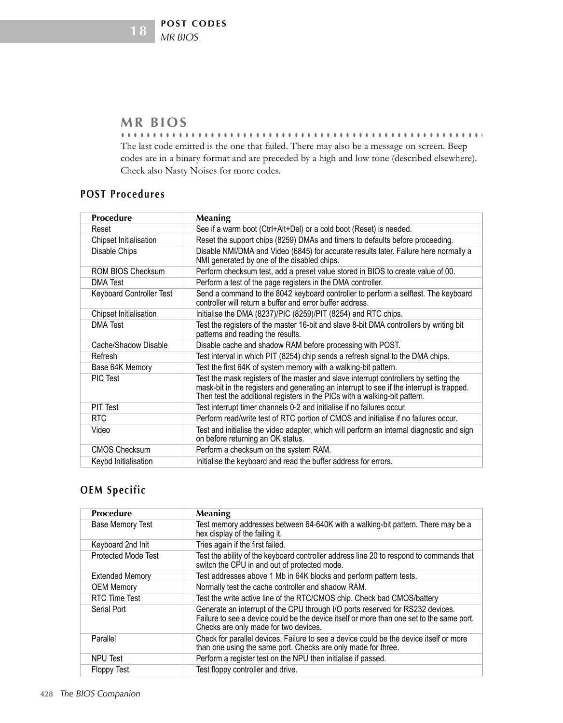**. . . . . . . . . . . . . . . . . . . . . . . . . . . . . . . . . . . . . . . . . . . . . . . . . . . . . . . . . MR BIOS** The last code emitted is the one that failed. There may also be a message on screen. Beep codes are in a binary format and are preceded by a high and low tone (described elsewhere). Check also Nasty Noises for more codes.

#### **POST Procedures**

| Procedure                       | Meaning                                                                                                                                                                                                                                                         |
|---------------------------------|-----------------------------------------------------------------------------------------------------------------------------------------------------------------------------------------------------------------------------------------------------------------|
| Reset                           | See if a warm boot (Ctrl+Alt+Del) or a cold boot (Reset) is needed.                                                                                                                                                                                             |
| Chipset Initialisation          | Reset the support chips (8259) DMAs and timers to defaults before proceeding.                                                                                                                                                                                   |
| Disable Chips                   | Disable NMI/DMA and Video (6845) for accurate results later. Failure here normally a<br>NMI generated by one of the disabled chips.                                                                                                                             |
| ROM BIOS Checksum               | Perform checksum test, add a preset value stored in BIOS to create value of 00.                                                                                                                                                                                 |
| <b>DMA</b> Test                 | Perform a test of the page registers in the DMA controller.                                                                                                                                                                                                     |
| <b>Keyboard Controller Test</b> | Send a command to the 8042 keyboard controller to perform a selftest. The keyboard<br>controller will return a buffer and error buffer address.                                                                                                                 |
| Chipset Initialisation          | Initialise the DMA (8237)/PIC (8259)/PIT (8254) and RTC chips.                                                                                                                                                                                                  |
| DMA Test                        | Test the registers of the master 16-bit and slave 8-bit DMA controllers by writing bit<br>patterns and reading the results.                                                                                                                                     |
| Cache/Shadow Disable            | Disable cache and shadow RAM before processing with POST.                                                                                                                                                                                                       |
| Refresh                         | Test interval in which PIT (8254) chip sends a refresh signal to the DMA chips.                                                                                                                                                                                 |
| Base 64K Memory                 | Test the first 64K of system memory with a walking-bit pattern.                                                                                                                                                                                                 |
| PIC Test                        | Test the mask registers of the master and slave interrupt controllers by setting the<br>mask-bit in the registers and generating an interrupt to see if the interrupt is trapped.<br>Then test the additional registers in the PICs with a walking-bit pattern. |
| PIT Test                        | Test interrupt timer channels 0-2 and initialise if no failures occur.                                                                                                                                                                                          |
| <b>RTC</b>                      | Perform read/write test of RTC portion of CMOS and initialise if no failures occur.                                                                                                                                                                             |
| Video                           | Test and initialise the video adapter, which will perform an internal diagnostic and sign<br>on before returning an OK status.                                                                                                                                  |
| <b>CMOS Checksum</b>            | Perform a checksum on the system RAM.                                                                                                                                                                                                                           |
| Keybd Initialisation            | Initialise the keyboard and read the buffer address for errors.                                                                                                                                                                                                 |

#### **OEM Specific**

| Procedure               | Meaning                                                                                                                                                                                                              |
|-------------------------|----------------------------------------------------------------------------------------------------------------------------------------------------------------------------------------------------------------------|
| <b>Base Memory Test</b> | Test memory addresses between 64-640K with a walking-bit pattern. There may be a<br>hex display of the failing it.                                                                                                   |
| Keyboard 2nd Init       | Tries again if the first failed.                                                                                                                                                                                     |
| Protected Mode Test     | Test the ability of the keyboard controller address line 20 to respond to commands that<br>switch the CPU in and out of protected mode.                                                                              |
| <b>Extended Memory</b>  | Test addresses above 1 Mb in 64K blocks and perform pattern tests.                                                                                                                                                   |
| <b>OEM Memory</b>       | Normally test the cache controller and shadow RAM.                                                                                                                                                                   |
| <b>RTC Time Test</b>    | Test the write active line of the RTC/CMOS chip. Check bad CMOS/battery                                                                                                                                              |
| Serial Port             | Generate an interrupt of the CPU through I/O ports reserved for RS232 devices.<br>Failure to see a device could be the device itself or more than one set to the same port.<br>Checks are only made for two devices. |
| Parallel                | Check for parallel devices. Failure to see a device could be the device itself or more<br>than one using the same port. Checks are only made for three.                                                              |
| <b>NPU Test</b>         | Perform a register test on the NPU then initialise if passed.                                                                                                                                                        |
| <b>Floppy Test</b>      | Test floppy controller and drive.                                                                                                                                                                                    |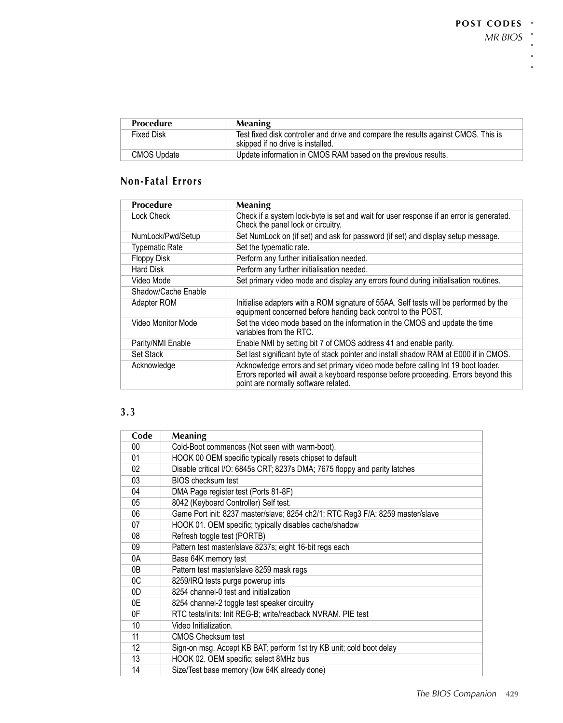. . . . .  $\ddot{\phantom{a}}$  $\bullet$ 

| Procedure          | <b>Meaning</b>                                                                                                          |
|--------------------|-------------------------------------------------------------------------------------------------------------------------|
| <b>Fixed Disk</b>  | Test fixed disk controller and drive and compare the results against CMOS. This is<br>skipped if no drive is installed. |
| <b>CMOS Update</b> | Update information in CMOS RAM based on the previous results.                                                           |

### **Non-Fatal Errors**

| Procedure           | Meaning                                                                                                                                                                                                          |
|---------------------|------------------------------------------------------------------------------------------------------------------------------------------------------------------------------------------------------------------|
| Lock Check          | Check if a system lock-byte is set and wait for user response if an error is generated.<br>Check the panel lock or circuitry.                                                                                    |
| NumLock/Pwd/Setup   | Set NumLock on (if set) and ask for password (if set) and display setup message.                                                                                                                                 |
| Typematic Rate      | Set the typematic rate.                                                                                                                                                                                          |
| <b>Floppy Disk</b>  | Perform any further initialisation needed.                                                                                                                                                                       |
| Hard Disk           | Perform any further initialisation needed.                                                                                                                                                                       |
| Video Mode          | Set primary video mode and display any errors found during initialisation routines.                                                                                                                              |
| Shadow/Cache Enable |                                                                                                                                                                                                                  |
| Adapter ROM         | Initialise adapters with a ROM signature of 55AA. Self tests will be performed by the<br>equipment concerned before handing back control to the POST.                                                            |
| Video Monitor Mode  | Set the video mode based on the information in the CMOS and update the time<br>variables from the RTC.                                                                                                           |
| Parity/NMI Enable   | Enable NMI by setting bit 7 of CMOS address 41 and enable parity.                                                                                                                                                |
| Set Stack           | Set last significant byte of stack pointer and install shadow RAM at E000 if in CMOS.                                                                                                                            |
| Acknowledge         | Acknowledge errors and set primary video mode before calling Int 19 boot loader.<br>Errors reported will await a keyboard response before proceeding. Errors beyond this<br>point are normally software related. |

### **3.3**

| Code   | Meaning                                                                        |
|--------|--------------------------------------------------------------------------------|
| $00\,$ | Cold-Boot commences (Not seen with warm-boot).                                 |
| 01     | HOOK 00 OEM specific typically resets chipset to default                       |
| 02     | Disable critical I/O: 6845s CRT; 8237s DMA; 7675 floppy and parity latches     |
| 03     | <b>BIOS</b> checksum test                                                      |
| 04     | DMA Page register test (Ports 81-8F)                                           |
| 05     | 8042 (Keyboard Controller) Self test.                                          |
| 06     | Game Port init: 8237 master/slave; 8254 ch2/1; RTC Reg3 F/A; 8259 master/slave |
| 07     | HOOK 01. OEM specific; typically disables cache/shadow                         |
| 08     | Refresh toggle test (PORTB)                                                    |
| 09     | Pattern test master/slave 8237s; eight 16-bit regs each                        |
| 0A     | Base 64K memory test                                                           |
| 0B     | Pattern test master/slave 8259 mask regs                                       |
| 0C     | 8259/IRQ tests purge powerup ints                                              |
| 0D     | 8254 channel-0 test and initialization                                         |
| 0E     | 8254 channel-2 toggle test speaker circuitry                                   |
| 0F     | RTC tests/inits: Init REG-B; write/readback NVRAM. PIE test                    |
| 10     | Video Initialization.                                                          |
| 11     | <b>CMOS Checksum test</b>                                                      |
| 12     | Sign-on msg. Accept KB BAT; perform 1st try KB unit; cold boot delay           |
| 13     | HOOK 02. OEM specific; select 8MHz bus                                         |
| 14     | Size/Test base memory (low 64K already done)                                   |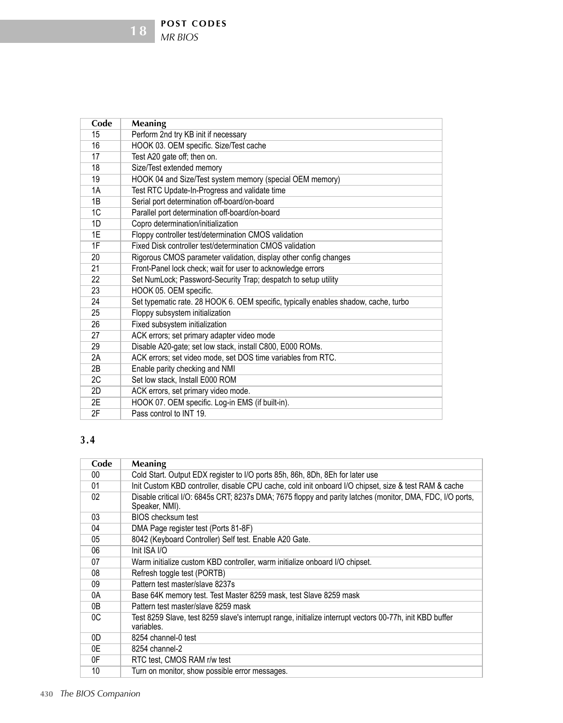**1 8**

**POST CODES**

*MR BIOS*

| Code | Meaning                                                                             |
|------|-------------------------------------------------------------------------------------|
| 15   | Perform 2nd try KB init if necessary                                                |
| 16   | HOOK 03. OEM specific. Size/Test cache                                              |
| 17   | Test A20 gate off; then on.                                                         |
| 18   | Size/Test extended memory                                                           |
| 19   | HOOK 04 and Size/Test system memory (special OEM memory)                            |
| 1A   | Test RTC Update-In-Progress and validate time                                       |
| 1B   | Serial port determination off-board/on-board                                        |
| 1C   | Parallel port determination off-board/on-board                                      |
| 1D   | Copro determination/initialization                                                  |
| 1E   | Floppy controller test/determination CMOS validation                                |
| 1F   | Fixed Disk controller test/determination CMOS validation                            |
| 20   | Rigorous CMOS parameter validation, display other config changes                    |
| 21   | Front-Panel lock check; wait for user to acknowledge errors                         |
| 22   | Set NumLock; Password-Security Trap; despatch to setup utility                      |
| 23   | HOOK 05. OEM specific.                                                              |
| 24   | Set typematic rate. 28 HOOK 6. OEM specific, typically enables shadow, cache, turbo |
| 25   | Floppy subsystem initialization                                                     |
| 26   | Fixed subsystem initialization                                                      |
| 27   | ACK errors; set primary adapter video mode                                          |
| 29   | Disable A20-gate; set low stack, install C800, E000 ROMs.                           |
| 2A   | ACK errors; set video mode, set DOS time variables from RTC.                        |
| 2B   | Enable parity checking and NMI                                                      |
| 2C   | Set low stack, Install E000 ROM                                                     |
| 2D   | ACK errors, set primary video mode.                                                 |
| 2E   | HOOK 07. OEM specific. Log-in EMS (if built-in).                                    |
| 2F   | Pass control to INT 19.                                                             |

### **3.4**

| Code           | Meaning                                                                                                                     |
|----------------|-----------------------------------------------------------------------------------------------------------------------------|
| 00             | Cold Start. Output EDX register to I/O ports 85h, 86h, 8Dh, 8Eh for later use                                               |
| 01             | Init Custom KBD controller, disable CPU cache, cold init onboard I/O chipset, size & test RAM & cache                       |
| 02             | Disable critical I/O: 6845s CRT; 8237s DMA; 7675 floppy and parity latches (monitor, DMA, FDC, I/O ports,<br>Speaker, NMI). |
| 03             | <b>BIOS</b> checksum test                                                                                                   |
| 04             | DMA Page register test (Ports 81-8F)                                                                                        |
| 05             | 8042 (Keyboard Controller) Self test. Enable A20 Gate.                                                                      |
| 06             | Init ISA I/O                                                                                                                |
| 07             | Warm initialize custom KBD controller, warm initialize onboard I/O chipset.                                                 |
| 08             | Refresh toggle test (PORTB)                                                                                                 |
| 09             | Pattern test master/slave 8237s                                                                                             |
| 0A             | Base 64K memory test. Test Master 8259 mask, test Slave 8259 mask                                                           |
| 0B             | Pattern test master/slave 8259 mask                                                                                         |
| 0C             | Test 8259 Slave, test 8259 slave's interrupt range, initialize interrupt vectors 00-77h, init KBD buffer<br>variables.      |
| 0 <sub>D</sub> | 8254 channel-0 test                                                                                                         |
| 0E             | 8254 channel-2                                                                                                              |
| 0F             | RTC test, CMOS RAM r/w test                                                                                                 |
| 10             | Turn on monitor, show possible error messages.                                                                              |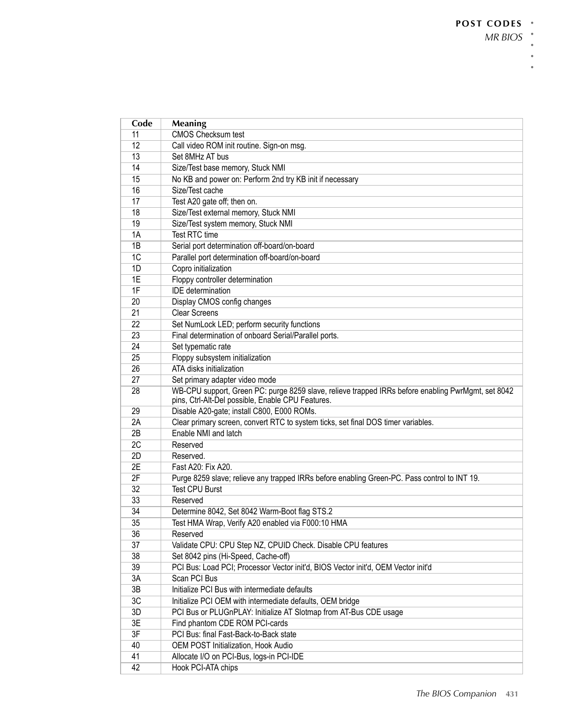$\ddot{\phantom{a}}$ 

. . . . .  $\bullet$ 

| Code            | <b>Meaning</b>                                                                                     |
|-----------------|----------------------------------------------------------------------------------------------------|
| 11              | <b>CMOS Checksum test</b>                                                                          |
| 12              | Call video ROM init routine. Sign-on msg.                                                          |
| 13              | Set 8MHz AT bus                                                                                    |
| 14              | Size/Test base memory, Stuck NMI                                                                   |
| 15              | No KB and power on: Perform 2nd try KB init if necessary                                           |
| 16              | Size/Test cache                                                                                    |
| 17              | Test A20 gate off; then on.                                                                        |
| 18              | Size/Test external memory, Stuck NMI                                                               |
| 19              | Size/Test system memory, Stuck NMI                                                                 |
| 1A              | Test RTC time                                                                                      |
| 1B              | Serial port determination off-board/on-board                                                       |
| 1C              | Parallel port determination off-board/on-board                                                     |
| 1D              | Copro initialization                                                                               |
| 1E              | Floppy controller determination                                                                    |
| 1F              | <b>IDE</b> determination                                                                           |
| 20              | Display CMOS config changes                                                                        |
| 21              | <b>Clear Screens</b>                                                                               |
| 22              | Set NumLock LED; perform security functions                                                        |
| 23              | Final determination of onboard Serial/Parallel ports.                                              |
| 24              | Set typematic rate                                                                                 |
| 25              | Floppy subsystem initialization                                                                    |
| 26              | ATA disks initialization                                                                           |
| 27              | Set primary adapter video mode                                                                     |
| 28              | WB-CPU support, Green PC: purge 8259 slave, relieve trapped IRRs before enabling PwrMgmt, set 8042 |
|                 | pins, Ctrl-Alt-Del possible, Enable CPU Features.                                                  |
| 29              | Disable A20-gate; install C800, E000 ROMs.                                                         |
| 2A              | Clear primary screen, convert RTC to system ticks, set final DOS timer variables.                  |
| 2B              | Enable NMI and latch                                                                               |
| 2C              | Reserved                                                                                           |
| 2D              | Reserved.                                                                                          |
| 2E              | Fast A20: Fix A20.                                                                                 |
| 2F              | Purge 8259 slave; relieve any trapped IRRs before enabling Green-PC. Pass control to INT 19.       |
| 32              | <b>Test CPU Burst</b>                                                                              |
| 33              | Reserved                                                                                           |
| 34              | Determine 8042, Set 8042 Warm-Boot flag STS.2                                                      |
| 35              | Test HMA Wrap, Verify A20 enabled via F000:10 HMA                                                  |
| 36              | Reserved                                                                                           |
| $\overline{37}$ | Validate CPU: CPU Step NZ, CPUID Check. Disable CPU features                                       |
| 38              | Set 8042 pins (Hi-Speed, Cache-off)                                                                |
| 39              | PCI Bus: Load PCI; Processor Vector init'd, BIOS Vector init'd, OEM Vector init'd                  |
| 3A              | Scan PCI Bus                                                                                       |
| 3B              | Initialize PCI Bus with intermediate defaults                                                      |
| ЗC              | Initialize PCI OEM with intermediate defaults, OEM bridge                                          |
| 3D              | PCI Bus or PLUGnPLAY: Initialize AT Slotmap from AT-Bus CDE usage                                  |
| 3E              | Find phantom CDE ROM PCI-cards                                                                     |
| 3F              | PCI Bus: final Fast-Back-to-Back state                                                             |
| 40              | <b>OEM POST Initialization, Hook Audio</b>                                                         |
| 41              | Allocate I/O on PCI-Bus, logs-in PCI-IDE                                                           |
| 42              | Hook PCI-ATA chips                                                                                 |
|                 |                                                                                                    |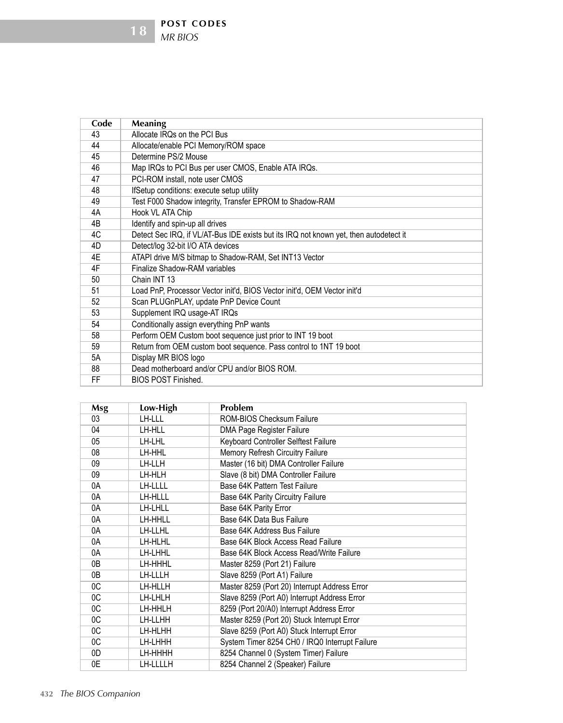**1 8**

*MR BIOS*

| Code      | Meaning                                                                               |
|-----------|---------------------------------------------------------------------------------------|
| 43        | Allocate IRQs on the PCI Bus                                                          |
| 44        | Allocate/enable PCI Memory/ROM space                                                  |
| 45        | Determine PS/2 Mouse                                                                  |
| 46        | Map IRQs to PCI Bus per user CMOS, Enable ATA IRQs.                                   |
| 47        | PCI-ROM install, note user CMOS                                                       |
| 48        | IfSetup conditions: execute setup utility                                             |
| 49        | Test F000 Shadow integrity, Transfer EPROM to Shadow-RAM                              |
| 4A        | Hook VL ATA Chip                                                                      |
| 4B        | Identify and spin-up all drives                                                       |
| 4C        | Detect Sec IRQ, if VL/AT-Bus IDE exists but its IRQ not known yet, then autodetect it |
| 4D        | Detect/log 32-bit I/O ATA devices                                                     |
| 4E        | ATAPI drive M/S bitmap to Shadow-RAM, Set INT13 Vector                                |
| 4F        | Finalize Shadow-RAM variables                                                         |
| 50        | Chain INT 13                                                                          |
| 51        | Load PnP, Processor Vector init'd, BIOS Vector init'd, OEM Vector init'd              |
| 52        | Scan PLUGnPLAY, update PnP Device Count                                               |
| 53        | Supplement IRQ usage-AT IRQs                                                          |
| 54        | Conditionally assign everything PnP wants                                             |
| 58        | Perform OEM Custom boot sequence just prior to INT 19 boot                            |
| 59        | Return from OEM custom boot sequence. Pass control to 1NT 19 boot                     |
| 5A        | Display MR BIOS logo                                                                  |
| 88        | Dead motherboard and/or CPU and/or BIOS ROM.                                          |
| <b>FF</b> | <b>BIOS POST Finished.</b>                                                            |

| Msg            | Low-High | Problem                                        |
|----------------|----------|------------------------------------------------|
| 03             | LH-LLL   | ROM-BIOS Checksum Failure                      |
| 04             | LH-HLL   | DMA Page Register Failure                      |
| 05             | LH-LHL   | Keyboard Controller Selftest Failure           |
| 08             | LH-HHL   | Memory Refresh Circuitry Failure               |
| 09             | LH-LLH   | Master (16 bit) DMA Controller Failure         |
| 09             | LH-HLH   | Slave (8 bit) DMA Controller Failure           |
| 0A             | LH-LLLL  | Base 64K Pattern Test Failure                  |
| 0A             | LH-HLLL  | Base 64K Parity Circuitry Failure              |
| 0A             | LH-LHLL  | Base 64K Parity Error                          |
| 0A             | LH-HHLL  | Base 64K Data Bus Failure                      |
| 0A             | LH-LLHL  | Base 64K Address Bus Failure                   |
| 0A             | LH-HLHL  | Base 64K Block Access Read Failure             |
| 0A             | LH-LHHL  | Base 64K Block Access Read/Write Failure       |
| 0B             | LH-HHHL  | Master 8259 (Port 21) Failure                  |
| 0B             | LH-LLLH  | Slave 8259 (Port A1) Failure                   |
| 0C             | LH-HLLH  | Master 8259 (Port 20) Interrupt Address Error  |
| 0C             | LH-LHLH  | Slave 8259 (Port A0) Interrupt Address Error   |
| 0C             | LH-HHLH  | 8259 (Port 20/A0) Interrupt Address Error      |
| 0C             | LH-LLHH  | Master 8259 (Port 20) Stuck Interrupt Error    |
| 0C             | LH-HLHH  | Slave 8259 (Port A0) Stuck Interrupt Error     |
| 0C             | LH-LHHH  | System Timer 8254 CH0 / IRQ0 Interrupt Failure |
| 0 <sub>D</sub> | LH-HHHH  | 8254 Channel 0 (System Timer) Failure          |
| 0E             | LH-LLLLH | 8254 Channel 2 (Speaker) Failure               |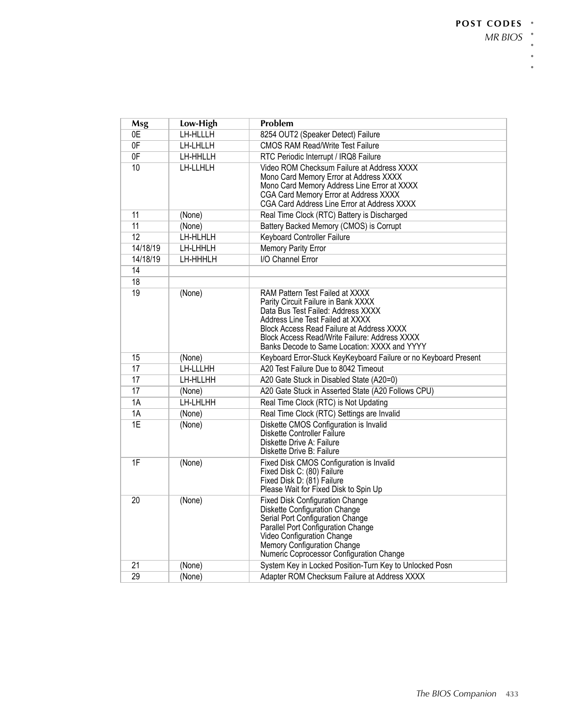. . . . .  $\ddot{\phantom{1}}$ 

| om. |
|-----|
|     |
|     |

| Msg             | Low-High | Problem                                                                                                                                                                                                                                                                                               |  |
|-----------------|----------|-------------------------------------------------------------------------------------------------------------------------------------------------------------------------------------------------------------------------------------------------------------------------------------------------------|--|
| 0E              | LH-HLLLH | 8254 OUT2 (Speaker Detect) Failure                                                                                                                                                                                                                                                                    |  |
| 0F              | LH-LHLLH | <b>CMOS RAM Read/Write Test Failure</b>                                                                                                                                                                                                                                                               |  |
| 0F              | LH-HHLLH | RTC Periodic Interrupt / IRQ8 Failure                                                                                                                                                                                                                                                                 |  |
| 10              | LH-LLHLH | Video ROM Checksum Failure at Address XXXX<br>Mono Card Memory Error at Address XXXX<br>Mono Card Memory Address Line Error at XXXX<br>CGA Card Memory Error at Address XXXX<br>CGA Card Address Line Error at Address XXXX                                                                           |  |
| 11              | (None)   | Real Time Clock (RTC) Battery is Discharged                                                                                                                                                                                                                                                           |  |
| 11              | (None)   | Battery Backed Memory (CMOS) is Corrupt                                                                                                                                                                                                                                                               |  |
| $\overline{12}$ | LH-HLHLH | Keyboard Controller Failure                                                                                                                                                                                                                                                                           |  |
| 14/18/19        | LH-LHHLH | Memory Parity Error                                                                                                                                                                                                                                                                                   |  |
| 14/18/19        | LH-HHHLH | I/O Channel Error                                                                                                                                                                                                                                                                                     |  |
| 14              |          |                                                                                                                                                                                                                                                                                                       |  |
| 18              |          |                                                                                                                                                                                                                                                                                                       |  |
| 19              | (None)   | RAM Pattern Test Failed at XXXX<br>Parity Circuit Failure in Bank XXXX<br>Data Bus Test Failed: Address XXXX<br>Address Line Test Failed at XXXX<br>Block Access Read Failure at Address XXXX<br><b>Block Access Read/Write Failure: Address XXXX</b><br>Banks Decode to Same Location: XXXX and YYYY |  |
| 15              | (None)   | Keyboard Error-Stuck KeyKeyboard Failure or no Keyboard Present                                                                                                                                                                                                                                       |  |
| 17              | LH-LLLHH | A20 Test Failure Due to 8042 Timeout                                                                                                                                                                                                                                                                  |  |
| 17              | LH-HLLHH | A20 Gate Stuck in Disabled State (A20=0)                                                                                                                                                                                                                                                              |  |
| 17              | (None)   | A20 Gate Stuck in Asserted State (A20 Follows CPU)                                                                                                                                                                                                                                                    |  |
| 1A              | LH-LHLHH | Real Time Clock (RTC) is Not Updating                                                                                                                                                                                                                                                                 |  |
| 1A              | (None)   | Real Time Clock (RTC) Settings are Invalid                                                                                                                                                                                                                                                            |  |
| 1E              | (None)   | Diskette CMOS Configuration is Invalid<br>Diskette Controller Failure<br>Diskette Drive A: Failure<br>Diskette Drive B: Failure                                                                                                                                                                       |  |
| 1F              | (None)   | Fixed Disk CMOS Configuration is Invalid<br>Fixed Disk C: (80) Failure<br>Fixed Disk D: (81) Failure<br>Please Wait for Fixed Disk to Spin Up                                                                                                                                                         |  |
| 20              | (None)   | <b>Fixed Disk Configuration Change</b><br>Diskette Configuration Change<br>Serial Port Configuration Change<br>Parallel Port Configuration Change<br>Video Configuration Change<br>Memory Configuration Change<br>Numeric Coprocessor Configuration Change                                            |  |
| 21              | (None)   | System Key in Locked Position-Turn Key to Unlocked Posn                                                                                                                                                                                                                                               |  |
| 29              | (None)   | Adapter ROM Checksum Failure at Address XXXX                                                                                                                                                                                                                                                          |  |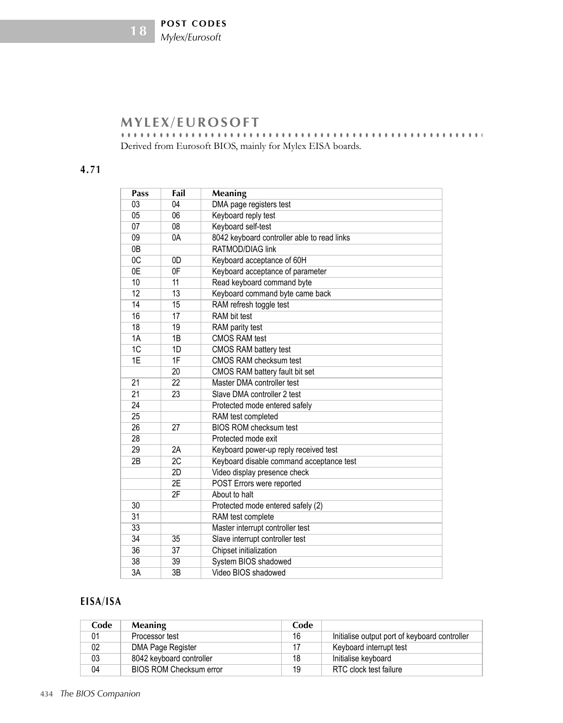**. . . . . . . . . . . . . . . . . . . . . . . . . . . . . . . . . . . . . . . . . . . . . . . . . . . . . . . . . MYLEX/EUROSOFT** Derived from Eurosoft BIOS, mainly for Mylex EISA boards.

#### **4.71**

| Pass           | Fail           | Meaning                                     |  |
|----------------|----------------|---------------------------------------------|--|
| 03             | 04             | DMA page registers test                     |  |
| 05             | 06             | Keyboard reply test                         |  |
| 07             | 08             | Keyboard self-test                          |  |
| 09             | 0A             | 8042 keyboard controller able to read links |  |
| 0 <sub>B</sub> |                | RATMOD/DIAG link                            |  |
| 0C             | 0 <sub>D</sub> | Keyboard acceptance of 60H                  |  |
| 0E             | 0F             | Keyboard acceptance of parameter            |  |
| 10             | 11             | Read keyboard command byte                  |  |
| 12             | 13             | Keyboard command byte came back             |  |
| 14             | 15             | RAM refresh toggle test                     |  |
| 16             | 17             | RAM hit test                                |  |
| 18             | 19             | RAM parity test                             |  |
| 1A             | 1B             | <b>CMOS RAM test</b>                        |  |
| 1C             | 1D             | CMOS RAM battery test                       |  |
| 1E             | 1F             | <b>CMOS RAM checksum test</b>               |  |
|                | 20             | CMOS RAM battery fault bit set              |  |
| 21             | 22             | Master DMA controller test                  |  |
| 21             | 23             | Slave DMA controller 2 test                 |  |
| 24             |                | Protected mode entered safely               |  |
| 25             |                | RAM test completed                          |  |
| 26             | 27             | <b>BIOS ROM checksum test</b>               |  |
| 28             |                | Protected mode exit                         |  |
| 29             | 2A             | Keyboard power-up reply received test       |  |
| 2B             | 2C             | Keyboard disable command acceptance test    |  |
|                | 2D             | Video display presence check                |  |
|                | 2E             | POST Errors were reported                   |  |
|                | 2F             | About to halt                               |  |
| 30             |                | Protected mode entered safely (2)           |  |
| 31             |                | RAM test complete                           |  |
| 33             |                | Master interrupt controller test            |  |
| 34             | 35             | Slave interrupt controller test             |  |
| 36             | 37             | Chipset initialization                      |  |
| 38             | 39             | System BIOS shadowed                        |  |
| 3A             | 3B             | Video BIOS shadowed                         |  |

### **EISA/ISA**

| Code | <b>Meaning</b>                 | Code |                                               |
|------|--------------------------------|------|-----------------------------------------------|
| 01   | Processor test                 | 16   | Initialise output port of keyboard controller |
| 02   | DMA Page Register              | 17   | Keyboard interrupt test                       |
| 03   | 8042 keyboard controller       | 18   | Initialise keyboard                           |
| 04   | <b>BIOS ROM Checksum error</b> | 19   | RTC clock test failure                        |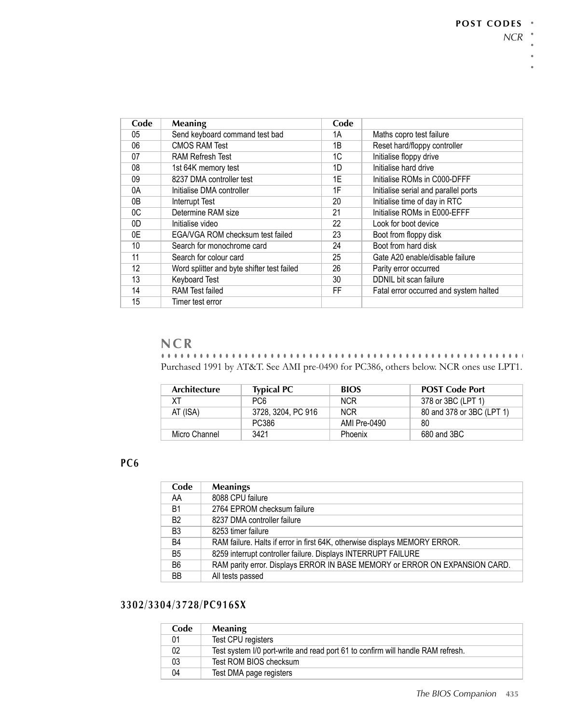| ٠       |
|---------|
| ٠       |
| à.      |
| à.<br>Ŧ |
|         |

| Code           | Meaning                                    | Code |                                        |
|----------------|--------------------------------------------|------|----------------------------------------|
| 05             | Send keyboard command test bad             | 1A   | Maths copro test failure               |
| 06             | <b>CMOS RAM Test</b>                       | 1B   | Reset hard/floppy controller           |
| 07             | <b>RAM Refresh Test</b>                    | 1C   | Initialise floppy drive                |
| 08             | 1st 64K memory test                        | 1D   | Initialise hard drive                  |
| 09             | 8237 DMA controller test                   | 1E   | Initialise ROMs in C000-DFFF           |
| 0A             | Initialise DMA controller                  | 1F   | Initialise serial and parallel ports   |
| 0 <sub>B</sub> | <b>Interrupt Test</b>                      | 20   | Initialise time of day in RTC          |
| 0C             | Determine RAM size                         | 21   | Initialise ROMs in E000-EFFF           |
| 0D             | Initialise video                           | 22   | Look for boot device                   |
| 0E             | EGA/VGA ROM checksum test failed           | 23   | Boot from floppy disk                  |
| 10             | Search for monochrome card                 | 24   | Boot from hard disk                    |
| 11             | Search for colour card                     | 25   | Gate A20 enable/disable failure        |
| 12             | Word splitter and byte shifter test failed | 26   | Parity error occurred                  |
| 13             | <b>Keyboard Test</b>                       | 30   | DDNIL bit scan failure                 |
| 14             | RAM Test failed                            | FF   | Fatal error occurred and system halted |
| 15             | Timer test error                           |      |                                        |

**. . . . . . . . . . . . . . . . . . . . . . . . . . . . . . . . . . . . . . . . . . . . . . . . . . . . . . . . . NCR** Purchased 1991 by AT&T. See AMI pre-0490 for PC386, others below. NCR ones use LPT1.

| Architecture  | <b>Typical PC</b>  | <b>BIOS</b>  | <b>POST Code Port</b>     |
|---------------|--------------------|--------------|---------------------------|
|               | PC6                | <b>NCR</b>   | 378 or 3BC (LPT 1)        |
| AT (ISA)      | 3728, 3204, PC 916 | <b>NCR</b>   | 80 and 378 or 3BC (LPT 1) |
|               | PC386              | AMI Pre-0490 | 80                        |
| Micro Channel | 3421               | Phoenix      | 680 and 3BC               |

# **PC6**

| Code           | <b>Meanings</b>                                                             |
|----------------|-----------------------------------------------------------------------------|
| AA             | 8088 CPU failure                                                            |
| <b>B1</b>      | 2764 EPROM checksum failure                                                 |
| <b>B2</b>      | 8237 DMA controller failure                                                 |
| B <sub>3</sub> | 8253 timer failure                                                          |
| <b>B4</b>      | RAM failure. Halts if error in first 64K, otherwise displays MEMORY ERROR.  |
| <b>B5</b>      | 8259 interrupt controller failure. Displays INTERRUPT FAILURE               |
| B <sub>6</sub> | RAM parity error. Displays ERROR IN BASE MEMORY or ERROR ON EXPANSION CARD. |
| <b>BB</b>      | All tests passed                                                            |

# **3302/3304/3728/PC916SX**

| Code | <b>Meaning</b>                                                                  |
|------|---------------------------------------------------------------------------------|
| 01   | Test CPU registers                                                              |
| 02   | Test system I/0 port-write and read port 61 to confirm will handle RAM refresh. |
| 03   | Test ROM BIOS checksum                                                          |
| 04   | Test DMA page registers                                                         |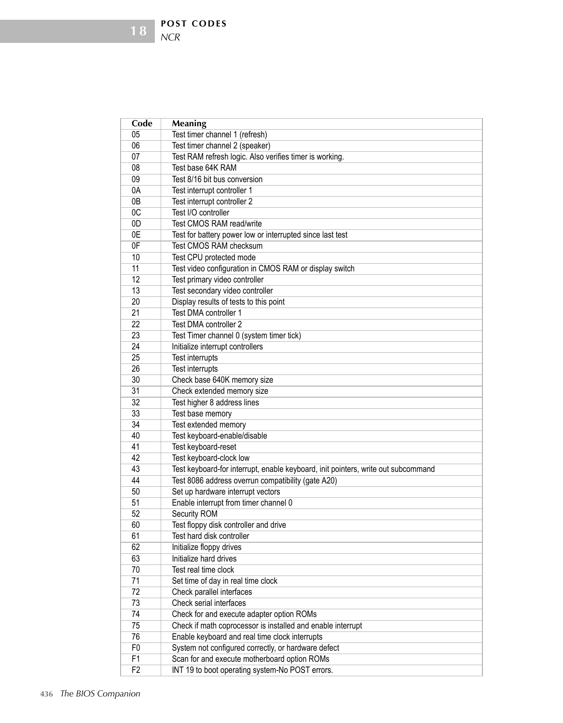*NCR*

**1 8**

| Code            | <b>Meaning</b>                                                                    |
|-----------------|-----------------------------------------------------------------------------------|
| 05              | Test timer channel 1 (refresh)                                                    |
| 06              | Test timer channel 2 (speaker)                                                    |
| 07              | Test RAM refresh logic. Also verifies timer is working.                           |
| 08              | Test base 64K RAM                                                                 |
| 09              | Test 8/16 bit bus conversion                                                      |
| 0A              | Test interrupt controller 1                                                       |
| 0B              | Test interrupt controller 2                                                       |
| 0C              | Test I/O controller                                                               |
| 0D              | Test CMOS RAM read/write                                                          |
| 0E              | Test for battery power low or interrupted since last test                         |
| 0F              | Test CMOS RAM checksum                                                            |
| 10              | Test CPU protected mode                                                           |
| 11              | Test video configuration in CMOS RAM or display switch                            |
| 12              | Test primary video controller                                                     |
| 13              | Test secondary video controller                                                   |
| 20              | Display results of tests to this point                                            |
| 21              | Test DMA controller 1                                                             |
| 22              | Test DMA controller 2                                                             |
| 23              | Test Timer channel 0 (system timer tick)                                          |
| 24              | Initialize interrupt controllers                                                  |
| 25              | <b>Test interrupts</b>                                                            |
| 26              | <b>Test interrupts</b>                                                            |
| 30              | Check base 640K memory size                                                       |
| 31              | Check extended memory size                                                        |
| 32              | Test higher 8 address lines                                                       |
| 33              | Test base memory                                                                  |
| 34              | Test extended memory                                                              |
| 40              | Test keyboard-enable/disable                                                      |
| 41              | Test keyboard-reset                                                               |
| 42              | Test keyboard-clock low                                                           |
| 43              | Test keyboard-for interrupt, enable keyboard, init pointers, write out subcommand |
| 44              | Test 8086 address overrun compatibility (gate A20)                                |
| 50              | Set up hardware interrupt vectors                                                 |
| 51              | Enable interrupt from timer channel 0                                             |
| 52              | Security ROM                                                                      |
| 60              | Test floppy disk controller and drive                                             |
| 61              | Test hard disk controller                                                         |
| 62              | Initialize floppy drives                                                          |
| 63              | Initialize hard drives                                                            |
| 70              | Test real time clock                                                              |
| 71              | Set time of day in real time clock                                                |
| $\overline{72}$ | Check parallel interfaces                                                         |
| 73              | Check serial interfaces                                                           |
| 74              | Check for and execute adapter option ROMs                                         |
| 75              | Check if math coprocessor is installed and enable interrupt                       |
| 76              | Enable keyboard and real time clock interrupts                                    |
| F <sub>0</sub>  | System not configured correctly, or hardware defect                               |
| F1              | Scan for and execute motherboard option ROMs                                      |
| F <sub>2</sub>  | INT 19 to boot operating system-No POST errors.                                   |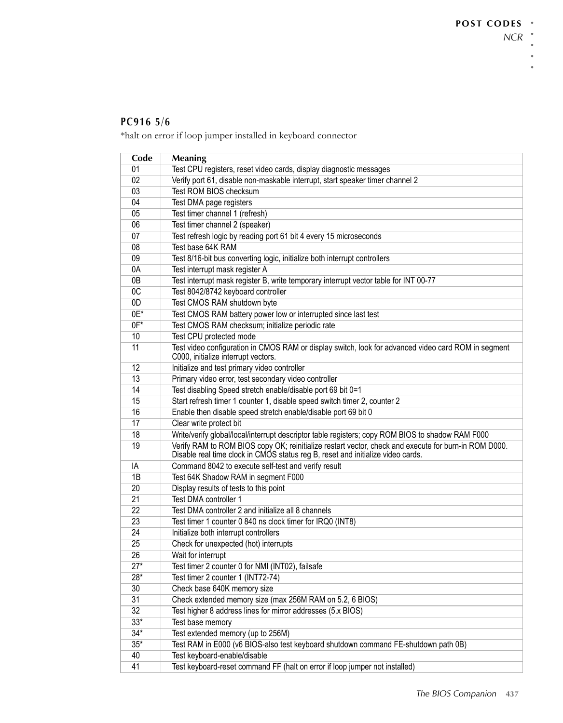. . . . .  $\bullet$ 

#### $\bullet$

# **PC916 5/6**

\*halt on error if loop jumper installed in keyboard connector

| Code            | Meaning                                                                                                                                                                                 |
|-----------------|-----------------------------------------------------------------------------------------------------------------------------------------------------------------------------------------|
| 01              | Test CPU registers, reset video cards, display diagnostic messages                                                                                                                      |
| 02              | Verify port 61, disable non-maskable interrupt, start speaker timer channel 2                                                                                                           |
| 03              | Test ROM BIOS checksum                                                                                                                                                                  |
| 04              | Test DMA page registers                                                                                                                                                                 |
| 05              | Test timer channel 1 (refresh)                                                                                                                                                          |
| 06              | Test timer channel 2 (speaker)                                                                                                                                                          |
| 07              | Test refresh logic by reading port 61 bit 4 every 15 microseconds                                                                                                                       |
| 08              | Test base 64K RAM                                                                                                                                                                       |
| 09              | Test 8/16-bit bus converting logic, initialize both interrupt controllers                                                                                                               |
| 0A              | Test interrupt mask register A                                                                                                                                                          |
| 0 <sub>B</sub>  | Test interrupt mask register B, write temporary interrupt vector table for INT 00-77                                                                                                    |
| 0C              | Test 8042/8742 keyboard controller                                                                                                                                                      |
| 0 <sub>D</sub>  | Test CMOS RAM shutdown byte                                                                                                                                                             |
| $0E*$           | Test CMOS RAM battery power low or interrupted since last test                                                                                                                          |
| $0F*$           | Test CMOS RAM checksum; initialize periodic rate                                                                                                                                        |
| 10              | Test CPU protected mode                                                                                                                                                                 |
| 11              | Test video configuration in CMOS RAM or display switch, look for advanced video card ROM in segment<br>C000, initialize interrupt vectors.                                              |
| 12              | Initialize and test primary video controller                                                                                                                                            |
| 13              | Primary video error, test secondary video controller                                                                                                                                    |
| 14              | Test disabling Speed stretch enable/disable port 69 bit 0=1                                                                                                                             |
| 15              | Start refresh timer 1 counter 1, disable speed switch timer 2, counter 2                                                                                                                |
| 16              | Enable then disable speed stretch enable/disable port 69 bit 0                                                                                                                          |
| 17              | Clear write protect bit                                                                                                                                                                 |
| 18              | Write/verify global/local/interrupt descriptor table registers; copy ROM BIOS to shadow RAM F000                                                                                        |
| 19              | Verify RAM to ROM BIOS copy OK; reinitialize restart vector, check and execute for burn-in ROM D000.<br>Disable real time clock in CMOS status reg B, reset and initialize video cards. |
| IA              | Command 8042 to execute self-test and verify result                                                                                                                                     |
| 1B              | Test 64K Shadow RAM in segment F000                                                                                                                                                     |
| 20              | Display results of tests to this point                                                                                                                                                  |
| 21              | Test DMA controller 1                                                                                                                                                                   |
| $\overline{22}$ | Test DMA controller 2 and initialize all 8 channels                                                                                                                                     |
| 23              | Test timer 1 counter 0 840 ns clock timer for IRQ0 (INT8)                                                                                                                               |
| 24              | Initialize both interrupt controllers                                                                                                                                                   |
| 25              | Check for unexpected (hot) interrupts                                                                                                                                                   |
| 26              | Wait for interrupt                                                                                                                                                                      |
| $27*$           | Test timer 2 counter 0 for NMI (INT02), failsafe                                                                                                                                        |
| $28*$           | Test timer 2 counter 1 (INT72-74)                                                                                                                                                       |
| 30              | Check base 640K memory size                                                                                                                                                             |
| 31              | Check extended memory size (max 256M RAM on 5.2, 6 BIOS)                                                                                                                                |
| 32              | Test higher 8 address lines for mirror addresses (5.x BIOS)                                                                                                                             |
| $33*$           | Test base memory                                                                                                                                                                        |
| $34*$           | Test extended memory (up to 256M)                                                                                                                                                       |
| $35*$           | Test RAM in E000 (v6 BIOS-also test keyboard shutdown command FE-shutdown path 0B)                                                                                                      |
| 40              | Test keyboard-enable/disable                                                                                                                                                            |
| 41              | Test keyboard-reset command FF (halt on error if loop jumper not installed)                                                                                                             |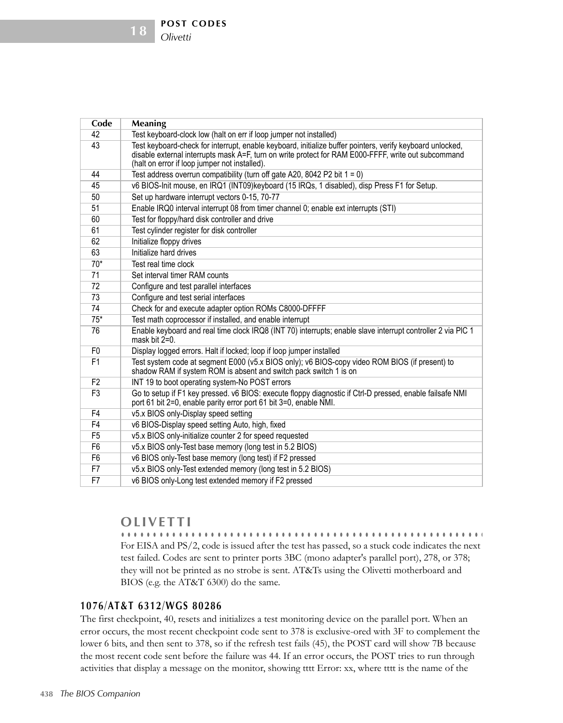**POST CODES**

*Olivetti*

**1 8**

| Code           | Meaning                                                                                                                                                                                                                                                           |
|----------------|-------------------------------------------------------------------------------------------------------------------------------------------------------------------------------------------------------------------------------------------------------------------|
| 42             | Test keyboard-clock low (halt on err if loop jumper not installed)                                                                                                                                                                                                |
| 43             | Test keyboard-check for interrupt, enable keyboard, initialize buffer pointers, verify keyboard unlocked,<br>disable external interrupts mask A=F, turn on write protect for RAM E000-FFFF, write out subcommand<br>(halt on error if loop jumper not installed). |
| 44             | Test address overrun compatibility (turn off gate A20, 8042 P2 bit $1 = 0$ )                                                                                                                                                                                      |
| 45             | v6 BIOS-Init mouse, en IRQ1 (INT09)keyboard (15 IRQs, 1 disabled), disp Press F1 for Setup.                                                                                                                                                                       |
| 50             | Set up hardware interrupt vectors 0-15, 70-77                                                                                                                                                                                                                     |
| 51             | Enable IRQ0 interval interrupt 08 from timer channel 0; enable ext interrupts (STI)                                                                                                                                                                               |
| 60             | Test for floppy/hard disk controller and drive                                                                                                                                                                                                                    |
| 61             | Test cylinder register for disk controller                                                                                                                                                                                                                        |
| 62             | Initialize floppy drives                                                                                                                                                                                                                                          |
| 63             | Initialize hard drives                                                                                                                                                                                                                                            |
| $70*$          | Test real time clock                                                                                                                                                                                                                                              |
| 71             | Set interval timer RAM counts                                                                                                                                                                                                                                     |
| 72             | Configure and test parallel interfaces                                                                                                                                                                                                                            |
| 73             | Configure and test serial interfaces                                                                                                                                                                                                                              |
| 74             | Check for and execute adapter option ROMs C8000-DFFFF                                                                                                                                                                                                             |
| $75*$          | Test math coprocessor if installed, and enable interrupt                                                                                                                                                                                                          |
| 76             | Enable keyboard and real time clock IRQ8 (INT 70) interrupts; enable slave interrupt controller 2 via PIC 1<br>mask bit $2=0$ .                                                                                                                                   |
| F <sub>0</sub> | Display logged errors. Halt if locked; loop if loop jumper installed                                                                                                                                                                                              |
| F <sub>1</sub> | Test system code at segment E000 (v5.x BIOS only); v6 BIOS-copy video ROM BIOS (if present) to<br>shadow RAM if system ROM is absent and switch pack switch 1 is on                                                                                               |
| F <sub>2</sub> | INT 19 to boot operating system-No POST errors                                                                                                                                                                                                                    |
| F <sub>3</sub> | Go to setup if F1 key pressed. v6 BIOS: execute floppy diagnostic if Ctrl-D pressed, enable failsafe NMI<br>port 61 bit 2=0, enable parity error port 61 bit 3=0, enable NMI.                                                                                     |
| F4             | v5.x BIOS only-Display speed setting                                                                                                                                                                                                                              |
| F4             | v6 BIOS-Display speed setting Auto, high, fixed                                                                                                                                                                                                                   |
| F <sub>5</sub> | v5.x BIOS only-initialize counter 2 for speed requested                                                                                                                                                                                                           |
| F <sub>6</sub> | v5.x BIOS only-Test base memory (long test in 5.2 BIOS)                                                                                                                                                                                                           |
| F <sub>6</sub> | v6 BIOS only-Test base memory (long test) if F2 pressed                                                                                                                                                                                                           |
| F7             | v5.x BIOS only-Test extended memory (long test in 5.2 BIOS)                                                                                                                                                                                                       |
| F7             | v6 BIOS only-Long test extended memory if F2 pressed                                                                                                                                                                                                              |

**. . . . . . . . . . . . . . . . . . . . . . . . . . . . . . . . . . . . . . . . . . . . . . . . . . . . . . . . . OLIVETTI** For EISA and PS/2, code is issued after the test has passed, so a stuck code indicates the next test failed. Codes are sent to printer ports 3BC (mono adapter's parallel port), 278, or 378; they will not be printed as no strobe is sent. AT&Ts using the Olivetti motherboard and BIOS (e.g. the AT&T 6300) do the same.

#### **1076/AT&T 6312/WGS 80286**

The first checkpoint, 40, resets and initializes a test monitoring device on the parallel port. When an error occurs, the most recent checkpoint code sent to 378 is exclusive-ored with 3F to complement the lower 6 bits, and then sent to 378, so if the refresh test fails (45), the POST card will show 7B because the most recent code sent before the failure was 44. If an error occurs, the POST tries to run through activities that display a message on the monitor, showing tttt Error: xx, where tttt is the name of the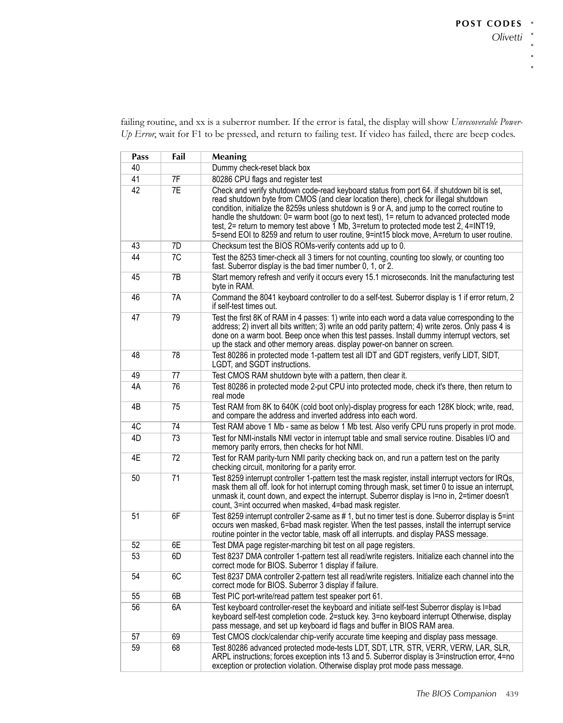$\ddot{\phantom{1}}$ 

. . . . .  $\bullet$ 

failing routine, and xx is a suberror number. If the error is fatal, the display will show *Unrecoverable Power-Up Error*, wait for F1 to be pressed, and return to failing test. If video has failed, there are beep codes.

| Pass | Fail | Meaning                                                                                                                                                                                                                                                                                                                                                                                                                                                                                                                                                                  |
|------|------|--------------------------------------------------------------------------------------------------------------------------------------------------------------------------------------------------------------------------------------------------------------------------------------------------------------------------------------------------------------------------------------------------------------------------------------------------------------------------------------------------------------------------------------------------------------------------|
| 40   |      | Dummy check-reset black box                                                                                                                                                                                                                                                                                                                                                                                                                                                                                                                                              |
| 41   | 7F   | 80286 CPU flags and register test                                                                                                                                                                                                                                                                                                                                                                                                                                                                                                                                        |
| 42   | 7F   | Check and verify shutdown code-read keyboard status from port 64, if shutdown bit is set,<br>read shutdown byte from CMOS (and clear location there), check for illegal shutdown<br>condition, initialize the 8259s unless shutdown is 9 or A, and jump to the correct routine to<br>handle the shutdown: 0= warm boot (go to next test), 1= return to advanced protected mode<br>test, 2= return to memory test above 1 Mb, 3=return to protected mode test 2, 4=INT19,<br>5=send EOI to 8259 and return to user routine, 9=int15 block move, A=return to user routine. |
| 43   | 7D   | Checksum test the BIOS ROMs-verify contents add up to 0.                                                                                                                                                                                                                                                                                                                                                                                                                                                                                                                 |
| 44   | 7C   | Test the 8253 timer-check all 3 timers for not counting, counting too slowly, or counting too<br>fast. Suberror display is the bad timer number 0, 1, or 2.                                                                                                                                                                                                                                                                                                                                                                                                              |
| 45   | 7B   | Start memory refresh and verify it occurs every 15.1 microseconds. Init the manufacturing test<br>byte in RAM.                                                                                                                                                                                                                                                                                                                                                                                                                                                           |
| 46   | 7A   | Command the 8041 keyboard controller to do a self-test. Suberror display is 1 if error return, 2<br>if self-test times out.                                                                                                                                                                                                                                                                                                                                                                                                                                              |
| 47   | 79   | Test the first 8K of RAM in 4 passes: 1) write into each word a data value corresponding to the<br>address; 2) invert all bits written; 3) write an odd parity pattern; 4) write zeros. Only pass 4 is<br>done on a warm boot. Beep once when this test passes. Install dummy interrupt vectors, set<br>up the stack and other memory areas. display power-on banner on screen.                                                                                                                                                                                          |
| 48   | 78   | Test 80286 in protected mode 1-pattern test all IDT and GDT registers, verify LIDT, SIDT,<br>LGDT, and SGDT instructions.                                                                                                                                                                                                                                                                                                                                                                                                                                                |
| 49   | 77   | Test CMOS RAM shutdown byte with a pattern, then clear it.                                                                                                                                                                                                                                                                                                                                                                                                                                                                                                               |
| 4A   | 76   | Test 80286 in protected mode 2-put CPU into protected mode, check it's there, then return to<br>real mode                                                                                                                                                                                                                                                                                                                                                                                                                                                                |
| 4B   | 75   | Test RAM from 8K to 640K (cold boot only)-display progress for each 128K block; write, read,<br>and compare the address and inverted address into each word.                                                                                                                                                                                                                                                                                                                                                                                                             |
| 4C   | 74   | Test RAM above 1 Mb - same as below 1 Mb test. Also verify CPU runs properly in prot mode.                                                                                                                                                                                                                                                                                                                                                                                                                                                                               |
| 4D   | 73   | Test for NMI-installs NMI vector in interrupt table and small service routine. Disables I/O and<br>memory parity errors, then checks for hot NMI.                                                                                                                                                                                                                                                                                                                                                                                                                        |
| 4F   | 72   | Test for RAM parity-turn NMI parity checking back on, and run a pattern test on the parity<br>checking circuit, monitoring for a parity error.                                                                                                                                                                                                                                                                                                                                                                                                                           |
| 50   | 71   | Test 8259 interrupt controller 1-pattern test the mask register, install interrupt vectors for IRQs,<br>mask them all off. look for hot interrupt coming through mask, set timer 0 to issue an interrupt,<br>unmask it, count down, and expect the interrupt. Suberror display is I=no in, 2=timer doesn't<br>count, 3=int occurred when masked, 4=bad mask register.                                                                                                                                                                                                    |
| 51   | 6F   | Test 8259 interrupt controller 2-same as # 1, but no timer test is done. Suberror display is 5=int<br>occurs wen masked, 6=bad mask register. When the test passes, install the interrupt service<br>routine pointer in the vector table, mask off all interrupts, and display PASS message.                                                                                                                                                                                                                                                                             |
| 52   | 6E   | Test DMA page register-marching bit test on all page registers.                                                                                                                                                                                                                                                                                                                                                                                                                                                                                                          |
| 53   | 6D   | Test 8237 DMA controller 1-pattern test all read/write registers. Initialize each channel into the<br>correct mode for BIOS. Suberror 1 display if failure.                                                                                                                                                                                                                                                                                                                                                                                                              |
| 54   | 6C   | Test 8237 DMA controller 2-pattern test all read/write registers. Initialize each channel into the<br>correct mode for BIOS. Suberror 3 display if failure.                                                                                                                                                                                                                                                                                                                                                                                                              |
| 55   | 6B   | Test PIC port-write/read pattern test speaker port 61.                                                                                                                                                                                                                                                                                                                                                                                                                                                                                                                   |
| 56   | 6A   | Test keyboard controller-reset the keyboard and initiate self-test Suberror display is I=bad<br>keyboard self-test completion code. 2=stuck key. 3=no keyboard interrupt Otherwise, display<br>pass message, and set up keyboard id flags and buffer in BIOS RAM area.                                                                                                                                                                                                                                                                                                   |
| 57   | 69   | Test CMOS clock/calendar chip-verify accurate time keeping and display pass message.                                                                                                                                                                                                                                                                                                                                                                                                                                                                                     |
| 59   | 68   | Test 80286 advanced protected mode-tests LDT, SDT, LTR, STR, VERR, VERW, LAR, SLR,<br>ARPL instructions; forces exception ints 13 and 5. Suberror display is 3=instruction error, 4=no<br>exception or protection violation. Otherwise display prot mode pass message.                                                                                                                                                                                                                                                                                                   |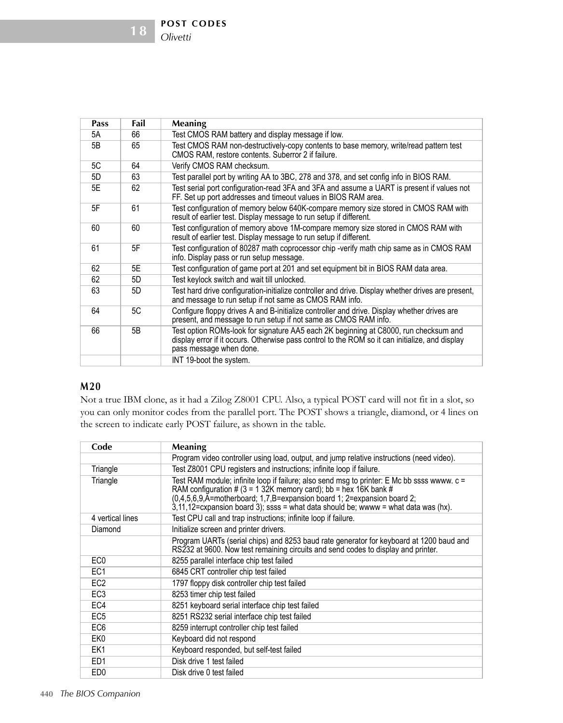**POST CODES**

*Olivetti*

**1 8**

| Pass | Fail | Meaning                                                                                                                                                                                                            |
|------|------|--------------------------------------------------------------------------------------------------------------------------------------------------------------------------------------------------------------------|
| 5A   | 66   | Test CMOS RAM battery and display message if low.                                                                                                                                                                  |
| 5B   | 65   | Test CMOS RAM non-destructively-copy contents to base memory, write/read pattern test<br>CMOS RAM, restore contents, Suberror 2 if failure.                                                                        |
| 5C   | 64   | Verify CMOS RAM checksum.                                                                                                                                                                                          |
| 5D   | 63   | Test parallel port by writing AA to 3BC, 278 and 378, and set config info in BIOS RAM.                                                                                                                             |
| 5E   | 62   | Test serial port configuration-read 3FA and 3FA and assume a UART is present if values not<br>FF. Set up port addresses and timeout values in BIOS RAM area.                                                       |
| 5F   | 61   | Test configuration of memory below 640K-compare memory size stored in CMOS RAM with<br>result of earlier test. Display message to run setup if different.                                                          |
| 60   | 60   | Test configuration of memory above 1M-compare memory size stored in CMOS RAM with<br>result of earlier test. Display message to run setup if different.                                                            |
| 61   | 5F   | Test configuration of 80287 math coprocessor chip -verify math chip same as in CMOS RAM<br>info. Display pass or run setup message.                                                                                |
| 62   | 5E   | Test configuration of game port at 201 and set equipment bit in BIOS RAM data area.                                                                                                                                |
| 62   | 5D   | Test keylock switch and wait till unlocked.                                                                                                                                                                        |
| 63   | 5D   | Test hard drive configuration-initialize controller and drive. Display whether drives are present,<br>and message to run setup if not same as CMOS RAM info.                                                       |
| 64   | 5C   | Configure floppy drives A and B-initialize controller and drive. Display whether drives are<br>present, and message to run setup if not same as CMOS RAM info.                                                     |
| 66   | 5B   | Test option ROMs-look for signature AA5 each 2K beginning at C8000, run checksum and<br>display error if it occurs. Otherwise pass control to the ROM so it can initialize, and display<br>pass message when done. |
|      |      | INT 19-boot the system.                                                                                                                                                                                            |

#### **M20**

Not a true IBM clone, as it had a Zilog Z8001 CPU. Also, a typical POST card will not fit in a slot, so you can only monitor codes from the parallel port. The POST shows a triangle, diamond, or 4 lines on the screen to indicate early POST failure, as shown in the table.

| Code             | Meaning                                                                                                                                                                                                                                                                                                                               |
|------------------|---------------------------------------------------------------------------------------------------------------------------------------------------------------------------------------------------------------------------------------------------------------------------------------------------------------------------------------|
|                  | Program video controller using load, output, and jump relative instructions (need video).                                                                                                                                                                                                                                             |
| Triangle         | Test Z8001 CPU registers and instructions; infinite loop if failure.                                                                                                                                                                                                                                                                  |
| Triangle         | Test RAM module; infinite loop if failure; also send msg to printer: E Mc bb ssss wwww. c =<br>RAM configuration # $(3 = 132K$ memory card); bb = hex 16K bank #<br>(0,4,5,6,9,A=motherboard; 1,7,B=expansion board 1; 2=expansion board 2;<br>$3,11,12$ = expansion board 3); ssss = what data should be; wwww = what data was (hx). |
| 4 vertical lines | Test CPU call and trap instructions; infinite loop if failure.                                                                                                                                                                                                                                                                        |
| Diamond          | Initialize screen and printer drivers.                                                                                                                                                                                                                                                                                                |
|                  | Program UARTs (serial chips) and 8253 baud rate generator for keyboard at 1200 baud and<br>RS232 at 9600. Now test remaining circuits and send codes to display and printer.                                                                                                                                                          |
| EC <sub>0</sub>  | 8255 parallel interface chip test failed                                                                                                                                                                                                                                                                                              |
| EC <sub>1</sub>  | 6845 CRT controller chip test failed                                                                                                                                                                                                                                                                                                  |
| EC <sub>2</sub>  | 1797 floppy disk controller chip test failed                                                                                                                                                                                                                                                                                          |
| EC <sub>3</sub>  | 8253 timer chip test failed                                                                                                                                                                                                                                                                                                           |
| EC4              | 8251 keyboard serial interface chip test failed                                                                                                                                                                                                                                                                                       |
| EC <sub>5</sub>  | 8251 RS232 serial interface chip test failed                                                                                                                                                                                                                                                                                          |
| EC <sub>6</sub>  | 8259 interrupt controller chip test failed                                                                                                                                                                                                                                                                                            |
| EK0              | Keyboard did not respond                                                                                                                                                                                                                                                                                                              |
| EK1              | Keyboard responded, but self-test failed                                                                                                                                                                                                                                                                                              |
| ED <sub>1</sub>  | Disk drive 1 test failed                                                                                                                                                                                                                                                                                                              |
| ED <sub>0</sub>  | Disk drive 0 test failed                                                                                                                                                                                                                                                                                                              |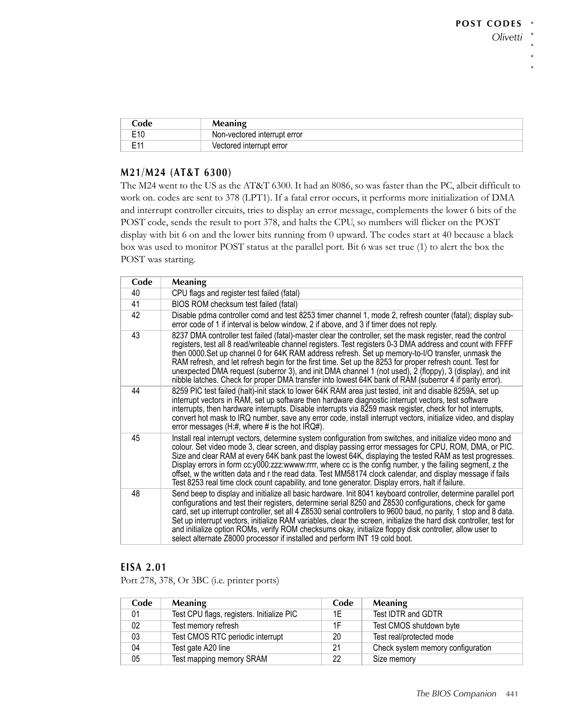. . . . .

| _ode          | Meaning                      |
|---------------|------------------------------|
| EIU           | Non-vectored interrupt error |
| <b>-</b><br>- | Vectored interrupt error     |

# **M21/M24 (AT&T 6300)**

The M24 went to the US as the AT&T 6300. It had an 8086, so was faster than the PC, albeit difficult to work on. codes are sent to 378 (LPT1). If a fatal error occurs, it performs more initialization of DMA and interrupt controller circuits, tries to display an error message, complements the lower 6 bits of the POST code, sends the result to port 378, and halts the CPU, so numbers will flicker on the POST display with bit 6 on and the lower bits running from 0 upward. The codes start at 40 because a black box was used to monitor POST status at the parallel port. Bit 6 was set true (1) to alert the box the POST was starting.

| Code | Meaning                                                                                                                                                                                                                                                                                                                                                                                                                                                                                                                                                                                                                                                               |
|------|-----------------------------------------------------------------------------------------------------------------------------------------------------------------------------------------------------------------------------------------------------------------------------------------------------------------------------------------------------------------------------------------------------------------------------------------------------------------------------------------------------------------------------------------------------------------------------------------------------------------------------------------------------------------------|
| 40   | CPU flags and register test failed (fatal)                                                                                                                                                                                                                                                                                                                                                                                                                                                                                                                                                                                                                            |
| 41   | BIOS ROM checksum test failed (fatal)                                                                                                                                                                                                                                                                                                                                                                                                                                                                                                                                                                                                                                 |
| 42   | Disable pdma controller comd and test 8253 timer channel 1, mode 2, refresh counter (fatal); display sub-<br>error code of 1 if interval is below window, 2 if above, and 3 if timer does not reply.                                                                                                                                                                                                                                                                                                                                                                                                                                                                  |
| 43   | 8237 DMA controller test failed (fatal)-master clear the controller, set the mask register, read the control<br>registers, test all 8 read/writeable channel registers. Test registers 0-3 DMA address and count with FFFF<br>then 0000. Set up channel 0 for 64K RAM address refresh. Set up memory-to-I/O transfer, unmask the<br>RAM refresh, and let refresh begin for the first time. Set up the 8253 for proper refresh count. Test for<br>unexpected DMA request (suberror 3), and init DMA channel 1 (not used), 2 (floppy), 3 (display), and init<br>nibble latches. Check for proper DMA transfer into lowest 64K bank of RAM (suberror 4 if parity error). |
| 44   | 8259 PIC test failed (halt)-init stack to lower 64K RAM area just tested, init and disable 8259A, set up<br>interrupt vectors in RAM, set up software then hardware diagnostic interrupt vectors, test software<br>interrupts, then hardware interrupts. Disable interrupts via 8259 mask register, check for hot interrupts,<br>convert hot mask to IRQ number, save any error code, install interrupt vectors, initialize video, and display<br>error messages $(H:\#,$ where $\#$ is the hot $\overline{RQ\#}$ ).                                                                                                                                                  |
| 45   | Install real interrupt vectors, determine system configuration from switches, and initialize video mono and<br>colour. Set video mode 3, clear screen, and display passing error messages for CPU, ROM, DMA, or PIC.<br>Size and clear RAM at every 64K bank past the lowest 64K, displaying the tested RAM as test progresses.<br>Display errors in form cc:y000:zzz:wwww.rrrr, where cc is the config number, y the failing segment, z the<br>offset, w the written data and r the read data. Test MM58174 clock calendar, and display message if fails<br>Test 8253 real time clock count capability, and tone generator. Display errors, halt if failure.         |
| 48   | Send beep to display and initialize all basic hardware. Init 8041 keyboard controller, determine parallel port<br>configurations and test their registers, determine serial 8250 and 28530 configurations, check for game<br>card, set up interrupt controller, set all 4 Z8530 serial controllers to 9600 baud, no parity, 1 stop and 8 data.<br>Set up interrupt vectors, initialize RAM variables, clear the screen, initialize the hard disk controller, test for<br>and initialize option ROMs, verify ROM checksums okay, initialize floppy disk controller, allow user to<br>select alternate Z8000 processor if installed and perform INT 19 cold boot.       |

### **EISA 2.01**

Port 278, 378, Or 3BC (i.e. printer ports)

| Code | <b>Meaning</b>                            | Code | Meaning                           |
|------|-------------------------------------------|------|-----------------------------------|
| 01   | Test CPU flags, registers. Initialize PIC | 1E   | Test IDTR and GDTR                |
| 02   | Test memory refresh                       | 1F   | Test CMOS shutdown byte           |
| 03   | Test CMOS RTC periodic interrupt          | 20   | Test real/protected mode          |
| 04   | Test gate A20 line                        | 21   | Check system memory configuration |
| 05   | Test mapping memory SRAM                  | 22   | Size memory                       |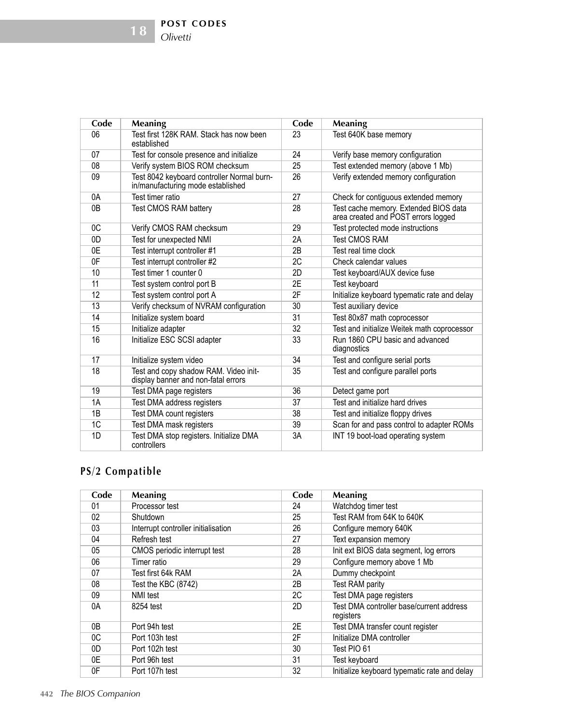*Olivetti*

| Code           | Meaning                                                                         | Code | Meaning                                                                      |  |
|----------------|---------------------------------------------------------------------------------|------|------------------------------------------------------------------------------|--|
| 06             | Test first 128K RAM, Stack has now been<br>established                          | 23   | Test 640K base memory                                                        |  |
| 07             | Test for console presence and initialize                                        | 24   | Verify base memory configuration                                             |  |
| 08             | Verify system BIOS ROM checksum                                                 | 25   | Test extended memory (above 1 Mb)                                            |  |
| 09             | Test 8042 keyboard controller Normal burn-<br>in/manufacturing mode established | 26   | Verify extended memory configuration                                         |  |
| 0A             | Test timer ratio                                                                | 27   | Check for contiguous extended memory                                         |  |
| 0 <sub>B</sub> | <b>Test CMOS RAM battery</b>                                                    | 28   | Test cache memory. Extended BIOS data<br>area created and POST errors logged |  |
| 0 <sup>C</sup> | Verify CMOS RAM checksum                                                        | 29   | Test protected mode instructions                                             |  |
| 0 <sub>D</sub> | Test for unexpected NMI                                                         | 2A   | <b>Test CMOS RAM</b>                                                         |  |
| 0E             | Test interrupt controller #1                                                    | 2B   | Test real time clock                                                         |  |
| 0 <sup>F</sup> | Test interrupt controller #2                                                    | 2C   | Check calendar values                                                        |  |
| 10             | Test timer 1 counter 0                                                          | 2D   | Test keyboard/AUX device fuse                                                |  |
| 11             | Test system control port B                                                      | 2E   | Test keyboard                                                                |  |
| 12             | Test system control port A                                                      | 2F   | Initialize keyboard typematic rate and delay                                 |  |
| 13             | Verify checksum of NVRAM configuration                                          | 30   | Test auxiliary device                                                        |  |
| 14             | Initialize system board                                                         | 31   | Test 80x87 math coprocessor                                                  |  |
| 15             | Initialize adapter                                                              | 32   | Test and initialize Weitek math coprocessor                                  |  |
| 16             | Initialize ESC SCSI adapter                                                     | 33   | Run 1860 CPU basic and advanced<br>diagnostics                               |  |
| 17             | Initialize system video                                                         | 34   | Test and configure serial ports                                              |  |
| 18             | Test and copy shadow RAM. Video init-<br>display banner and non-fatal errors    | 35   | Test and configure parallel ports                                            |  |
| 19             | Test DMA page registers                                                         | 36   | Detect game port                                                             |  |
| 1A             | Test DMA address registers                                                      | 37   | Test and initialize hard drives                                              |  |
| 1B             | <b>Test DMA count registers</b>                                                 | 38   | Test and initialize floppy drives                                            |  |
| 1C             | Test DMA mask registers                                                         | 39   | Scan for and pass control to adapter ROMs                                    |  |
| 1D             | Test DMA stop registers. Initialize DMA<br>controllers                          | 3A   | INT 19 boot-load operating system                                            |  |

# **PS/2 Compatible**

| Code           | <b>Meaning</b>                      | Code | Meaning                                               |
|----------------|-------------------------------------|------|-------------------------------------------------------|
| 01             | 24<br>Processor test                |      | Watchdog timer test                                   |
| 02             | Shutdown                            | 25   | Test RAM from 64K to 640K                             |
| 03             | Interrupt controller initialisation | 26   | Configure memory 640K                                 |
| 04             | Refresh test                        | 27   | Text expansion memory                                 |
| 05             | CMOS periodic interrupt test        | 28   | Init ext BIOS data segment, log errors                |
| 06             | Timer ratio                         | 29   | Configure memory above 1 Mb                           |
| 07             | Test first 64k RAM                  | 2A   | Dummy checkpoint                                      |
| 08             | Test the KBC (8742)<br>2B           |      | <b>Test RAM parity</b>                                |
| 09             | NMI test                            | 2C   | Test DMA page registers                               |
| 0A             | 8254 test                           | 2D   | Test DMA controller base/current address<br>registers |
| 0B             | Port 94h test                       | 2E   | Test DMA transfer count register                      |
| 0 <sup>C</sup> | Port 103h test                      | 2F   | Initialize DMA controller                             |
| 0D             | Port 102h test                      | 30   | Test PIO 61                                           |
| 0E             | Port 96h test                       | 31   | Test keyboard                                         |
| 0F             | Port 107h test                      | 32   | Initialize keyboard typematic rate and delay          |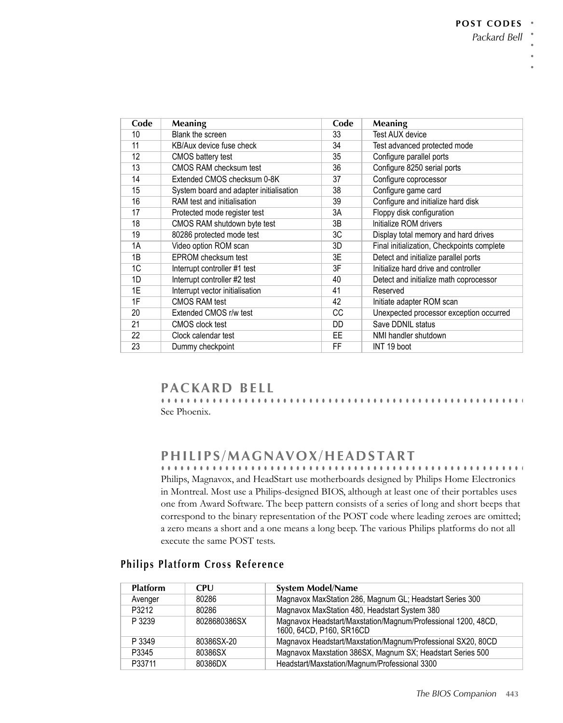| ٠      |
|--------|
| ٠      |
| ٠<br>Ŧ |
| ۰      |

| Code | Meaning                                 | Code      | Meaning                                    |
|------|-----------------------------------------|-----------|--------------------------------------------|
| 10   | Blank the screen                        | 33        | <b>Test AUX device</b>                     |
| 11   | KB/Aux device fuse check                | 34        | Test advanced protected mode               |
| 12   | <b>CMOS battery test</b>                | 35        | Configure parallel ports                   |
| 13   | <b>CMOS RAM checksum test</b>           | 36        | Configure 8250 serial ports                |
| 14   | Extended CMOS checksum 0-8K             | 37        | Configure coprocessor                      |
| 15   | System board and adapter initialisation | 38        | Configure game card                        |
| 16   | RAM test and initialisation             | 39        | Configure and initialize hard disk         |
| 17   | Protected mode register test            | 3A        | Floppy disk configuration                  |
| 18   | CMOS RAM shutdown byte test             | 3B        | Initialize ROM drivers                     |
| 19   | 80286 protected mode test<br>3C         |           | Display total memory and hard drives       |
| 1A   | Video option ROM scan                   | 3D        | Final initialization, Checkpoints complete |
| 1B   | <b>EPROM</b> checksum test              | 3E        | Detect and initialize parallel ports       |
| 1C   | Interrupt controller #1 test            | 3F        | Initialize hard drive and controller       |
| 1D   | Interrupt controller #2 test            | 40        | Detect and initialize math coprocessor     |
| 1E   | Interrupt vector initialisation         | 41        | Reserved                                   |
| 1F   | <b>CMOS RAM test</b>                    | 42        | Initiate adapter ROM scan                  |
| 20   | Extended CMOS r/w test                  | CC        | Unexpected processor exception occurred    |
| 21   | CMOS clock test                         | DD        | Save DDNIL status                          |
| 22   | Clock calendar test                     | EE        | NMI handler shutdown                       |
| 23   | Dummy checkpoint                        | <b>FF</b> | INT 19 boot                                |

# **. . . . . . . . . . . . . . . . . . . . . . . . . . . . . . . . . . . . . . . . . . . . . . . . . . . . . . . . . PACKARD BELL**

See Phoenix.

# **. . . . . . . . . . . . . . . . . . . . . . . . . . . . . . . . . . . . . . . . . . . . . . . . . . . . . . . . . PHILIPS/MAGNAVOX/HEADSTART**

Philips, Magnavox, and HeadStart use motherboards designed by Philips Home Electronics in Montreal. Most use a Philips-designed BIOS, although at least one of their portables uses one from Award Software. The beep pattern consists of a series of long and short beeps that correspond to the binary representation of the POST code where leading zeroes are omitted; a zero means a short and a one means a long beep. The various Philips platforms do not all execute the same POST tests.

| <b>Platform</b> | <b>CPU</b>   | <b>System Model/Name</b>                                                                  |
|-----------------|--------------|-------------------------------------------------------------------------------------------|
| Avenger         | 80286        | Magnavox MaxStation 286, Magnum GL; Headstart Series 300                                  |
| P3212           | 80286        | Magnavox MaxStation 480, Headstart System 380                                             |
| P 3239          | 8028680386SX | Magnavox Headstart/Maxstation/Magnum/Professional 1200, 48CD,<br>1600, 64CD, P160, SR16CD |
| P 3349          | 80386SX-20   | Magnavox Headstart/Maxstation/Magnum/Professional SX20, 80CD                              |
| P3345           | 80386SX      | Magnavox Maxstation 386SX, Magnum SX; Headstart Series 500                                |
| P33711          | 80386DX      | Headstart/Maxstation/Magnum/Professional 3300                                             |

### **Philips Platform Cross Reference**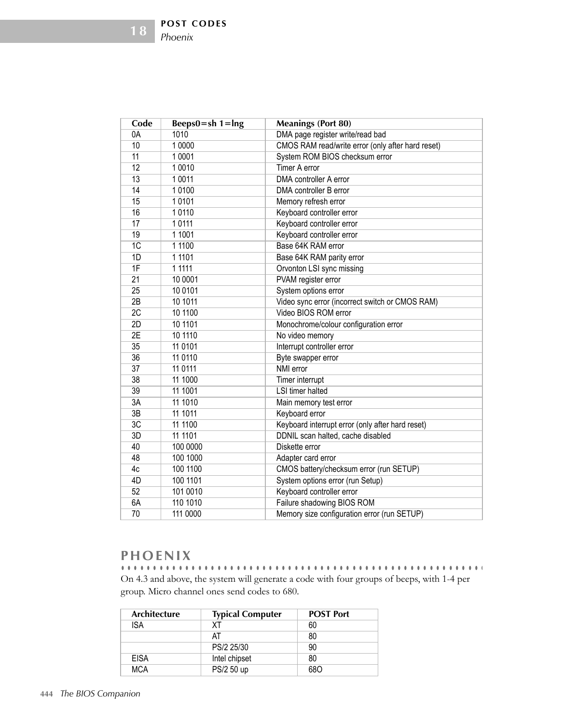*Phoenix*

**1 8**

| Code           | Beeps $0 = sh 1 = ln g$ | <b>Meanings (Port 80)</b>                         |
|----------------|-------------------------|---------------------------------------------------|
| 0A             | 1010                    | DMA page register write/read bad                  |
| 10             | 1 0000                  | CMOS RAM read/write error (only after hard reset) |
| 11             | 1 0001                  | System ROM BIOS checksum error                    |
| 12             | 1 0010                  | Timer A error                                     |
| 13             | 1 0 0 1 1               | DMA controller A error                            |
| 14             | 1 0 1 0 0               | DMA controller B error                            |
| 15             | 10101                   | Memory refresh error                              |
| 16             | 10110                   | Keyboard controller error                         |
| 17             | 1 0 1 1 1               | Keyboard controller error                         |
| 19             | 1 1001                  | Keyboard controller error                         |
| 1C             | 1 1100                  | Base 64K RAM error                                |
| 1 <sub>D</sub> | 1 1 1 0 1               | Base 64K RAM parity error                         |
| 1F             | 1 1 1 1 1               | Orvonton LSI sync missing                         |
| 21             | 10 0001                 | PVAM register error                               |
| 25             | 10 0101                 | System options error                              |
| 2B             | 10 10 11                | Video sync error (incorrect switch or CMOS RAM)   |
| 2C             | 10 1100                 | Video BIOS ROM error                              |
| 2D             | 10 11 01                | Monochrome/colour configuration error             |
| 2E             | 10 1110                 | No video memory                                   |
| 35             | 11 0101                 | Interrupt controller error                        |
| 36             | 11 0110                 | Byte swapper error                                |
| 37             | 11 0111                 | NMI error                                         |
| 38             | 11 1000                 | Timer interrupt                                   |
| 39             | 11 1001                 | <b>LSI timer halted</b>                           |
| 3A             | 11 1010                 | Main memory test error                            |
| 3B             | 11 1011                 | Keyboard error                                    |
| 3C             | 11 1100                 | Keyboard interrupt error (only after hard reset)  |
| 3D             | 11 11 01                | DDNIL scan halted, cache disabled                 |
| 40             | 100 0000                | Diskette error                                    |
| 48             | 100 1000                | Adapter card error                                |
| 4c             | 100 1100                | CMOS battery/checksum error (run SETUP)           |
| 4D             | 100 1101                | System options error (run Setup)                  |
| 52             | 101 0010                | Keyboard controller error                         |
| 6A             | 110 1010                | Failure shadowing BIOS ROM                        |
| 70             | 111 0000                | Memory size configuration error (run SETUP)       |

**. . . . . . . . . . . . . . . . . . . . . . . . . . . . . . . . . . . . . . . . . . . . . . . . . . . . . . . . . PHOENIX** On 4.3 and above, the system will generate a code with four groups of beeps, with 1-4 per group. Micro channel ones send codes to 680.

| Architecture | <b>Typical Computer</b> | <b>POST Port</b> |
|--------------|-------------------------|------------------|
| ISA          | ХT                      | 60               |
|              | AT                      | 80               |
|              | PS/2 25/30              | 90               |
| <b>EISA</b>  | Intel chipset           | 80               |
| <b>MCA</b>   | PS/2 50 up              | 680              |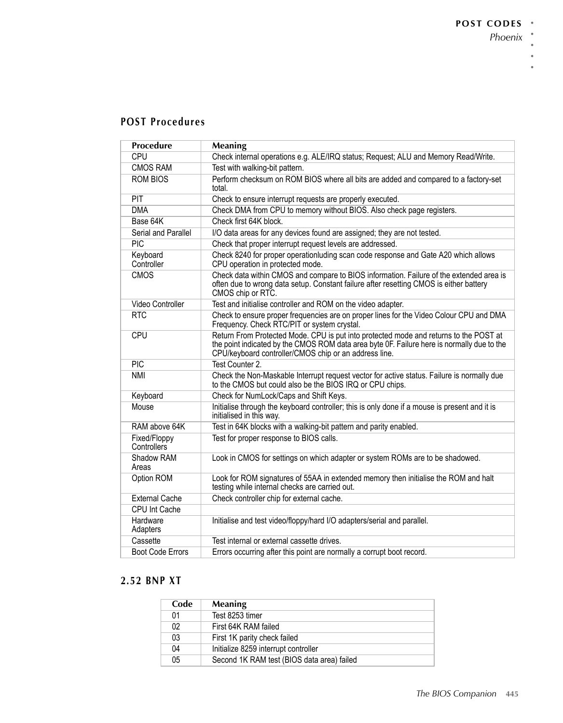# **POST Procedures**

| <b>Procedure</b>            | Meaning                                                                                                                                                                                                                                      |
|-----------------------------|----------------------------------------------------------------------------------------------------------------------------------------------------------------------------------------------------------------------------------------------|
| CPU                         | Check internal operations e.g. ALE/IRQ status; Request; ALU and Memory Read/Write.                                                                                                                                                           |
| <b>CMOS RAM</b>             | Test with walking-bit pattern.                                                                                                                                                                                                               |
| <b>ROM BIOS</b>             | Perform checksum on ROM BIOS where all bits are added and compared to a factory-set<br>total.                                                                                                                                                |
| PIT                         | Check to ensure interrupt requests are properly executed.                                                                                                                                                                                    |
| <b>DMA</b>                  | Check DMA from CPU to memory without BIOS. Also check page registers.                                                                                                                                                                        |
| Base 64K                    | Check first 64K block.                                                                                                                                                                                                                       |
| Serial and Parallel         | I/O data areas for any devices found are assigned; they are not tested.                                                                                                                                                                      |
| PIC                         | Check that proper interrupt request levels are addressed.                                                                                                                                                                                    |
| Keyboard<br>Controller      | Check 8240 for proper operationluding scan code response and Gate A20 which allows<br>CPU operation in protected mode.                                                                                                                       |
| CMOS                        | Check data within CMOS and compare to BIOS information. Failure of the extended area is<br>often due to wrong data setup. Constant failure after resetting CMOS is either battery<br>CMOS chip or RTC.                                       |
| Video Controller            | Test and initialise controller and ROM on the video adapter.                                                                                                                                                                                 |
| <b>RTC</b>                  | Check to ensure proper frequencies are on proper lines for the Video Colour CPU and DMA<br>Frequency. Check RTC/PIT or system crystal.                                                                                                       |
| CPU                         | Return From Protected Mode. CPU is put into protected mode and returns to the POST at<br>the point indicated by the CMOS ROM data area byte 0F. Failure here is normally due to the<br>CPU/keyboard controller/CMOS chip or an address line. |
| PIC                         | Test Counter 2.                                                                                                                                                                                                                              |
| <b>NMI</b>                  | Check the Non-Maskable Interrupt request vector for active status. Failure is normally due<br>to the CMOS but could also be the BIOS IRQ or CPU chips.                                                                                       |
| Keyboard                    | Check for NumLock/Caps and Shift Keys.                                                                                                                                                                                                       |
| Mouse                       | Initialise through the keyboard controller; this is only done if a mouse is present and it is<br>initialised in this way.                                                                                                                    |
| RAM above 64K               | Test in 64K blocks with a walking-bit pattern and parity enabled.                                                                                                                                                                            |
| Fixed/Floppy<br>Controllers | Test for proper response to BIOS calls.                                                                                                                                                                                                      |
| Shadow RAM<br>Areas         | Look in CMOS for settings on which adapter or system ROMs are to be shadowed.                                                                                                                                                                |
| Option ROM                  | Look for ROM signatures of 55AA in extended memory then initialise the ROM and halt<br>testing while internal checks are carried out.                                                                                                        |
| <b>External Cache</b>       | Check controller chip for external cache.                                                                                                                                                                                                    |
| CPU Int Cache               |                                                                                                                                                                                                                                              |
| Hardware<br>Adapters        | Initialise and test video/floppy/hard I/O adapters/serial and parallel.                                                                                                                                                                      |
| Cassette                    | Test internal or external cassette drives.                                                                                                                                                                                                   |
| <b>Boot Code Errors</b>     | Errors occurring after this point are normally a corrupt boot record.                                                                                                                                                                        |

# **2.52 BNP XT**

| Code | Meaning                                    |
|------|--------------------------------------------|
| 01   | Test 8253 timer                            |
| 02   | First 64K RAM failed                       |
| 03   | First 1K parity check failed               |
| 04   | Initialize 8259 interrupt controller       |
| 05   | Second 1K RAM test (BIOS data area) failed |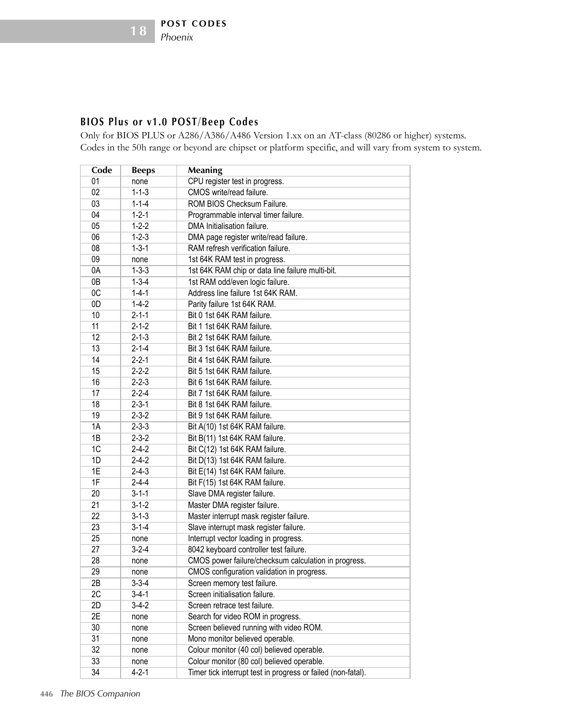# **BIOS Plus or v1.0 POST/Beep Codes**

Only for BIOS PLUS or A286/A386/A486 Version 1.xx on an AT-class (80286 or higher) systems. Codes in the 50h range or beyond are chipset or platform specific, and will vary from system to system.

| Code            | <b>Beeps</b> | <b>Meaning</b>                                               |
|-----------------|--------------|--------------------------------------------------------------|
| 01              | none         | CPU register test in progress.                               |
| 02              | $1 - 1 - 3$  | CMOS write/read failure.                                     |
| 03              | $1 - 1 - 4$  | ROM BIOS Checksum Failure.                                   |
| 04              | $1 - 2 - 1$  | Programmable interval timer failure.                         |
| 05              | $1 - 2 - 2$  | DMA Initialisation failure.                                  |
| 06              | $1 - 2 - 3$  | DMA page register write/read failure.                        |
| 08              | $1 - 3 - 1$  | RAM refresh verification failure.                            |
| 09              | none         | 1st 64K RAM test in progress.                                |
| 0A              | $1 - 3 - 3$  | 1st 64K RAM chip or data line failure multi-bit.             |
| 0B              | $1 - 3 - 4$  | 1st RAM odd/even logic failure.                              |
| 0 <sup>C</sup>  | $1 - 4 - 1$  | Address line failure 1st 64K RAM.                            |
| 0D              | $1 - 4 - 2$  | Parity failure 1st 64K RAM.                                  |
| 10              | $2 - 1 - 1$  | Bit 0 1st 64K RAM failure.                                   |
| $\overline{11}$ | $2 - 1 - 2$  | Bit 1 1st 64K RAM failure.                                   |
| 12              | $2 - 1 - 3$  | Bit 2 1st 64K RAM failure.                                   |
| 13              | $2 - 1 - 4$  | Bit 3 1st 64K RAM failure.                                   |
| 14              | $2 - 2 - 1$  | Bit 4 1st 64K RAM failure.                                   |
| 15              | $2 - 2 - 2$  | Bit 5 1st 64K RAM failure.                                   |
| 16              | $2 - 2 - 3$  | Bit 6 1st 64K RAM failure.                                   |
| 17              | $2 - 2 - 4$  | Bit 7 1st 64K RAM failure.                                   |
| 18              | $2 - 3 - 1$  | Bit 8 1st 64K RAM failure.                                   |
| 19              | $2 - 3 - 2$  | Bit 9 1st 64K RAM failure.                                   |
| 1A              | $2 - 3 - 3$  | Bit A(10) 1st 64K RAM failure.                               |
| 1B              | $2 - 3 - 2$  | Bit B(11) 1st 64K RAM failure.                               |
| 1C              | $2 - 4 - 2$  | Bit C(12) 1st 64K RAM failure.                               |
| 1D              | $2 - 4 - 2$  | Bit D(13) 1st 64K RAM failure.                               |
| 1E              | $2 - 4 - 3$  | Bit E(14) 1st 64K RAM failure.                               |
| 1F              | $2 - 4 - 4$  | Bit F(15) 1st 64K RAM failure.                               |
| $\overline{20}$ | $3 - 1 - 1$  | Slave DMA register failure.                                  |
| $\overline{21}$ | $3 - 1 - 2$  | Master DMA register failure.                                 |
| $\overline{22}$ | $3 - 1 - 3$  | Master interrupt mask register failure.                      |
| $\overline{23}$ | $3 - 1 - 4$  | Slave interrupt mask register failure.                       |
| $\overline{25}$ | none         | Interrupt vector loading in progress.                        |
| 27              | $3 - 2 - 4$  | 8042 keyboard controller test failure.                       |
| 28              | none         | CMOS power failure/checksum calculation in progress.         |
| 29              | none         | CMOS configuration validation in progress.                   |
| 2B              | $3 - 3 - 4$  | Screen memory test failure.                                  |
| 2C              | $3 - 4 - 1$  | Screen initialisation failure.                               |
| 2D              | $3-4-2$      | Screen retrace test failure.                                 |
| 2E              | none         | Search for video ROM in progress.                            |
| 30              | none         | Screen believed running with video ROM.                      |
| 31              | none         | Mono monitor believed operable.                              |
| 32              | none         | Colour monitor (40 col) believed operable.                   |
| $\overline{33}$ | none         | Colour monitor (80 col) believed operable.                   |
| 34              | $4 - 2 - 1$  | Timer tick interrupt test in progress or failed (non-fatal). |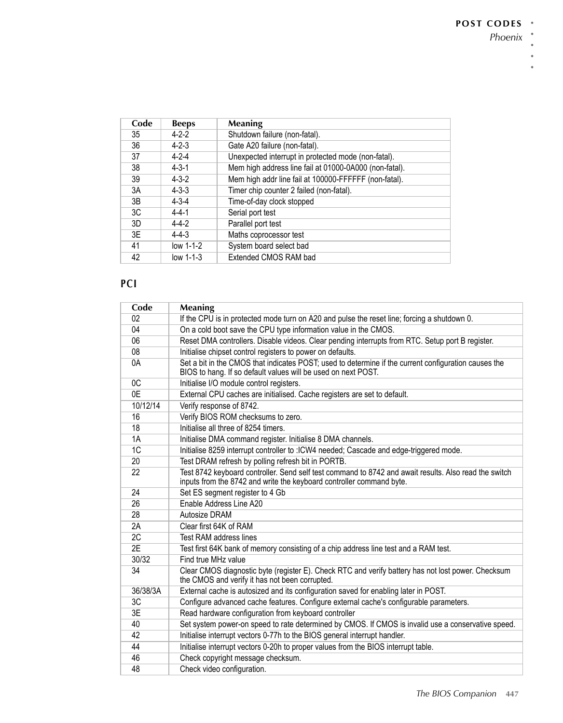. . . . .

 $\bullet$ 

| Code | <b>Beeps</b> | Meaning                                                |
|------|--------------|--------------------------------------------------------|
| 35   | $4 - 2 - 2$  | Shutdown failure (non-fatal).                          |
| 36   | $4 - 2 - 3$  | Gate A20 failure (non-fatal).                          |
| 37   | $4 - 2 - 4$  | Unexpected interrupt in protected mode (non-fatal).    |
| 38   | $4 - 3 - 1$  | Mem high address line fail at 01000-0A000 (non-fatal). |
| 39   | $4 - 3 - 2$  | Mem high addr line fail at 100000-FFFFFF (non-fatal).  |
| 3A   | $4 - 3 - 3$  | Timer chip counter 2 failed (non-fatal).               |
| 3B   | $4 - 3 - 4$  | Time-of-day clock stopped                              |
| 3C   | $4 - 4 - 1$  | Serial port test                                       |
| 3D   | $4 - 4 - 2$  | Parallel port test                                     |
| 3E   | $4 - 4 - 3$  | Maths coprocessor test                                 |
| 41   | low 1-1-2    | System board select bad                                |
| 42   | low $1-1-3$  | Extended CMOS RAM bad                                  |

# **PCI**

| Code     | Meaning                                                                                                                                                                       |  |  |
|----------|-------------------------------------------------------------------------------------------------------------------------------------------------------------------------------|--|--|
| 02       | If the CPU is in protected mode turn on A20 and pulse the reset line; forcing a shutdown 0.                                                                                   |  |  |
| 04       | On a cold boot save the CPU type information value in the CMOS.                                                                                                               |  |  |
| 06       | Reset DMA controllers. Disable videos. Clear pending interrupts from RTC. Setup port B register.                                                                              |  |  |
| 08       | Initialise chipset control registers to power on defaults.                                                                                                                    |  |  |
| 0A       | Set a bit in the CMOS that indicates POST; used to determine if the current configuration causes the<br>BIOS to hang. If so default values will be used on next POST.         |  |  |
| 0C       | Initialise I/O module control registers.                                                                                                                                      |  |  |
| 0E       | External CPU caches are initialised. Cache registers are set to default.                                                                                                      |  |  |
| 10/12/14 | Verify response of 8742.                                                                                                                                                      |  |  |
| 16       | Verify BIOS ROM checksums to zero.                                                                                                                                            |  |  |
| 18       | Initialise all three of 8254 timers.                                                                                                                                          |  |  |
| 1A       | Initialise DMA command register. Initialise 8 DMA channels.                                                                                                                   |  |  |
| 1C       | Initialise 8259 interrupt controller to : ICW4 needed; Cascade and edge-triggered mode.                                                                                       |  |  |
| 20       | Test DRAM refresh by polling refresh bit in PORTB.                                                                                                                            |  |  |
| 22       | Test 8742 keyboard controller. Send self test command to 8742 and await results. Also read the switch<br>inputs from the 8742 and write the keyboard controller command byte. |  |  |
| 24       | Set ES segment register to 4 Gb                                                                                                                                               |  |  |
| 26       | Enable Address Line A20                                                                                                                                                       |  |  |
| 28       | Autosize DRAM                                                                                                                                                                 |  |  |
| 2A       | Clear first 64K of RAM                                                                                                                                                        |  |  |
| 2C       | <b>Test RAM address lines</b>                                                                                                                                                 |  |  |
| 2E       | Test first 64K bank of memory consisting of a chip address line test and a RAM test.                                                                                          |  |  |
| 30/32    | Find true MHz value                                                                                                                                                           |  |  |
| 34       | Clear CMOS diagnostic byte (register E). Check RTC and verify battery has not lost power. Checksum<br>the CMOS and verify it has not been corrupted.                          |  |  |
| 36/38/3A | External cache is autosized and its configuration saved for enabling later in POST.                                                                                           |  |  |
| 3C       | Configure advanced cache features. Configure external cache's configurable parameters.                                                                                        |  |  |
| 3E       | Read hardware configuration from keyboard controller                                                                                                                          |  |  |
| 40       | Set system power-on speed to rate determined by CMOS. If CMOS is invalid use a conservative speed.                                                                            |  |  |
| 42       | Initialise interrupt vectors 0-77h to the BIOS general interrupt handler.                                                                                                     |  |  |
| 44       | Initialise interrupt vectors 0-20h to proper values from the BIOS interrupt table.                                                                                            |  |  |
| 46       | Check copyright message checksum.                                                                                                                                             |  |  |
| 48       | Check video configuration.                                                                                                                                                    |  |  |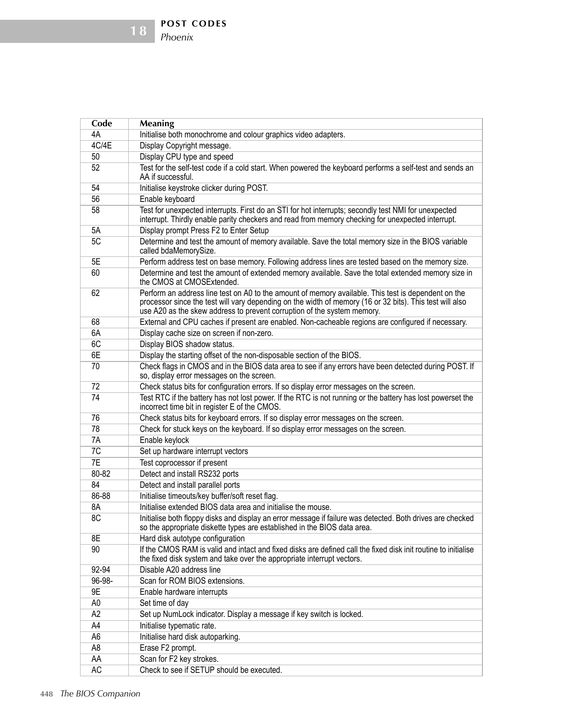**POST CODES**

*Phoenix*

**1 8**

| Code           | Meaning                                                                                                                                                                                                                                                                                 |  |  |
|----------------|-----------------------------------------------------------------------------------------------------------------------------------------------------------------------------------------------------------------------------------------------------------------------------------------|--|--|
| 4A             | Initialise both monochrome and colour graphics video adapters.                                                                                                                                                                                                                          |  |  |
| 4C/4E          | Display Copyright message.                                                                                                                                                                                                                                                              |  |  |
| 50             | Display CPU type and speed                                                                                                                                                                                                                                                              |  |  |
| 52             | Test for the self-test code if a cold start. When powered the keyboard performs a self-test and sends an<br>AA if successful.                                                                                                                                                           |  |  |
| 54             | Initialise keystroke clicker during POST.                                                                                                                                                                                                                                               |  |  |
| 56             | Enable keyboard                                                                                                                                                                                                                                                                         |  |  |
| 58             | Test for unexpected interrupts. First do an STI for hot interrupts; secondly test NMI for unexpected<br>interrupt. Thirdly enable parity checkers and read from memory checking for unexpected interrupt.                                                                               |  |  |
| 5A             | Display prompt Press F2 to Enter Setup                                                                                                                                                                                                                                                  |  |  |
| 5C             | Determine and test the amount of memory available. Save the total memory size in the BIOS variable<br>called bdaMemorySize.                                                                                                                                                             |  |  |
| 5E             | Perform address test on base memory. Following address lines are tested based on the memory size.                                                                                                                                                                                       |  |  |
| 60             | Determine and test the amount of extended memory available. Save the total extended memory size in<br>the CMOS at CMOSExtended.                                                                                                                                                         |  |  |
| 62             | Perform an address line test on A0 to the amount of memory available. This test is dependent on the<br>processor since the test will vary depending on the width of memory (16 or 32 bits). This test will also use A20 as the skew address to prevent corruption of the system memory. |  |  |
| 68             | External and CPU caches if present are enabled. Non-cacheable regions are configured if necessary.                                                                                                                                                                                      |  |  |
| 6A             | Display cache size on screen if non-zero.                                                                                                                                                                                                                                               |  |  |
| 6C             | Display BIOS shadow status.                                                                                                                                                                                                                                                             |  |  |
| 6E             | Display the starting offset of the non-disposable section of the BIOS.                                                                                                                                                                                                                  |  |  |
| 70             | Check flags in CMOS and in the BIOS data area to see if any errors have been detected during POST. If<br>so, display error messages on the screen.                                                                                                                                      |  |  |
| 72             | Check status bits for configuration errors. If so display error messages on the screen.                                                                                                                                                                                                 |  |  |
| 74             | Test RTC if the battery has not lost power. If the RTC is not running or the battery has lost powerset the<br>incorrect time bit in register E of the CMOS.                                                                                                                             |  |  |
| 76             | Check status bits for keyboard errors. If so display error messages on the screen.                                                                                                                                                                                                      |  |  |
| 78             | Check for stuck keys on the keyboard. If so display error messages on the screen.                                                                                                                                                                                                       |  |  |
| 7A             | Enable keylock                                                                                                                                                                                                                                                                          |  |  |
| 7C             | Set up hardware interrupt vectors                                                                                                                                                                                                                                                       |  |  |
| 7E             | Test coprocessor if present                                                                                                                                                                                                                                                             |  |  |
| 80-82          | Detect and install RS232 ports                                                                                                                                                                                                                                                          |  |  |
| 84             | Detect and install parallel ports                                                                                                                                                                                                                                                       |  |  |
| 86-88          | Initialise timeouts/key buffer/soft reset flag.                                                                                                                                                                                                                                         |  |  |
| 8A             | Initialise extended BIOS data area and initialise the mouse.                                                                                                                                                                                                                            |  |  |
| 8C             | Initialise both floppy disks and display an error message if failure was detected. Both drives are checked<br>so the appropriate diskette types are established in the BIOS data area.                                                                                                  |  |  |
| 8E             | Hard disk autotype configuration                                                                                                                                                                                                                                                        |  |  |
| 90             | If the CMOS RAM is valid and intact and fixed disks are defined call the fixed disk init routine to initialise<br>the fixed disk system and take over the appropriate interrupt vectors.                                                                                                |  |  |
| 92-94          | Disable A20 address line                                                                                                                                                                                                                                                                |  |  |
| 96-98-         | Scan for ROM BIOS extensions.                                                                                                                                                                                                                                                           |  |  |
| 9E             | Enable hardware interrupts                                                                                                                                                                                                                                                              |  |  |
| A <sub>0</sub> | Set time of day                                                                                                                                                                                                                                                                         |  |  |
| A2             | Set up NumLock indicator. Display a message if key switch is locked.                                                                                                                                                                                                                    |  |  |
| A4             | Initialise typematic rate.                                                                                                                                                                                                                                                              |  |  |
| A <sub>6</sub> | Initialise hard disk autoparking.                                                                                                                                                                                                                                                       |  |  |
| A8             | Erase F2 prompt.                                                                                                                                                                                                                                                                        |  |  |
| AA             | Scan for F2 key strokes.                                                                                                                                                                                                                                                                |  |  |
| AC             | Check to see if SETUP should be executed.                                                                                                                                                                                                                                               |  |  |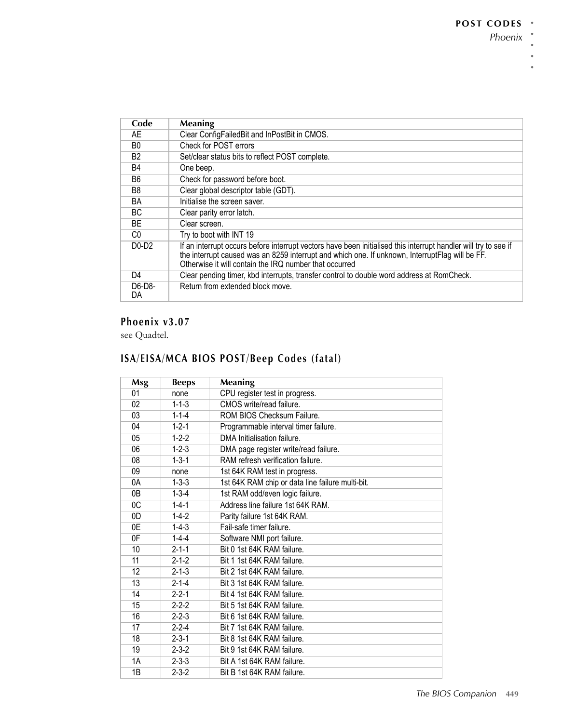$\ddot{\phantom{0}}$ 

|    | ٠       |
|----|---------|
| ł  | ٠       |
|    | ٠       |
| í, | à.<br>Ŧ |
|    | ٠       |

| Code           | Meaning                                                                                                                                                                                                                                                                      |
|----------------|------------------------------------------------------------------------------------------------------------------------------------------------------------------------------------------------------------------------------------------------------------------------------|
| AE             | Clear ConfigFailedBit and InPostBit in CMOS.                                                                                                                                                                                                                                 |
| B <sub>0</sub> | Check for POST errors                                                                                                                                                                                                                                                        |
| <b>B2</b>      | Set/clear status bits to reflect POST complete.                                                                                                                                                                                                                              |
| <b>B4</b>      | One beep.                                                                                                                                                                                                                                                                    |
| B <sub>6</sub> | Check for password before boot.                                                                                                                                                                                                                                              |
| B <sub>8</sub> | Clear global descriptor table (GDT).                                                                                                                                                                                                                                         |
| BA             | Initialise the screen saver.                                                                                                                                                                                                                                                 |
| <b>BC</b>      | Clear parity error latch.                                                                                                                                                                                                                                                    |
| <b>BE</b>      | Clear screen.                                                                                                                                                                                                                                                                |
| C <sub>0</sub> | Try to boot with INT 19                                                                                                                                                                                                                                                      |
| $D0-D2$        | If an interrupt occurs before interrupt vectors have been initialised this interrupt handler will try to see if<br>the interrupt caused was an 8259 interrupt and which one. If unknown, InterruptFlag will be FF.<br>Otherwise it will contain the IRQ number that occurred |
| $\mathsf{D}4$  | Clear pending timer, kbd interrupts, transfer control to double word address at RomCheck.                                                                                                                                                                                    |
| D6-D8-<br>DA   | Return from extended block move                                                                                                                                                                                                                                              |

# **Phoenix v3.07**

see Quadtel.

# **ISA/EISA/MCA BIOS POST/Beep Codes (fatal)**

| Msg            | <b>Beeps</b> | Meaning                                          |
|----------------|--------------|--------------------------------------------------|
| 01             | none         | CPU register test in progress.                   |
| 02             | $1 - 1 - 3$  | CMOS write/read failure.                         |
| 03             | $1 - 1 - 4$  | ROM BIOS Checksum Failure.                       |
| 04             | $1 - 2 - 1$  | Programmable interval timer failure.             |
| 05             | $1 - 2 - 2$  | DMA Initialisation failure.                      |
| 06             | $1 - 2 - 3$  | DMA page register write/read failure.            |
| 08             | $1 - 3 - 1$  | RAM refresh verification failure                 |
| 09             | none         | 1st 64K RAM test in progress.                    |
| 0A             | $1 - 3 - 3$  | 1st 64K RAM chip or data line failure multi-bit. |
| 0 <sub>B</sub> | $1 - 3 - 4$  | 1st RAM odd/even logic failure.                  |
| 0C             | $1 - 4 - 1$  | Address line failure 1st 64K RAM.                |
| 0 <sub>D</sub> | $1 - 4 - 2$  | Parity failure 1st 64K RAM.                      |
| 0E             | $1 - 4 - 3$  | Fail-safe timer failure                          |
| 0F             | $1 - 4 - 4$  | Software NMI port failure.                       |
| 10             | $2 - 1 - 1$  | Bit 0 1st 64K RAM failure                        |
| 11             | $2 - 1 - 2$  | Bit 1 1st 64K RAM failure.                       |
| 12             | $2 - 1 - 3$  | Bit 2 1st 64K RAM failure.                       |
| 13             | $2 - 1 - 4$  | Bit 3 1st 64K RAM failure.                       |
| 14             | $2 - 2 - 1$  | Bit 4 1st 64K RAM failure.                       |
| 15             | $2 - 2 - 2$  | Bit 5 1st 64K RAM failure.                       |
| 16             | $2 - 2 - 3$  | Bit 6 1st 64K RAM failure.                       |
| 17             | $2 - 2 - 4$  | Bit 7 1st 64K RAM failure.                       |
| 18             | $2 - 3 - 1$  | Bit 8 1st 64K RAM failure.                       |
| 19             | $2 - 3 - 2$  | Bit 9 1st 64K RAM failure.                       |
| 1A             | $2 - 3 - 3$  | Bit A 1st 64K RAM failure.                       |
| 1B             | $2 - 3 - 2$  | Bit B 1st 64K RAM failure.                       |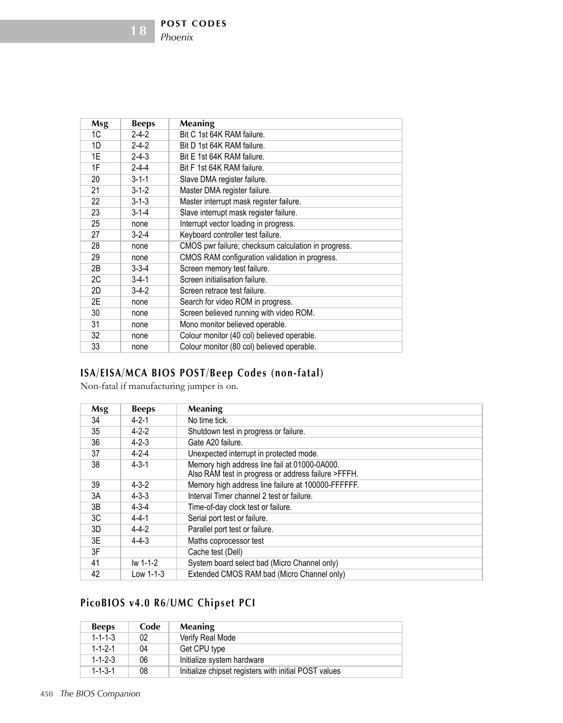**POST CODES**

*Phoenix*

**1 8**

| Msg | Beeps       | Meaning                                             |
|-----|-------------|-----------------------------------------------------|
| 1C  | $2 - 4 - 2$ | Bit C 1st 64K RAM failure.                          |
| 1D  | $2 - 4 - 2$ | Bit D 1st 64K RAM failure.                          |
| 1E  | $2 - 4 - 3$ | Bit E 1st 64K RAM failure.                          |
| 1F  | $2 - 4 - 4$ | Bit F 1st 64K RAM failure.                          |
| 20  | $3 - 1 - 1$ | Slave DMA register failure.                         |
| 21  | $3 - 1 - 2$ | Master DMA register failure.                        |
| 22  | $3 - 1 - 3$ | Master interrupt mask register failure.             |
| 23  | $3 - 1 - 4$ | Slave interrupt mask register failure.              |
| 25  | none        | Interrupt vector loading in progress.               |
| 27  | $3 - 2 - 4$ | Keyboard controller test failure.                   |
| 28  | none        | CMOS pwr failure; checksum calculation in progress. |
| 29  | none        | CMOS RAM configuration validation in progress.      |
| 2B  | $3 - 3 - 4$ | Screen memory test failure.                         |
| 2C  | $3 - 4 - 1$ | Screen initialisation failure.                      |
| 2D  | $3-4-2$     | Screen retrace test failure.                        |
| 2E  | none        | Search for video ROM in progress.                   |
| 30  | none        | Screen believed running with video ROM.             |
| 31  | none        | Mono monitor believed operable.                     |
| 32  | none        | Colour monitor (40 col) believed operable.          |
| 33  | none        | Colour monitor (80 col) believed operable.          |

# **ISA/EISA/MCA BIOS POST/Beep Codes (non-fatal)**

Non-fatal if manufacturing jumper is on.

| Msg | <b>Beeps</b> | Meaning                                                                                              |
|-----|--------------|------------------------------------------------------------------------------------------------------|
| 34  | $4 - 2 - 1$  | No time tick.                                                                                        |
| 35  | $4 - 2 - 2$  | Shutdown test in progress or failure.                                                                |
| 36  | $4 - 2 - 3$  | Gate A20 failure.                                                                                    |
| 37  | $4 - 2 - 4$  | Unexpected interrupt in protected mode.                                                              |
| 38  | $4 - 3 - 1$  | Memory high address line fail at 01000-0A000.<br>Also RÁM test in progress or address failure >FFFH. |
| 39  | $4 - 3 - 2$  | Memory high address line failure at 100000-FFFFFF.                                                   |
| 3A  | $4 - 3 - 3$  | Interval Timer channel 2 test or failure.                                                            |
| 3B  | $4 - 3 - 4$  | Time-of-day clock test or failure.                                                                   |
| 3C  | $4 - 4 - 1$  | Serial port test or failure.                                                                         |
| 3D  | $4 - 4 - 2$  | Parallel port test or failure.                                                                       |
| 3E  | $4 - 4 - 3$  | Maths coprocessor test                                                                               |
| 3F  |              | Cache test (Dell)                                                                                    |
| 41  | lw 1-1-2     | System board select bad (Micro Channel only)                                                         |
| 42  | Low $1-1-3$  | Extended CMOS RAM bad (Micro Channel only)                                                           |

# **PicoBIOS v4.0 R6/UMC Chipset PCI**

| <b>Beeps</b>    | Code | <b>Meaning</b>                                        |
|-----------------|------|-------------------------------------------------------|
| $1 - 1 - 1 - 3$ | 02   | Verify Real Mode                                      |
| $1 - 1 - 2 - 1$ | 04   | Get CPU type                                          |
| $1 - 1 - 2 - 3$ | 06   | Initialize system hardware                            |
| $1 - 1 - 3 - 1$ | 08   | Initialize chipset registers with initial POST values |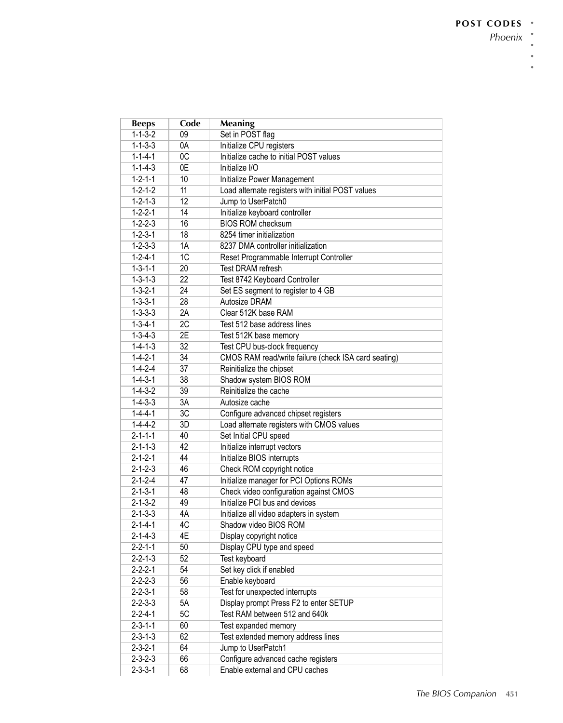$\ddot{\phantom{0}}$ 

. . . . .  $\bullet$ 

| <b>Beeps</b>    | Code            | Meaning                                              |
|-----------------|-----------------|------------------------------------------------------|
| $1 - 1 - 3 - 2$ | 09              | Set in POST flag                                     |
| $1 - 1 - 3 - 3$ | 0A              | Initialize CPU registers                             |
| $1 - 1 - 4 - 1$ | 0C              | Initialize cache to initial POST values              |
| $1 - 1 - 4 - 3$ | 0E              | Initialize I/O                                       |
| $1 - 2 - 1 - 1$ | 10              | Initialize Power Management                          |
| $1 - 2 - 1 - 2$ | 11              | Load alternate registers with initial POST values    |
| $1 - 2 - 1 - 3$ | 12              | Jump to UserPatch0                                   |
| $1 - 2 - 2 - 1$ | 14              | Initialize keyboard controller                       |
| $1 - 2 - 2 - 3$ | 16              | <b>BIOS ROM checksum</b>                             |
| $1 - 2 - 3 - 1$ | 18              | 8254 timer initialization                            |
| $1 - 2 - 3 - 3$ | 1A              | 8237 DMA controller initialization                   |
| $1 - 2 - 4 - 1$ | 1C              | Reset Programmable Interrupt Controller              |
| $1 - 3 - 1 - 1$ | 20              | <b>Test DRAM refresh</b>                             |
| $1 - 3 - 1 - 3$ | 22              | Test 8742 Keyboard Controller                        |
| $1 - 3 - 2 - 1$ | 24              | Set ES segment to register to 4 GB                   |
| $1 - 3 - 3 - 1$ | 28              | Autosize DRAM                                        |
| $1 - 3 - 3 - 3$ | 2A              | Clear 512K base RAM                                  |
| $1 - 3 - 4 - 1$ | 2C              | Test 512 base address lines                          |
| $1 - 3 - 4 - 3$ | 2E              | Test 512K base memory                                |
| $1 - 4 - 1 - 3$ | $\overline{32}$ | Test CPU bus-clock frequency                         |
| $1 - 4 - 2 - 1$ | 34              | CMOS RAM read/write failure (check ISA card seating) |
| $1 - 4 - 2 - 4$ | 37              | Reinitialize the chipset                             |
| $1 - 4 - 3 - 1$ | 38              | Shadow system BIOS ROM                               |
| $1 - 4 - 3 - 2$ | 39              | Reinitialize the cache                               |
| $1 - 4 - 3 - 3$ | 3A              | Autosize cache                                       |
| $1 - 4 - 4 - 1$ | 3C              | Configure advanced chipset registers                 |
| $1 - 4 - 4 - 2$ | 3D              | Load alternate registers with CMOS values            |
| $2 - 1 - 1 - 1$ | 40              | Set Initial CPU speed                                |
| $2 - 1 - 1 - 3$ | 42              | Initialize interrupt vectors                         |
| $2 - 1 - 2 - 1$ | 44              | Initialize BIOS interrupts                           |
| $2 - 1 - 2 - 3$ | 46              | Check ROM copyright notice                           |
| $2 - 1 - 2 - 4$ | 47              | Initialize manager for PCI Options ROMs              |
| $2 - 1 - 3 - 1$ | 48              | Check video configuration against CMOS               |
| $2 - 1 - 3 - 2$ | 49              | Initialize PCI bus and devices                       |
| $2 - 1 - 3 - 3$ | 4A              | Initialize all video adapters in system              |
| $2 - 1 - 4 - 1$ | 4C              | Shadow video BIOS ROM                                |
| $2 - 1 - 4 - 3$ | 4E              | Display copyright notice                             |
| $2 - 2 - 1 - 1$ | 50              | Display CPU type and speed                           |
| $2 - 2 - 1 - 3$ | 52              | <b>Test keyboard</b>                                 |
| $2 - 2 - 2 - 1$ | 54              | Set key click if enabled                             |
| $2 - 2 - 2 - 3$ | 56              | Enable keyboard                                      |
| $2 - 2 - 3 - 1$ | 58              | Test for unexpected interrupts                       |
| $2 - 2 - 3 - 3$ | 5A              | Display prompt Press F2 to enter SETUP               |
| $2 - 2 - 4 - 1$ | 5C              | Test RAM between 512 and 640k                        |
| $2 - 3 - 1 - 1$ | 60              | Test expanded memory                                 |
| $2 - 3 - 1 - 3$ | 62              | Test extended memory address lines                   |
| $2 - 3 - 2 - 1$ | 64              | Jump to UserPatch1                                   |
| $2 - 3 - 2 - 3$ | 66              | Configure advanced cache registers                   |
| $2 - 3 - 3 - 1$ | 68              | Enable external and CPU caches                       |
|                 |                 |                                                      |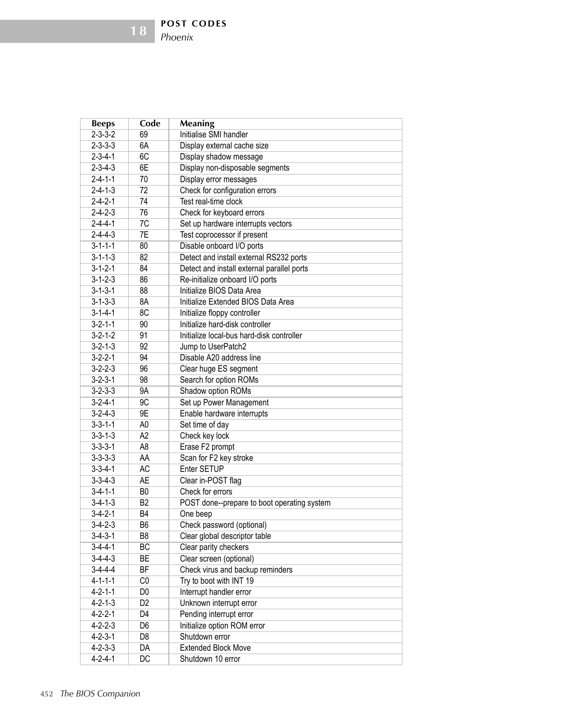**POST CODES 1 8**

*Phoenix*

| <b>Beeps</b>    | Code            | Meaning                                     |
|-----------------|-----------------|---------------------------------------------|
| $2 - 3 - 3 - 2$ | 69              | Initialise SMI handler                      |
| $2 - 3 - 3 - 3$ | 6A              | Display external cache size                 |
| $2 - 3 - 4 - 1$ | 6C              | Display shadow message                      |
| $2 - 3 - 4 - 3$ | 6E              | Display non-disposable segments             |
| $2 - 4 - 1 - 1$ | 70              | Display error messages                      |
| $2 - 4 - 1 - 3$ | 72              | Check for configuration errors              |
| $2 - 4 - 2 - 1$ | 74              | Test real-time clock                        |
| $2 - 4 - 2 - 3$ | 76              | Check for keyboard errors                   |
| $2 - 4 - 4 - 1$ | 7C              | Set up hardware interrupts vectors          |
| $2 - 4 - 4 - 3$ | 7E              | Test coprocessor if present                 |
| $3 - 1 - 1 - 1$ | 80              | Disable onboard I/O ports                   |
| $3 - 1 - 1 - 3$ | 82              | Detect and install external RS232 ports     |
| $3 - 1 - 2 - 1$ | 84              | Detect and install external parallel ports  |
| $3 - 1 - 2 - 3$ | 86              | Re-initialize onboard I/O ports             |
| $3 - 1 - 3 - 1$ | 88              | Initialize BIOS Data Area                   |
| $3 - 1 - 3 - 3$ | 8A              | Initialize Extended BIOS Data Area          |
| $3 - 1 - 4 - 1$ | 8C              | Initialize floppy controller                |
| $3 - 2 - 1 - 1$ | 90              | Initialize hard-disk controller             |
| $3 - 2 - 1 - 2$ | 91              | Initialize local-bus hard-disk controller   |
| $3 - 2 - 1 - 3$ | 92              | Jump to UserPatch2                          |
| $3 - 2 - 2 - 1$ | 94              | Disable A20 address line                    |
| $3 - 2 - 2 - 3$ | 96              | Clear huge ES segment                       |
| $3 - 2 - 3 - 1$ | 98              | Search for option ROMs                      |
| $3 - 2 - 3 - 3$ | <b>9A</b>       | Shadow option ROMs                          |
| $3 - 2 - 4 - 1$ | 9C              | Set up Power Management                     |
| $3 - 2 - 4 - 3$ | 9E              | Enable hardware interrupts                  |
| $3 - 3 - 1 - 1$ | A <sub>0</sub>  | Set time of day                             |
| $3 - 3 - 1 - 3$ | A2              | Check key lock                              |
| $3 - 3 - 3 - 1$ | A8              | Erase F2 prompt                             |
| $3 - 3 - 3 - 3$ | AA              | Scan for F2 key stroke                      |
| $3 - 3 - 4 - 1$ | <b>AC</b>       | Enter SETUP                                 |
| $3 - 3 - 4 - 3$ | <b>AE</b>       | Clear in-POST flag                          |
| $3 - 4 - 1 - 1$ | B <sub>0</sub>  | Check for errors                            |
| $3 - 4 - 1 - 3$ | B <sub>2</sub>  | POST done--prepare to boot operating system |
| $3 - 4 - 2 - 1$ | <b>B4</b>       | One beep                                    |
| $3 - 4 - 2 - 3$ | B <sub>6</sub>  | Check password (optional)                   |
| $3 - 4 - 3 - 1$ | B <sub>8</sub>  | Clear global descriptor table               |
| $3 - 4 - 4 - 1$ | <b>BC</b>       | Clear parity checkers                       |
| $3 - 4 - 4 - 3$ | BE              | Clear screen (optional)                     |
| $3 - 4 - 4 - 4$ | BF              | Check virus and backup reminders            |
| $4 - 1 - 1 - 1$ | C0              | Try to boot with INT 19                     |
| $4 - 2 - 1 - 1$ | D <sub>0</sub>  | Interrupt handler error                     |
| $4 - 2 - 1 - 3$ | D <sub>2</sub>  | Unknown interrupt error                     |
| $4 - 2 - 2 - 1$ | D <sub>4</sub>  | Pending interrupt error                     |
| $4 - 2 - 2 - 3$ | D <sub>6</sub>  | Initialize option ROM error                 |
| $4 - 2 - 3 - 1$ | D <sub>8</sub>  | Shutdown error                              |
| $4 - 2 - 3 - 3$ | DA              | <b>Extended Block Move</b>                  |
| $4 - 2 - 4 - 1$ | $\overline{DC}$ | Shutdown 10 error                           |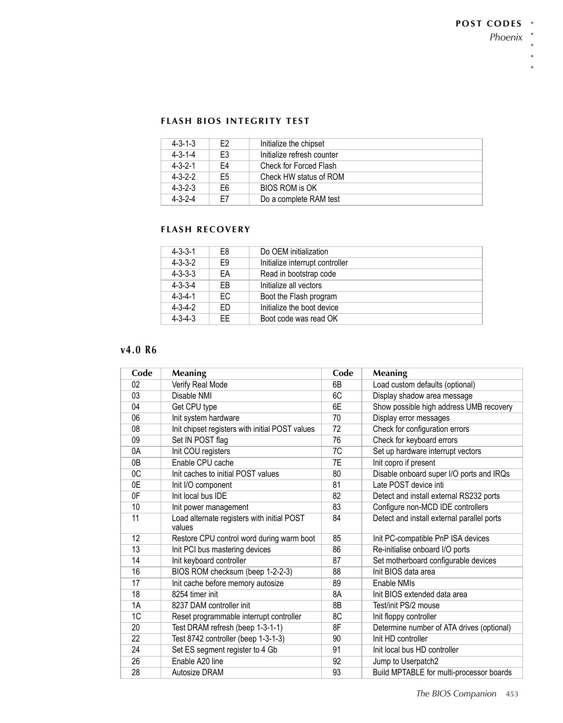$\bullet$ 

#### **FLASH BIOS INTEGRITY TEST**

| $4 - 3 - 1 - 3$ | F2             | Initialize the chipset     |
|-----------------|----------------|----------------------------|
| $4 - 3 - 1 - 4$ | E3             | Initialize refresh counter |
| $4 - 3 - 2 - 1$ | F4             | Check for Forced Flash     |
| $4 - 3 - 2 - 2$ | F <sub>5</sub> | Check HW status of ROM     |
| $4 - 3 - 2 - 3$ | F6.            | <b>BIOS ROM is OK</b>      |
| $4 - 3 - 2 - 4$ | F7             | Do a complete RAM test     |

### **FLASH RECOVERY**

| $4 - 3 - 3 - 1$ | E8  | Do OEM initialization           |
|-----------------|-----|---------------------------------|
| $4 - 3 - 3 - 2$ | E9  | Initialize interrupt controller |
| $4 - 3 - 3 - 3$ | FA  | Read in bootstrap code          |
| $4 - 3 - 3 - 4$ | FB. | Initialize all vectors          |
| $4 - 3 - 4 - 1$ | FC. | Boot the Flash program          |
| $4 - 3 - 4 - 2$ | FD. | Initialize the boot device      |
| $4 - 3 - 4 - 3$ | FF. | Boot code was read OK           |

# **v4.0 R6**

| Code           | <b>Meaning</b>                                       | Code | Meaning                                    |
|----------------|------------------------------------------------------|------|--------------------------------------------|
| 02             | Verify Real Mode                                     | 6B   | Load custom defaults (optional)            |
| 03             | Disable NMI                                          | 6C   | Display shadow area message                |
| 04             | Get CPU type                                         | 6E   | Show possible high address UMB recovery    |
| 06             | Init system hardware                                 | 70   | Display error messages                     |
| 08             | Init chipset registers with initial POST values      | 72   | Check for configuration errors             |
| 09             | Set IN POST flag                                     | 76   | Check for keyboard errors                  |
| 0A             | Init COU registers                                   | 7C   | Set up hardware interrupt vectors          |
| 0 <sub>B</sub> | Enable CPU cache                                     | 7E   | Init copro if present                      |
| 0C             | Init caches to initial POST values                   | 80   | Disable onboard super I/O ports and IRQs   |
| 0E             | Init I/O component                                   | 81   | Late POST device inti                      |
| 0F             | Init local bus IDE                                   | 82   | Detect and install external RS232 ports    |
| 10             | Init power management                                | 83   | Configure non-MCD IDE controllers          |
| 11             | Load alternate registers with initial POST<br>values | 84   | Detect and install external parallel ports |
| 12             | Restore CPU control word during warm boot            | 85   | Init PC-compatible PnP ISA devices         |
| 13             | Init PCI bus mastering devices                       | 86   | Re-initialise onboard I/O ports            |
| 14             | Init keyboard controller                             | 87   | Set motherboard configurable devices       |
| 16             | BIOS ROM checksum (beep 1-2-2-3)                     | 88   | Init BIOS data area                        |
| 17             | Init cache before memory autosize                    | 89   | Enable NMIs                                |
| 18             | 8254 timer init                                      | 8A   | Init BIOS extended data area               |
| 1A             | 8237 DAM controller init                             | 8B   | Test/init PS/2 mouse                       |
| 1C             | Reset programmable interrupt controller              | 8C   | Init floppy controller                     |
| 20             | Test DRAM refresh (beep 1-3-1-1)                     | 8F   | Determine number of ATA drives (optional)  |
| 22             | Test 8742 controller (beep 1-3-1-3)                  | 90   | Init HD controller                         |
| 24             | Set ES segment register to 4 Gb                      | 91   | Init local bus HD controller               |
| 26             | Enable A20 line                                      | 92   | Jump to Userpatch2                         |
| 28             | Autosize DRAM                                        | 93   | Build MPTABLE for multi-processor boards   |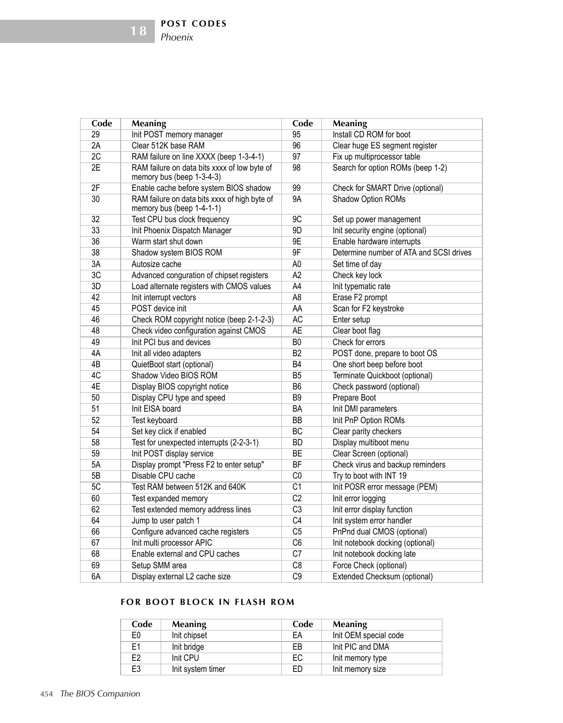*Phoenix*

**1 8**

| Code | Meaning                                                                    | Code            | Meaning                                 |
|------|----------------------------------------------------------------------------|-----------------|-----------------------------------------|
| 29   | Init POST memory manager                                                   | 95              | Install CD ROM for boot                 |
| 2A   | Clear 512K base RAM                                                        | 96              | Clear huge ES segment register          |
| 2C   | RAM failure on line XXXX (beep 1-3-4-1)                                    | 97              | Fix up multiprocessor table             |
| 2E   | RAM failure on data bits xxxx of low byte of<br>memory bus (beep 1-3-4-3)  | 98              | Search for option ROMs (beep 1-2)       |
| 2F   | Enable cache before system BIOS shadow                                     | 99              | Check for SMART Drive (optional)        |
| 30   | RAM failure on data bits xxxx of high byte of<br>memory bus (beep 1-4-1-1) | 9Α              | Shadow Option ROMs                      |
| 32   | Test CPU bus clock frequency                                               | 9C              | Set up power management                 |
| 33   | Init Phoenix Dispatch Manager                                              | 9 <sub>D</sub>  | Init security engine (optional)         |
| 36   | Warm start shut down                                                       | 9E              | Enable hardware interrupts              |
| 38   | Shadow system BIOS ROM                                                     | 9F              | Determine number of ATA and SCSI drives |
| 3A   | Autosize cache                                                             | A <sub>0</sub>  | Set time of day                         |
| 3C   | Advanced conguration of chipset registers                                  | A2              | Check key lock                          |
| 3D   | Load alternate registers with CMOS values                                  | A4              | Init typematic rate                     |
| 42   | Init interrupt vectors                                                     | A <sub>8</sub>  | Erase F2 prompt                         |
| 45   | POST device init                                                           | AA              | Scan for F2 keystroke                   |
| 46   | Check ROM copyright notice (beep 2-1-2-3)                                  | <b>AC</b>       | Enter setup                             |
| 48   | Check video configuration against CMOS                                     | <b>AE</b>       | Clear boot flag                         |
| 49   | Init PCI bus and devices                                                   | B <sub>0</sub>  | Check for errors                        |
| 4A   | Init all video adapters                                                    | B2              | POST done, prepare to boot OS           |
| 4B   | QuietBoot start (optional)                                                 | B4              | One short beep before boot              |
| 4C   | Shadow Video BIOS ROM                                                      | <b>B5</b>       | Terminate Quickboot (optional)          |
| 4E   | Display BIOS copyright notice                                              | B <sub>6</sub>  | Check password (optional)               |
| 50   | Display CPU type and speed                                                 | B <sub>9</sub>  | Prepare Boot                            |
| 51   | Init EISA board                                                            | <b>BA</b>       | Init DMI parameters                     |
| 52   | Test keyboard                                                              | <b>BB</b>       | Init PnP Option ROMs                    |
| 54   | Set key click if enabled                                                   | BC              | Clear parity checkers                   |
| 58   | Test for unexpected interrupts (2-2-3-1)                                   | <b>BD</b>       | Display multiboot menu                  |
| 59   | Init POST display service                                                  | BE              | Clear Screen (optional)                 |
| 5A   | Display prompt "Press F2 to enter setup"                                   | <b>BF</b>       | Check virus and backup reminders        |
| 5B   | Disable CPU cache                                                          | CO              | Try to boot with INT 19                 |
| 5C   | Test RAM between 512K and 640K                                             | C <sub>1</sub>  | Init POSR error message (PEM)           |
| 60   | Test expanded memory                                                       | C <sub>2</sub>  | Init error logging                      |
| 62   | Test extended memory address lines                                         | C <sub>3</sub>  | Init error display function             |
| 64   | Jump to user patch 1                                                       | $\overline{C4}$ | Init system error handler               |
| 66   | Configure advanced cache registers                                         | $\overline{C5}$ | PnPnd dual CMOS (optional)              |
| 67   | Init multi processor APIC                                                  | C <sub>6</sub>  | Init notebook docking (optional)        |
| 68   | Enable external and CPU caches                                             | C <sub>7</sub>  | Init notebook docking late              |
| 69   | Setup SMM area                                                             | C8              | Force Check (optional)                  |
| 6A   | Display external L2 cache size                                             | C <sub>9</sub>  | Extended Checksum (optional)            |

### **FOR BOOT BLOCK IN FLASH ROM**

| Code           | Meaning           | Code           | <b>Meaning</b>        |
|----------------|-------------------|----------------|-----------------------|
| E0             | Init chipset      | EA             | Init OEM special code |
| F <sub>1</sub> | Init bridge       | F <sub>R</sub> | Init PIC and DMA      |
| F2             | Init CPU          | EC.            | Init memory type      |
| E3             | Init system timer | ED             | Init memory size      |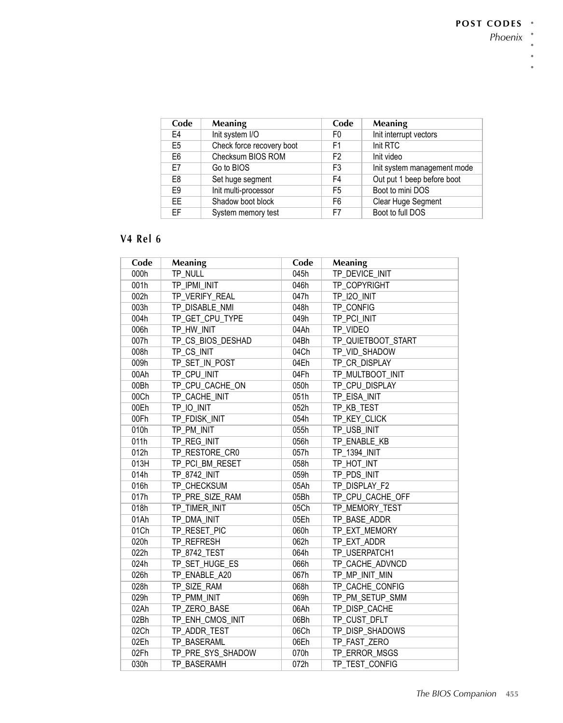ä

. . . . .  $\bullet$ 

| Code           | <b>Meaning</b>            | Code           | <b>Meaning</b>              |
|----------------|---------------------------|----------------|-----------------------------|
| E4             | Init system I/O           | F0             | Init interrupt vectors      |
| E <sub>5</sub> | Check force recovery boot | F1             | Init RTC                    |
| E6             | Checksum BIOS ROM         | F <sub>2</sub> | Init video                  |
| E7             | Go to BIOS                | F <sub>3</sub> | Init system management mode |
| E8             | Set huge segment          | F4             | Out put 1 beep before boot  |
| E9             | Init multi-processor      | F5             | Boot to mini DOS            |
| EE.            | Shadow boot block         | F <sub>6</sub> | Clear Huge Segment          |
| EF             | System memory test        | F7             | Boot to full DOS            |

# **V4 Rel 6**

| Code | Meaning             | Code | <b>Meaning</b>      |
|------|---------------------|------|---------------------|
| 000h | TP NULL             | 045h | TP DEVICE INIT      |
| 001h | TP IPMI INIT        | 046h | TP COPYRIGHT        |
| 002h | TP_VERIFY_REAL      | 047h | TP_I2O_INIT         |
| 003h | TP DISABLE NMI      | 048h | TP_CONFIG           |
| 004h | TP GET CPU TYPE     | 049h | TP PCI INIT         |
| 006h | TP HW INIT          | 04Ah | TP VIDEO            |
| 007h | TP CS BIOS DESHAD   | 04Bh | TP QUIETBOOT START  |
| 008h | TP CS INIT          | 04Ch | TP VID SHADOW       |
| 009h | TP SET IN POST      | 04Eh | TP CR DISPLAY       |
| 00Ah | TP CPU INIT         | 04Fh | TP MULTBOOT INIT    |
| 00Bh | TP_CPU_CACHE_ON     | 050h | TP CPU DISPLAY      |
| 00Ch | TP CACHE INIT       | 051h | TP_EISA_INIT        |
| 00Eh | TP_IO_INIT          | 052h | TP_KB_TEST          |
| 00Fh | TP FDISK INIT       | 054h | TP_KEY_CLICK        |
| 010h | TP PM INIT          | 055h | TP USB INIT         |
| 011h | TP REG INIT         | 056h | TP ENABLE KB        |
| 012h | TP RESTORE CR0      | 057h | <b>TP 1394 INIT</b> |
| 013H | TP PCI BM RESET     | 058h | TP HOT INT          |
| 014h | <b>TP 8742 INIT</b> | 059h | TP PDS INIT         |
| 016h | TP CHECKSUM         | 05Ah | TP DISPLAY F2       |
| 017h | TP PRE SIZE RAM     | 05Bh | TP CPU CACHE OFF    |
| 018h | TP_TIMER_INIT       | 05Ch | TP_MEMORY_TEST      |
| 01Ah | TP DMA INIT         | 05Eh | TP BASE ADDR        |
| 01Ch | TP RESET PIC        | 060h | TP EXT MEMORY       |
| 020h | TP REFRESH          | 062h | TP EXT ADDR         |
| 022h | <b>TP 8742 TEST</b> | 064h | TP USERPATCH1       |
| 024h | TP_SET_HUGE_ES      | 066h | TP_CACHE_ADVNCD     |
| 026h | TP ENABLE A20       | 067h | TP MP INIT MIN      |
| 028h | TP SIZE RAM         | 068h | TP CACHE CONFIG     |
| 029h | TP_PMM_INIT         | 069h | TP_PM_SETUP_SMM     |
| 02Ah | TP ZERO BASE        | 06Ah | TP DISP CACHE       |
| 02Bh | TP ENH CMOS INIT    | 06Bh | TP CUST DFLT        |
| 02Ch | TP_ADDR_TEST        | 06Ch | TP_DISP_SHADOWS     |
| 02Eh | TP BASERAML         | 06Eh | TP_FAST_ZERO        |
| 02Fh | TP_PRE_SYS_SHADOW   | 070h | TP ERROR MSGS       |
| 030h | TP BASERAMH         | 072h | TP TEST CONFIG      |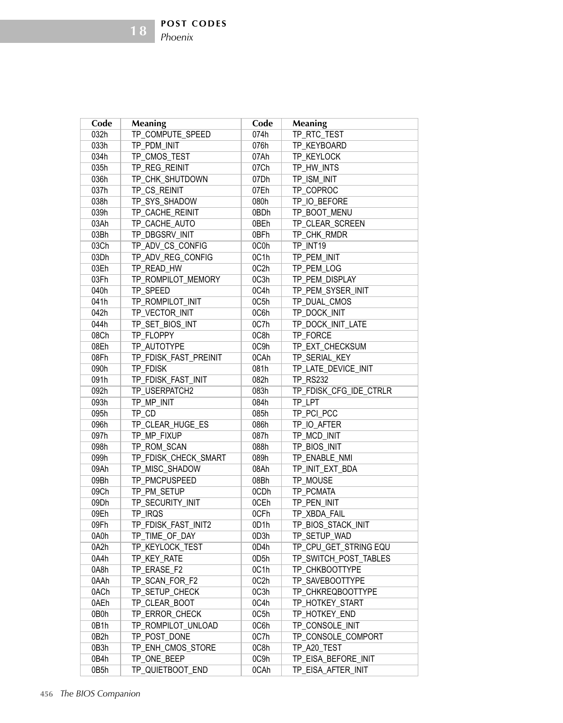*Phoenix* **1 8**

| Code | Meaning               | Code | Meaning                |
|------|-----------------------|------|------------------------|
| 032h | TP_COMPUTE_SPEED      | 074h | TP_RTC_TEST            |
| 033h | TP PDM INIT           | 076h | TP KEYBOARD            |
| 034h | TP CMOS TEST          | 07Ah | TP KEYLOCK             |
| 035h | TP_REG_REINIT         | 07Ch | TP_HW_INTS             |
| 036h | TP CHK SHUTDOWN       | 07Dh | TP ISM INIT            |
| 037h | TP_CS_REINIT          | 07Eh | TP_COPROC              |
| 038h | TP_SYS_SHADOW         | 080h | TP IO BEFORE           |
| 039h | TP CACHE REINIT       | 0BDh | TP_BOOT_MENU           |
| 03Ah | TP_CACHE_AUTO         | 0BEh | TP_CLEAR_SCREEN        |
| 03Bh | TP_DBGSRV_INIT        | 0BFh | TP_CHK_RMDR            |
| 03Ch | TP_ADV_CS_CONFIG      | 0C0h | TP INT19               |
| 03Dh | TP_ADV_REG_CONFIG     | 0C1h | TP_PEM_INIT            |
| 03Eh | TP READ HW            | 0C2h | TP PEM LOG             |
| 03Fh | TP ROMPILOT MEMORY    | 0C3h | TP_PEM_DISPLAY         |
| 040h | TP SPEED              | 0C4h | TP_PEM_SYSER_INIT      |
| 041h | TP_ROMPILOT_INIT      | 0C5h | TP_DUAL_CMOS           |
| 042h | TP VECTOR INIT        | 0C6h | TP DOCK INIT           |
| 044h | TP_SET_BIOS_INT       | 0C7h | TP_DOCK_INIT_LATE      |
| 08Ch | TP FLOPPY             | 0C8h | TP FORCE               |
| 08Eh | TP AUTOTYPE           | 0C9h | TP_EXT_CHECKSUM        |
| 08Fh | TP FDISK FAST PREINIT | 0CAh | TP SERIAL KEY          |
| 090h | TP FDISK              | 081h | TP_LATE_DEVICE_INIT    |
| 091h | TP_FDISK_FAST_INIT    | 082h | <b>TP RS232</b>        |
| 092h | TP_USERPATCH2         | 083h | TP FDISK CFG IDE CTRLR |
| 093h | TP MP INIT            | 084h | TP LPT                 |
| 095h | TP CD                 | 085h | TP PCI PCC             |
| 096h | TP_CLEAR_HUGE_ES      | 086h | TP IO AFTER            |
| 097h | TP MP FIXUP           | 087h | TP_MCD_INIT            |
| 098h | TP ROM SCAN           | 088h | TP_BIOS_INIT           |
| 099h | TP_FDISK_CHECK_SMART  | 089h | TP ENABLE NMI          |
| 09Ah | TP MISC SHADOW        | 08Ah | TP INIT EXT BDA        |
| 09Bh | TP PMCPUSPEED         | 08Bh | TP MOUSE               |
| 09Ch | TP PM SETUP           | 0CDh | TP PCMATA              |
| 09Dh | TP SECURITY INIT      | 0CEh | TP PEN INIT            |
| 09Eh | TP IRQS               | 0CFh | TP XBDA FAIL           |
| 09Fh | TP_FDISK_FAST_INIT2   | 0D1h | TP_BIOS_STACK_INIT     |
| 0A0h | TP TIME OF DAY        | 0D3h | TP SETUP WAD           |
| 0A2h | TP KEYLOCK TEST       | 0D4h | TP CPU GET STRING EQU  |
| 0A4h | TP KEY RATE           | 0D5h | TP SWITCH POST TABLES  |
| 0A8h | TP ERASE F2           | 0C1h | TP CHKBOOTTYPE         |
| 0AAh | TP_SCAN_FOR_F2        | 0C2h | TP_SAVEBOOTTYPE        |
| 0ACh | TP SETUP CHECK        | OC3h | TP CHKREQBOOTTYPE      |
| 0AEh | TP CLEAR BOOT         | 0C4h | TP_HOTKEY_START        |
| 0B0h | TP_ERROR_CHECK        | 0C5h | TP_HOTKEY_END          |
| 0B1h | TP ROMPILOT UNLOAD    | 0C6h | TP CONSOLE INIT        |
| 0B2h | TP POST DONE          | 0C7h | TP_CONSOLE_COMPORT     |
| 0B3h | TP_ENH_CMOS_STORE     | 0C8h | TP_A20_TEST            |
| 0B4h | TP ONE BEEP           | 0C9h | TP_EISA_BEFORE_INIT    |
| 0B5h | TP_QUIETBOOT_END      | 0CAh | TP_EISA_AFTER_INIT     |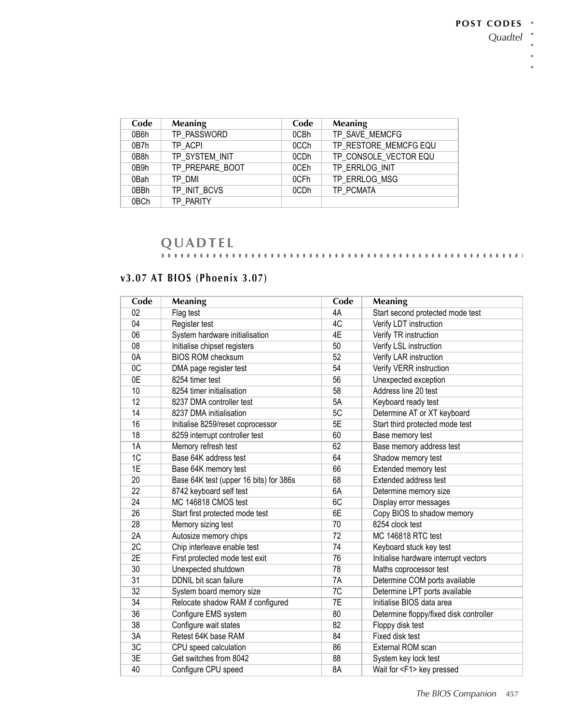| ٠      |
|--------|
| à.     |
| ٠<br>Ŧ |
| ٠      |

| Code | <b>Meaning</b>  | Code             | <b>Meaning</b>        |
|------|-----------------|------------------|-----------------------|
| 0B6h | TP PASSWORD     | 0CBh             | TP SAVE MEMCFG        |
| 0B7h | TP ACPI         | 0CCh             | TP RESTORE MEMCFG EQU |
| 0B8h | TP SYSTEM INIT  | 0CD <sub>h</sub> | TP CONSOLE VECTOR EQU |
| 0B9h | TP PREPARE BOOT | 0CE <sub>h</sub> | TP ERRLOG INIT        |
| 0Bah | TP DMI          | 0CFh             | TP ERRLOG MSG         |
| 0BBh | TP INIT BCVS    | 0CD <sub>h</sub> | TP PCMATA             |
| 0BCh | TP PARITY       |                  |                       |

# **. . . . . . . . . . . . . . . . . . . . . . . . . . . . . . . . . . . . . . . . . . . . . . . . . . . . . . . . . QUADTEL**

# **v3.07 AT BIOS (Phoenix 3.07)**

| Code            | Meaning                                | Code | Meaning                                |
|-----------------|----------------------------------------|------|----------------------------------------|
| 02              | Flag test                              | 4A   | Start second protected mode test       |
| 04              | Register test                          | 4C   | Verify LDT instruction                 |
| 06              | System hardware initialisation         | 4E   | Verify TR instruction                  |
| 08              | Initialise chipset registers           | 50   | Verify LSL instruction                 |
| 0A              | <b>BIOS ROM checksum</b>               | 52   | Verify LAR instruction                 |
| 0C              | DMA page register test                 | 54   | Verify VERR instruction                |
| 0E              | 8254 timer test                        | 56   | Unexpected exception                   |
| 10              | 8254 timer initialisation              | 58   | Address line 20 test                   |
| 12              | 8237 DMA controller test               | 5A   | Keyboard ready test                    |
| 14              | 8237 DMA initialisation                | 5C   | Determine AT or XT keyboard            |
| 16              | Initialise 8259/reset coprocessor      | 5E   | Start third protected mode test        |
| 18              | 8259 interrupt controller test         | 60   | Base memory test                       |
| 1A              | Memory refresh test                    | 62   | Base memory address test               |
| 1C              | Base 64K address test                  | 64   | Shadow memory test                     |
| 1E              | Base 64K memory test                   | 66   | Extended memory test                   |
| 20              | Base 64K test (upper 16 bits) for 386s | 68   | Extended address test                  |
| $\overline{22}$ | 8742 keyboard self test                | 6A   | Determine memory size                  |
| 24              | MC 146818 CMOS test                    | 6C   | Display error messages                 |
| 26              | Start first protected mode test        | 6E   | Copy BIOS to shadow memory             |
| 28              | Memory sizing test                     | 70   | 8254 clock test                        |
| 2A              | Autosize memory chips                  | 72   | <b>MC 146818 RTC test</b>              |
| 2C              | Chip interleave enable test            | 74   | Keyboard stuck key test                |
| 2E              | First protected mode test exit         | 76   | Initialise hardware interrupt vectors  |
| 30              | Unexpected shutdown                    | 78   | Maths coprocessor test                 |
| 31              | DDNIL bit scan failure                 | 7A   | Determine COM ports available          |
| 32              | System board memory size               | 7C   | Determine LPT ports available          |
| 34              | Relocate shadow RAM if configured      | 7E   | Initialise BIOS data area              |
| 36              | Configure EMS system                   | 80   | Determine floppy/fixed disk controller |
| 38              | Configure wait states                  | 82   | Floppy disk test                       |
| 3A              | Retest 64K base RAM                    | 84   | Fixed disk test                        |
| 3C              | CPU speed calculation                  | 86   | External ROM scan                      |
| 3E              | Get switches from 8042                 | 88   | System key lock test                   |
| 40              | Configure CPU speed                    | 8A   | Wait for <f1> key pressed</f1>         |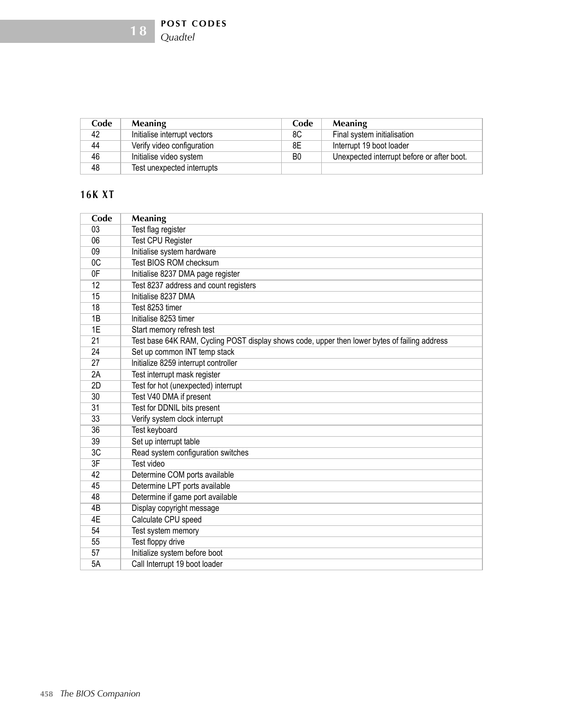*Quadtel*

| Code | <b>Meaning</b>               | Code           | <b>Meaning</b>                             |
|------|------------------------------|----------------|--------------------------------------------|
| 42   | Initialise interrupt vectors | 8C             | Final system initialisation                |
| 44   | Verify video configuration   | 8E             | Interrupt 19 boot loader                   |
| 46   | Initialise video system      | B <sub>0</sub> | Unexpected interrupt before or after boot. |
| 48   | Test unexpected interrupts   |                |                                            |

# **16K XT**

| Code           | Meaning                                                                                       |
|----------------|-----------------------------------------------------------------------------------------------|
| 0.3            | Test flag register                                                                            |
| 06             | <b>Test CPU Register</b>                                                                      |
| 09             | Initialise system hardware                                                                    |
| 0C             | Test BIOS ROM checksum                                                                        |
| 0 <sup>F</sup> | Initialise 8237 DMA page register                                                             |
| 12             | Test 8237 address and count registers                                                         |
| 15             | Initialise 8237 DMA                                                                           |
| 18             | Test 8253 timer                                                                               |
| 1B             | Initialise 8253 timer                                                                         |
| 1E             | Start memory refresh test                                                                     |
| 21             | Test base 64K RAM, Cycling POST display shows code, upper then lower bytes of failing address |
| 24             | Set up common INT temp stack                                                                  |
| 27             | Initialize 8259 interrupt controller                                                          |
| 2A             | Test interrupt mask register                                                                  |
| 2D             | Test for hot (unexpected) interrupt                                                           |
| 30             | Test V40 DMA if present                                                                       |
| 31             | Test for DDNIL bits present                                                                   |
| 33             | Verify system clock interrupt                                                                 |
| 36             | <b>Test keyboard</b>                                                                          |
| 39             | Set up interrupt table                                                                        |
| 3C             | Read system configuration switches                                                            |
| 3F             | Test video                                                                                    |
| 42             | Determine COM ports available                                                                 |
| 45             | Determine LPT ports available                                                                 |
| 48             | Determine if game port available                                                              |
| 4B             | Display copyright message                                                                     |
| 4E             | Calculate CPU speed                                                                           |
| 54             | Test system memory                                                                            |
| 55             | Test floppy drive                                                                             |
| 57             | Initialize system before boot                                                                 |
| 5A             | Call Interrupt 19 boot loader                                                                 |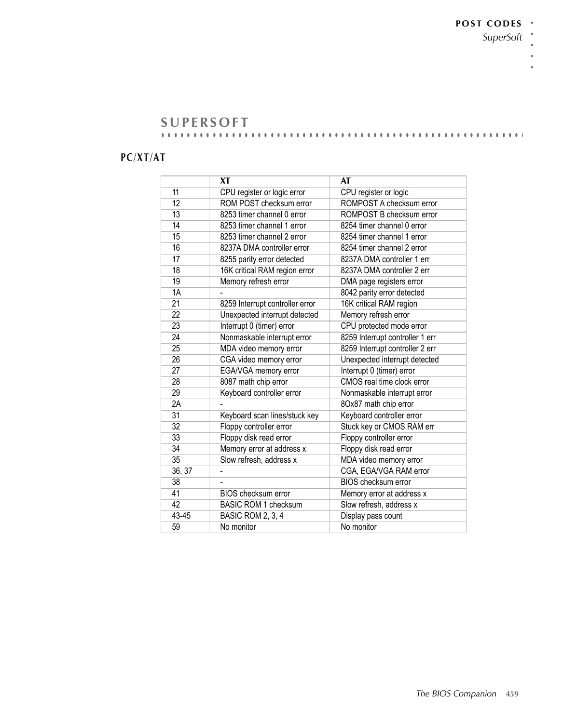. . . . .  $\ddot{\phantom{a}}$ 

# **. . . . . . . . . . . . . . . . . . . . . . . . . . . . . . . . . . . . . . . . . . . . . . . . . . . . . . . . . SUPERSOFT**

# **PC/XT/AT**

|        | <b>XT</b>                       | AT                              |
|--------|---------------------------------|---------------------------------|
| 11     | CPU register or logic error     | CPU register or logic           |
| 12     | ROM POST checksum error         | ROMPOST A checksum error        |
| 13     | 8253 timer channel 0 error      | ROMPOST B checksum error        |
| 14     | 8253 timer channel 1 error      | 8254 timer channel 0 error      |
| 15     | 8253 timer channel 2 error      | 8254 timer channel 1 error      |
| 16     | 8237A DMA controller error      | 8254 timer channel 2 error      |
| 17     | 8255 parity error detected      | 8237A DMA controller 1 err      |
| 18     | 16K critical RAM region error   | 8237A DMA controller 2 err      |
| 19     | Memory refresh error            | DMA page registers error        |
| 1A     |                                 | 8042 parity error detected      |
| 21     | 8259 Interrupt controller error | 16K critical RAM region         |
| 22     | Unexpected interrupt detected   | Memory refresh error            |
| 23     | Interrupt 0 (timer) error       | CPU protected mode error        |
| 24     | Nonmaskable interrupt error     | 8259 Interrupt controller 1 err |
| 25     | MDA video memory error          | 8259 Interrupt controller 2 err |
| 26     | CGA video memory error          | Unexpected interrupt detected   |
| 27     | EGA/VGA memory error            | Interrupt 0 (timer) error       |
| 28     | 8087 math chip error            | CMOS real time clock error      |
| 29     | Keyboard controller error       | Nonmaskable interrupt error     |
| 2A     |                                 | 8Ox87 math chip error           |
| 31     | Keyboard scan lines/stuck key   | Keyboard controller error       |
| 32     | Floppy controller error         | Stuck key or CMOS RAM err       |
| 33     | Floppy disk read error          | Floppy controller error         |
| 34     | Memory error at address x       | Floppy disk read error          |
| 35     | Slow refresh, address x         | MDA video memory error          |
| 36, 37 |                                 | CGA, EGA/VGA RAM error          |
| 38     |                                 | <b>BIOS</b> checksum error      |
| 41     | <b>BIOS</b> checksum error      | Memory error at address x       |
| 42     | <b>BASIC ROM 1 checksum</b>     | Slow refresh, address x         |
| 43-45  | <b>BASIC ROM 2, 3, 4</b>        | Display pass count              |
| 59     | No monitor                      | No monitor                      |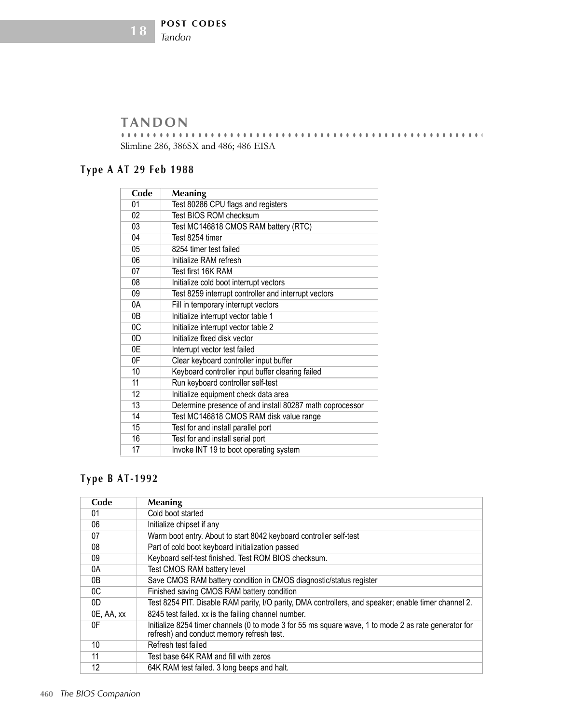

*Tandon*

**. . . . . . . . . . . . . . . . . . . . . . . . . . . . . . . . . . . . . . . . . . . . . . . . . . . . . . . . . TANDON** Slimline 286, 386SX and 486; 486 EISA

# **Type A AT 29 Feb 1988**

| Code | Meaning                                                  |
|------|----------------------------------------------------------|
| 01   | Test 80286 CPU flags and registers                       |
| 02   | Test BIOS ROM checksum                                   |
| 03   | Test MC146818 CMOS RAM battery (RTC)                     |
| 04   | Test 8254 timer                                          |
| 05   | 8254 timer test failed                                   |
| 06   | Initialize RAM refresh                                   |
| 07   | Test first 16K RAM                                       |
| 08   | Initialize cold boot interrupt vectors                   |
| 09   | Test 8259 interrupt controller and interrupt vectors     |
| 0A   | Fill in temporary interrupt vectors                      |
| 0B   | Initialize interrupt vector table 1                      |
| 0C   | Initialize interrupt vector table 2                      |
| 0D   | Initialize fixed disk vector                             |
| 0E   | Interrupt vector test failed                             |
| 0F   | Clear keyboard controller input buffer                   |
| 10   | Keyboard controller input buffer clearing failed         |
| 11   | Run keyboard controller self-test                        |
| 12   | Initialize equipment check data area                     |
| 13   | Determine presence of and install 80287 math coprocessor |
| 14   | Test MC146818 CMOS RAM disk value range                  |
| 15   | Test for and install parallel port                       |
| 16   | Test for and install serial port                         |
| 17   | Invoke INT 19 to boot operating system                   |

# **Type B AT-1992**

| Code           | Meaning                                                                                                                                           |
|----------------|---------------------------------------------------------------------------------------------------------------------------------------------------|
| 01             | Cold boot started                                                                                                                                 |
| 06             | Initialize chipset if any                                                                                                                         |
| 07             | Warm boot entry. About to start 8042 keyboard controller self-test                                                                                |
| 08             | Part of cold boot keyboard initialization passed                                                                                                  |
| 09             | Keyboard self-test finished. Test ROM BIOS checksum.                                                                                              |
| 0A             | Test CMOS RAM battery level                                                                                                                       |
| 0B             | Save CMOS RAM battery condition in CMOS diagnostic/status register                                                                                |
| 0C             | Finished saving CMOS RAM battery condition                                                                                                        |
| 0 <sub>D</sub> | Test 8254 PIT. Disable RAM parity, I/O parity, DMA controllers, and speaker; enable timer channel 2.                                              |
| 0E, AA, xx     | 8245 test failed. xx is the failing channel number.                                                                                               |
| 0F             | Initialize 8254 timer channels (0 to mode 3 for 55 ms square wave, 1 to mode 2 as rate generator for<br>refresh) and conduct memory refresh test. |
| 10             | Refresh test failed                                                                                                                               |
| 11             | Test base 64K RAM and fill with zeros                                                                                                             |
| 12             | 64K RAM test failed. 3 long beeps and halt.                                                                                                       |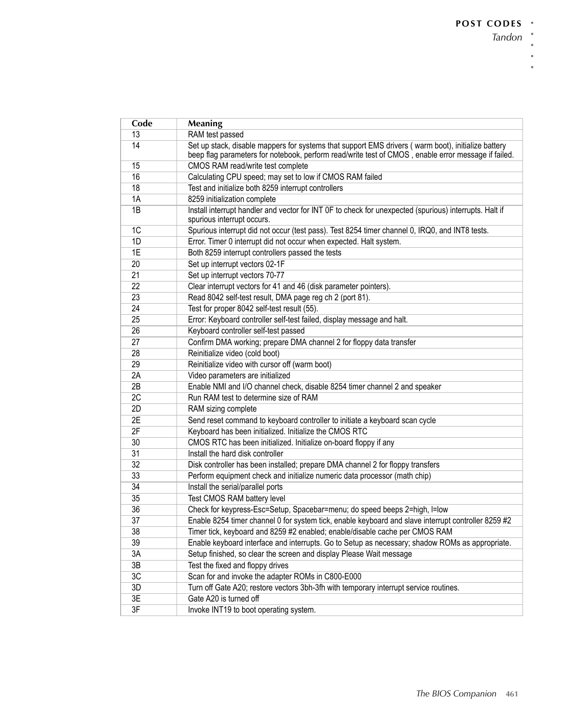. . . . .  $\ddot{\phantom{a}}$  $\bullet$ 

| Code | Meaning                                                                                                                                                                                                   |
|------|-----------------------------------------------------------------------------------------------------------------------------------------------------------------------------------------------------------|
| 13   | RAM test passed                                                                                                                                                                                           |
| 14   | Set up stack, disable mappers for systems that support EMS drivers (warm boot), initialize battery<br>beep flag parameters for notebook, perform read/write test of CMOS, enable error message if failed. |
| 15   | CMOS RAM read/write test complete                                                                                                                                                                         |
| 16   | Calculating CPU speed; may set to low if CMOS RAM failed                                                                                                                                                  |
| 18   | Test and initialize both 8259 interrupt controllers                                                                                                                                                       |
| 1A   | 8259 initialization complete                                                                                                                                                                              |
| 1B   | Install interrupt handler and vector for INT OF to check for unexpected (spurious) interrupts. Halt if<br>spurious interrupt occurs.                                                                      |
| 1C   | Spurious interrupt did not occur (test pass). Test 8254 timer channel 0, IRQ0, and INT8 tests.                                                                                                            |
| 1D   | Error. Timer 0 interrupt did not occur when expected. Halt system.                                                                                                                                        |
| 1E   | Both 8259 interrupt controllers passed the tests                                                                                                                                                          |
| 20   | Set up interrupt vectors 02-1F                                                                                                                                                                            |
| 21   | Set up interrupt vectors 70-77                                                                                                                                                                            |
| 22   | Clear interrupt vectors for 41 and 46 (disk parameter pointers).                                                                                                                                          |
| 23   | Read 8042 self-test result, DMA page reg ch 2 (port 81).                                                                                                                                                  |
| 24   | Test for proper 8042 self-test result (55).                                                                                                                                                               |
| 25   | Error: Keyboard controller self-test failed, display message and halt.                                                                                                                                    |
| 26   | Keyboard controller self-test passed                                                                                                                                                                      |
| 27   | Confirm DMA working; prepare DMA channel 2 for floppy data transfer                                                                                                                                       |
| 28   | Reinitialize video (cold boot)                                                                                                                                                                            |
| 29   | Reinitialize video with cursor off (warm boot)                                                                                                                                                            |
| 2A   | Video parameters are initialized                                                                                                                                                                          |
| 2B   | Enable NMI and I/O channel check, disable 8254 timer channel 2 and speaker                                                                                                                                |
| 2C   | Run RAM test to determine size of RAM                                                                                                                                                                     |
| 2D   | RAM sizing complete                                                                                                                                                                                       |
| 2E   | Send reset command to keyboard controller to initiate a keyboard scan cycle                                                                                                                               |
| 2F   | Keyboard has been initialized. Initialize the CMOS RTC                                                                                                                                                    |
| 30   | CMOS RTC has been initialized. Initialize on-board floppy if any                                                                                                                                          |
| 31   | Install the hard disk controller                                                                                                                                                                          |
| 32   | Disk controller has been installed; prepare DMA channel 2 for floppy transfers                                                                                                                            |
| 33   | Perform equipment check and initialize numeric data processor (math chip)                                                                                                                                 |
| 34   | Install the serial/parallel ports                                                                                                                                                                         |
| 35   | Test CMOS RAM battery level                                                                                                                                                                               |
| 36   | Check for keypress-Esc=Setup, Spacebar=menu; do speed beeps 2=high, I=low                                                                                                                                 |
| 37   | Enable 8254 timer channel 0 for system tick, enable keyboard and slave interrupt controller 8259 #2                                                                                                       |
| 38   | Timer tick, keyboard and 8259 #2 enabled; enable/disable cache per CMOS RAM                                                                                                                               |
| 39   | Enable keyboard interface and interrupts. Go to Setup as necessary; shadow ROMs as appropriate.                                                                                                           |
| 3A   | Setup finished, so clear the screen and display Please Wait message                                                                                                                                       |
| 3B   | Test the fixed and floppy drives                                                                                                                                                                          |
| 3C   | Scan for and invoke the adapter ROMs in C800-E000                                                                                                                                                         |
| 3D   | Turn off Gate A20; restore vectors 3bh-3fh with temporary interrupt service routines.                                                                                                                     |
| 3E   | Gate A20 is turned off                                                                                                                                                                                    |
| 3F   | Invoke INT19 to boot operating system.                                                                                                                                                                    |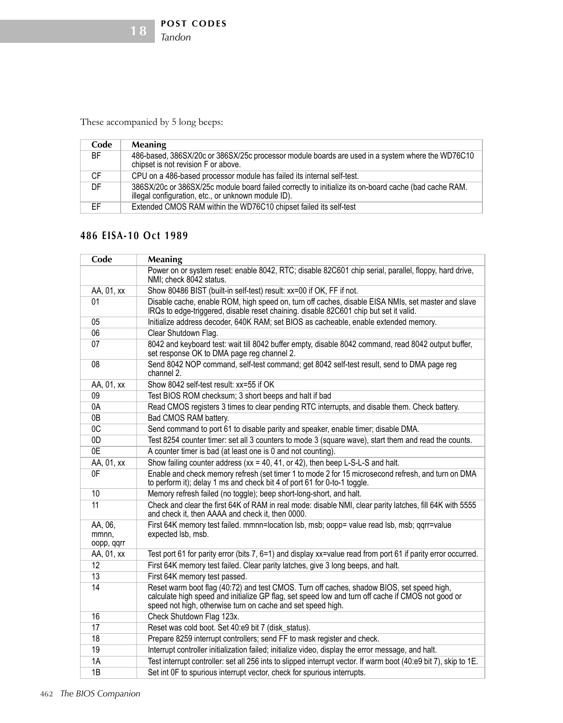

*Tandon*

These accompanied by 5 long beeps:

| Code      | Meaning                                                                                                                                                      |
|-----------|--------------------------------------------------------------------------------------------------------------------------------------------------------------|
| <b>BF</b> | 486-based, 386SX/20c or 386SX/25c processor module boards are used in a system where the WD76C10<br>chipset is not revision F or above.                      |
| СF        | CPU on a 486-based processor module has failed its internal self-test.                                                                                       |
| DF        | 386SX/20c or 386SX/25c module board failed correctly to initialize its on-board cache (bad cache RAM.<br>illegal configuration, etc., or unknown module ID). |
| EF        | Extended CMOS RAM within the WD76C10 chipset failed its self-test                                                                                            |

# **486 EISA-10 Oct 1989**

| Code                           | Meaning                                                                                                                                                                                                                                                       |
|--------------------------------|---------------------------------------------------------------------------------------------------------------------------------------------------------------------------------------------------------------------------------------------------------------|
|                                | Power on or system reset: enable 8042, RTC; disable 82C601 chip serial, parallel, floppy, hard drive,<br>NMI; check 8042 status.                                                                                                                              |
| AA, 01, xx                     | Show 80486 BIST (built-in self-test) result: xx=00 if OK. FF if not.                                                                                                                                                                                          |
| 01                             | Disable cache, enable ROM, high speed on, turn off caches, disable EISA NMIs, set master and slave<br>IRQs to edge-triggered, disable reset chaining. disable 82C601 chip but set it valid.                                                                   |
| 05                             | Initialize address decoder, 640K RAM; set BIOS as cacheable, enable extended memory.                                                                                                                                                                          |
| 06                             | Clear Shutdown Flag.                                                                                                                                                                                                                                          |
| 07                             | 8042 and keyboard test: wait till 8042 buffer empty, disable 8042 command, read 8042 output buffer,<br>set response OK to DMA page reg channel 2.                                                                                                             |
| 08                             | Send 8042 NOP command, self-test command; get 8042 self-test result, send to DMA page reg<br>channel 2.                                                                                                                                                       |
| AA, 01, xx                     | Show 8042 self-test result: xx=55 if OK                                                                                                                                                                                                                       |
| 09                             | Test BIOS ROM checksum; 3 short beeps and halt if bad                                                                                                                                                                                                         |
| 0A                             | Read CMOS registers 3 times to clear pending RTC interrupts, and disable them. Check battery.                                                                                                                                                                 |
| 0 <sub>B</sub>                 | Bad CMOS RAM battery.                                                                                                                                                                                                                                         |
| 0C                             | Send command to port 61 to disable parity and speaker, enable timer; disable DMA.                                                                                                                                                                             |
| 0 <sub>D</sub>                 | Test 8254 counter timer: set all 3 counters to mode 3 (square wave), start them and read the counts.                                                                                                                                                          |
| 0E                             | A counter timer is bad (at least one is 0 and not counting).                                                                                                                                                                                                  |
| AA, 01, xx                     | Show failing counter address (xx = 40, 41, or 42), then beep L-S-L-S and halt.                                                                                                                                                                                |
| 0F                             | Enable and check memory refresh (set timer 1 to mode 2 for 15 microsecond refresh, and turn on DMA<br>to perform it); delay 1 ms and check bit 4 of port 61 for 0-to-1 toggle.                                                                                |
| 10                             | Memory refresh failed (no toggle); beep short-long-short, and halt.                                                                                                                                                                                           |
| 11                             | Check and clear the first 64K of RAM in real mode: disable NMI, clear parity latches, fill 64K with 5555<br>and check it, then AAAA and check it, then 0000.                                                                                                  |
| AA, 06,<br>mmnn,<br>oopp, qqrr | First 64K memory test failed. mmnn=location lsb, msb; oopp= value read lsb, msb; qqrr=value<br>expected lsb, msb.                                                                                                                                             |
| AA, 01, xx                     | Test port 61 for parity error (bits 7, 6=1) and display xx=value read from port 61 if parity error occurred.                                                                                                                                                  |
| 12                             | First 64K memory test failed. Clear parity latches, give 3 long beeps, and halt.                                                                                                                                                                              |
| 13                             | First 64K memory test passed.                                                                                                                                                                                                                                 |
| $\overline{14}$                | Reset warm boot flag (40:72) and test CMOS. Turn off caches, shadow BIOS, set speed high,<br>calculate high speed and initialize GP flag, set speed low and turn off cache if CMOS not good or<br>speed not high, otherwise turn on cache and set speed high. |
| 16                             | Check Shutdown Flag 123x.                                                                                                                                                                                                                                     |
| 17                             | Reset was cold boot. Set 40:e9 bit 7 (disk status).                                                                                                                                                                                                           |
| 18                             | Prepare 8259 interrupt controllers; send FF to mask register and check.                                                                                                                                                                                       |
| 19                             | Interrupt controller initialization failed; initialize video, display the error message, and halt.                                                                                                                                                            |
| 1A                             | Test interrupt controller: set all 256 ints to slipped interrupt vector. If warm boot (40:e9 bit 7), skip to 1E.                                                                                                                                              |
| 1B                             | Set int OF to spurious interrupt vector, check for spurious interrupts.                                                                                                                                                                                       |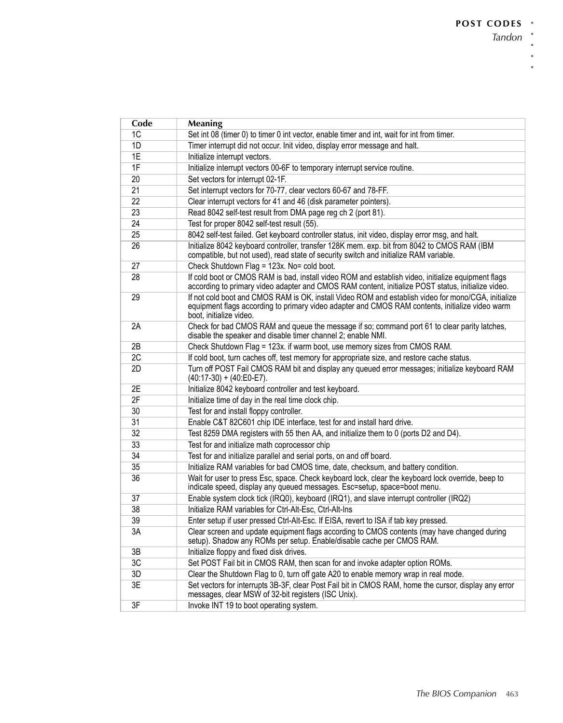$\ddot{\phantom{0}}$ 

. . . . .  $\bullet$ 

| Code | Meaning                                                                                                                                                                                                                           |
|------|-----------------------------------------------------------------------------------------------------------------------------------------------------------------------------------------------------------------------------------|
| 1C   | Set int 08 (timer 0) to timer 0 int vector, enable timer and int, wait for int from timer.                                                                                                                                        |
| 1D   | Timer interrupt did not occur. Init video, display error message and halt.                                                                                                                                                        |
| 1E   | Initialize interrupt vectors.                                                                                                                                                                                                     |
| 1F   | Initialize interrupt vectors 00-6F to temporary interrupt service routine.                                                                                                                                                        |
| 20   | Set vectors for interrupt 02-1F.                                                                                                                                                                                                  |
| 21   | Set interrupt vectors for 70-77, clear vectors 60-67 and 78-FF.                                                                                                                                                                   |
| 22   | Clear interrupt vectors for 41 and 46 (disk parameter pointers).                                                                                                                                                                  |
| 23   | Read 8042 self-test result from DMA page reg ch 2 (port 81).                                                                                                                                                                      |
| 24   | Test for proper 8042 self-test result (55).                                                                                                                                                                                       |
| 25   | 8042 self-test failed. Get keyboard controller status, init video, display error msg, and halt.                                                                                                                                   |
| 26   | Initialize 8042 keyboard controller, transfer 128K mem. exp. bit from 8042 to CMOS RAM (IBM<br>compatible, but not used), read state of security switch and initialize RAM variable.                                              |
| 27   | Check Shutdown Flag = 123x. No= cold boot.                                                                                                                                                                                        |
| 28   | If cold boot or CMOS RAM is bad, install video ROM and establish video, initialize equipment flags<br>according to primary video adapter and CMOS RAM content, initialize POST status, initialize video.                          |
| 29   | If not cold boot and CMOS RAM is OK, install Video ROM and establish video for mono/CGA, initialize<br>equipment flags according to primary video adapter and CMOS RAM contents, initialize video warm<br>boot, initialize video. |
| 2A   | Check for bad CMOS RAM and queue the message if so; command port 61 to clear parity latches,<br>disable the speaker and disable timer channel 2; enable NMI.                                                                      |
| 2B   | Check Shutdown Flag = 123x. if warm boot, use memory sizes from CMOS RAM.                                                                                                                                                         |
| 2C   | If cold boot, turn caches off, test memory for appropriate size, and restore cache status.                                                                                                                                        |
| 2D   | Turn off POST Fail CMOS RAM bit and display any queued error messages; initialize keyboard RAM<br>$(40.17-30) + (40.E0-E7)$ .                                                                                                     |
| 2E   | Initialize 8042 keyboard controller and test keyboard.                                                                                                                                                                            |
| 2F   | Initialize time of day in the real time clock chip.                                                                                                                                                                               |
| 30   | Test for and install floppy controller.                                                                                                                                                                                           |
| 31   | Enable C&T 82C601 chip IDE interface, test for and install hard drive.                                                                                                                                                            |
| 32   | Test 8259 DMA registers with 55 then AA, and initialize them to 0 (ports D2 and D4).                                                                                                                                              |
| 33   | Test for and initialize math coprocessor chip                                                                                                                                                                                     |
| 34   | Test for and initialize parallel and serial ports, on and off board.                                                                                                                                                              |
| 35   | Initialize RAM variables for bad CMOS time, date, checksum, and battery condition.                                                                                                                                                |
| 36   | Wait for user to press Esc, space. Check keyboard lock, clear the keyboard lock override, beep to<br>indicate speed, display any queued messages. Esc=setup, space=boot menu.                                                     |
| 37   | Enable system clock tick (IRQ0), keyboard (IRQ1), and slave interrupt controller (IRQ2)                                                                                                                                           |
| 38   | Initialize RAM variables for Ctrl-Alt-Esc, Ctrl-Alt-Ins                                                                                                                                                                           |
| 39   | Enter setup if user pressed Ctrl-Alt-Esc. If EISA, revert to ISA if tab key pressed.                                                                                                                                              |
| 3A   | Clear screen and update equipment flags according to CMOS contents (may have changed during<br>setup). Shadow any ROMs per setup. Enable/disable cache per CMOS RAM.                                                              |
| 3B   | Initialize floppy and fixed disk drives.                                                                                                                                                                                          |
| 3C   | Set POST Fail bit in CMOS RAM, then scan for and invoke adapter option ROMs.                                                                                                                                                      |
| 3D   | Clear the Shutdown Flag to 0, turn off gate A20 to enable memory wrap in real mode.                                                                                                                                               |
| 3E   | Set vectors for interrupts 3B-3F, clear Post Fail bit in CMOS RAM, home the cursor, display any error<br>messages, clear MSW of 32-bit registers (ISC Unix).                                                                      |
| 3F   | Invoke INT 19 to boot operating system.                                                                                                                                                                                           |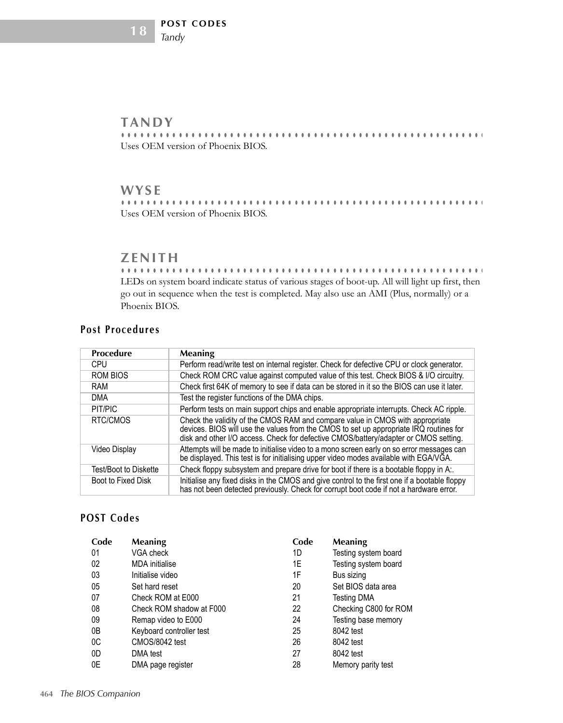

*Tandy*

```
. . . . . . . . . . . . . . . . . . . . . . . . . . . . . . . . . . . . . . . . . . . . . . . . . . . . . . . . . TANDY
Uses OEM version of Phoenix BIOS.
```

| WYSE                              |  |  |  |  |  |  |  |  |  |  |  |  |  |  |  |  |  |  |  |  |  |  |  |  |  |  |
|-----------------------------------|--|--|--|--|--|--|--|--|--|--|--|--|--|--|--|--|--|--|--|--|--|--|--|--|--|--|
|                                   |  |  |  |  |  |  |  |  |  |  |  |  |  |  |  |  |  |  |  |  |  |  |  |  |  |  |
| Uses OEM version of Phoenix BIOS. |  |  |  |  |  |  |  |  |  |  |  |  |  |  |  |  |  |  |  |  |  |  |  |  |  |  |

**. . . . . . . . . . . . . . . . . . . . . . . . . . . . . . . . . . . . . . . . . . . . . . . . . . . . . . . . . ZENITH** LEDs on system board indicate status of various stages of boot-up. All will light up first, then go out in sequence when the test is completed. May also use an AMI (Plus, normally) or a Phoenix BIOS.

### **Post Procedures**

| Procedure             | Meaning                                                                                                                                                                                                                                                         |
|-----------------------|-----------------------------------------------------------------------------------------------------------------------------------------------------------------------------------------------------------------------------------------------------------------|
| CPU                   | Perform read/write test on internal register. Check for defective CPU or clock generator.                                                                                                                                                                       |
| <b>ROM BIOS</b>       | Check ROM CRC value against computed value of this test. Check BIOS & I/O circuitry.                                                                                                                                                                            |
| <b>RAM</b>            | Check first 64K of memory to see if data can be stored in it so the BIOS can use it later.                                                                                                                                                                      |
| <b>DMA</b>            | Test the register functions of the DMA chips.                                                                                                                                                                                                                   |
| PIT/PIC               | Perform tests on main support chips and enable appropriate interrupts. Check AC ripple.                                                                                                                                                                         |
| RTC/CMOS              | Check the validity of the CMOS RAM and compare value in CMOS with appropriate<br>devices. BIOS will use the values from the CMOS to set up appropriate IRQ routines for<br>disk and other I/O access. Check for defective CMOS/battery/adapter or CMOS setting. |
| Video Display         | Attempts will be made to initialise video to a mono screen early on so error messages can be displayed. This test is for initialising upper video modes available with EGA/VGA.                                                                                 |
| Test/Boot to Diskette | Check floppy subsystem and prepare drive for boot if there is a bootable floppy in A                                                                                                                                                                            |
| Boot to Fixed Disk    | Initialise any fixed disks in the CMOS and give control to the first one if a bootable floppy<br>has not been detected previously. Check for corrupt boot code if not a hardware error.                                                                         |

## **POST Codes**

| Code           | Meaning                  | Code | Meaning               |
|----------------|--------------------------|------|-----------------------|
| 01             | VGA check                | 1D   | Testing system board  |
| 02             | <b>MDA</b> initialise    | 1E   | Testing system board  |
| 03             | Initialise video         | 1F   | Bus sizing            |
| 05             | Set hard reset           | 20   | Set BIOS data area    |
| 07             | Check ROM at E000        | 21   | <b>Testing DMA</b>    |
| 08             | Check ROM shadow at F000 | 22   | Checking C800 for ROM |
| 09             | Remap video to E000      | 24   | Testing base memory   |
| 0B             | Keyboard controller test | 25   | 8042 test             |
| 0C             | CMOS/8042 test           | 26   | 8042 test             |
| 0 <sub>D</sub> | DMA test                 | 27   | 8042 test             |
| 0E             | DMA page register        | 28   | Memory parity test    |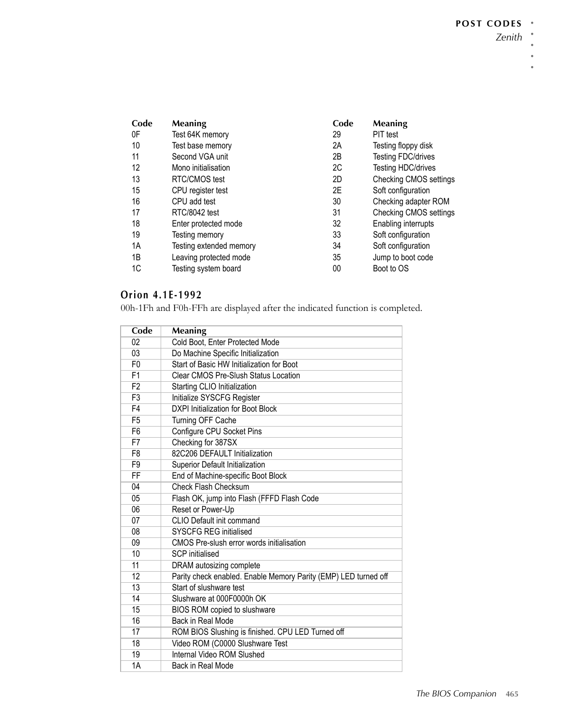. . . . .

 $\bullet$ 

| Code | Meaning                 | Code | Meaning                   |
|------|-------------------------|------|---------------------------|
| 0F   | Test 64K memory         | 29   | PIT test                  |
| 10   | Test base memory        | 2A   | Testing floppy disk       |
| 11   | Second VGA unit         | 2B   | <b>Testing FDC/drives</b> |
| 12   | Mono initialisation     | 2C   | <b>Testing HDC/drives</b> |
| 13   | RTC/CMOS test           | 2D   | Checking CMOS settings    |
| 15   | CPU register test       | 2E   | Soft configuration        |
| 16   | CPU add test            | 30   | Checking adapter ROM      |
| 17   | RTC/8042 test           | 31   | Checking CMOS settings    |
| 18   | Enter protected mode    | 32   | Enabling interrupts       |
| 19   | <b>Testing memory</b>   | 33   | Soft configuration        |
| 1A   | Testing extended memory | 34   | Soft configuration        |
| 1B   | Leaving protected mode  | 35   | Jump to boot code         |
| 1C   | Testing system board    | 00   | Boot to OS                |

## **Orion 4.1E-1992**

00h-1Fh and F0h-FFh are displayed after the indicated function is completed.

| Code           | Meaning                                                         |
|----------------|-----------------------------------------------------------------|
| 02             | Cold Boot, Enter Protected Mode                                 |
| 03             | Do Machine Specific Initialization                              |
| F <sub>0</sub> | Start of Basic HW Initialization for Boot                       |
| F1             | Clear CMOS Pre-Slush Status Location                            |
| F <sub>2</sub> | Starting CLIO Initialization                                    |
| F <sub>3</sub> | Initialize SYSCFG Register                                      |
| F4             | DXPI Initialization for Boot Block                              |
| F <sub>5</sub> | Turning OFF Cache                                               |
| F <sub>6</sub> | Configure CPU Socket Pins                                       |
| F7             | Checking for 387SX                                              |
| F <sub>8</sub> | 82C206 DEFAULT Initialization                                   |
| F <sub>9</sub> | <b>Superior Default Initialization</b>                          |
| FF             | End of Machine-specific Boot Block                              |
| 04             | <b>Check Flash Checksum</b>                                     |
| 0 <sub>5</sub> | Flash OK, jump into Flash (FFFD Flash Code                      |
| 06             | Reset or Power-Up                                               |
| 07             | CLIO Default init command                                       |
| 08             | <b>SYSCFG REG initialised</b>                                   |
| 09             | CMOS Pre-slush error words initialisation                       |
| 10             | <b>SCP</b> initialised                                          |
| 11             | DRAM autosizing complete                                        |
| 12             | Parity check enabled. Enable Memory Parity (EMP) LED turned off |
| 13             | Start of slushware test                                         |
| 14             | Slushware at 000F0000h OK                                       |
| 15             | BIOS ROM copied to slushware                                    |
| 16             | Back in Real Mode                                               |
| 17             | ROM BIOS Slushing is finished. CPU LED Turned off               |
| 18             | Video ROM (C0000 Slushware Test                                 |
| 19             | Internal Video ROM Slushed                                      |
| 1A             | Back in Real Mode                                               |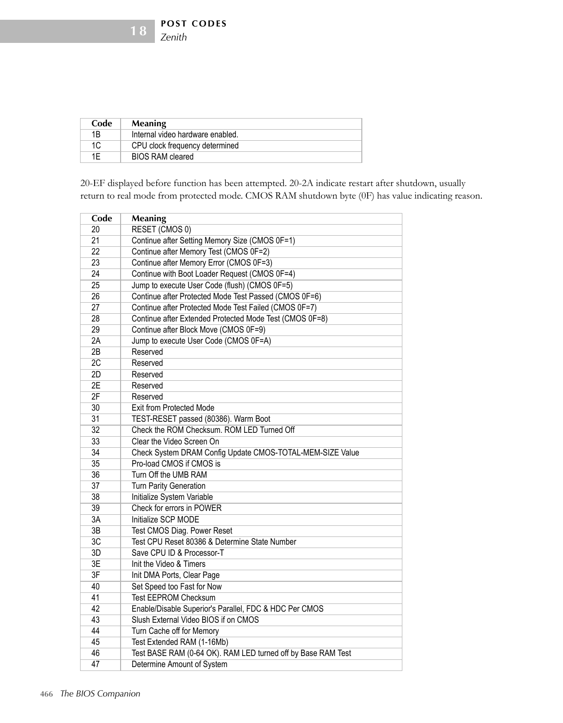**1 8**

**POST CODES**

*Zenith*

| Code | <b>Meaning</b>                   |
|------|----------------------------------|
| 1B   | Internal video hardware enabled. |
|      | CPU clock frequency determined   |
| 1F   | <b>BIOS RAM cleared</b>          |

20-EF displayed before function has been attempted. 20-2A indicate restart after shutdown, usually return to real mode from protected mode. CMOS RAM shutdown byte (0F) has value indicating reason.

| Code            | Meaning                                                      |  |  |  |
|-----------------|--------------------------------------------------------------|--|--|--|
| 20              | RESET (CMOS 0)                                               |  |  |  |
| 21              | Continue after Setting Memory Size (CMOS 0F=1)               |  |  |  |
| 22              | Continue after Memory Test (CMOS 0F=2)                       |  |  |  |
| 23              | Continue after Memory Error (CMOS 0F=3)                      |  |  |  |
| 24              | Continue with Boot Loader Request (CMOS 0F=4)                |  |  |  |
| 25              | Jump to execute User Code (flush) (CMOS 0F=5)                |  |  |  |
| 26              | Continue after Protected Mode Test Passed (CMOS 0F=6)        |  |  |  |
| 27              | Continue after Protected Mode Test Failed (CMOS 0F=7)        |  |  |  |
| 28              | Continue after Extended Protected Mode Test (CMOS 0F=8)      |  |  |  |
| 29              | Continue after Block Move (CMOS 0F=9)                        |  |  |  |
| 2A              | Jump to execute User Code (CMOS 0F=A)                        |  |  |  |
| 2B              | Reserved                                                     |  |  |  |
| 2C              | Reserved                                                     |  |  |  |
| 2D              | Reserved                                                     |  |  |  |
| 2E              | Reserved                                                     |  |  |  |
| 2F              | Reserved                                                     |  |  |  |
| 30              | Exit from Protected Mode                                     |  |  |  |
| 31              | TEST-RESET passed (80386). Warm Boot                         |  |  |  |
| 32              | Check the ROM Checksum. ROM LED Turned Off                   |  |  |  |
| 33              | Clear the Video Screen On                                    |  |  |  |
| 34              | Check System DRAM Config Update CMOS-TOTAL-MEM-SIZE Value    |  |  |  |
| 35              | Pro-load CMOS if CMOS is                                     |  |  |  |
| 36              | Turn Off the UMB RAM                                         |  |  |  |
| 37              | <b>Turn Parity Generation</b>                                |  |  |  |
| 38              | Initialize System Variable                                   |  |  |  |
| 39              | Check for errors in POWER                                    |  |  |  |
| 3A              | Initialize SCP MODE                                          |  |  |  |
| 3B              | Test CMOS Diag. Power Reset                                  |  |  |  |
| 3C              | Test CPU Reset 80386 & Determine State Number                |  |  |  |
| 3D              | Save CPU ID & Processor-T                                    |  |  |  |
| 3E              | Init the Video & Timers                                      |  |  |  |
| 3F              | Init DMA Ports, Clear Page                                   |  |  |  |
| 40              | Set Speed too Fast for Now                                   |  |  |  |
| 41              | <b>Test EEPROM Checksum</b>                                  |  |  |  |
| $\overline{42}$ | Enable/Disable Superior's Parallel, FDC & HDC Per CMOS       |  |  |  |
| 43              | Slush External Video BIOS if on CMOS                         |  |  |  |
| 44              | Turn Cache off for Memory                                    |  |  |  |
| 45              | Test Extended RAM (1-16Mb)                                   |  |  |  |
| 46              | Test BASE RAM (0-64 OK). RAM LED turned off by Base RAM Test |  |  |  |
| 47              | Determine Amount of System                                   |  |  |  |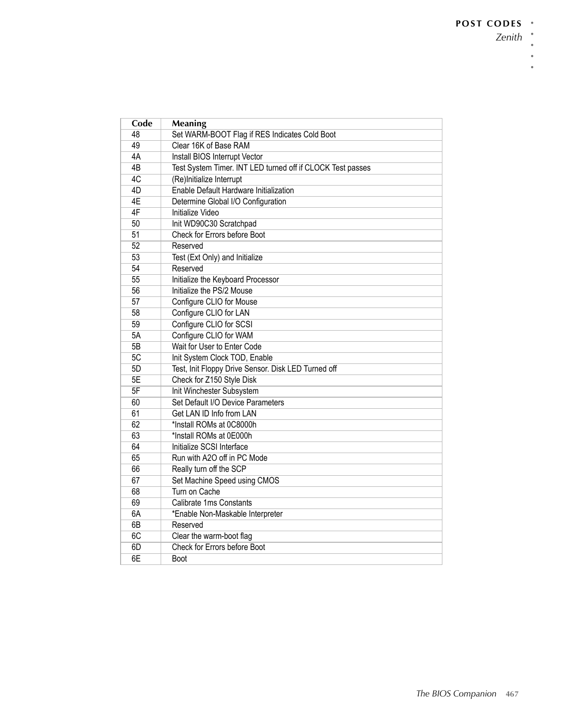*Zenith*  $\bullet$ 

 $\ddot{\phantom{a}}$ 

. . . . .  $\bullet$ 

| Code           | Meaning                                                    |  |  |  |
|----------------|------------------------------------------------------------|--|--|--|
| 48             | Set WARM-BOOT Flag if RES Indicates Cold Boot              |  |  |  |
| 49             | Clear 16K of Base RAM                                      |  |  |  |
| 4A             | Install BIOS Interrupt Vector                              |  |  |  |
| 4B             | Test System Timer. INT LED turned off if CLOCK Test passes |  |  |  |
| 4C             | (Re)Initialize Interrupt                                   |  |  |  |
| 4D             | Enable Default Hardware Initialization                     |  |  |  |
| 4E             | Determine Global I/O Configuration                         |  |  |  |
| 4F             | Initialize Video                                           |  |  |  |
| 50             | Init WD90C30 Scratchpad                                    |  |  |  |
| 51             | Check for Errors before Boot                               |  |  |  |
| 52             | Reserved                                                   |  |  |  |
| 53             | Test (Ext Only) and Initialize                             |  |  |  |
| 54             | Reserved                                                   |  |  |  |
| 55             | Initialize the Keyboard Processor                          |  |  |  |
| 56             | Initialize the PS/2 Mouse                                  |  |  |  |
| 57             | Configure CLIO for Mouse                                   |  |  |  |
| 58             | Configure CLIO for LAN                                     |  |  |  |
| 59             | Configure CLIO for SCSI                                    |  |  |  |
| <b>5A</b>      | Configure CLIO for WAM                                     |  |  |  |
| 5B             | Wait for User to Enter Code                                |  |  |  |
| 5C             | Init System Clock TOD, Enable                              |  |  |  |
| 5D             | Test, Init Floppy Drive Sensor. Disk LED Turned off        |  |  |  |
| 5E             | Check for Z150 Style Disk                                  |  |  |  |
| 5F             | Init Winchester Subsystem                                  |  |  |  |
| 60             | Set Default I/O Device Parameters                          |  |  |  |
| 61             | Get LAN ID Info from LAN                                   |  |  |  |
| 62             | *Install ROMs at 0C8000h                                   |  |  |  |
| 63             | *Install ROMs at 0E000h                                    |  |  |  |
| 64             | Initialize SCSI Interface                                  |  |  |  |
| 65             | Run with A2O off in PC Mode                                |  |  |  |
| 66             | Really turn off the SCP                                    |  |  |  |
| 67             | Set Machine Speed using CMOS                               |  |  |  |
| 68             | Turn on Cache                                              |  |  |  |
| 69             | Calibrate 1ms Constants                                    |  |  |  |
| 6A             | *Enable Non-Maskable Interpreter                           |  |  |  |
| 6B             | Reserved                                                   |  |  |  |
| 6C             | Clear the warm-boot flag                                   |  |  |  |
| 6 <sub>D</sub> | Check for Errors before Boot                               |  |  |  |
| 6E             | <b>Boot</b>                                                |  |  |  |